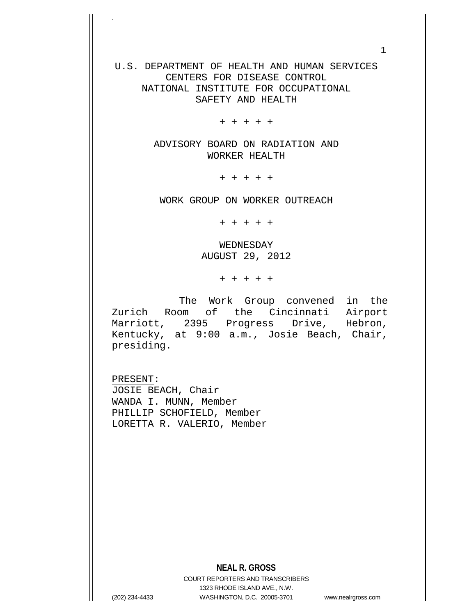U.S. DEPARTMENT OF HEALTH AND HUMAN SERVICES CENTERS FOR DISEASE CONTROL NATIONAL INSTITUTE FOR OCCUPATIONAL SAFETY AND HEALTH

+ + + + +

ADVISORY BOARD ON RADIATION AND WORKER HEALTH

+ + + + +

WORK GROUP ON WORKER OUTREACH

+ + + + +

WEDNESDAY AUGUST 29, 2012

+ + + + +

 The Work Group convened in the Zurich Room of the Cincinnati Airport Marriott, 2395 Progress Drive, Hebron, Kentucky, at 9:00 a.m., Josie Beach, Chair, presiding.

PRESENT: JOSIE BEACH, Chair WANDA I. MUNN, Member PHILLIP SCHOFIELD, Member LORETTA R. VALERIO, Member

## **NEAL R. GROSS**

COURT REPORTERS AND TRANSCRIBERS 1323 RHODE ISLAND AVE., N.W. (202) 234-4433 WASHINGTON, D.C. 20005-3701 www.nealrgross.com

.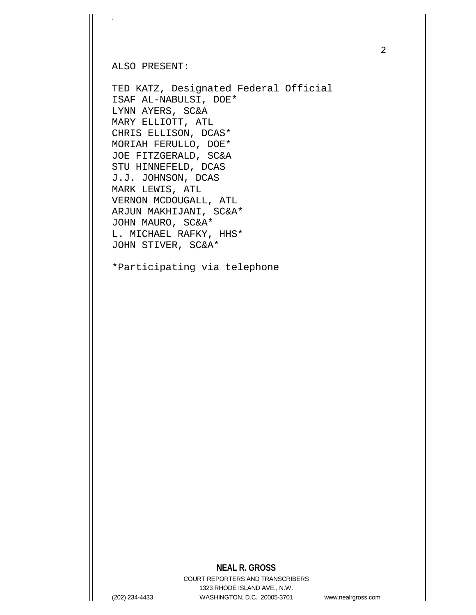#### ALSO PRESENT:

.

TED KATZ, Designated Federal Official ISAF AL-NABULSI, DOE\* LYNN AYERS, SC&A MARY ELLIOTT, ATL CHRIS ELLISON, DCAS\* MORIAH FERULLO, DOE\* JOE FITZGERALD, SC&A STU HINNEFELD, DCAS J.J. JOHNSON, DCAS MARK LEWIS, ATL VERNON MCDOUGALL, ATL ARJUN MAKHIJANI, SC&A\* JOHN MAURO, SC&A\* L. MICHAEL RAFKY, HHS\* JOHN STIVER, SC&A\*

\*Participating via telephone

## **NEAL R. GROSS**

COURT REPORTERS AND TRANSCRIBERS 1323 RHODE ISLAND AVE., N.W. (202) 234-4433 WASHINGTON, D.C. 20005-3701 www.nealrgross.com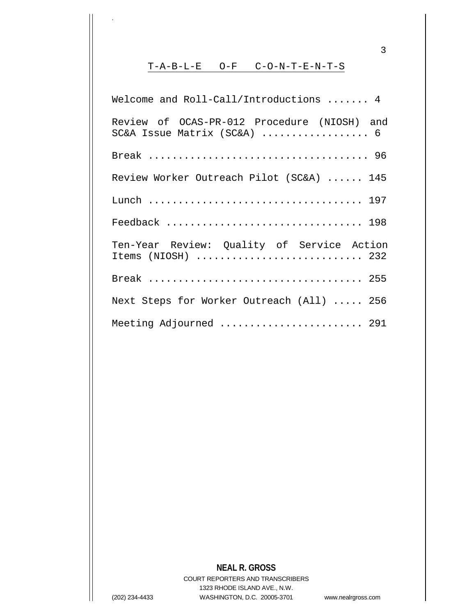#### T-A-B-L-E O-F C-O-N-T-E-N-T-S

.

Welcome and Roll-Call/Introductions ....... 4 Review of OCAS-PR-012 Procedure (NIOSH) and SC&A Issue Matrix (SC&A) ..................... 6 Break ..................................... 96 Review Worker Outreach Pilot (SC&A) ...... 145 Lunch .................................... 197 Feedback ................................. 198 Ten-Year Review: Quality of Service Action Items (NIOSH) ............................ 232 Break .................................... 255 Next Steps for Worker Outreach (All) ..... 256 Meeting Adjourned .......................... 291

# **NEAL R. GROSS**

COURT REPORTERS AND TRANSCRIBERS 1323 RHODE ISLAND AVE., N.W. (202) 234-4433 WASHINGTON, D.C. 20005-3701 www.nealrgross.com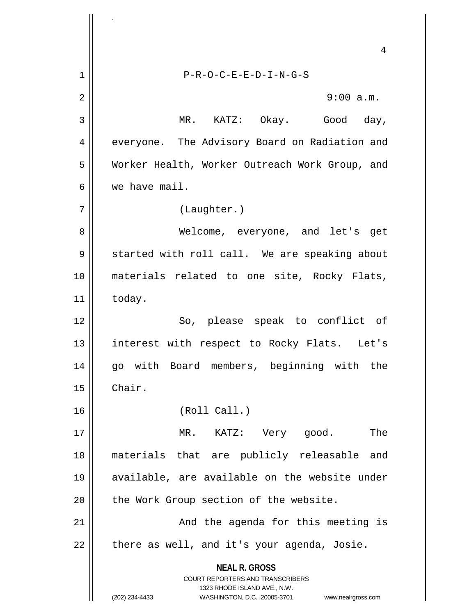**NEAL R. GROSS** COURT REPORTERS AND TRANSCRIBERS 1323 RHODE ISLAND AVE., N.W. (202) 234-4433 WASHINGTON, D.C. 20005-3701 www.nealrgross.com 4 1 P-R-O-C-E-E-D-I-N-G-S 2  $\parallel$  9:00 a.m. 3 MR. KATZ: Okay. Good day, 4 | everyone. The Advisory Board on Radiation and 5 Worker Health, Worker Outreach Work Group, and 6 we have mail. 7 (Laughter.) 8 Welcome, everyone, and let's get 9 | started with roll call. We are speaking about 10 materials related to one site, Rocky Flats,  $11$  today. 12 || So, please speak to conflict of 13 || interest with respect to Rocky Flats. Let's 14 go with Board members, beginning with the 15 Chair. 16 (Roll Call.) 17 || MR. KATZ: Very good. The 18 materials that are publicly releasable and 19 available, are available on the website under 20 | the Work Group section of the website. 21 || The agenda for this meeting is  $22$  | there as well, and it's your agenda, Josie.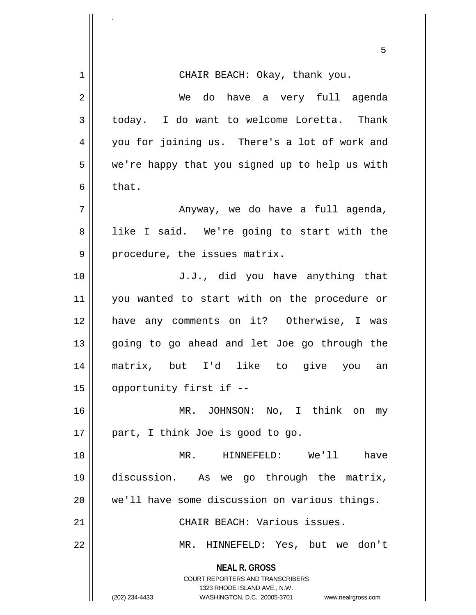|    | 5                                                                                                                                                            |
|----|--------------------------------------------------------------------------------------------------------------------------------------------------------------|
| 1  | CHAIR BEACH: Okay, thank you.                                                                                                                                |
| 2  | We do have a very full agenda                                                                                                                                |
| 3  | today. I do want to welcome Loretta. Thank                                                                                                                   |
| 4  | you for joining us. There's a lot of work and                                                                                                                |
| 5  | we're happy that you signed up to help us with                                                                                                               |
| 6  | that.                                                                                                                                                        |
| 7  | Anyway, we do have a full agenda,                                                                                                                            |
| 8  | like I said. We're going to start with the                                                                                                                   |
| 9  | procedure, the issues matrix.                                                                                                                                |
| 10 | J.J., did you have anything that                                                                                                                             |
| 11 | you wanted to start with on the procedure or                                                                                                                 |
| 12 | have any comments on it? Otherwise, I was                                                                                                                    |
| 13 | going to go ahead and let Joe go through the                                                                                                                 |
| 14 | matrix, but I'd like to<br>give you an                                                                                                                       |
| 15 | opportunity first if --                                                                                                                                      |
| 16 | MR. JOHNSON: No, I think on my                                                                                                                               |
| 17 | part, I think Joe is good to go.                                                                                                                             |
| 18 | MR. HINNEFELD: We'll<br>have                                                                                                                                 |
| 19 | discussion. As we go through the matrix,                                                                                                                     |
| 20 | we'll have some discussion on various things.                                                                                                                |
| 21 | CHAIR BEACH: Various issues.                                                                                                                                 |
| 22 | MR. HINNEFELD: Yes, but we don't                                                                                                                             |
|    | <b>NEAL R. GROSS</b><br>COURT REPORTERS AND TRANSCRIBERS<br>1323 RHODE ISLAND AVE., N.W.<br>(202) 234-4433<br>WASHINGTON, D.C. 20005-3701 www.nealrgross.com |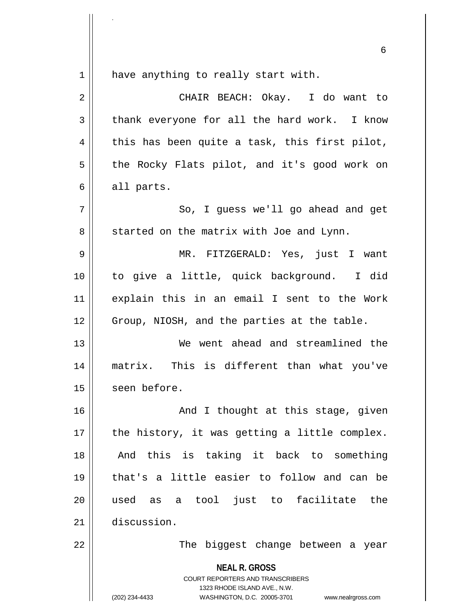$1$  have anything to really start with.

.

| $\overline{2}$ | CHAIR BEACH: Okay. I do want to                                                                                                                                 |
|----------------|-----------------------------------------------------------------------------------------------------------------------------------------------------------------|
| 3              | thank everyone for all the hard work. I know                                                                                                                    |
| 4              | this has been quite a task, this first pilot,                                                                                                                   |
| 5              | the Rocky Flats pilot, and it's good work on                                                                                                                    |
| 6              | all parts.                                                                                                                                                      |
| 7              | So, I guess we'll go ahead and get                                                                                                                              |
| 8              | started on the matrix with Joe and Lynn.                                                                                                                        |
| 9              | MR. FITZGERALD: Yes, just I want                                                                                                                                |
| 10             | to give a little, quick background. I did                                                                                                                       |
| 11             | explain this in an email I sent to the Work                                                                                                                     |
| 12             | Group, NIOSH, and the parties at the table.                                                                                                                     |
| 13             | We went ahead and streamlined the                                                                                                                               |
| 14             | matrix. This is different than what you've                                                                                                                      |
| 15             | seen before.                                                                                                                                                    |
| 16             | And I thought at this stage, given                                                                                                                              |
| 17             | the history, it was getting a little complex.                                                                                                                   |
| 18             | And this is taking it back to something                                                                                                                         |
| 19             | that's a little easier to follow and can be                                                                                                                     |
| 20             | as a tool just to facilitate the<br>used                                                                                                                        |
| 21             | discussion.                                                                                                                                                     |
| 22             | The biggest change between a year                                                                                                                               |
|                | <b>NEAL R. GROSS</b><br>COURT REPORTERS AND TRANSCRIBERS<br>1323 RHODE ISLAND AVE., N.W.<br>(202) 234-4433<br>WASHINGTON, D.C. 20005-3701<br>www.nealrgross.com |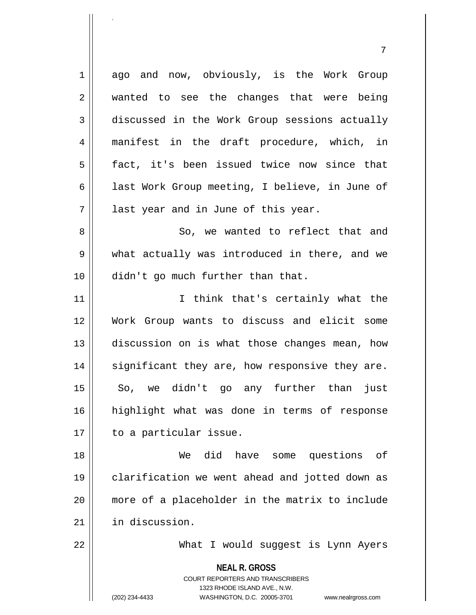1 ago and now, obviously, is the Work Group 2 || wanted to see the changes that were being 3 discussed in the Work Group sessions actually 4 manifest in the draft procedure, which, in 5 fact, it's been issued twice now since that 6  $\parallel$  last Work Group meeting, I believe, in June of  $7 \parallel$  last year and in June of this year. 8 So, we wanted to reflect that and 9 what actually was introduced in there, and we 10 || didn't go much further than that. 11 || Think that's certainly what the 12 Work Group wants to discuss and elicit some 13 || discussion on is what those changes mean, how  $14$  significant they are, how responsive they are. 15 So, we didn't go any further than just 16 highlight what was done in terms of response 17 | to a particular issue. 18 We did have some questions of 19 clarification we went ahead and jotted down as 20 more of a placeholder in the matrix to include 21 | in discussion.

22 What I would suggest is Lynn Ayers

**NEAL R. GROSS**

COURT REPORTERS AND TRANSCRIBERS 1323 RHODE ISLAND AVE., N.W. (202) 234-4433 WASHINGTON, D.C. 20005-3701 www.nealrgross.com

.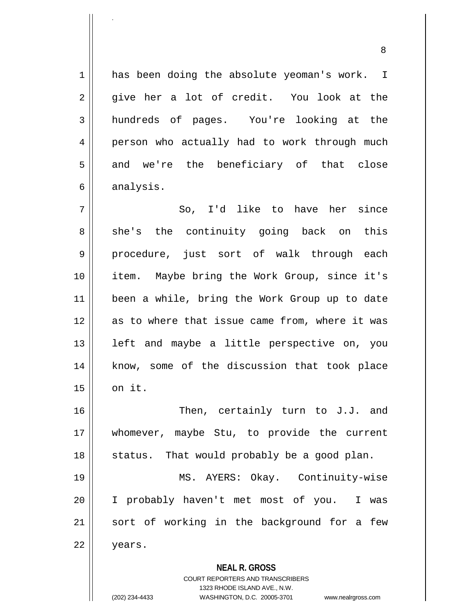1 has been doing the absolute yeoman's work. I  $2 \parallel$  give her a lot of credit. You look at the 3 hundreds of pages. You're looking at the 4 person who actually had to work through much  $5 \parallel$  and we're the beneficiary of that close  $6 \parallel$  analysis.

7 || So, I'd like to have her since 8 she's the continuity going back on this 9 procedure, just sort of walk through each 10 item. Maybe bring the Work Group, since it's 11 been a while, bring the Work Group up to date 12 as to where that issue came from, where it was  $13$  || left and maybe a little perspective on, you 14 || know, some of the discussion that took place  $15$  on it.

16 || Then, certainly turn to J.J. and 17 whomever, maybe Stu, to provide the current  $18$  || status. That would probably be a good plan.

19 MS. AYERS: Okay. Continuity-wise 20 I probably haven't met most of you. I was 21 || sort of working in the background for a few 22 years.

**NEAL R. GROSS**

COURT REPORTERS AND TRANSCRIBERS 1323 RHODE ISLAND AVE., N.W. (202) 234-4433 WASHINGTON, D.C. 20005-3701 www.nealrgross.com

.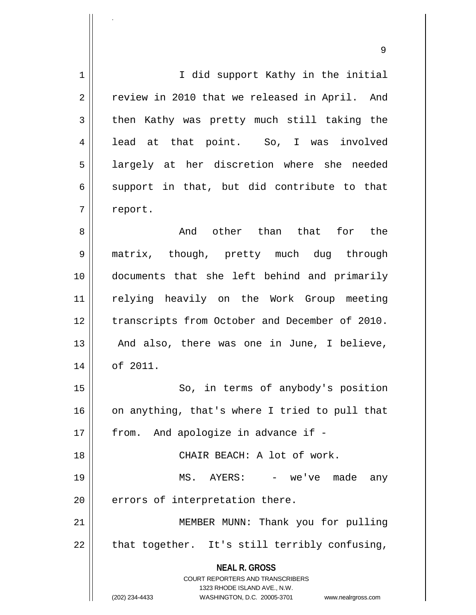**NEAL R. GROSS** COURT REPORTERS AND TRANSCRIBERS 1323 RHODE ISLAND AVE., N.W. (202) 234-4433 WASHINGTON, D.C. 20005-3701 www.nealrgross.com 1 || I did support Kathy in the initial 2 || review in 2010 that we released in April. And  $3 \parallel$  then Kathy was pretty much still taking the 4 || lead at that point. So, I was involved 5 || largely at her discretion where she needed  $6 \parallel$  support in that, but did contribute to that 7 | report. 8 and other than that for the 18 and other than that for 9 matrix, though, pretty much dug through 10 documents that she left behind and primarily 11 relying heavily on the Work Group meeting 12 || transcripts from October and December of 2010.  $13$  || And also, there was one in June, I believe, 14 of 2011. 15 || So, in terms of anybody's position  $16$  on anything, that's where I tried to pull that 17 || from. And apologize in advance if -18 CHAIR BEACH: A lot of work. 19 || MS. AYERS: - we've made any  $20$  | errors of interpretation there. 21 || MEMBER MUNN: Thank you for pulling  $22$  | that together. It's still terribly confusing,

9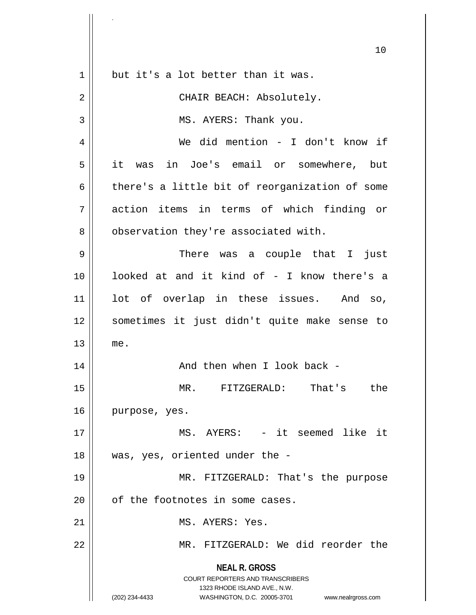|    | 10                                                                                                                                                              |
|----|-----------------------------------------------------------------------------------------------------------------------------------------------------------------|
| 1  | but it's a lot better than it was.                                                                                                                              |
| 2  | CHAIR BEACH: Absolutely.                                                                                                                                        |
| 3  | MS. AYERS: Thank you.                                                                                                                                           |
| 4  | We did mention - I don't know if                                                                                                                                |
| 5  | it was in Joe's email or somewhere, but                                                                                                                         |
| 6  | there's a little bit of reorganization of some                                                                                                                  |
| 7  | action items in terms of which finding or                                                                                                                       |
| 8  | observation they're associated with.                                                                                                                            |
| 9  | There was a couple that I<br>just                                                                                                                               |
| 10 | looked at and it kind of - I know there's a                                                                                                                     |
| 11 | lot of overlap in these issues. And so,                                                                                                                         |
| 12 | sometimes it just didn't quite make sense to                                                                                                                    |
| 13 | me.                                                                                                                                                             |
| 14 | And then when I look back -                                                                                                                                     |
| 15 | MR.<br>That's<br>FITZGERALD:<br>the                                                                                                                             |
| 16 | purpose, yes.                                                                                                                                                   |
| 17 | MS. AYERS: - it seemed like it                                                                                                                                  |
| 18 | was, yes, oriented under the -                                                                                                                                  |
| 19 | MR. FITZGERALD: That's the purpose                                                                                                                              |
| 20 | of the footnotes in some cases.                                                                                                                                 |
| 21 | MS. AYERS: Yes.                                                                                                                                                 |
| 22 | MR. FITZGERALD: We did reorder the                                                                                                                              |
|    | <b>NEAL R. GROSS</b><br>COURT REPORTERS AND TRANSCRIBERS<br>1323 RHODE ISLAND AVE., N.W.<br>(202) 234-4433<br>WASHINGTON, D.C. 20005-3701<br>www.nealrgross.com |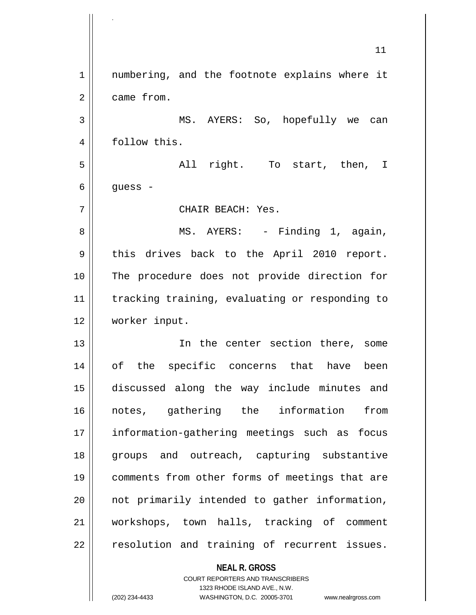11 1 || numbering, and the footnote explains where it 2 | came from. 3 MS. AYERS: So, hopefully we can 4 || follow this. 5 All right. To start, then, I  $6 \parallel$  guess -7 CHAIR BEACH: Yes. 8 MS. AYERS: - Finding 1, again, 9 || this drives back to the April 2010 report. 10 The procedure does not provide direction for 11 | tracking training, evaluating or responding to 12 worker input. 13 || The center section there, some 14 of the specific concerns that have been 15 discussed along the way include minutes and 16 notes, gathering the information from 17 information-gathering meetings such as focus 18 groups and outreach, capturing substantive 19 comments from other forms of meetings that are  $20$  || not primarily intended to gather information, 21 workshops, town halls, tracking of comment  $22$   $\parallel$  resolution and training of recurrent issues.

> **NEAL R. GROSS** COURT REPORTERS AND TRANSCRIBERS 1323 RHODE ISLAND AVE., N.W.

.

(202) 234-4433 WASHINGTON, D.C. 20005-3701 www.nealrgross.com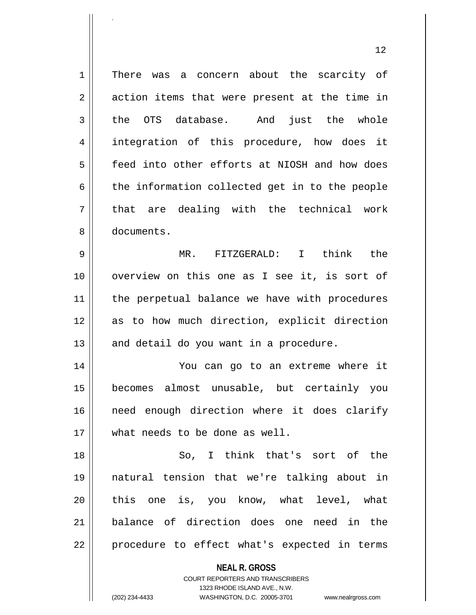**NEAL R. GROSS** 1 || There was a concern about the scarcity of  $2 \parallel$  action items that were present at the time in 3 the OTS database. And just the whole 4 integration of this procedure, how does it 5 **f** eed into other efforts at NIOSH and how does  $6 \parallel$  the information collected get in to the people  $7 \parallel$  that are dealing with the technical work 8 documents. 9 MR. FITZGERALD: I think the 10 || overview on this one as I see it, is sort of 11 || the perpetual balance we have with procedures 12 as to how much direction, explicit direction  $13$  || and detail do you want in a procedure. 14 You can go to an extreme where it 15 becomes almost unusable, but certainly you 16 || need enough direction where it does clarify 17 what needs to be done as well. 18 || So, I think that's sort of the 19 natural tension that we're talking about in 20 || this one is, you know, what level, what 21 balance of direction does one need in the 22 || procedure to effect what's expected in terms

> COURT REPORTERS AND TRANSCRIBERS 1323 RHODE ISLAND AVE., N.W.

.

(202) 234-4433 WASHINGTON, D.C. 20005-3701 www.nealrgross.com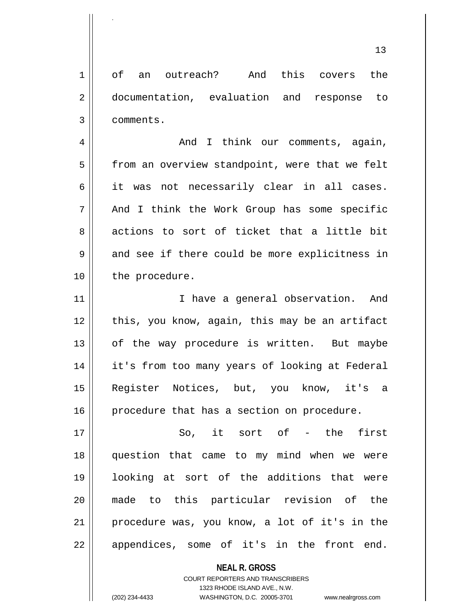1 of an outreach? And this covers the 2 documentation, evaluation and response to 3 comments.

4 And I think our comments, again, 5 | from an overview standpoint, were that we felt  $6 \parallel$  it was not necessarily clear in all cases. 7 || And I think the Work Group has some specific 8 actions to sort of ticket that a little bit  $9 \parallel$  and see if there could be more explicitness in 10 | the procedure.

11 || Thave a general observation. And 12 || this, you know, again, this may be an artifact 13 || of the way procedure is written. But maybe 14 it's from too many years of looking at Federal 15 Register Notices, but, you know, it's a 16 procedure that has a section on procedure.

17 || So, it sort of - the first 18 question that came to my mind when we were 19 looking at sort of the additions that were 20 made to this particular revision of the 21 procedure was, you know, a lot of it's in the 22 || appendices, some of it's in the front end.

> **NEAL R. GROSS** COURT REPORTERS AND TRANSCRIBERS 1323 RHODE ISLAND AVE., N.W. (202) 234-4433 WASHINGTON, D.C. 20005-3701 www.nealrgross.com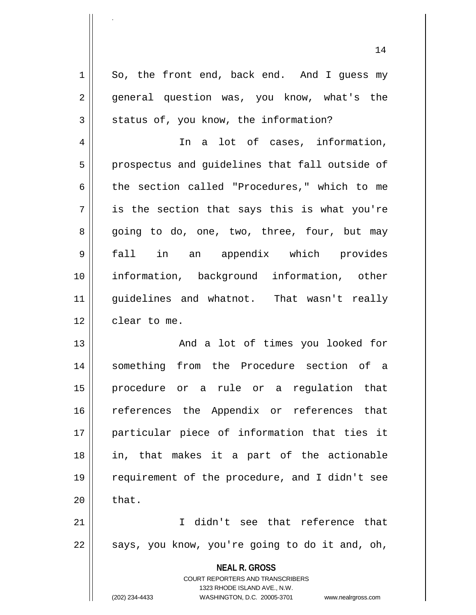$1 \parallel$  So, the front end, back end. And I quess my 2 || general question was, you know, what's the  $3 \parallel$  status of, you know, the information? 4 || The a lot of cases, information, 5 || prospectus and guidelines that fall outside of 6 the section called "Procedures," which to me  $7 \parallel$  is the section that says this is what you're 8 going to do, one, two, three, four, but may 9 fall in an appendix which provides 10 information, background information, other 11 guidelines and whatnot. That wasn't really 12 | clear to me. 13 || The Mode of times you looked for 14 something from the Procedure section of a 15 procedure or a rule or a regulation that 16 || references the Appendix or references that

17 particular piece of information that ties it 18 in, that makes it a part of the actionable 19 requirement of the procedure, and I didn't see  $20$   $\parallel$  that.

21 I didn't see that reference that  $22 \parallel$  says, you know, you're going to do it and, oh,

> **NEAL R. GROSS** COURT REPORTERS AND TRANSCRIBERS

> > 1323 RHODE ISLAND AVE., N.W.

.

(202) 234-4433 WASHINGTON, D.C. 20005-3701 www.nealrgross.com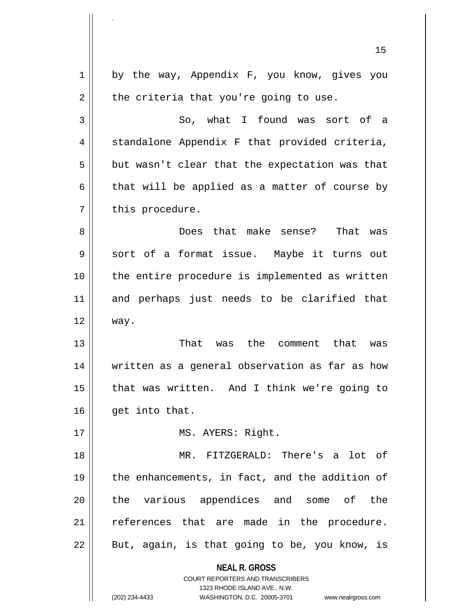| 15                                                                                                  |
|-----------------------------------------------------------------------------------------------------|
| by the way, Appendix F, you know, gives you<br>1                                                    |
| the criteria that you're going to use.<br>2                                                         |
| 3<br>So, what I found was sort of a                                                                 |
| standalone Appendix F that provided criteria,<br>4                                                  |
| 5<br>but wasn't clear that the expectation was that                                                 |
| that will be applied as a matter of course by<br>6                                                  |
| this procedure.<br>7                                                                                |
| Does that make sense? That was<br>8                                                                 |
| sort of a format issue. Maybe it turns out<br>9                                                     |
| the entire procedure is implemented as written<br>10                                                |
| 11<br>and perhaps just needs to be clarified that                                                   |
| 12<br>way.                                                                                          |
| 13<br>That was the<br>comment that was                                                              |
| 14<br>written as a general observation as far as how                                                |
| that was written. And I think we're going to<br>15                                                  |
| 16<br>get into that.                                                                                |
| 17<br>MS. AYERS: Right.                                                                             |
| MR. FITZGERALD: There's a lot of<br>18                                                              |
| the enhancements, in fact, and the addition of<br>19                                                |
| the various appendices and some of the<br>20                                                        |
| references that are made in the procedure.<br>21                                                    |
| 22<br>But, again, is that going to be, you know, is                                                 |
| <b>NEAL R. GROSS</b>                                                                                |
| <b>COURT REPORTERS AND TRANSCRIBERS</b>                                                             |
| 1323 RHODE ISLAND AVE., N.W.<br>(202) 234-4433<br>WASHINGTON, D.C. 20005-3701<br>www.nealrgross.com |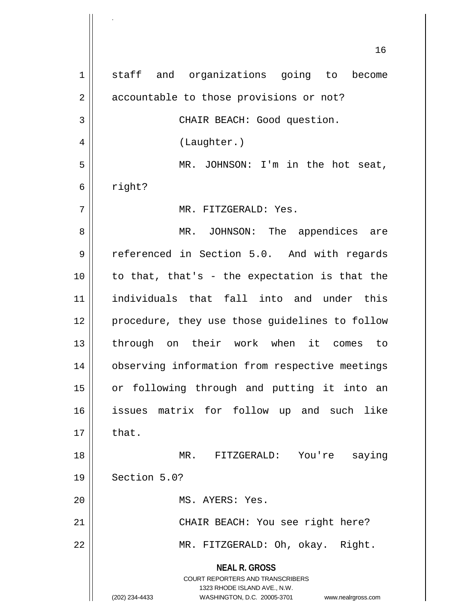**NEAL R. GROSS** COURT REPORTERS AND TRANSCRIBERS 1323 RHODE ISLAND AVE., N.W. (202) 234-4433 WASHINGTON, D.C. 20005-3701 www.nealrgross.com 1 || staff and organizations going to become 2 | accountable to those provisions or not? 3 || CHAIR BEACH: Good question. 4 | (Laughter.) 5 || MR. JOHNSON: I'm in the hot seat,  $6 \parallel$  right? 7 MR. FITZGERALD: Yes. 8 MR. JOHNSON: The appendices are 9 || referenced in Section 5.0. And with regards  $10$  | to that, that's - the expectation is that the 11 individuals that fall into and under this 12 || procedure, they use those guidelines to follow 13 through on their work when it comes to 14 | observing information from respective meetings 15 or following through and putting it into an 16 issues matrix for follow up and such like  $17 \parallel$  that. 18 MR. FITZGERALD: You're saying 19 Section 5.0? 20 || MS. AYERS: Yes. 21 || CHAIR BEACH: You see right here? 22 || MR. FITZGERALD: Oh, okay. Right.

.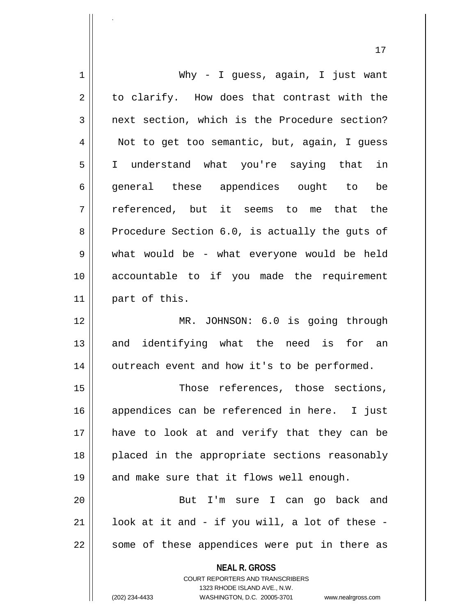|             | 17                                                                  |
|-------------|---------------------------------------------------------------------|
| $\mathbf 1$ | Why - I guess, again, I just want                                   |
| 2           | to clarify. How does that contrast with the                         |
| 3           | next section, which is the Procedure section?                       |
| 4           | Not to get too semantic, but, again, I guess                        |
| 5           | I understand what you're saying that in                             |
| 6           | general these appendices ought to be                                |
| 7           | referenced, but it seems to me that the                             |
| 8           | Procedure Section 6.0, is actually the guts of                      |
| 9           | what would be - what everyone would be held                         |
| 10          | accountable to if you made the requirement                          |
| 11          | part of this.                                                       |
| 12          | MR. JOHNSON: 6.0 is going through                                   |
| 13          | and identifying what the need is for an                             |
| 14          | outreach event and how it's to be performed.                        |
| 15          | Those references, those sections,                                   |
| 16          | appendices can be referenced in here. I just                        |
| 17          | have to look at and verify that they can be                         |
| 18          | placed in the appropriate sections reasonably                       |
| 19          | and make sure that it flows well enough.                            |
| 20          | But I'm sure I can go back and                                      |
| 21          | look at it and - if you will, a lot of these -                      |
| 22          | some of these appendices were put in there as                       |
|             | <b>NEAL R. GROSS</b><br><b>COURT REPORTERS AND TRANSCRIBERS</b>     |
|             | 1323 RHODE ISLAND AVE., N.W.                                        |
|             | (202) 234-4433<br>WASHINGTON, D.C. 20005-3701<br>www.nealrgross.com |

<sup>(202) 234-4433</sup> WASHINGTON, D.C. 20005-3701 www.nealrgross.com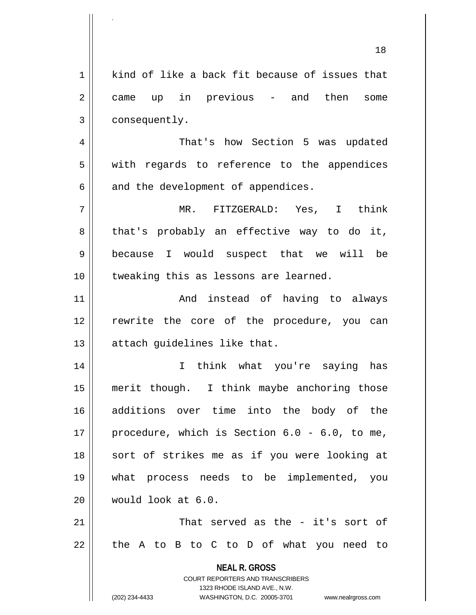|    | 18                                                                                       |
|----|------------------------------------------------------------------------------------------|
| 1  | kind of like a back fit because of issues that                                           |
| 2  | up in previous - and then<br>came<br>some                                                |
| 3  | consequently.                                                                            |
| 4  | That's how Section 5 was updated                                                         |
| 5  | with regards to reference to the appendices                                              |
| 6  | and the development of appendices.                                                       |
| 7  | MR. FITZGERALD: Yes, I think                                                             |
| 8  | that's probably an effective way to do it,                                               |
| 9  | because I would suspect that we will be                                                  |
| 10 | tweaking this as lessons are learned.                                                    |
| 11 | And instead of having to always                                                          |
| 12 | rewrite the core of the procedure, you can                                               |
| 13 | attach guidelines like that.                                                             |
| 14 | I<br>think what you're saying has                                                        |
| 15 | merit though. I think maybe anchoring those                                              |
| 16 | additions over time into the body of the                                                 |
| 17 | procedure, which is Section $6.0 - 6.0$ , to me,                                         |
| 18 | sort of strikes me as if you were looking at                                             |
| 19 | process needs to be<br>implemented, you<br>what                                          |
| 20 | would look at 6.0.                                                                       |
| 21 | That served as the - it's sort of                                                        |
| 22 | the A to B to C to D of what you need to                                                 |
|    | <b>NEAL R. GROSS</b><br>COURT REPORTERS AND TRANSCRIBERS<br>1323 RHODE ISLAND AVE., N.W. |
|    | (202) 234-4433<br>WASHINGTON, D.C. 20005-3701<br>www.nealrgross.com                      |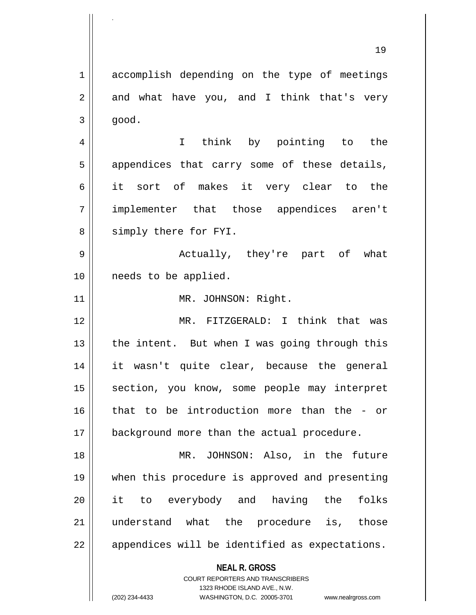1 accomplish depending on the type of meetings  $2 \parallel$  and what have you, and I think that's very  $3 \parallel$  good. 4 I think by pointing to the  $5 \parallel$  appendices that carry some of these details, 6 it sort of makes it very clear to the 7 implementer that those appendices aren't 8 Simply there for FYI. 9 Actually, they're part of what 10 || needs to be applied. 11 || MR. JOHNSON: Right. 12 MR. FITZGERALD: I think that was 13  $\parallel$  the intent. But when I was going through this 14 it wasn't quite clear, because the general 15 || section, you know, some people may interpret 16 that to be introduction more than the - or 17 | background more than the actual procedure. 18 MR. JOHNSON: Also, in the future 19 when this procedure is approved and presenting 20 it to everybody and having the folks 21 understand what the procedure is, those 22 || appendices will be identified as expectations.

> **NEAL R. GROSS** COURT REPORTERS AND TRANSCRIBERS

> > 1323 RHODE ISLAND AVE., N.W.

.

(202) 234-4433 WASHINGTON, D.C. 20005-3701 www.nealrgross.com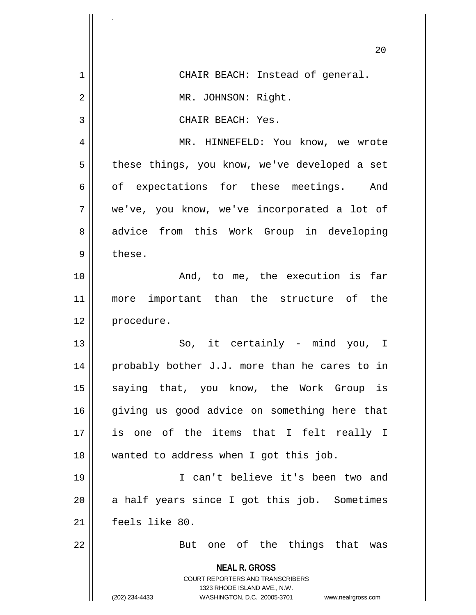|                | 20                                                                                                                                                              |
|----------------|-----------------------------------------------------------------------------------------------------------------------------------------------------------------|
| $\mathbf 1$    | CHAIR BEACH: Instead of general.                                                                                                                                |
| $\overline{2}$ | MR. JOHNSON: Right.                                                                                                                                             |
| 3              | CHAIR BEACH: Yes.                                                                                                                                               |
| 4              | MR. HINNEFELD: You know, we wrote                                                                                                                               |
| 5              | these things, you know, we've developed a set                                                                                                                   |
| 6              | of expectations for these meetings. And                                                                                                                         |
| 7              | we've, you know, we've incorporated a lot of                                                                                                                    |
| 8              | advice from this Work Group in developing                                                                                                                       |
| 9              | these.                                                                                                                                                          |
| 10             | And, to me, the execution is far                                                                                                                                |
| 11             | more important than the structure of the                                                                                                                        |
| 12             | procedure.                                                                                                                                                      |
| 13             | So, it certainly - mind you,<br>I.                                                                                                                              |
| 14             | probably bother J.J. more than he cares to in                                                                                                                   |
| 15             | saying that, you know, the Work Group is                                                                                                                        |
| 16             | giving us good advice on something here that                                                                                                                    |
| 17             | is one of the items that I felt really I                                                                                                                        |
| 18             | wanted to address when I got this job.                                                                                                                          |
| 19             | I can't believe it's been two and                                                                                                                               |
| 20             | a half years since I got this job. Sometimes                                                                                                                    |
| 21             | feels like 80.                                                                                                                                                  |
| 22             | But one of the things that was                                                                                                                                  |
|                | <b>NEAL R. GROSS</b><br>COURT REPORTERS AND TRANSCRIBERS<br>1323 RHODE ISLAND AVE., N.W.<br>(202) 234-4433<br>WASHINGTON, D.C. 20005-3701<br>www.nealrgross.com |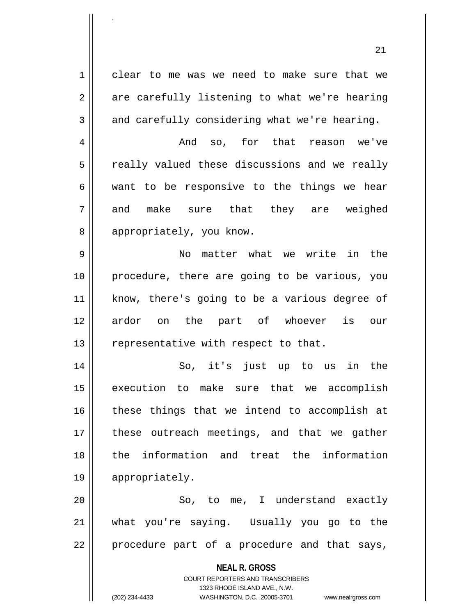1 clear to me was we need to make sure that we  $2 \parallel$  are carefully listening to what we're hearing  $3 \parallel$  and carefully considering what we're hearing. 4 And so, for that reason we've  $5 \parallel$  really valued these discussions and we really  $6 \parallel$  want to be responsive to the things we hear 7|| and make sure that they are weighed 8 || appropriately, you know. 9 No matter what we write in the 10 procedure, there are going to be various, you 11 || know, there's going to be a various degree of 12 ardor on the part of whoever is our 13  $\parallel$  representative with respect to that. 14 || So, it's just up to us in the 15 execution to make sure that we accomplish  $16$  these things that we intend to accomplish at 17 || these outreach meetings, and that we gather 18 the information and treat the information 19 appropriately. 20 || So, to me, I understand exactly

21 what you're saying. Usually you go to the  $22$  || procedure part of a procedure and that says,

> **NEAL R. GROSS** COURT REPORTERS AND TRANSCRIBERS

> > 1323 RHODE ISLAND AVE., N.W.

.

(202) 234-4433 WASHINGTON, D.C. 20005-3701 www.nealrgross.com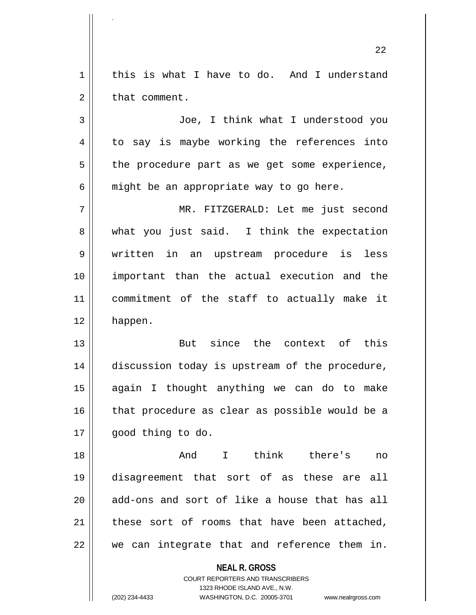$1 \parallel$  this is what I have to do. And I understand  $2 \parallel$  that comment.

.

3 Joe, I think what I understood you 4 to say is maybe working the references into 5 || the procedure part as we get some experience,  $6 \parallel$  might be an appropriate way to go here.

7 MR. FITZGERALD: Let me just second 8 || what you just said. I think the expectation 9 written in an upstream procedure is less 10 important than the actual execution and the 11 commitment of the staff to actually make it 12 happen.

13 But since the context of this 14 | discussion today is upstream of the procedure, 15 again I thought anything we can do to make  $16$  | that procedure as clear as possible would be a 17 | qood thing to do.

18 And I think there's no 19 disagreement that sort of as these are all  $20$  || add-ons and sort of like a house that has all  $21$  these sort of rooms that have been attached,  $22$   $\parallel$  we can integrate that and reference them in.

**NEAL R. GROSS**

COURT REPORTERS AND TRANSCRIBERS 1323 RHODE ISLAND AVE., N.W. (202) 234-4433 WASHINGTON, D.C. 20005-3701 www.nealrgross.com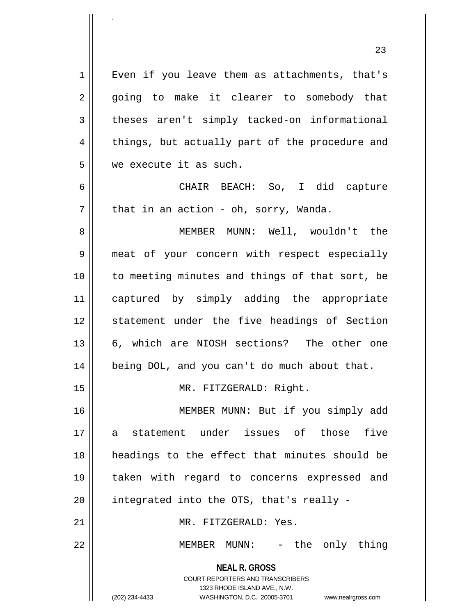**NEAL R. GROSS** COURT REPORTERS AND TRANSCRIBERS 1323 RHODE ISLAND AVE., N.W. 1 || Even if you leave them as attachments, that's 2 || going to make it clearer to somebody that 3 theses aren't simply tacked-on informational 4 || things, but actually part of the procedure and 5 we execute it as such. 6 CHAIR BEACH: So, I did capture  $7 \parallel$  that in an action - oh, sorry, Wanda. 8 MEMBER MUNN: Well, wouldn't the 9 meat of your concern with respect especially 10 || to meeting minutes and things of that sort, be 11 captured by simply adding the appropriate 12 || statement under the five headings of Section 13 || 6, which are NIOSH sections? The other one 14 || being DOL, and you can't do much about that. 15 || MR. FITZGERALD: Right. 16 || MEMBER MUNN: But if you simply add 17 a statement under issues of those five 18 headings to the effect that minutes should be 19 taken with regard to concerns expressed and  $20$  || integrated into the OTS, that's really -21 MR. FITZGERALD: Yes. 22 MEMBER MUNN: - the only thing

.

(202) 234-4433 WASHINGTON, D.C. 20005-3701 www.nealrgross.com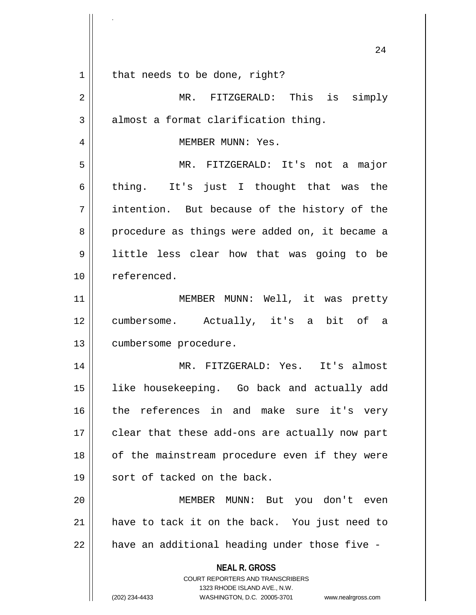|    | 24                                                                                               |
|----|--------------------------------------------------------------------------------------------------|
| 1  | that needs to be done, right?                                                                    |
| 2  | MR. FITZGERALD: This is simply                                                                   |
| 3  | almost a format clarification thing.                                                             |
| 4  | MEMBER MUNN: Yes.                                                                                |
| 5  | MR. FITZGERALD: It's not a major                                                                 |
| 6  | thing. It's just I thought that was the                                                          |
| 7  | intention. But because of the history of the                                                     |
| 8  | procedure as things were added on, it became a                                                   |
| 9  | little less clear how that was going to be                                                       |
| 10 | referenced.                                                                                      |
| 11 | MEMBER MUNN: Well, it was pretty                                                                 |
| 12 | cumbersome. Actually, it's a bit of a                                                            |
| 13 | cumbersome procedure.                                                                            |
| 14 | MR. FITZGERALD: Yes. It's almost                                                                 |
| 15 | like housekeeping. Go back and actually add                                                      |
| 16 | the references in and make sure it's very                                                        |
| 17 | clear that these add-ons are actually now part                                                   |
| 18 | of the mainstream procedure even if they were                                                    |
| 19 | sort of tacked on the back.                                                                      |
| 20 | MEMBER MUNN: But you don't even                                                                  |
| 21 | have to tack it on the back. You just need to                                                    |
| 22 | have an additional heading under those five -                                                    |
|    | <b>NEAL R. GROSS</b><br><b>COURT REPORTERS AND TRANSCRIBERS</b>                                  |
|    | 1323 RHODE ISLAND AVE., N.W.<br>(202) 234-4433<br>WASHINGTON, D.C. 20005-3701 www.nealrgross.com |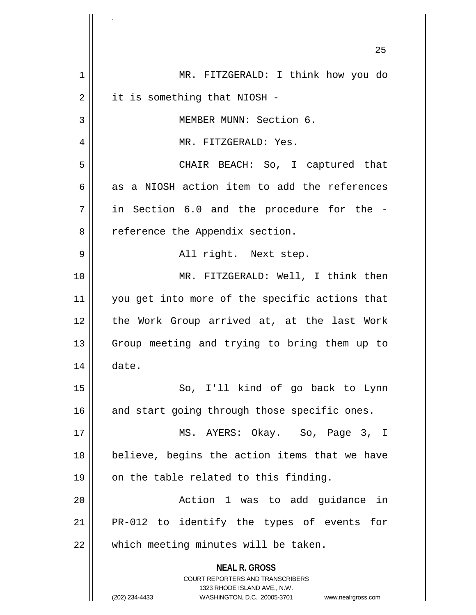**NEAL R. GROSS** COURT REPORTERS AND TRANSCRIBERS 1323 RHODE ISLAND AVE., N.W. (202) 234-4433 WASHINGTON, D.C. 20005-3701 www.nealrgross.com 25 1 MR. FITZGERALD: I think how you do  $2 \parallel$  it is something that NIOSH -3 | MEMBER MUNN: Section 6. 4 MR. FITZGERALD: Yes. 5 CHAIR BEACH: So, I captured that  $6 \parallel$  as a NIOSH action item to add the references  $7 \parallel$  in Section 6.0 and the procedure for the -8 | reference the Appendix section. 9 All right. Next step. 10 || MR. FITZGERALD: Well, I think then 11 || you get into more of the specific actions that 12 || the Work Group arrived at, at the last Work 13 || Group meeting and trying to bring them up to  $14 \parallel$  date. 15 || So, I'll kind of go back to Lynn  $16$  and start going through those specific ones. 17 MS. AYERS: Okay. So, Page 3, I  $18$  | believe, begins the action items that we have  $19 \parallel$  on the table related to this finding. 20 Action 1 was to add guidance in 21 || PR-012 to identify the types of events for 22 || which meeting minutes will be taken.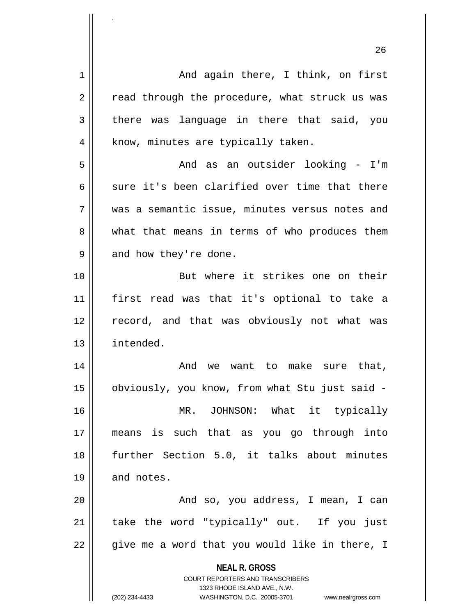**NEAL R. GROSS** COURT REPORTERS AND TRANSCRIBERS 1323 RHODE ISLAND AVE., N.W. (202) 234-4433 WASHINGTON, D.C. 20005-3701 www.nealrgross.com 1 And again there, I think, on first  $2 \parallel$  read through the procedure, what struck us was  $3 \parallel$  there was language in there that said, you  $4 \parallel$  know, minutes are typically taken. 5 And as an outsider looking - I'm 6 sure it's been clarified over time that there 7 was a semantic issue, minutes versus notes and 8 what that means in terms of who produces them  $9 \parallel$  and how they're done. 10 But where it strikes one on their 11 first read was that it's optional to take a 12 || record, and that was obviously not what was 13 intended. 14 And we want to make sure that, 15 obviously, you know, from what Stu just said - 16 MR. JOHNSON: What it typically 17 means is such that as you go through into 18 further Section 5.0, it talks about minutes  $19 \parallel$  and notes. 20 || And so, you address, I mean, I can 21 || take the word "typically" out. If you just  $22 \parallel$  give me a word that you would like in there, I

.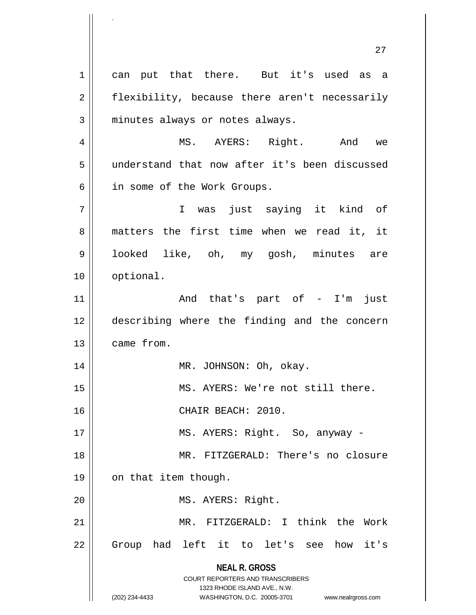**NEAL R. GROSS** COURT REPORTERS AND TRANSCRIBERS 1323 RHODE ISLAND AVE., N.W. (202) 234-4433 WASHINGTON, D.C. 20005-3701 www.nealrgross.com 1 can put that there. But it's used as a 2 || flexibility, because there aren't necessarily  $3 \parallel$  minutes always or notes always. 4 MS. AYERS: Right. And we 5 understand that now after it's been discussed 6 || in some of the Work Groups. 7 I was just saying it kind of 8 matters the first time when we read it, it 9 || looked like, oh, my gosh, minutes are 10 || optional. 11 || The Contract And that's part of - I'm just 12 describing where the finding and the concern 13 came from. 14 || MR. JOHNSON: Oh, okay. 15 || MS. AYERS: We're not still there. 16 CHAIR BEACH: 2010. 17 || MS. AYERS: Right. So, anyway -18 MR. FITZGERALD: There's no closure 19 | on that item though. 20 || MS. AYERS: Right. 21 MR. FITZGERALD: I think the Work 22 || Group had left it to let's see how it's

27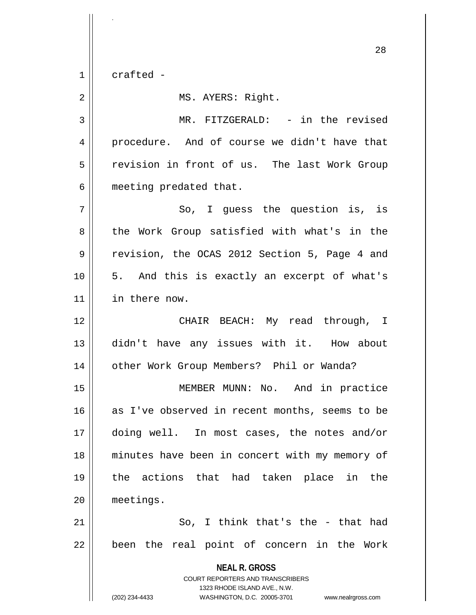1 crafted -

.

2 | MS. AYERS: Right. 3 || MR. FITZGERALD: - in the revised 4 procedure. And of course we didn't have that 5 || revision in front of us. The last Work Group 6 | meeting predated that.  $7 \parallel$  So, I quess the question is, is 8 || the Work Group satisfied with what's in the 9 Tevision, the OCAS 2012 Section 5, Page 4 and 10 5. And this is exactly an excerpt of what's 11 in there now. 12 CHAIR BEACH: My read through, I 13 didn't have any issues with it. How about 14 | other Work Group Members? Phil or Wanda?

15 || MEMBER MUNN: No. And in practice 16 as I've observed in recent months, seems to be 17 doing well. In most cases, the notes and/or 18 minutes have been in concert with my memory of 19 the actions that had taken place in the 20 meetings.

 $21$   $\parallel$  So, I think that's the - that had 22 || been the real point of concern in the Work

> **NEAL R. GROSS** COURT REPORTERS AND TRANSCRIBERS 1323 RHODE ISLAND AVE., N.W. (202) 234-4433 WASHINGTON, D.C. 20005-3701 www.nealrgross.com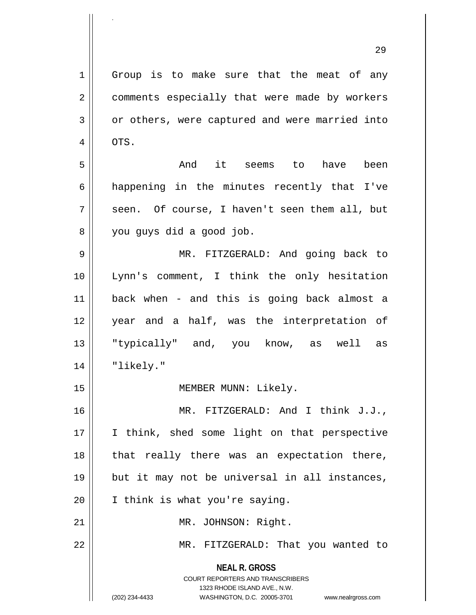**NEAL R. GROSS** COURT REPORTERS AND TRANSCRIBERS 1323 RHODE ISLAND AVE., N.W. 1 Group is to make sure that the meat of any 2 || comments especially that were made by workers 3 or others, were captured and were married into  $4 \parallel$  OTS. 5 And it seems to have been  $6 \parallel$  happening in the minutes recently that I've  $7 \parallel$  seen. Of course, I haven't seen them all, but 8 || you guys did a good job. 9 MR. FITZGERALD: And going back to 10 Lynn's comment, I think the only hesitation 11 back when - and this is going back almost a 12 year and a half, was the interpretation of 13 "typically" and, you know, as well as 14 || "likely." 15 || MEMBER MUNN: Likely. 16 MR. FITZGERALD: And I think J.J., 17 || I think, shed some light on that perspective 18 || that really there was an expectation there, 19 but it may not be universal in all instances, 20 | I think is what you're saying. 21 || MR. JOHNSON: Right. 22 MR. FITZGERALD: That you wanted to

.

(202) 234-4433 WASHINGTON, D.C. 20005-3701 www.nealrgross.com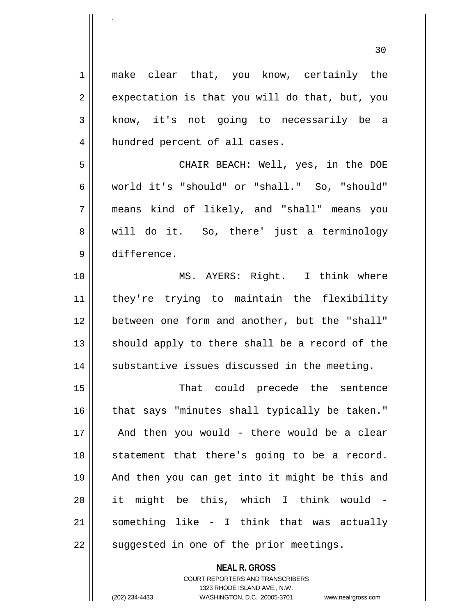| $\mathbf 1$ | make clear that, you know, certainly the       |
|-------------|------------------------------------------------|
| 2           | expectation is that you will do that, but, you |
| 3           | know, it's not going to necessarily be a       |
| 4           | hundred percent of all cases.                  |
| 5           | CHAIR BEACH: Well, yes, in the DOE             |
| 6           | world it's "should" or "shall." So, "should"   |
| 7           | means kind of likely, and "shall" means you    |
| 8           | will do it. So, there' just a terminology      |
| 9           | difference.                                    |
| 10          | MS. AYERS: Right. I think where                |
| 11          | they're trying to maintain the flexibility     |
| 12          | between one form and another, but the "shall"  |
| 13          | should apply to there shall be a record of the |
| 14          | substantive issues discussed in the meeting.   |
| 15          | That could precede the sentence                |
| 16          | that says "minutes shall typically be taken."  |
| 17          | And then you would - there would be a clear    |
| 18          | statement that there's going to be a record.   |
| 19          | And then you can get into it might be this and |
| 20          | it might be this, which I think would -        |
| 21          | something like - I think that was actually     |
| 22          | suggested in one of the prior meetings.        |

COURT REPORTERS AND TRANSCRIBERS 1323 RHODE ISLAND AVE., N.W.

**NEAL R. GROSS**

.

(202) 234-4433 WASHINGTON, D.C. 20005-3701 www.nealrgross.com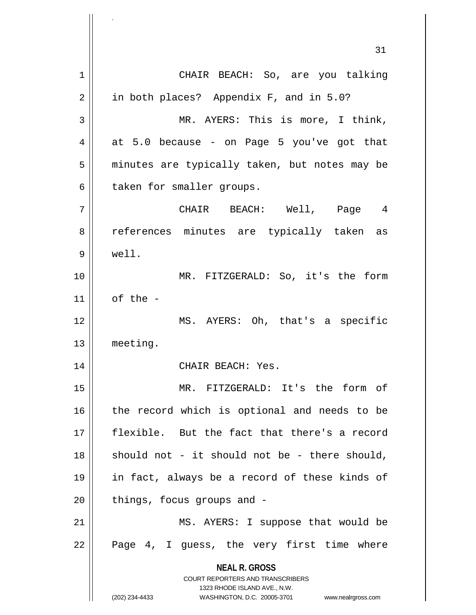**NEAL R. GROSS** COURT REPORTERS AND TRANSCRIBERS 1323 RHODE ISLAND AVE., N.W. (202) 234-4433 WASHINGTON, D.C. 20005-3701 www.nealrgross.com 31 1 CHAIR BEACH: So, are you talking 2 || in both places? Appendix F, and in 5.0? 3 || MR. AYERS: This is more, I think,  $4 \parallel$  at 5.0 because - on Page 5 you've got that 5 || minutes are typically taken, but notes may be  $6 \parallel$  taken for smaller groups. 7 CHAIR BEACH: Well, Page 4 8 || references minutes are typically taken as 9 well. 10 MR. FITZGERALD: So, it's the form  $11$  of the -12 MS. AYERS: Oh, that's a specific 13 meeting. 14 || CHAIR BEACH: Yes. 15 MR. FITZGERALD: It's the form of 16 || the record which is optional and needs to be 17 flexible. But the fact that there's a record  $18$  should not - it should not be - there should, 19 in fact, always be a record of these kinds of  $20$  || things, focus groups and -21 || MS. AYERS: I suppose that would be  $22 \parallel$  Page 4, I guess, the very first time where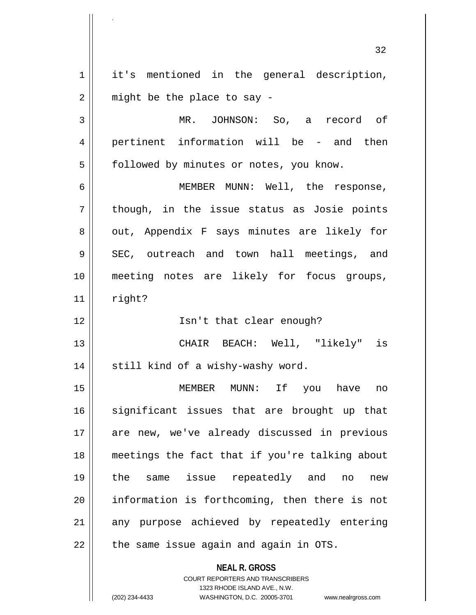**NEAL R. GROSS** COURT REPORTERS AND TRANSCRIBERS 32 1 || it's mentioned in the general description,  $2 \parallel$  might be the place to say -3 MR. JOHNSON: So, a record of 4 || pertinent information will be - and then 5 | followed by minutes or notes, you know. 6 MEMBER MUNN: Well, the response,  $7 \parallel$  though, in the issue status as Josie points 8 || out, Appendix F says minutes are likely for  $9 \parallel$  SEC, outreach and town hall meetings, and 10 meeting notes are likely for focus groups,  $11$  right? 12 || Isn't that clear enough? 13 CHAIR BEACH: Well, "likely" is  $14$  | still kind of a wishy-washy word. 15 MEMBER MUNN: If you have no 16 || significant issues that are brought up that 17 || are new, we've already discussed in previous 18 meetings the fact that if you're talking about 19 the same issue repeatedly and no new 20 information is forthcoming, then there is not 21 || any purpose achieved by repeatedly entering  $22$  || the same issue again and again in OTS.

1323 RHODE ISLAND AVE., N.W.

.

(202) 234-4433 WASHINGTON, D.C. 20005-3701 www.nealrgross.com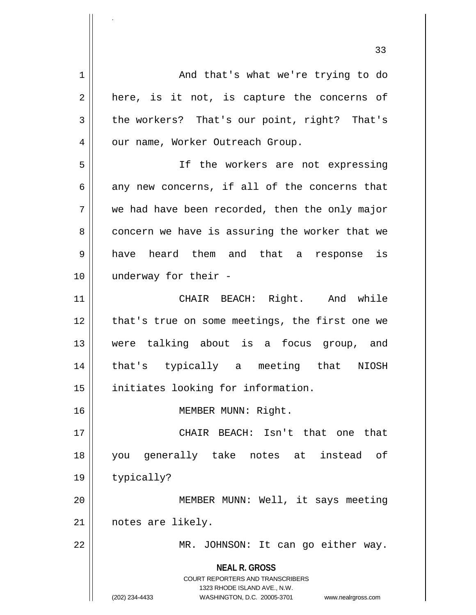**NEAL R. GROSS** COURT REPORTERS AND TRANSCRIBERS 1323 RHODE ISLAND AVE., N.W. (202) 234-4433 WASHINGTON, D.C. 20005-3701 www.nealrgross.com 1 And that's what we're trying to do  $2 \parallel$  here, is it not, is capture the concerns of  $3 \parallel$  the workers? That's our point, right? That's 4 | | our name, Worker Outreach Group. 5 || If the workers are not expressing  $6 \parallel$  any new concerns, if all of the concerns that  $7 \parallel$  we had have been recorded, then the only major  $8 \parallel$  concern we have is assuring the worker that we 9 have heard them and that a response is 10 underway for their - 11 CHAIR BEACH: Right. And while 12 || that's true on some meetings, the first one we 13 were talking about is a focus group, and 14 that's typically a meeting that NIOSH 15 || initiates looking for information. 16 || MEMBER MUNN: Right. 17 CHAIR BEACH: Isn't that one that 18 you generally take notes at instead of 19 | typically? 20 || MEMBER MUNN: Well, it says meeting 21 notes are likely. 22 MR. JOHNSON: It can go either way.

.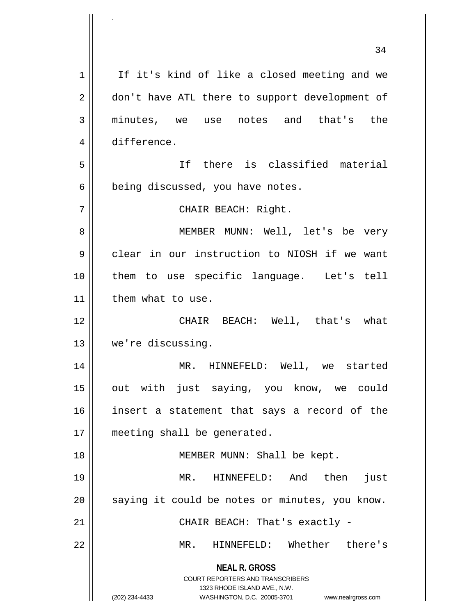|    | 34                                                                                                                                                           |
|----|--------------------------------------------------------------------------------------------------------------------------------------------------------------|
| 1  | If it's kind of like a closed meeting and we                                                                                                                 |
| 2  | don't have ATL there to support development of                                                                                                               |
| 3  | minutes, we use notes and that's the                                                                                                                         |
| 4  | difference.                                                                                                                                                  |
| 5  | If there is classified material                                                                                                                              |
| 6  | being discussed, you have notes.                                                                                                                             |
| 7  | CHAIR BEACH: Right.                                                                                                                                          |
| 8  | MEMBER MUNN: Well, let's be very                                                                                                                             |
| 9  | clear in our instruction to NIOSH if we want                                                                                                                 |
| 10 | them to use specific language. Let's tell                                                                                                                    |
| 11 | them what to use.                                                                                                                                            |
| 12 | CHAIR BEACH: Well, that's what                                                                                                                               |
| 13 | we're discussing.                                                                                                                                            |
| 14 | MR. HINNEFELD: Well, we started                                                                                                                              |
| 15 | out with just saying, you know, we could                                                                                                                     |
| 16 | insert a statement that says a record of the                                                                                                                 |
| 17 | meeting shall be generated.                                                                                                                                  |
| 18 | MEMBER MUNN: Shall be kept.                                                                                                                                  |
| 19 | then<br>MR. HINNEFELD: And<br>just                                                                                                                           |
| 20 | saying it could be notes or minutes, you know.                                                                                                               |
| 21 | CHAIR BEACH: That's exactly -                                                                                                                                |
| 22 | HINNEFELD: Whether there's<br>MR.                                                                                                                            |
|    | <b>NEAL R. GROSS</b><br>COURT REPORTERS AND TRANSCRIBERS<br>1323 RHODE ISLAND AVE., N.W.<br>(202) 234-4433<br>WASHINGTON, D.C. 20005-3701 www.nealrgross.com |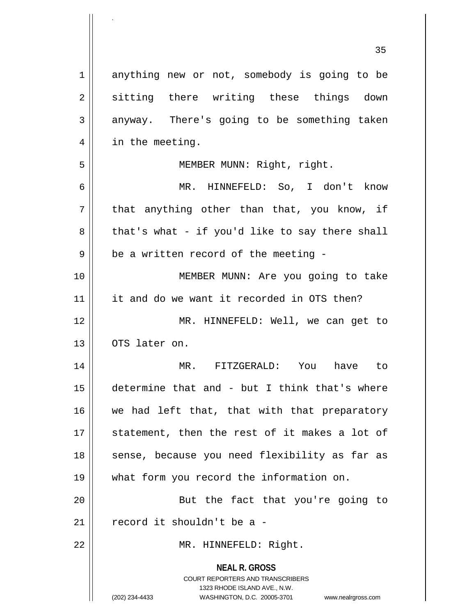|             | 35                                                                                                                                                                  |
|-------------|---------------------------------------------------------------------------------------------------------------------------------------------------------------------|
| $\mathbf 1$ | anything new or not, somebody is going to be                                                                                                                        |
| 2           | sitting there writing these things down                                                                                                                             |
| 3           | anyway. There's going to be something taken                                                                                                                         |
| 4           | in the meeting.                                                                                                                                                     |
| 5           | MEMBER MUNN: Right, right.                                                                                                                                          |
| 6           | MR. HINNEFELD: So, I don't know                                                                                                                                     |
| 7           | that anything other than that, you know, if                                                                                                                         |
| 8           | that's what - if you'd like to say there shall                                                                                                                      |
| 9           | be a written record of the meeting -                                                                                                                                |
| 10          | MEMBER MUNN: Are you going to take                                                                                                                                  |
| 11          | it and do we want it recorded in OTS then?                                                                                                                          |
| 12          | MR. HINNEFELD: Well, we can get to                                                                                                                                  |
| 13          | OTS later on.                                                                                                                                                       |
| 14          | MR.<br>FITZGERALD:<br>You<br>have<br>to                                                                                                                             |
| 15          | determine that and - but I think that's where                                                                                                                       |
| 16          | we had left that, that with that preparatory                                                                                                                        |
| 17          | statement, then the rest of it makes a lot of                                                                                                                       |
| 18          | sense, because you need flexibility as far as                                                                                                                       |
| 19          | what form you record the information on.                                                                                                                            |
| 20          | But the fact that you're going to                                                                                                                                   |
| 21          | record it shouldn't be a -                                                                                                                                          |
| 22          | MR. HINNEFELD: Right.                                                                                                                                               |
|             | <b>NEAL R. GROSS</b><br><b>COURT REPORTERS AND TRANSCRIBERS</b><br>1323 RHODE ISLAND AVE., N.W.<br>(202) 234-4433<br>WASHINGTON, D.C. 20005-3701 www.nealrgross.com |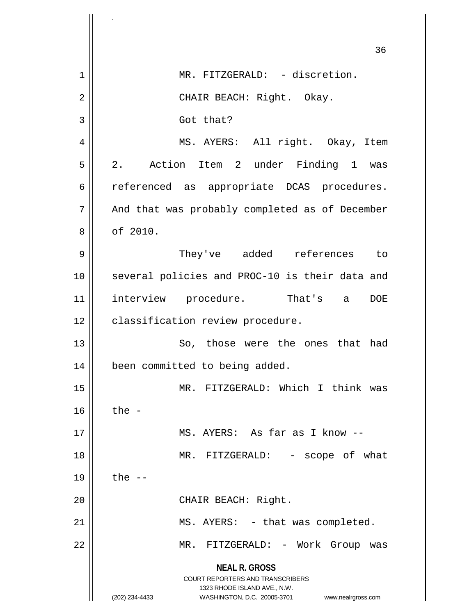|    | 36                                                                  |
|----|---------------------------------------------------------------------|
| 1  | MR. FITZGERALD: - discretion.                                       |
| 2  | CHAIR BEACH: Right. Okay.                                           |
| 3  | Got that?                                                           |
| 4  | MS. AYERS: All right. Okay, Item                                    |
| 5  | 2. Action Item 2 under Finding 1 was                                |
| 6  | referenced as appropriate DCAS procedures.                          |
| 7  | And that was probably completed as of December                      |
| 8  | of 2010.                                                            |
| 9  | They've added references to                                         |
| 10 | several policies and PROC-10 is their data and                      |
| 11 | interview procedure. That's a<br><b>DOE</b>                         |
| 12 | classification review procedure.                                    |
| 13 | So, those were the ones that had                                    |
| 14 | been committed to being added.                                      |
| 15 | MR. FITZGERALD: Which I think was                                   |
| 16 | the $-$                                                             |
| 17 | MS. AYERS: As far as I know --                                      |
| 18 | MR. FITZGERALD: - scope of what                                     |
| 19 | the $--$                                                            |
| 20 | CHAIR BEACH: Right.                                                 |
| 21 | MS. AYERS: - that was completed.                                    |
| 22 | MR. FITZGERALD: - Work Group was                                    |
|    | <b>NEAL R. GROSS</b><br>COURT REPORTERS AND TRANSCRIBERS            |
|    | 1323 RHODE ISLAND AVE., N.W.                                        |
|    | (202) 234-4433<br>WASHINGTON, D.C. 20005-3701<br>www.nealrgross.com |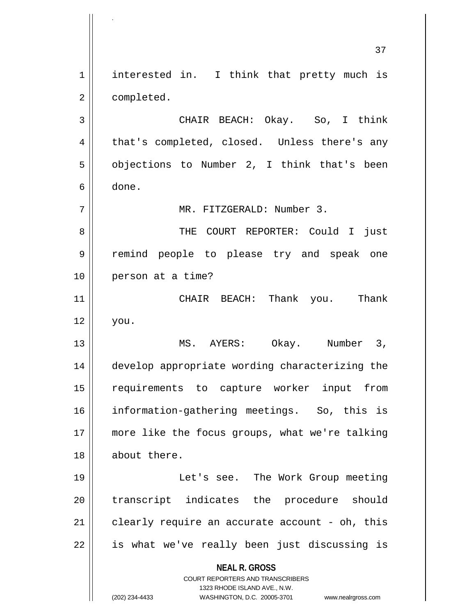**NEAL R. GROSS** COURT REPORTERS AND TRANSCRIBERS 1323 RHODE ISLAND AVE., N.W. (202) 234-4433 WASHINGTON, D.C. 20005-3701 www.nealrgross.com 37 1 || interested in. I think that pretty much is 2 | completed. 3 CHAIR BEACH: Okay. So, I think 4 || that's completed, closed. Unless there's any  $5 \parallel$  objections to Number 2, I think that's been  $6 \parallel$  done. 7 MR. FITZGERALD: Number 3. 8 THE COURT REPORTER: Could I just 9 remind people to please try and speak one 10 || person at a time? 11 CHAIR BEACH: Thank you. Thank 12 you. 13 MS. AYERS: Okay. Number 3, 14 develop appropriate wording characterizing the 15 requirements to capture worker input from 16 information-gathering meetings. So, this is 17 more like the focus groups, what we're talking 18 about there. 19 Let's see. The Work Group meeting 20 || transcript indicates the procedure should  $21$  clearly require an accurate account - oh, this  $22 \parallel$  is what we've really been just discussing is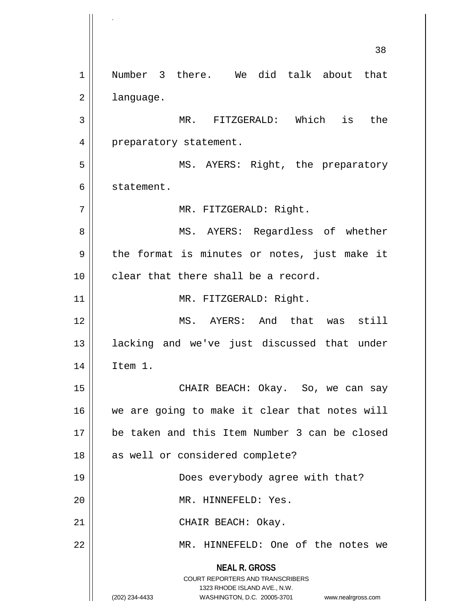**NEAL R. GROSS** COURT REPORTERS AND TRANSCRIBERS 1323 RHODE ISLAND AVE., N.W. (202) 234-4433 WASHINGTON, D.C. 20005-3701 www.nealrgross.com 38 1 || Number 3 there. We did talk about that 2 | language. 3 MR. FITZGERALD: Which is the 4 | preparatory statement. 5 MS. AYERS: Right, the preparatory 6 | statement. 7 || MR. FITZGERALD: Right. 8 MS. AYERS: Regardless of whether  $9 \parallel$  the format is minutes or notes, just make it 10 clear that there shall be a record. 11 || MR. FITZGERALD: Right. 12 MS. AYERS: And that was still 13 lacking and we've just discussed that under 14 Item 1. 15 CHAIR BEACH: Okay. So, we can say 16 || we are going to make it clear that notes will 17 be taken and this Item Number 3 can be closed 18 || as well or considered complete? 19 Does everybody agree with that? 20 | MR. HINNEFELD: Yes. 21 || CHAIR BEACH: Okay. 22 MR. HINNEFELD: One of the notes we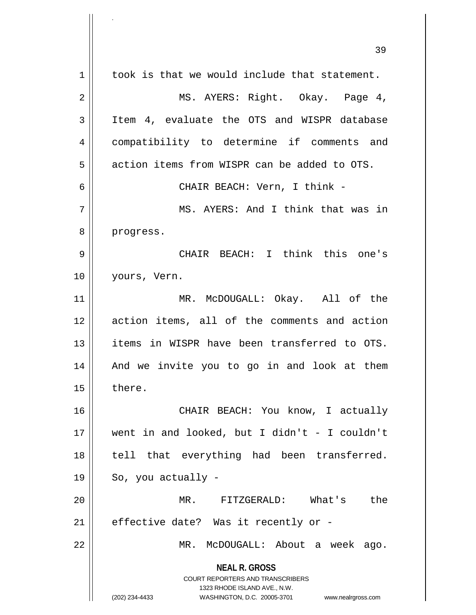|    | 39                                                                                                                                                                     |
|----|------------------------------------------------------------------------------------------------------------------------------------------------------------------------|
| 1  | took is that we would include that statement.                                                                                                                          |
| 2  | MS. AYERS: Right. Okay. Page 4,                                                                                                                                        |
| 3  | Item 4, evaluate the OTS and WISPR database                                                                                                                            |
| 4  | compatibility to determine if comments and                                                                                                                             |
| 5  | action items from WISPR can be added to OTS.                                                                                                                           |
| 6  | CHAIR BEACH: Vern, I think -                                                                                                                                           |
| 7  | MS. AYERS: And I think that was in                                                                                                                                     |
| 8  | progress.                                                                                                                                                              |
| 9  | CHAIR BEACH: I think this one's                                                                                                                                        |
| 10 | yours, Vern.                                                                                                                                                           |
| 11 | MR. McDOUGALL: Okay. All of the                                                                                                                                        |
| 12 | action items, all of the comments and action                                                                                                                           |
| 13 | items in WISPR have been transferred to OTS.                                                                                                                           |
| 14 | And we invite you to go in and look at them                                                                                                                            |
| 15 | there.                                                                                                                                                                 |
| 16 | CHAIR BEACH: You know, I actually                                                                                                                                      |
| 17 | went in and looked, but I didn't - I couldn't                                                                                                                          |
| 18 | tell that everything had been transferred.                                                                                                                             |
| 19 | So, you actually -                                                                                                                                                     |
| 20 | FITZGERALD:<br>What's<br>the<br>MR.                                                                                                                                    |
| 21 | effective date? Was it recently or -                                                                                                                                   |
| 22 | MR. McDOUGALL: About a week<br>ago.                                                                                                                                    |
|    | <b>NEAL R. GROSS</b><br><b>COURT REPORTERS AND TRANSCRIBERS</b><br>1323 RHODE ISLAND AVE., N.W.<br>(202) 234-4433<br>WASHINGTON, D.C. 20005-3701<br>www.nealrgross.com |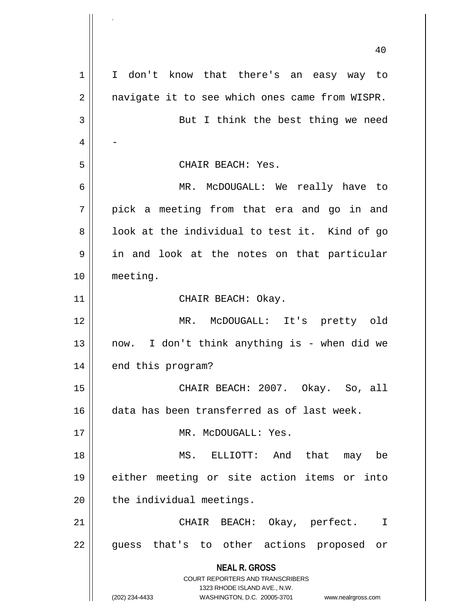|    | 40                                                                  |
|----|---------------------------------------------------------------------|
| 1  | I don't know that there's an easy way to                            |
| 2  | navigate it to see which ones came from WISPR.                      |
| 3  | But I think the best thing we need                                  |
| 4  |                                                                     |
| 5  | CHAIR BEACH: Yes.                                                   |
| 6  | MR. McDOUGALL: We really have to                                    |
| 7  | pick a meeting from that era and go in and                          |
| 8  | look at the individual to test it. Kind of go                       |
| 9  | in and look at the notes on that particular                         |
| 10 | meeting.                                                            |
| 11 | CHAIR BEACH: Okay.                                                  |
| 12 | MR. McDOUGALL: It's pretty old                                      |
| 13 | now. I don't think anything is - when did we                        |
| 14 | end this program?                                                   |
| 15 | CHAIR BEACH: 2007. Okay. So, all                                    |
| 16 | data has been transferred as of last week.                          |
| 17 | MR. McDOUGALL: Yes.                                                 |
| 18 | MS. ELLIOTT: And that may be                                        |
| 19 | either meeting or site action items or into                         |
| 20 | the individual meetings.                                            |
| 21 | CHAIR BEACH: Okay, perfect. I                                       |
| 22 | guess that's to other actions proposed or                           |
|    | <b>NEAL R. GROSS</b><br><b>COURT REPORTERS AND TRANSCRIBERS</b>     |
|    | 1323 RHODE ISLAND AVE., N.W.                                        |
|    | (202) 234-4433<br>WASHINGTON, D.C. 20005-3701<br>www.nealrgross.com |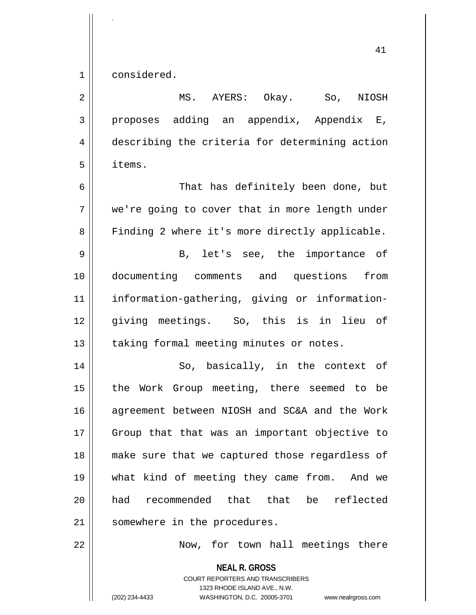1 considered.

.

**NEAL R. GROSS** 2 MS. AYERS: Okay. So, NIOSH  $3 \parallel$  proposes adding an appendix, Appendix E, 4 describing the criteria for determining action 5 items. 6 That has definitely been done, but 7 we're going to cover that in more length under 8 | Finding 2 where it's more directly applicable. 9 B, let's see, the importance of 10 documenting comments and questions from 11 information-gathering, giving or information-12 giving meetings. So, this is in lieu of 13 | taking formal meeting minutes or notes. 14 || So, basically, in the context of 15 || the Work Group meeting, there seemed to be 16 agreement between NIOSH and SC&A and the Work 17 || Group that that was an important objective to 18 make sure that we captured those regardless of 19 what kind of meeting they came from. And we 20 had recommended that that be reflected 21 | somewhere in the procedures. 22 || Now, for town hall meetings there

> COURT REPORTERS AND TRANSCRIBERS 1323 RHODE ISLAND AVE., N.W.

(202) 234-4433 WASHINGTON, D.C. 20005-3701 www.nealrgross.com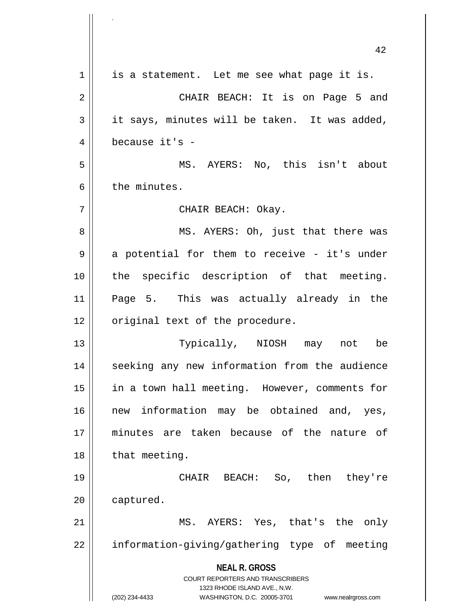|    | 42                                                                  |
|----|---------------------------------------------------------------------|
| 1  | is a statement. Let me see what page it is.                         |
| 2  | CHAIR BEACH: It is on Page 5 and                                    |
| 3  | it says, minutes will be taken. It was added,                       |
| 4  | because it's -                                                      |
| 5  | MS. AYERS: No, this isn't about                                     |
| 6  | the minutes.                                                        |
| 7  | CHAIR BEACH: Okay.                                                  |
| 8  | MS. AYERS: Oh, just that there was                                  |
| 9  | a potential for them to receive - it's under                        |
| 10 | the specific description of that meeting.                           |
| 11 | Page 5. This was actually already in the                            |
| 12 | original text of the procedure.                                     |
| 13 | Typically, NIOSH<br>not<br>may<br>be                                |
| 14 | seeking any new information from the audience                       |
| 15 | in a town hall meeting. However, comments for                       |
| 16 | new information may be obtained and, yes,                           |
| 17 | minutes are taken because of the nature of                          |
| 18 | that meeting.                                                       |
| 19 | CHAIR BEACH: So, then they're                                       |
| 20 | captured.                                                           |
| 21 | MS. AYERS: Yes, that's the only                                     |
| 22 | information-giving/gathering type of meeting                        |
|    | <b>NEAL R. GROSS</b><br>COURT REPORTERS AND TRANSCRIBERS            |
|    | 1323 RHODE ISLAND AVE., N.W.                                        |
|    | (202) 234-4433<br>WASHINGTON, D.C. 20005-3701<br>www.nealrgross.com |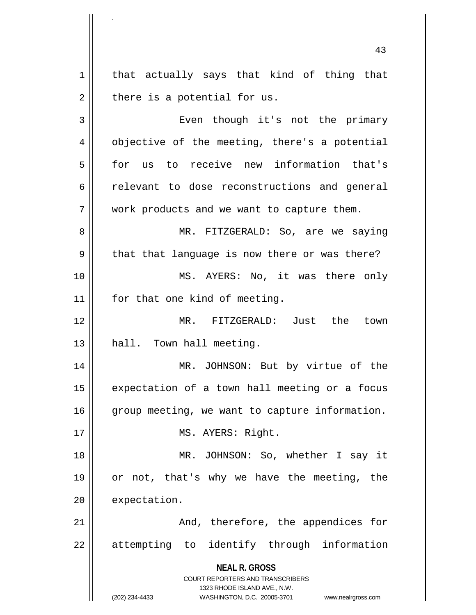1 | that actually says that kind of thing that  $2 \parallel$  there is a potential for us.

.

3 | Even though it's not the primary 4 | objective of the meeting, there's a potential 5 for us to receive new information that's 6 celevant to dose reconstructions and general 7 || work products and we want to capture them. 8 || MR. FITZGERALD: So, are we saying  $9 \parallel$  that that language is now there or was there? 10 || MS. AYERS: No, it was there only 11 | for that one kind of meeting. 12 MR. FITZGERALD: Just the town 13 || hall. Town hall meeting.

14 || MR. JOHNSON: But by virtue of the  $15$  expectation of a town hall meeting or a focus 16 | group meeting, we want to capture information.

17 || MS. AYERS: Right.

18 || MR. JOHNSON: So, whether I say it 19 or not, that's why we have the meeting, the 20 expectation.

21 And, therefore, the appendices for  $22 \parallel$  attempting to identify through information

> **NEAL R. GROSS** COURT REPORTERS AND TRANSCRIBERS

1323 RHODE ISLAND AVE., N.W. (202) 234-4433 WASHINGTON, D.C. 20005-3701 www.nealrgross.com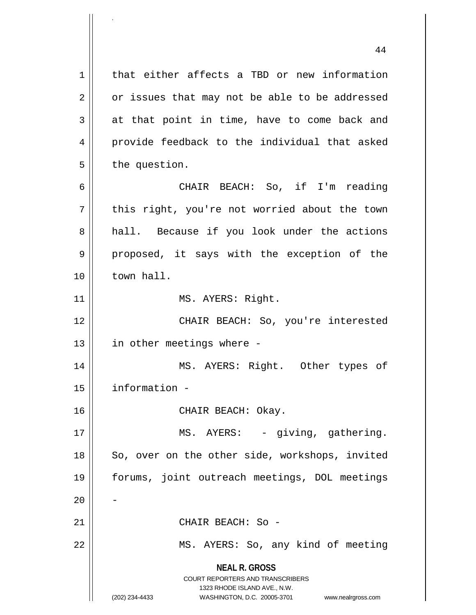**NEAL R. GROSS** COURT REPORTERS AND TRANSCRIBERS 1323 RHODE ISLAND AVE., N.W. (202) 234-4433 WASHINGTON, D.C. 20005-3701 www.nealrgross.com 1 | that either affects a TBD or new information  $2 \parallel$  or issues that may not be able to be addressed  $3 \parallel$  at that point in time, have to come back and 4 provide feedback to the individual that asked  $5 \parallel$  the question. 6 CHAIR BEACH: So, if I'm reading 7 || this right, you're not worried about the town 8 || hall. Because if you look under the actions 9 || proposed, it says with the exception of the 10 town hall. 11 || MS. AYERS: Right. 12 CHAIR BEACH: So, you're interested  $13$  || in other meetings where -14 MS. AYERS: Right. Other types of 15 information - 16 CHAIR BEACH: Okay. 17 || MS. AYERS: - giving, gathering. 18 || So, over on the other side, workshops, invited 19 forums, joint outreach meetings, DOL meetings  $20$ 21 || CHAIR BEACH: So -22 || MS. AYERS: So, any kind of meeting

.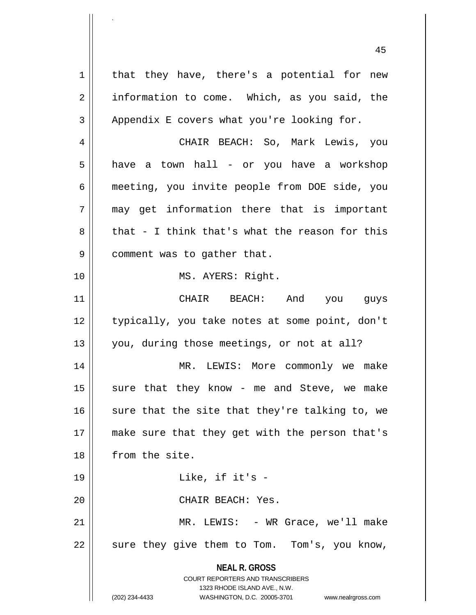**NEAL R. GROSS** COURT REPORTERS AND TRANSCRIBERS 1323 RHODE ISLAND AVE., N.W. (202) 234-4433 WASHINGTON, D.C. 20005-3701 www.nealrgross.com  $1 \parallel$  that they have, there's a potential for new  $2 \parallel$  information to come. Which, as you said, the  $3 \parallel$  Appendix E covers what you're looking for. 4 CHAIR BEACH: So, Mark Lewis, you 5 | have a town hall - or you have a workshop 6 meeting, you invite people from DOE side, you  $7 \parallel$  may get information there that is important  $8 \parallel$  that - I think that's what the reason for this 9 | comment was to gather that. 10 || MS. AYERS: Right. 11 CHAIR BEACH: And you guys 12 || typically, you take notes at some point, don't 13 || you, during those meetings, or not at all? 14 MR. LEWIS: More commonly we make  $15$  sure that they know - me and Steve, we make 16  $\parallel$  sure that the site that they're talking to, we 17 || make sure that they get with the person that's 18 | from the site. 19 Like, if it's - 20 || CHAIR BEACH: Yes. 21 || MR. LEWIS: - WR Grace, we'll make 22 || sure they give them to Tom. Tom's, you know,

.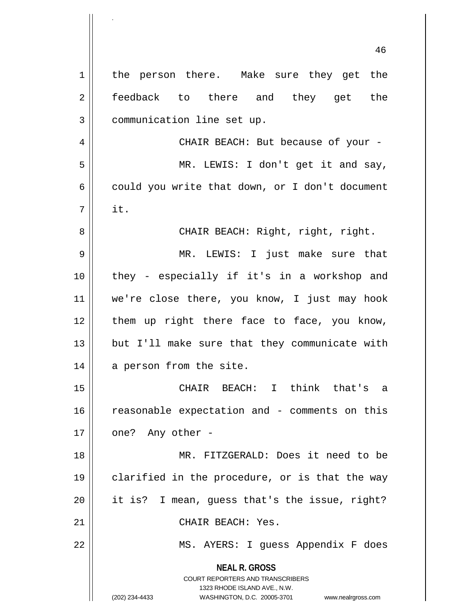**NEAL R. GROSS** COURT REPORTERS AND TRANSCRIBERS 1323 RHODE ISLAND AVE., N.W. (202) 234-4433 WASHINGTON, D.C. 20005-3701 www.nealrgross.com 1 | the person there. Make sure they get the 2 || feedback to there and they get the 3 | communication line set up. 4 CHAIR BEACH: But because of your - 5 || MR. LEWIS: I don't get it and say,  $6 \parallel$  could you write that down, or I don't document  $7 \parallel$  it. 8 CHAIR BEACH: Right, right, right. 9 MR. LEWIS: I just make sure that 10 they - especially if it's in a workshop and 11 we're close there, you know, I just may hook  $12$  | them up right there face to face, you know,  $13$  || but I'll make sure that they communicate with 14 || a person from the site. 15 CHAIR BEACH: I think that's a 16 || reasonable expectation and - comments on this  $17 \parallel$  one? Any other -18 MR. FITZGERALD: Does it need to be 19 clarified in the procedure, or is that the way 20 it is? I mean, guess that's the issue, right? 21 CHAIR BEACH: Yes. 22 || MS. AYERS: I guess Appendix F does

.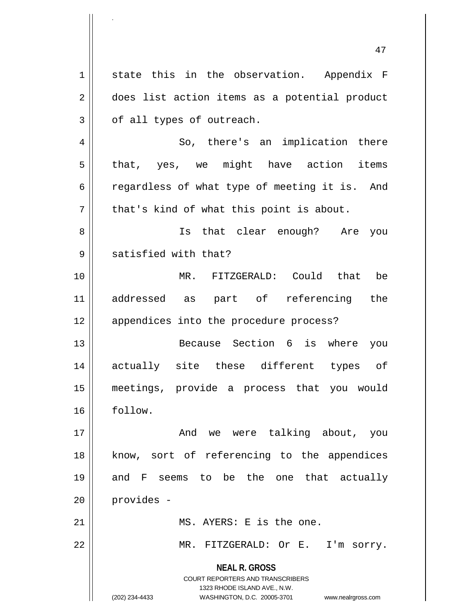**NEAL R. GROSS** COURT REPORTERS AND TRANSCRIBERS 1323 RHODE ISLAND AVE., N.W. (202) 234-4433 WASHINGTON, D.C. 20005-3701 www.nealrgross.com 47 1 state this in the observation. Appendix F 2 | does list action items as a potential product  $3 \parallel$  of all types of outreach. 4 So, there's an implication there  $5 \parallel$  that, yes, we might have action items 6 contact regardless of what type of meeting it is. And  $7 \parallel$  that's kind of what this point is about. 8 || Is that clear enough? Are you  $9 \parallel$  satisfied with that? 10 MR. FITZGERALD: Could that be 11 addressed as part of referencing the 12 || appendices into the procedure process? 13 Because Section 6 is where you 14 actually site these different types of 15 meetings, provide a process that you would 16 follow. 17 || The Solombo And we were talking about, you 18 || know, sort of referencing to the appendices 19 and F seems to be the one that actually 20 | provides -21 MS. AYERS: E is the one. 22 MR. FITZGERALD: Or E. I'm sorry.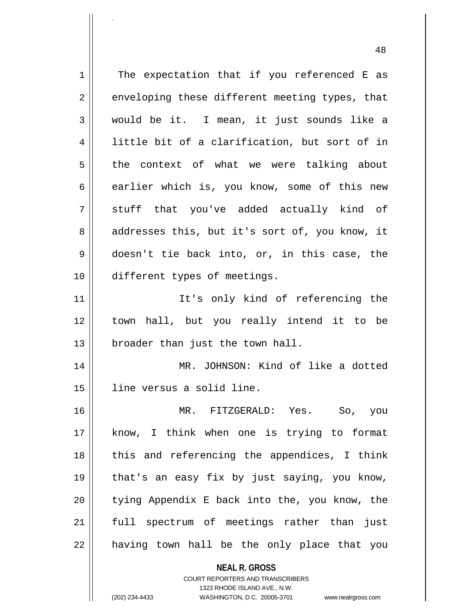**NEAL R. GROSS**  $1 \parallel$  The expectation that if you referenced E as  $2 \parallel$  enveloping these different meeting types, that 3 would be it. I mean, it just sounds like a 4 || little bit of a clarification, but sort of in 5 the context of what we were talking about  $6$  earlier which is, you know, some of this new 7 stuff that you've added actually kind of 8 addresses this, but it's sort of, you know, it 9 doesn't tie back into, or, in this case, the 10 different types of meetings. 11 || The It's only kind of referencing the 12 town hall, but you really intend it to be  $13$  | broader than just the town hall. 14 MR. JOHNSON: Kind of like a dotted 15 || line versus a solid line. 16 MR. FITZGERALD: Yes. So, you 17 know, I think when one is trying to format 18 || this and referencing the appendices, I think 19 that's an easy fix by just saying, you know,  $20$  || tying Appendix E back into the, you know, the 21 full spectrum of meetings rather than just  $22$  || having town hall be the only place that you

> COURT REPORTERS AND TRANSCRIBERS 1323 RHODE ISLAND AVE., N.W.

.

(202) 234-4433 WASHINGTON, D.C. 20005-3701 www.nealrgross.com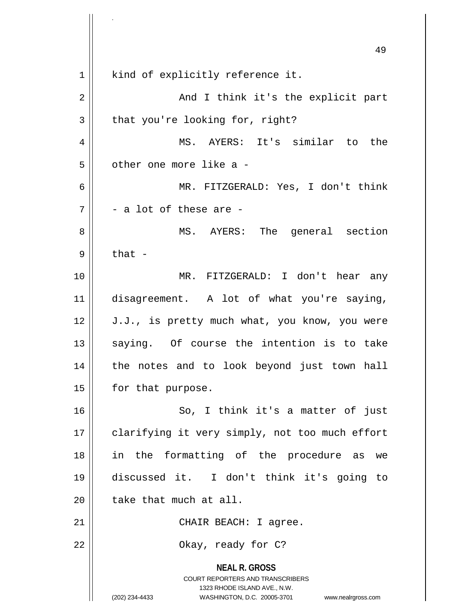**NEAL R. GROSS** COURT REPORTERS AND TRANSCRIBERS 1323 RHODE ISLAND AVE., N.W. (202) 234-4433 WASHINGTON, D.C. 20005-3701 www.nealrgross.com 49 1 || kind of explicitly reference it. 2 And I think it's the explicit part  $3 \parallel$  that you're looking for, right? 4 MS. AYERS: It's similar to the  $5$  || other one more like a -6 MR. FITZGERALD: Yes, I don't think  $7 \parallel$  - a lot of these are -8 MS. AYERS: The general section  $9 \parallel$  that -10 MR. FITZGERALD: I don't hear any 11 disagreement. A lot of what you're saying,  $12 \parallel$  J.J., is pretty much what, you know, you were  $13$  || saying. Of course the intention is to take 14 || the notes and to look beyond just town hall 15 | for that purpose. 16 || So, I think it's a matter of just 17 || clarifying it very simply, not too much effort 18 in the formatting of the procedure as we 19 discussed it. I don't think it's going to  $20$  | take that much at all. 21 || CHAIR BEACH: I agree. 22 Okay, ready for C?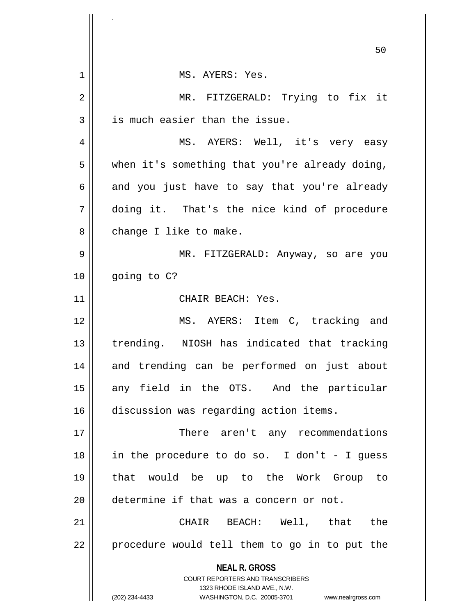|    | 50                                                                                                                                                              |
|----|-----------------------------------------------------------------------------------------------------------------------------------------------------------------|
| 1  | MS. AYERS: Yes.                                                                                                                                                 |
| 2  | MR. FITZGERALD: Trying to fix it                                                                                                                                |
| 3  | is much easier than the issue.                                                                                                                                  |
| 4  | MS. AYERS: Well, it's very easy                                                                                                                                 |
| 5  | when it's something that you're already doing,                                                                                                                  |
| 6  | and you just have to say that you're already                                                                                                                    |
| 7  | doing it. That's the nice kind of procedure                                                                                                                     |
| 8  | change I like to make.                                                                                                                                          |
| 9  | MR. FITZGERALD: Anyway, so are you                                                                                                                              |
| 10 | going to C?                                                                                                                                                     |
| 11 | CHAIR BEACH: Yes.                                                                                                                                               |
| 12 | MS. AYERS: Item C, tracking and                                                                                                                                 |
| 13 | trending. NIOSH has indicated that tracking                                                                                                                     |
| 14 | and trending can be performed on just about                                                                                                                     |
| 15 | any field in the OTS. And the particular                                                                                                                        |
| 16 | discussion was regarding action items.                                                                                                                          |
| 17 | There aren't any recommendations                                                                                                                                |
| 18 | in the procedure to do so. I don't - I guess                                                                                                                    |
| 19 | that would be up to the Work Group to                                                                                                                           |
| 20 | determine if that was a concern or not.                                                                                                                         |
| 21 | CHAIR BEACH: Well, that<br>the                                                                                                                                  |
| 22 | procedure would tell them to go in to put the                                                                                                                   |
|    | <b>NEAL R. GROSS</b><br>COURT REPORTERS AND TRANSCRIBERS<br>1323 RHODE ISLAND AVE., N.W.<br>(202) 234-4433<br>WASHINGTON, D.C. 20005-3701<br>www.nealrgross.com |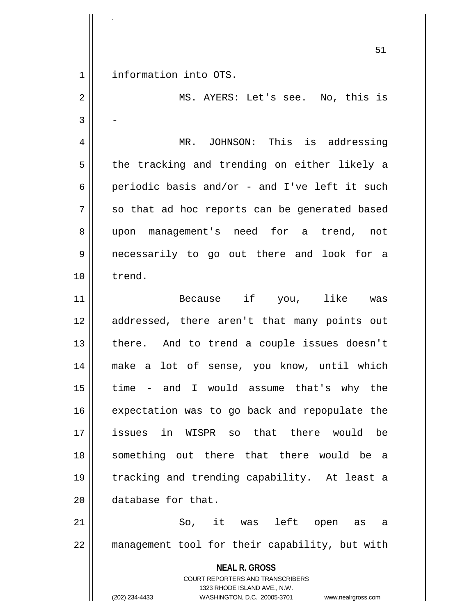1 information into OTS.

.

**NEAL R. GROSS** COURT REPORTERS AND TRANSCRIBERS 1323 RHODE ISLAND AVE., N.W. (202) 234-4433 WASHINGTON, D.C. 20005-3701 www.nealrgross.com 2 MS. AYERS: Let's see. No, this is  $3 \parallel -$ 4 MR. JOHNSON: This is addressing  $5 \parallel$  the tracking and trending on either likely a 6 periodic basis and/or - and I've left it such  $7 \parallel$  so that ad hoc reports can be generated based 8 || upon management's need for a trend, not 9 necessarily to go out there and look for a 10 trend. 11 Because if you, like was 12 addressed, there aren't that many points out 13 || there. And to trend a couple issues doesn't 14 make a lot of sense, you know, until which  $15$  || time - and I would assume that's why the 16 || expectation was to go back and repopulate the 17 issues in WISPR so that there would be 18 something out there that there would be a 19 tracking and trending capability. At least a 20 **database** for that. 21 So, it was left open as a 22 management tool for their capability, but with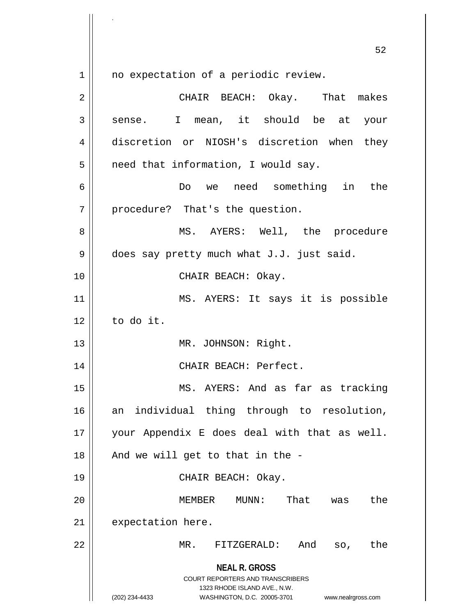$1$  no expectation of a periodic review.

| $\overline{2}$ | CHAIR BEACH: Okay. That makes                                                                                                                                   |
|----------------|-----------------------------------------------------------------------------------------------------------------------------------------------------------------|
| 3              | sense. I mean, it should be at your                                                                                                                             |
| $\overline{4}$ | discretion or NIOSH's discretion when they                                                                                                                      |
| 5              | need that information, I would say.                                                                                                                             |
| 6              | Do we need something in the                                                                                                                                     |
| 7              | procedure? That's the question.                                                                                                                                 |
| 8              | MS. AYERS: Well, the procedure                                                                                                                                  |
| 9              | does say pretty much what J.J. just said.                                                                                                                       |
| 10             | CHAIR BEACH: Okay.                                                                                                                                              |
| 11             | MS. AYERS: It says it is possible                                                                                                                               |
| 12             | to do it.                                                                                                                                                       |
| 13             | MR. JOHNSON: Right.                                                                                                                                             |
| 14             | CHAIR BEACH: Perfect.                                                                                                                                           |
| 15             | MS. AYERS: And as far as tracking                                                                                                                               |
| 16             | individual thing through to resolution,<br>an                                                                                                                   |
| $17\,$         | your Appendix E does deal with that as well.                                                                                                                    |
| 18             | And we will get to that in the -                                                                                                                                |
| 19             | CHAIR BEACH: Okay.                                                                                                                                              |
| 20             | That<br>MUNN:<br>the<br>MEMBER<br>was                                                                                                                           |
| 21             | expectation here.                                                                                                                                               |
| 22             | MR.<br>FITZGERALD:<br>And<br>the<br>SO,                                                                                                                         |
|                | <b>NEAL R. GROSS</b><br>COURT REPORTERS AND TRANSCRIBERS<br>1323 RHODE ISLAND AVE., N.W.<br>(202) 234-4433<br>WASHINGTON, D.C. 20005-3701<br>www.nealrgross.com |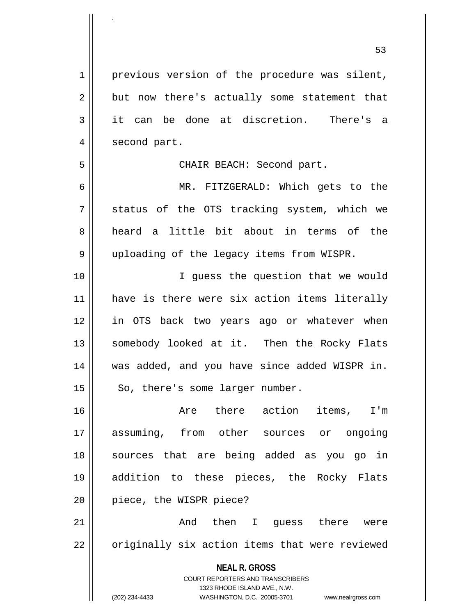**NEAL R. GROSS** COURT REPORTERS AND TRANSCRIBERS 1323 RHODE ISLAND AVE., N.W. 53 1 || previous version of the procedure was silent,  $2 \parallel$  but now there's actually some statement that 3 it can be done at discretion. There's a 4 | second part. 5 || CHAIR BEACH: Second part. 6 MR. FITZGERALD: Which gets to the  $7 \parallel$  status of the OTS tracking system, which we 8 heard a little bit about in terms of the 9 uploading of the legacy items from WISPR. 10 || T guess the question that we would 11 || have is there were six action items literally 12 in OTS back two years ago or whatever when 13 || somebody looked at it. Then the Rocky Flats 14 was added, and you have since added WISPR in.  $15$  | So, there's some larger number. 16 Are there action items, I'm 17 assuming, from other sources or ongoing 18 || sources that are being added as you go in 19 addition to these pieces, the Rocky Flats 20 || piece, the WISPR piece? 21 And then I guess there were  $22$  | originally six action items that were reviewed

.

(202) 234-4433 WASHINGTON, D.C. 20005-3701 www.nealrgross.com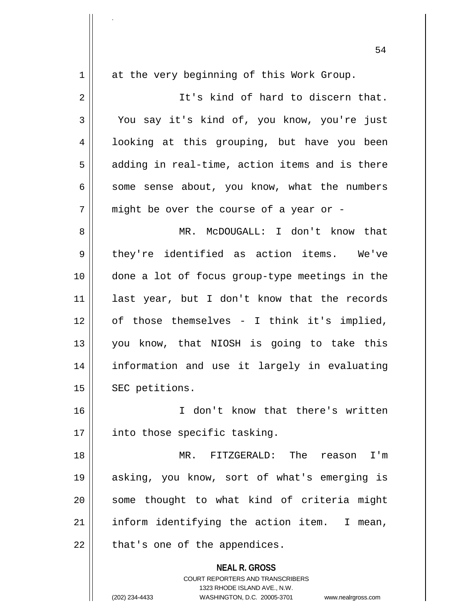**NEAL R. GROSS** COURT REPORTERS AND TRANSCRIBERS 1323 RHODE ISLAND AVE., N.W. 1 at the very beginning of this Work Group. 2 || It's kind of hard to discern that. 3 You say it's kind of, you know, you're just 4 || looking at this grouping, but have you been  $5 \parallel$  adding in real-time, action items and is there  $6 \parallel$  some sense about, you know, what the numbers  $7$  || might be over the course of a year or -8 MR. McDOUGALL: I don't know that  $9 \parallel$  they're identified as action items. We've 10 done a lot of focus group-type meetings in the 11 last year, but I don't know that the records 12 || of those themselves - I think it's implied, 13 you know, that NIOSH is going to take this 14 information and use it largely in evaluating 15 || SEC petitions. 16 I don't know that there's written  $17$  | into those specific tasking. 18 MR. FITZGERALD: The reason I'm 19 asking, you know, sort of what's emerging is 20 || some thought to what kind of criteria might  $21$  || inform identifying the action item. I mean,  $22$  || that's one of the appendices.

.

(202) 234-4433 WASHINGTON, D.C. 20005-3701 www.nealrgross.com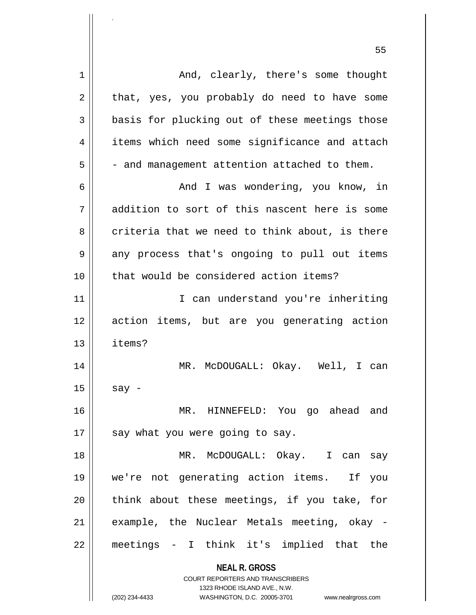| $\mathbf 1$ | And, clearly, there's some thought                                  |
|-------------|---------------------------------------------------------------------|
| 2           | that, yes, you probably do need to have some                        |
| 3           | basis for plucking out of these meetings those                      |
| 4           | items which need some significance and attach                       |
| 5           | - and management attention attached to them.                        |
| 6           | And I was wondering, you know, in                                   |
| 7           | addition to sort of this nascent here is some                       |
| 8           | criteria that we need to think about, is there                      |
| 9           | any process that's ongoing to pull out items                        |
| 10          | that would be considered action items?                              |
| 11          | I can understand you're inheriting                                  |
| 12          | action items, but are you generating action                         |
| 13          | items?                                                              |
| 14          | MR. McDOUGALL: Okay. Well, I can                                    |
| 15          | say -                                                               |
| 16          | MR. HINNEFELD: You go ahead<br>and                                  |
| 17          | say what you were going to say.                                     |
| 18          | MR. McDOUGALL: Okay. I can<br>say                                   |
| 19          | we're not generating action items. If<br>you                        |
| 20          | think about these meetings, if you take, for                        |
| 21          |                                                                     |
|             | example, the Nuclear Metals meeting, okay -                         |
| 22          | meetings - I think it's implied that the                            |
|             | <b>NEAL R. GROSS</b>                                                |
|             | <b>COURT REPORTERS AND TRANSCRIBERS</b>                             |
|             | 1323 RHODE ISLAND AVE., N.W.                                        |
|             | (202) 234-4433<br>WASHINGTON, D.C. 20005-3701<br>www.nealrgross.com |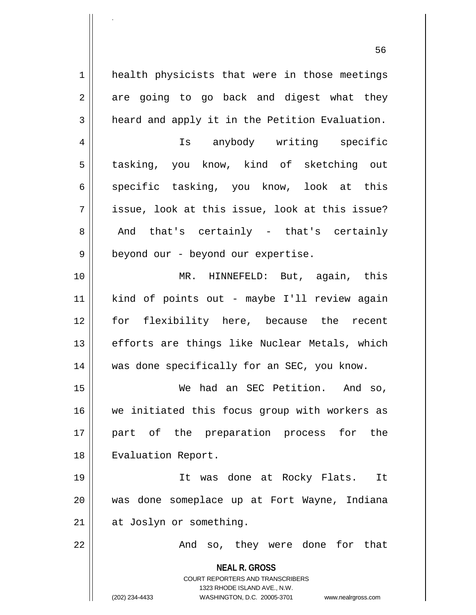1 | health physicists that were in those meetings  $2 \parallel$  are going to go back and digest what they  $3 \parallel$  heard and apply it in the Petition Evaluation.

4 Is anybody writing specific 5 || tasking, you know, kind of sketching out 6 specific tasking, you know, look at this  $7$  || issue, look at this issue, look at this issue?  $8 \parallel$  And that's certainly - that's certainly 9 | beyond our - beyond our expertise.

10 MR. HINNEFELD: But, again, this 11 kind of points out - maybe I'll review again 12 for flexibility here, because the recent 13 || efforts are things like Nuclear Metals, which 14 || was done specifically for an SEC, you know.

15 We had an SEC Petition. And so, 16 we initiated this focus group with workers as 17 part of the preparation process for the 18 || Evaluation Report.

19 It was done at Rocky Flats. It 20 was done someplace up at Fort Wayne, Indiana 21 | at Joslyn or something.

22 || They were done for that

**NEAL R. GROSS** COURT REPORTERS AND TRANSCRIBERS 1323 RHODE ISLAND AVE., N.W.

.

(202) 234-4433 WASHINGTON, D.C. 20005-3701 www.nealrgross.com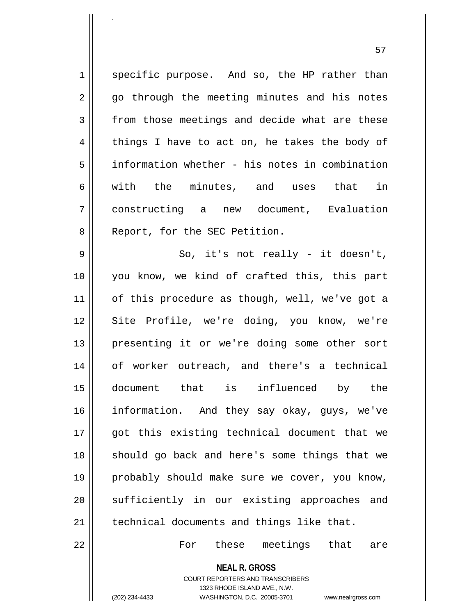$1 \parallel$  specific purpose. And so, the HP rather than 2 || go through the meeting minutes and his notes  $3 \parallel$  from those meetings and decide what are these  $4 \parallel$  things I have to act on, he takes the body of 5 information whether - his notes in combination 6  $\parallel$  with the minutes, and uses that in 7 constructing a new document, Evaluation 8 || Report, for the SEC Petition.  $9 \parallel$  So, it's not really - it doesn't, 10 you know, we kind of crafted this, this part 11 || of this procedure as though, well, we've got a 12 || Site Profile, we're doing, you know, we're 13 || presenting it or we're doing some other sort 14 of worker outreach, and there's a technical 15 document that is influenced by the 16 information. And they say okay, guys, we've 17 || qot this existing technical document that we 18 || should go back and here's some things that we 19 || probably should make sure we cover, you know, 20 || sufficiently in our existing approaches and 21 | technical documents and things like that.

22 For these meetings that are

**NEAL R. GROSS** COURT REPORTERS AND TRANSCRIBERS

1323 RHODE ISLAND AVE., N.W.

.

(202) 234-4433 WASHINGTON, D.C. 20005-3701 www.nealrgross.com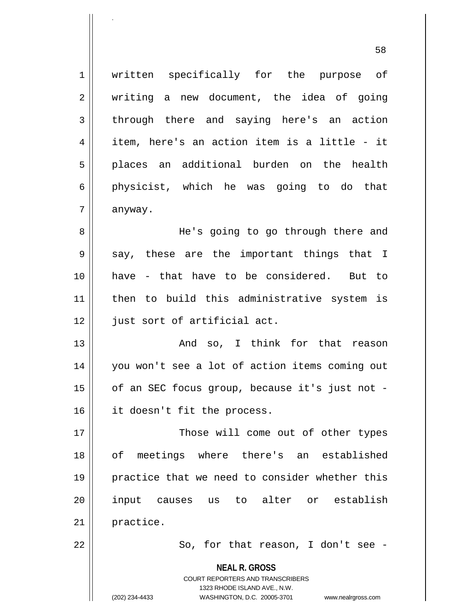1 | written specifically for the purpose of 2 || writing a new document, the idea of going 3 through there and saying here's an action  $4 \parallel$  item, here's an action item is a little - it 5 || places an additional burden on the health  $6 \parallel$  physicist, which he was going to do that  $7 \parallel$  anyway. 8 He's going to go through there and 9 || say, these are the important things that I 10 have - that have to be considered. But to

11 then to build this administrative system is 12 | just sort of artificial act.

13 And so, I think for that reason 14 || you won't see a lot of action items coming out 15 || of an SEC focus group, because it's just not -16 it doesn't fit the process.

17 || Those will come out of other types 18 of meetings where there's an established 19 || practice that we need to consider whether this 20 input causes us to alter or establish 21 practice.

.

 $22 \parallel$  So, for that reason, I don't see -

**NEAL R. GROSS**

COURT REPORTERS AND TRANSCRIBERS 1323 RHODE ISLAND AVE., N.W. (202) 234-4433 WASHINGTON, D.C. 20005-3701 www.nealrgross.com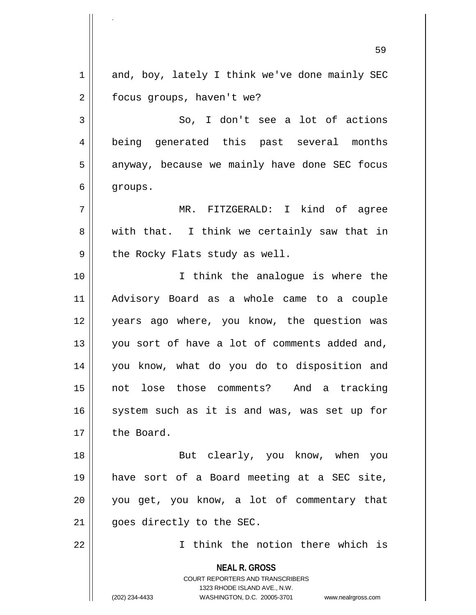**NEAL R. GROSS** COURT REPORTERS AND TRANSCRIBERS 1323 RHODE ISLAND AVE., N.W. (202) 234-4433 WASHINGTON, D.C. 20005-3701 www.nealrgross.com 59  $1 \parallel$  and, boy, lately I think we've done mainly SEC 2 | focus groups, haven't we?  $3 \parallel$  So, I don't see a lot of actions 4 || being generated this past several months  $5 \parallel$  anyway, because we mainly have done SEC focus 6 groups. 7 MR. FITZGERALD: I kind of agree  $8 \parallel$  with that. I think we certainly saw that in  $9 \parallel$  the Rocky Flats study as well. 10 || T think the analogue is where the 11 Advisory Board as a whole came to a couple 12 || years ago where, you know, the question was 13 || you sort of have a lot of comments added and, 14 you know, what do you do to disposition and 15 not lose those comments? And a tracking 16 || system such as it is and was, was set up for 17 | the Board. 18 || But clearly, you know, when you 19 have sort of a Board meeting at a SEC site, 20 || you get, you know, a lot of commentary that 21 || goes directly to the SEC. 22 I think the notion there which is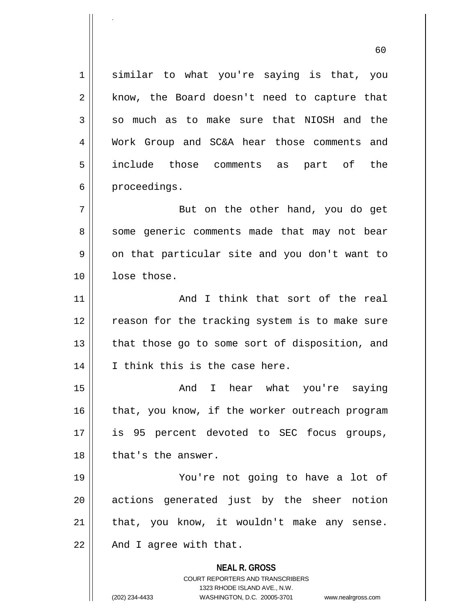**NEAL R. GROSS** COURT REPORTERS AND TRANSCRIBERS 1323 RHODE ISLAND AVE., N.W. (202) 234-4433 WASHINGTON, D.C. 20005-3701 www.nealrgross.com 1 || similar to what you're saying is that, you  $2 \parallel$  know, the Board doesn't need to capture that  $3 \parallel$  so much as to make sure that NIOSH and the 4 Work Group and SC&A hear those comments and 5 include those comments as part of the  $6 \parallel$  proceedings. 7 || But on the other hand, you do get 8 || some generic comments made that may not bear  $9 \parallel$  on that particular site and you don't want to 10 || lose those. 11 And I think that sort of the real 12 || reason for the tracking system is to make sure  $13$  || that those go to some sort of disposition, and 14 || I think this is the case here. 15 And I hear what you're saying  $16$  | that, you know, if the worker outreach program 17 || is 95 percent devoted to SEC focus groups, 18 || that's the answer. 19 You're not going to have a lot of 20 || actions generated just by the sheer notion  $21$  | that, you know, it wouldn't make any sense.  $22$  |  $\blacksquare$  And I agree with that.

60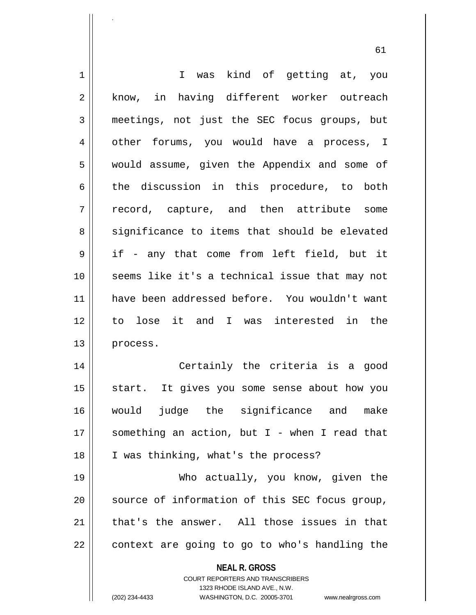| 1  | I was kind of getting at, you                                                                                                                                          |
|----|------------------------------------------------------------------------------------------------------------------------------------------------------------------------|
| 2  | know, in having different worker outreach                                                                                                                              |
| 3  | meetings, not just the SEC focus groups, but                                                                                                                           |
| 4  | other forums, you would have a process, I                                                                                                                              |
| 5  | would assume, given the Appendix and some of                                                                                                                           |
| 6  | the discussion in this procedure, to both                                                                                                                              |
| 7  | record, capture, and then attribute<br>some                                                                                                                            |
| 8  | significance to items that should be elevated                                                                                                                          |
| 9  | if - any that come from left field, but it                                                                                                                             |
| 10 | seems like it's a technical issue that may not                                                                                                                         |
| 11 | have been addressed before. You wouldn't want                                                                                                                          |
| 12 | to lose it and I was interested in the                                                                                                                                 |
| 13 | process.                                                                                                                                                               |
| 14 | Certainly the criteria is a good                                                                                                                                       |
| 15 | start. It gives you some sense about how you                                                                                                                           |
| 16 | judge the significance and<br>would<br>make                                                                                                                            |
| 17 | something an action, but I - when I read that                                                                                                                          |
| 18 | I was thinking, what's the process?                                                                                                                                    |
| 19 | Who actually, you know, given the                                                                                                                                      |
| 20 | source of information of this SEC focus group,                                                                                                                         |
| 21 | that's the answer. All those issues in that                                                                                                                            |
| 22 | context are going to go to who's handling the                                                                                                                          |
|    | <b>NEAL R. GROSS</b><br><b>COURT REPORTERS AND TRANSCRIBERS</b><br>1323 RHODE ISLAND AVE., N.W.<br>(202) 234-4433<br>WASHINGTON, D.C. 20005-3701<br>www.nealrgross.com |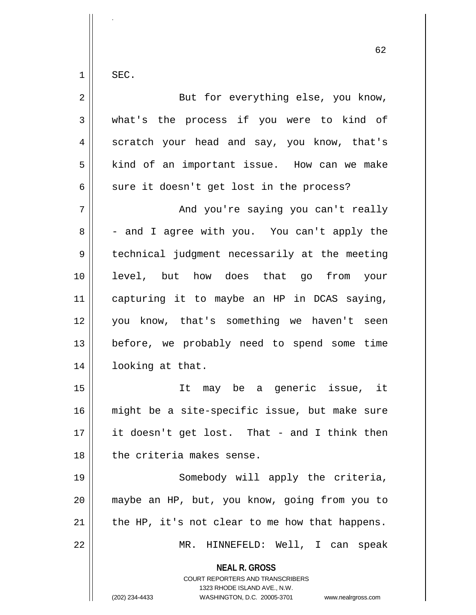$1 \parallel$  SEC.

.

| $\overline{a}$ | But for everything else, you know,                                                                                                                                     |
|----------------|------------------------------------------------------------------------------------------------------------------------------------------------------------------------|
| $\mathfrak{Z}$ | what's the process if you were to kind of                                                                                                                              |
| $\overline{4}$ | scratch your head and say, you know, that's                                                                                                                            |
| 5              | kind of an important issue. How can we make                                                                                                                            |
| 6              | sure it doesn't get lost in the process?                                                                                                                               |
| 7              | And you're saying you can't really                                                                                                                                     |
| 8              | - and I agree with you. You can't apply the                                                                                                                            |
| 9              | technical judgment necessarily at the meeting                                                                                                                          |
| 10             | level, but how does that go from your                                                                                                                                  |
| 11             | capturing it to maybe an HP in DCAS saying,                                                                                                                            |
| 12             | you know, that's something we haven't seen                                                                                                                             |
| 13             | before, we probably need to spend some time                                                                                                                            |
| 14             | looking at that.                                                                                                                                                       |
| 15             | It may be a generic issue, it                                                                                                                                          |
| 16             | might be a site-specific issue, but make sure                                                                                                                          |
| 17             | it doesn't get lost. That - and I think then                                                                                                                           |
| 18             | the criteria makes sense.                                                                                                                                              |
| 19             | Somebody will apply the criteria,                                                                                                                                      |
| 20             | maybe an HP, but, you know, going from you to                                                                                                                          |
| 21             | the HP, it's not clear to me how that happens.                                                                                                                         |
| 22             | MR. HINNEFELD: Well, I can speak                                                                                                                                       |
|                | <b>NEAL R. GROSS</b><br><b>COURT REPORTERS AND TRANSCRIBERS</b><br>1323 RHODE ISLAND AVE., N.W.<br>(202) 234-4433<br>WASHINGTON, D.C. 20005-3701<br>www.nealrgross.com |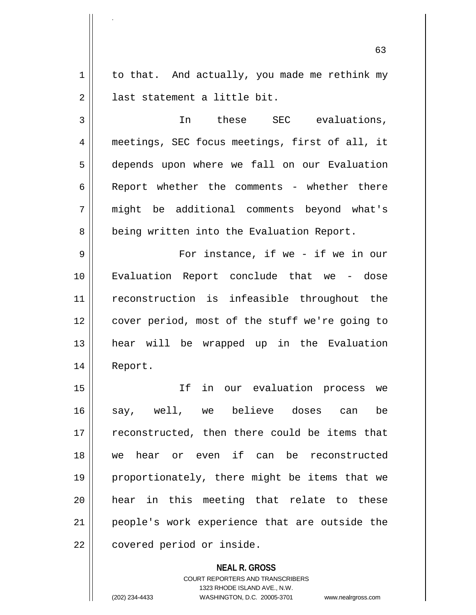$1 \parallel$  to that. And actually, you made me rethink my  $2 \parallel$  last statement a little bit.

.

3 || In these SEC evaluations, 4 meetings, SEC focus meetings, first of all, it 5 depends upon where we fall on our Evaluation 6 Report whether the comments - whether there 7 might be additional comments beyond what's 8 | being written into the Evaluation Report.

9 For instance, if we - if we in our 10 Evaluation Report conclude that we - dose 11 reconstruction is infeasible throughout the 12 | cover period, most of the stuff we're going to 13 hear will be wrapped up in the Evaluation 14 Report.

15 If in our evaluation process we 16 say, well, we believe doses can be  $17$   $\parallel$  reconstructed, then there could be items that 18 we hear or even if can be reconstructed 19 proportionately, there might be items that we 20 hear in this meeting that relate to these 21 || people's work experience that are outside the  $22$  | covered period or inside.

> **NEAL R. GROSS** COURT REPORTERS AND TRANSCRIBERS 1323 RHODE ISLAND AVE., N.W. (202) 234-4433 WASHINGTON, D.C. 20005-3701 www.nealrgross.com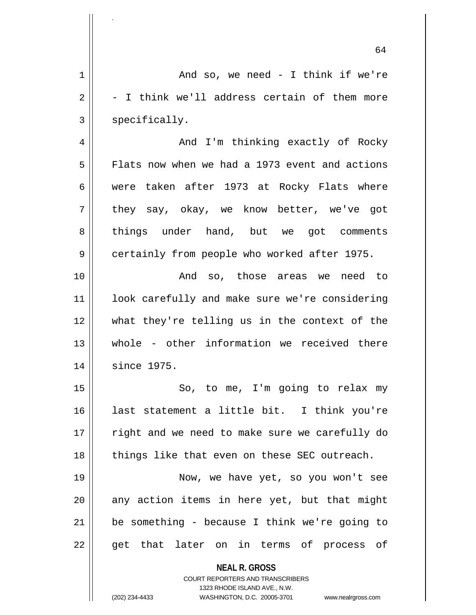**NEAL R. GROSS** COURT REPORTERS AND TRANSCRIBERS 1323 RHODE ISLAND AVE., N.W. 64 1 And so, we need - I think if we're  $2 \parallel -I$  think we'll address certain of them more  $3 \parallel$  specifically. 4 And I'm thinking exactly of Rocky 5 Flats now when we had a 1973 event and actions 6 were taken after 1973 at Rocky Flats where 7 they say, okay, we know better, we've got 8 things under hand, but we got comments 9 | certainly from people who worked after 1975. 10 And so, those areas we need to 11 || look carefully and make sure we're considering 12 what they're telling us in the context of the 13 whole - other information we received there 14 since 1975. 15 || So, to me, I'm going to relax my 16 last statement a little bit. I think you're 17 || right and we need to make sure we carefully do 18 || things like that even on these SEC outreach. 19 Now, we have yet, so you won't see  $20$  any action items in here yet, but that might  $21$  | be something - because I think we're going to 22 || get that later on in terms of process of

.

(202) 234-4433 WASHINGTON, D.C. 20005-3701 www.nealrgross.com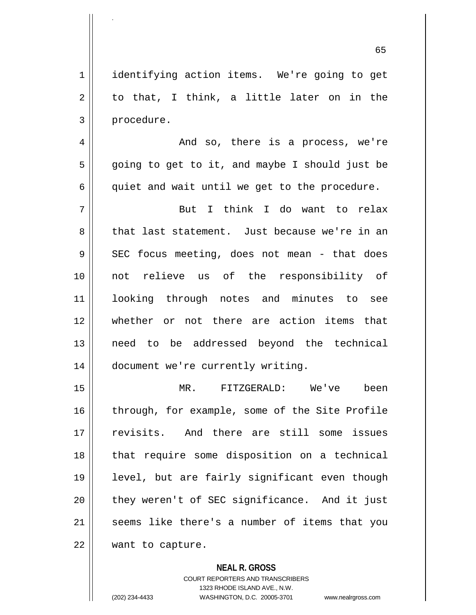65

1 | identifying action items. We're going to get  $2 \parallel$  to that, I think, a little later on in the 3 | procedure.

.

4 And so, there is a process, we're  $5 \parallel$  going to get to it, and maybe I should just be  $6 \parallel$  quiet and wait until we get to the procedure.

7 But I think I do want to relax 8 that last statement. Just because we're in an  $9 \parallel$  SEC focus meeting, does not mean - that does 10 not relieve us of the responsibility of 11 looking through notes and minutes to see 12 whether or not there are action items that 13 need to be addressed beyond the technical 14 | document we're currently writing.

15 MR. FITZGERALD: We've been 16 through, for example, some of the Site Profile 17 revisits. And there are still some issues 18 || that require some disposition on a technical 19 level, but are fairly significant even though 20 || they weren't of SEC significance. And it just 21 || seems like there's a number of items that you 22 | want to capture.

> **NEAL R. GROSS** COURT REPORTERS AND TRANSCRIBERS 1323 RHODE ISLAND AVE., N.W. (202) 234-4433 WASHINGTON, D.C. 20005-3701 www.nealrgross.com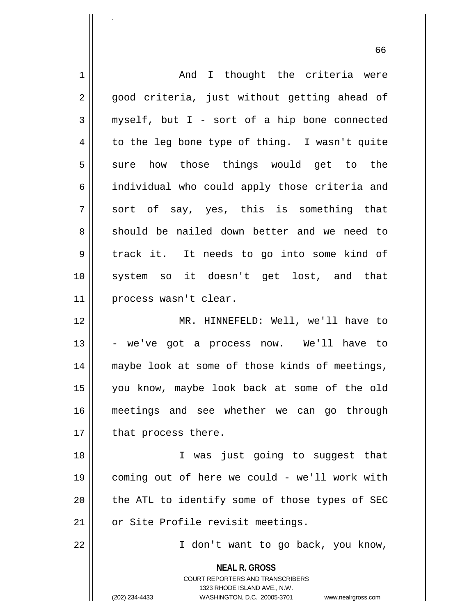| $\mathbf 1$    | And I thought the criteria were                                                                     |
|----------------|-----------------------------------------------------------------------------------------------------|
| $\overline{2}$ | good criteria, just without getting ahead of                                                        |
| 3              | myself, but I - sort of a hip bone connected                                                        |
| $\overline{4}$ | to the leg bone type of thing. I wasn't quite                                                       |
| 5              | sure how those things would get to the                                                              |
| 6              | individual who could apply those criteria and                                                       |
| 7              | sort of say, yes, this is something that                                                            |
| 8              | should be nailed down better and we need to                                                         |
| 9              | track it. It needs to go into some kind of                                                          |
| 10             | system so it doesn't get lost, and that                                                             |
| 11             | process wasn't clear.                                                                               |
| 12             | MR. HINNEFELD: Well, we'll have to                                                                  |
| 13             | - we've got a process now. We'll have to                                                            |
| 14             | maybe look at some of those kinds of meetings,                                                      |
| 15             | you know, maybe look back at some of the old                                                        |
| 16             | meetings and see whether we can go through                                                          |
| 17             | that process there.                                                                                 |
| 18             | I was just going to suggest that                                                                    |
| 19             | coming out of here we could - we'll work with                                                       |
| 20             | the ATL to identify some of those types of SEC                                                      |
| 21             | or Site Profile revisit meetings.                                                                   |
| 22             | I don't want to go back, you know,                                                                  |
|                |                                                                                                     |
|                | <b>NEAL R. GROSS</b>                                                                                |
|                | <b>COURT REPORTERS AND TRANSCRIBERS</b>                                                             |
|                | 1323 RHODE ISLAND AVE., N.W.<br>(202) 234-4433<br>WASHINGTON, D.C. 20005-3701<br>www.nealrgross.com |
|                |                                                                                                     |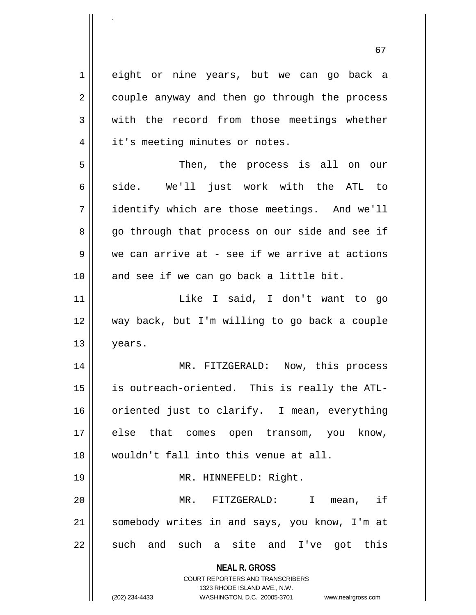**NEAL R. GROSS** COURT REPORTERS AND TRANSCRIBERS 1323 RHODE ISLAND AVE., N.W. (202) 234-4433 WASHINGTON, D.C. 20005-3701 www.nealrgross.com 1 eight or nine years, but we can go back a  $2 \parallel$  couple anyway and then go through the process  $3 \parallel$  with the record from those meetings whether 4 || it's meeting minutes or notes. 5 || Then, the process is all on our 6  $\parallel$  side. We'll just work with the ATL to 7 identify which are those meetings. And we'll 8 go through that process on our side and see if  $9 \parallel$  we can arrive at - see if we arrive at actions  $10$  | and see if we can go back a little bit. 11 Like I said, I don't want to go 12 way back, but I'm willing to go back a couple 13 years. 14 MR. FITZGERALD: Now, this process 15 is outreach-oriented. This is really the ATL-16 || oriented just to clarify. I mean, everything 17 || else that comes open transom, you know, 18 wouldn't fall into this venue at all. 19 || MR. HINNEFELD: Right. 20 MR. FITZGERALD: I mean, if 21 somebody writes in and says, you know, I'm at  $22 \parallel$  such and such a site and I've got this

.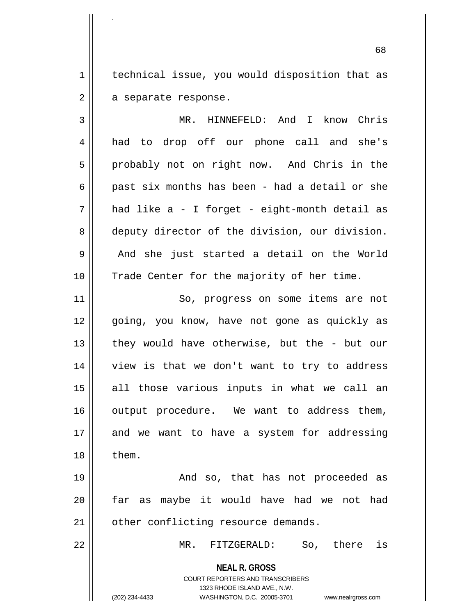1 | technical issue, you would disposition that as  $2 \parallel$  a separate response.

.

3 MR. HINNEFELD: And I know Chris 4 had to drop off our phone call and she's 5 || probably not on right now. And Chris in the 6 || past six months has been - had a detail or she  $7 \parallel$  had like a - I forget - eight-month detail as 8 deputy director of the division, our division. 9 and she just started a detail on the World 10 || Trade Center for the majority of her time.

11 || So, progress on some items are not 12 || qoing, you know, have not gone as quickly as 13 || they would have otherwise, but the - but our 14 || view is that we don't want to try to address 15 all those various inputs in what we call an 16 || output procedure. We want to address them,  $17$  and we want to have a system for addressing  $18 \parallel$  them.

19 And so, that has not proceeded as 20 far as maybe it would have had we not had 21 | other conflicting resource demands.

22 MR. FITZGERALD: So, there is

**NEAL R. GROSS** COURT REPORTERS AND TRANSCRIBERS

1323 RHODE ISLAND AVE., N.W.

(202) 234-4433 WASHINGTON, D.C. 20005-3701 www.nealrgross.com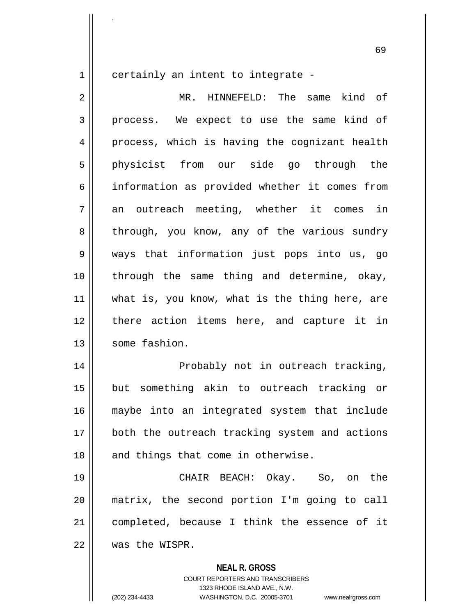1 certainly an intent to integrate -

.

2 || MR. HINNEFELD: The same kind of 3 || process. We expect to use the same kind of 4 || process, which is having the cognizant health 5 physicist from our side go through the 6 information as provided whether it comes from  $7 \parallel$  an outreach meeting, whether it comes in 8 || through, you know, any of the various sundry 9 ways that information just pops into us, go 10 || through the same thing and determine, okay, 11 || what is, you know, what is the thing here, are 12 there action items here, and capture it in 13 Some fashion.

14 || Probably not in outreach tracking, 15 but something akin to outreach tracking or 16 maybe into an integrated system that include 17 || both the outreach tracking system and actions  $18$  || and things that come in otherwise.

19 CHAIR BEACH: Okay. So, on the 20 matrix, the second portion I'm going to call 21 completed, because I think the essence of it 22 was the WISPR.

**NEAL R. GROSS**

COURT REPORTERS AND TRANSCRIBERS 1323 RHODE ISLAND AVE., N.W. (202) 234-4433 WASHINGTON, D.C. 20005-3701 www.nealrgross.com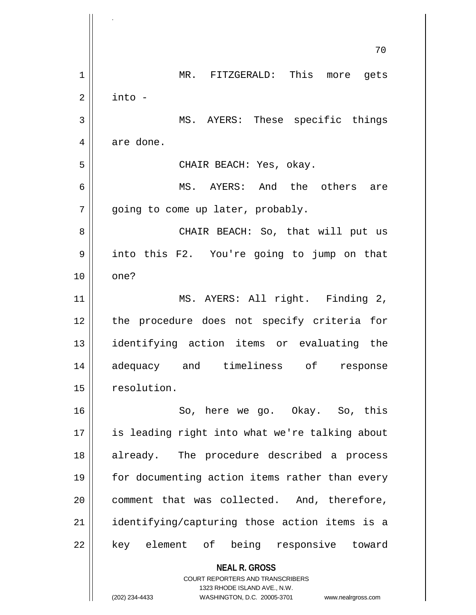|    | 70                                                       |
|----|----------------------------------------------------------|
| 1  | MR. FITZGERALD: This more<br>gets                        |
| 2  | into -                                                   |
| 3  | MS. AYERS: These specific things                         |
| 4  | are done.                                                |
| 5  | CHAIR BEACH: Yes, okay.                                  |
| 6  | MS. AYERS: And the others<br>are                         |
| 7  | going to come up later, probably.                        |
| 8  | CHAIR BEACH: So, that will put us                        |
| 9  | into this F2. You're going to jump on that               |
| 10 | one?                                                     |
| 11 | MS. AYERS: All right. Finding 2,                         |
| 12 | the procedure does not specify criteria for              |
| 13 | identifying action items or evaluating the               |
| 14 | adequacy and timeliness of response                      |
| 15 | resolution.                                              |
| 16 | So, here we go. Okay. So, this                           |
| 17 | is leading right into what we're talking about           |
| 18 | already. The procedure described a process               |
| 19 | for documenting action items rather than every           |
| 20 | comment that was collected. And, therefore,              |
| 21 | identifying/capturing those action items is a            |
| 22 | key element of being responsive toward                   |
|    | <b>NEAL R. GROSS</b><br>COURT REPORTERS AND TRANSCRIBERS |

1323 RHODE ISLAND AVE., N.W.

 $\overline{\phantom{a}}$  $\prod_{i=1}^{n}$ 

(202) 234-4433 WASHINGTON, D.C. 20005-3701 www.nealrgross.com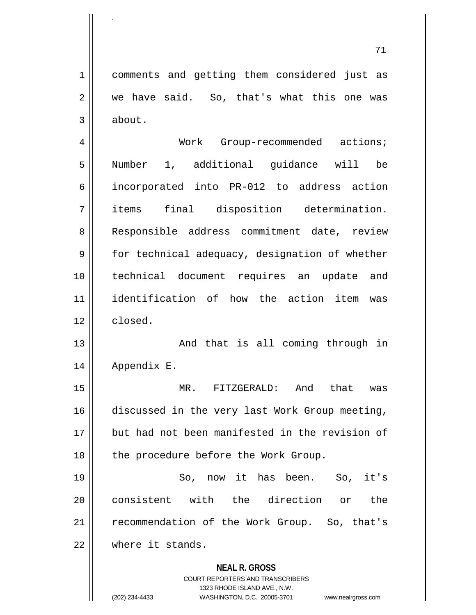1 comments and getting them considered just as  $2 \parallel$  we have said. So, that's what this one was  $3 \parallel$  about.

.

4 | Work Group-recommended actions; 5 Number 1, additional guidance will be 6 incorporated into PR-012 to address action 7 items final disposition determination. 8 || Responsible address commitment date, review 9 | for technical adequacy, designation of whether 10 technical document requires an update and 11 identification of how the action item was 12 closed.

13 || And that is all coming through in 14 Appendix E.

15 MR. FITZGERALD: And that was 16 discussed in the very last Work Group meeting, 17 but had not been manifested in the revision of 18 || the procedure before the Work Group.

19 So, now it has been. So, it's 20 consistent with the direction or the 21 | recommendation of the Work Group. So, that's 22 where it stands.

> **NEAL R. GROSS** COURT REPORTERS AND TRANSCRIBERS

1323 RHODE ISLAND AVE., N.W. (202) 234-4433 WASHINGTON, D.C. 20005-3701 www.nealrgross.com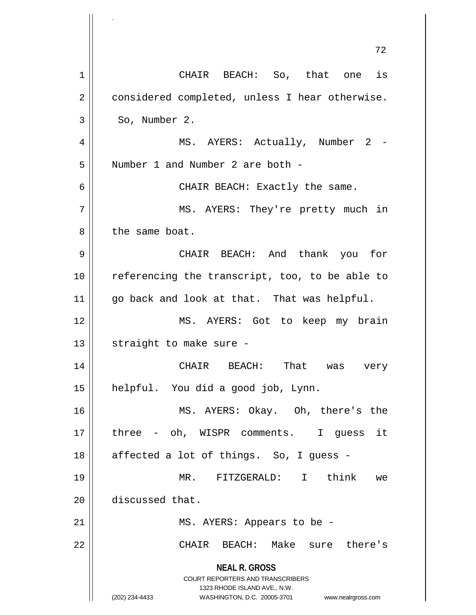**NEAL R. GROSS** COURT REPORTERS AND TRANSCRIBERS 1323 RHODE ISLAND AVE., N.W. (202) 234-4433 WASHINGTON, D.C. 20005-3701 www.nealrgross.com 72 1 || CHAIR BEACH: So, that one is 2 | considered completed, unless I hear otherwise.  $3 \parallel$  So, Number 2. 4 || MS. AYERS: Actually, Number 2 -5 | Number 1 and Number 2 are both -6 CHAIR BEACH: Exactly the same. 7 MS. AYERS: They're pretty much in 8 l the same boat. 9 CHAIR BEACH: And thank you for 10 || referencing the transcript, too, to be able to 11 go back and look at that. That was helpful. 12 MS. AYERS: Got to keep my brain  $13$  | straight to make sure -14 CHAIR BEACH: That was very 15 helpful. You did a good job, Lynn. 16 MS. AYERS: Okay. Oh, there's the 17 || three - oh, WISPR comments. I guess it  $18$  || affected a lot of things. So, I guess -19 MR. FITZGERALD: I think we 20 | discussed that. 21 || MS. AYERS: Appears to be -22 CHAIR BEACH: Make sure there's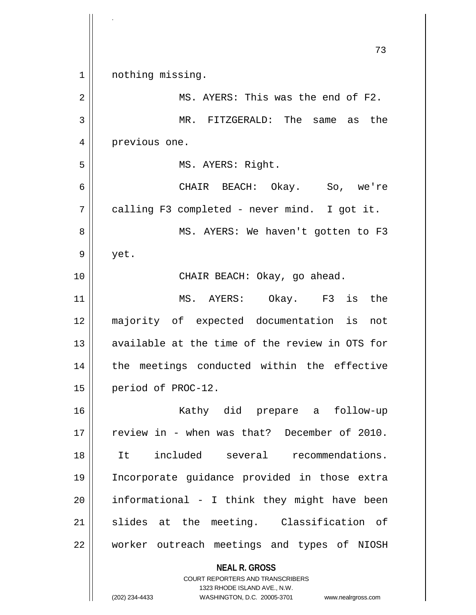**NEAL R. GROSS** COURT REPORTERS AND TRANSCRIBERS 1323 RHODE ISLAND AVE., N.W. 73 1 || nothing missing. 2  $\parallel$  MS. AYERS: This was the end of F2. 3 MR. FITZGERALD: The same as the 4 | previous one. 5 || MS. AYERS: Right. 6 CHAIR BEACH: Okay. So, we're  $7 \parallel$  calling F3 completed - never mind. I got it. 8 || MS. AYERS: We haven't gotten to F3  $9 \parallel$  yet. 10 || CHAIR BEACH: Okay, go ahead. 11 MS. AYERS: Okay. F3 is the 12 majority of expected documentation is not 13 || available at the time of the review in OTS for 14 || the meetings conducted within the effective 15 | period of PROC-12. 16 || Kathy did prepare a follow-up 17 || review in - when was that? December of 2010. 18 It included several recommendations. 19 Incorporate guidance provided in those extra  $20$  || informational - I think they might have been 21 || slides at the meeting. Classification of 22 || worker outreach meetings and types of NIOSH

.

(202) 234-4433 WASHINGTON, D.C. 20005-3701 www.nealrgross.com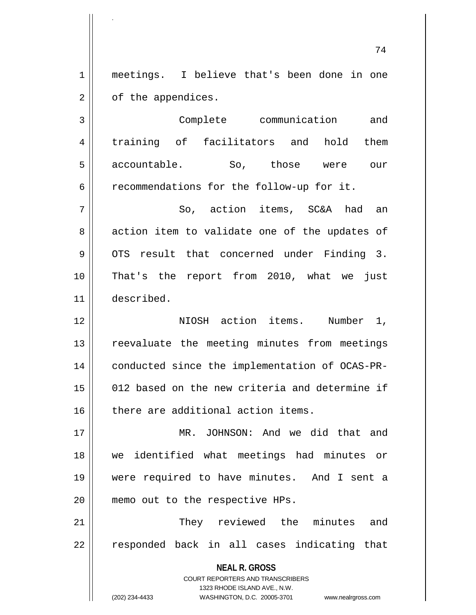1 meetings. I believe that's been done in one 2 | of the appendices.

.

3 | Complete communication and 4 || training of facilitators and hold them 5 accountable. So, those were our  $6 \parallel$  recommendations for the follow-up for it. 7 || So, action items, SC&A had an

 $8 \parallel$  action item to validate one of the updates of  $9 \parallel$  OTS result that concerned under Finding 3. 10 That's the report from 2010, what we just 11 described.

12 NIOSH action items. Number 1, 13 || reevaluate the meeting minutes from meetings 14 conducted since the implementation of OCAS-PR-15 012 based on the new criteria and determine if 16 || there are additional action items.

17 MR. JOHNSON: And we did that and 18 we identified what meetings had minutes or 19 were required to have minutes. And I sent a 20 || memo out to the respective HPs.

21 || They reviewed the minutes and 22 || responded back in all cases indicating that

> **NEAL R. GROSS** COURT REPORTERS AND TRANSCRIBERS 1323 RHODE ISLAND AVE., N.W.

(202) 234-4433 WASHINGTON, D.C. 20005-3701 www.nealrgross.com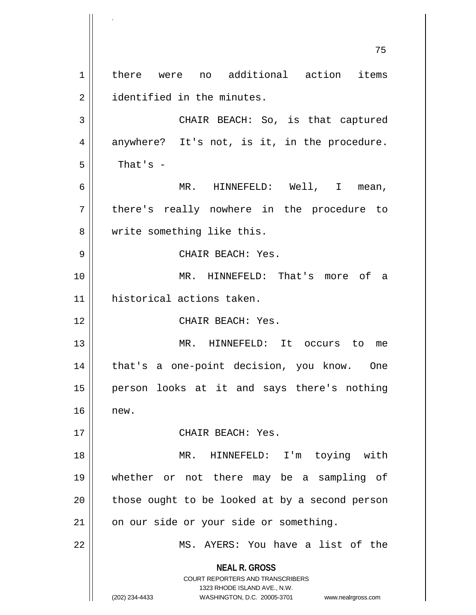**NEAL R. GROSS** COURT REPORTERS AND TRANSCRIBERS 1323 RHODE ISLAND AVE., N.W. (202) 234-4433 WASHINGTON, D.C. 20005-3701 www.nealrgross.com 75 1 there were no additional action items 2 || identified in the minutes. 3 CHAIR BEACH: So, is that captured  $4 \parallel$  anywhere? It's not, is it, in the procedure.  $5 \parallel$  That's -6 MR. HINNEFELD: Well, I mean, 7 || there's really nowhere in the procedure to 8 || write something like this. 9 CHAIR BEACH: Yes. 10 MR. HINNEFELD: That's more of a 11 historical actions taken. 12 CHAIR BEACH: Yes. 13 MR. HINNEFELD: It occurs to me 14 that's a one-point decision, you know. One 15 person looks at it and says there's nothing 16 new. 17 || CHAIR BEACH: Yes. 18 MR. HINNEFELD: I'm toying with 19 whether or not there may be a sampling of  $20$  | those ought to be looked at by a second person 21 | on our side or your side or something. 22 || MS. AYERS: You have a list of the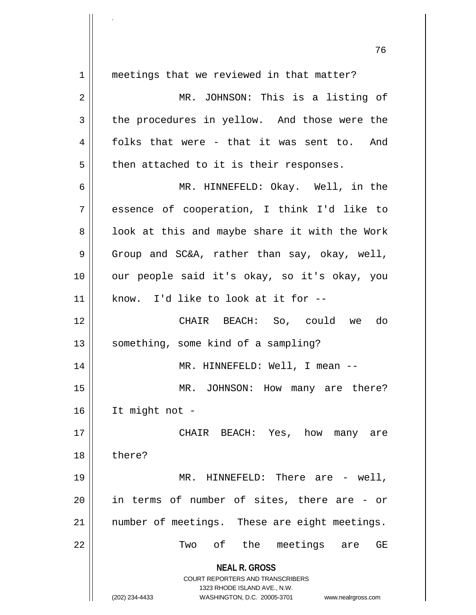**NEAL R. GROSS** COURT REPORTERS AND TRANSCRIBERS 1323 RHODE ISLAND AVE., N.W. (202) 234-4433 WASHINGTON, D.C. 20005-3701 www.nealrgross.com 76 1 || meetings that we reviewed in that matter? 2 || MR. JOHNSON: This is a listing of 3 the procedures in yellow. And those were the  $4 \parallel$  folks that were - that it was sent to. And  $5 \parallel$  then attached to it is their responses. 6 MR. HINNEFELD: Okay. Well, in the 7 essence of cooperation, I think I'd like to  $8 \parallel$  look at this and maybe share it with the Work  $9 \parallel$  Group and SC&A, rather than say, okay, well, 10 || our people said it's okay, so it's okay, you  $11$  | know. I'd like to look at it for  $-$ 12 CHAIR BEACH: So, could we do 13 || something, some kind of a sampling? 14 MR. HINNEFELD: Well, I mean -- 15 || MR. JOHNSON: How many are there? 16 It might not - 17 CHAIR BEACH: Yes, how many are 18 ll there? 19 MR. HINNEFELD: There are - well,  $20$  || in terms of number of sites, there are - or 21 || number of meetings. These are eight meetings. 22 || Two of the meetings are GE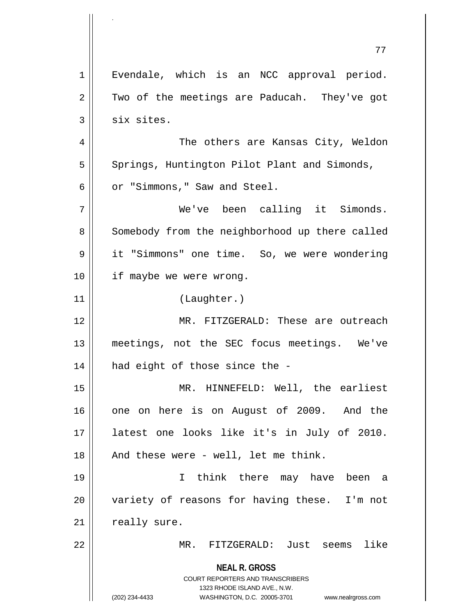**NEAL R. GROSS** COURT REPORTERS AND TRANSCRIBERS 1323 RHODE ISLAND AVE., N.W. (202) 234-4433 WASHINGTON, D.C. 20005-3701 www.nealrgross.com 77 1 || Evendale, which is an NCC approval period.  $2 \parallel$  Two of the meetings are Paducah. They've got  $3$  six sites. 4 The others are Kansas City, Weldon 5 | Springs, Huntington Pilot Plant and Simonds, 6 | or "Simmons," Saw and Steel. 7 We've been calling it Simonds. 8 | Somebody from the neighborhood up there called 9 | it "Simmons" one time. So, we were wondering 10 || if maybe we were wrong. 11 (Laughter.) 12 MR. FITZGERALD: These are outreach 13 meetings, not the SEC focus meetings. We've  $14$  | had eight of those since the -15 || MR. HINNEFELD: Well, the earliest 16 || one on here is on August of 2009. And the 17 latest one looks like it's in July of 2010.  $18$  || And these were - well, let me think. 19 I think there may have been a 20 || variety of reasons for having these. I'm not  $21$  | really sure. 22 MR. FITZGERALD: Just seems like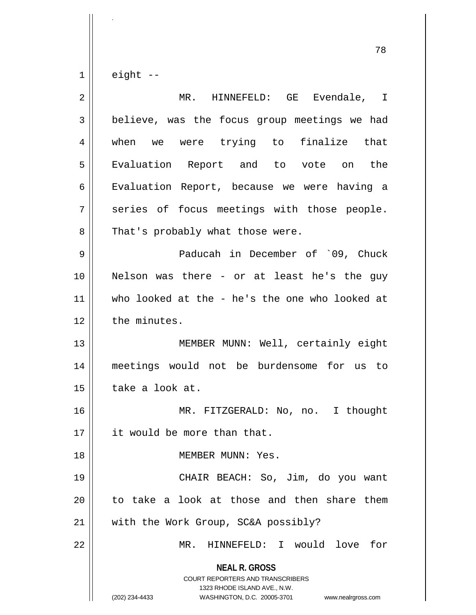$1 \parallel$  eight --

.

| $\overline{2}$ | MR. HINNEFELD: GE<br>Evendale, I                                                                                                                                |
|----------------|-----------------------------------------------------------------------------------------------------------------------------------------------------------------|
| 3              | believe, was the focus group meetings we had                                                                                                                    |
| 4              | when we were trying to finalize that                                                                                                                            |
| 5              | Evaluation Report and to vote on the                                                                                                                            |
| 6              | Evaluation Report, because we were having a                                                                                                                     |
| 7              | series of focus meetings with those people.                                                                                                                     |
| 8              | That's probably what those were.                                                                                                                                |
| 9              | Paducah in December of `09, Chuck                                                                                                                               |
| 10             | Nelson was there - or at least he's the guy                                                                                                                     |
| 11             | who looked at the - he's the one who looked at                                                                                                                  |
| 12             | the minutes.                                                                                                                                                    |
| 13             | MEMBER MUNN: Well, certainly eight                                                                                                                              |
| 14             | meetings would not be burdensome for us to                                                                                                                      |
| 15             | take a look at.                                                                                                                                                 |
| 16             | MR. FITZGERALD: No, no. I thought                                                                                                                               |
| 17             | it would be more than that.                                                                                                                                     |
| 18             | MEMBER MUNN: Yes.                                                                                                                                               |
| 19             | CHAIR BEACH: So, Jim, do you want                                                                                                                               |
| 20             | to take a look at those and then share them                                                                                                                     |
| 21             | with the Work Group, SC&A possibly?                                                                                                                             |
| 22             | HINNEFELD: I would love for<br>MR.                                                                                                                              |
|                | <b>NEAL R. GROSS</b><br>COURT REPORTERS AND TRANSCRIBERS<br>1323 RHODE ISLAND AVE., N.W.<br>(202) 234-4433<br>WASHINGTON, D.C. 20005-3701<br>www.nealrgross.com |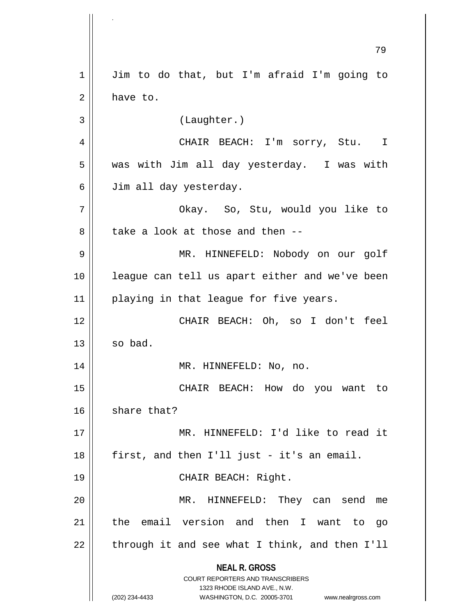**NEAL R. GROSS** COURT REPORTERS AND TRANSCRIBERS 1323 RHODE ISLAND AVE., N.W. (202) 234-4433 WASHINGTON, D.C. 20005-3701 www.nealrgross.com 79 1 | Jim to do that, but I'm afraid I'm going to  $2 \parallel$  have to. 3 (Laughter.) 4 CHAIR BEACH: I'm sorry, Stu. I  $5 \parallel$  was with Jim all day yesterday. I was with 6 | Jim all day yesterday. 7 Okay. So, Stu, would you like to  $8$  || take a look at those and then --9 MR. HINNEFELD: Nobody on our golf 10 league can tell us apart either and we've been 11 || playing in that league for five years. 12 CHAIR BEACH: Oh, so I don't feel  $13 \parallel$  so bad. 14 || MR. HINNEFELD: No, no. 15 CHAIR BEACH: How do you want to  $16$  share that? 17 MR. HINNEFELD: I'd like to read it  $18$  || first, and then I'll just - it's an email. 19 || CHAIR BEACH: Right. 20 MR. HINNEFELD: They can send me 21 || the email version and then I want to go  $22$  | through it and see what I think, and then I'll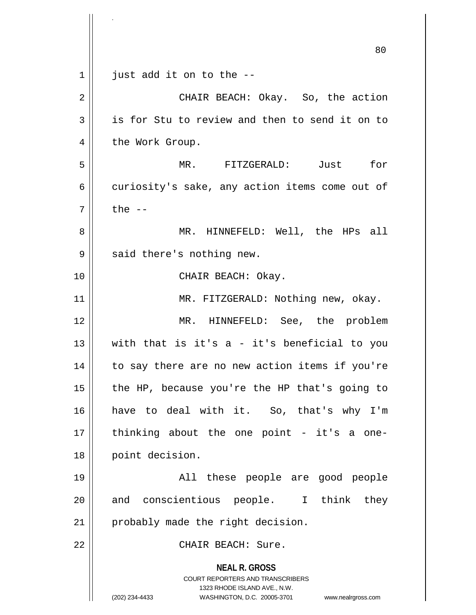**NEAL R. GROSS** COURT REPORTERS AND TRANSCRIBERS 1323 RHODE ISLAND AVE., N.W. (202) 234-4433 WASHINGTON, D.C. 20005-3701 www.nealrgross.com 80  $1 \parallel$  just add it on to the --2 || CHAIR BEACH: Okay. So, the action  $3 \parallel$  is for Stu to review and then to send it on to 4 | the Work Group. 5 MR. FITZGERALD: Just for  $6 \parallel$  curiosity's sake, any action items come out of  $7 \parallel$  the  $-$ 8 || MR. HINNEFELD: Well, the HPs all  $9 \parallel$  said there's nothing new. 10 || CHAIR BEACH: Okay. 11 || MR. FITZGERALD: Nothing new, okay. 12 MR. HINNEFELD: See, the problem  $13$  with that is it's a - it's beneficial to you 14 || to say there are no new action items if you're 15  $\parallel$  the HP, because you're the HP that's going to 16 have to deal with it. So, that's why I'm 17 thinking about the one point - it's a one-18 || point decision. 19 All these people are good people 20 and conscientious people. I think they 21 | probably made the right decision. 22 CHAIR BEACH: Sure.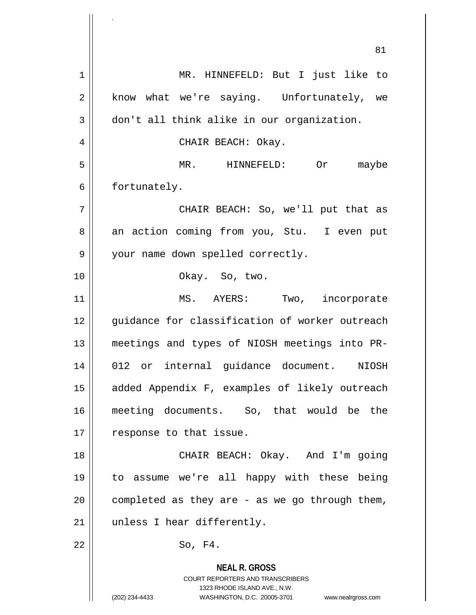**NEAL R. GROSS** COURT REPORTERS AND TRANSCRIBERS 1323 RHODE ISLAND AVE., N.W. 81 1 || MR. HINNEFELD: But I just like to 2 || know what we're saying. Unfortunately, we 3 don't all think alike in our organization. 4 || CHAIR BEACH: Okay. 5 MR. HINNEFELD: Or maybe 6 | fortunately. 7 CHAIR BEACH: So, we'll put that as 8 an action coming from you, Stu. I even put 9 || your name down spelled correctly. 10 || Chay. So, two. 11 || MS. AYERS: Two, incorporate 12 || quidance for classification of worker outreach 13 meetings and types of NIOSH meetings into PR-14 012 or internal guidance document. NIOSH 15 || added Appendix F, examples of likely outreach 16 meeting documents. So, that would be the 17 | response to that issue. 18 CHAIR BEACH: Okay. And I'm going 19 to assume we're all happy with these being 20  $\parallel$  completed as they are - as we go through them, 21 || unless I hear differently.  $22 \parallel$  So, F4.

.

(202) 234-4433 WASHINGTON, D.C. 20005-3701 www.nealrgross.com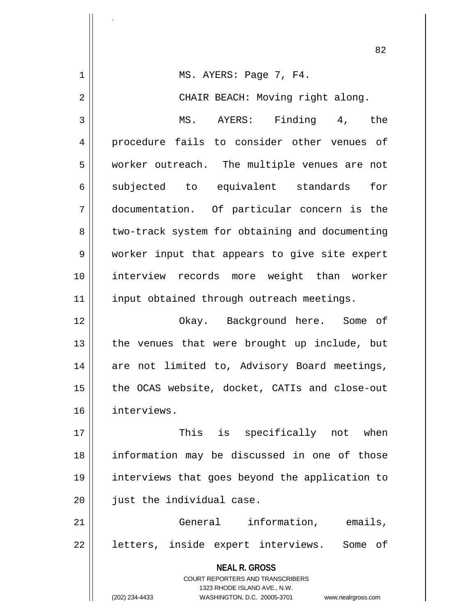**NEAL R. GROSS** COURT REPORTERS AND TRANSCRIBERS 1323 RHODE ISLAND AVE., N.W. (202) 234-4433 WASHINGTON, D.C. 20005-3701 www.nealrgross.com 82 1 MS. AYERS: Page 7, F4. 2 CHAIR BEACH: Moving right along. 3 MS. AYERS: Finding 4, the 4 procedure fails to consider other venues of 5 | worker outreach. The multiple venues are not 6 || subjected to equivalent standards for 7 documentation. Of particular concern is the 8 | two-track system for obtaining and documenting 9 worker input that appears to give site expert 10 interview records more weight than worker 11 || input obtained through outreach meetings. 12 Okay. Background here. Some of  $13$  || the venues that were brought up include, but 14 || are not limited to, Advisory Board meetings, 15 || the OCAS website, docket, CATIs and close-out 16 interviews. 17 || This is specifically not when 18 information may be discussed in one of those 19 interviews that goes beyond the application to 20 | just the individual case. 21 General information, emails, 22 || letters, inside expert interviews. Some of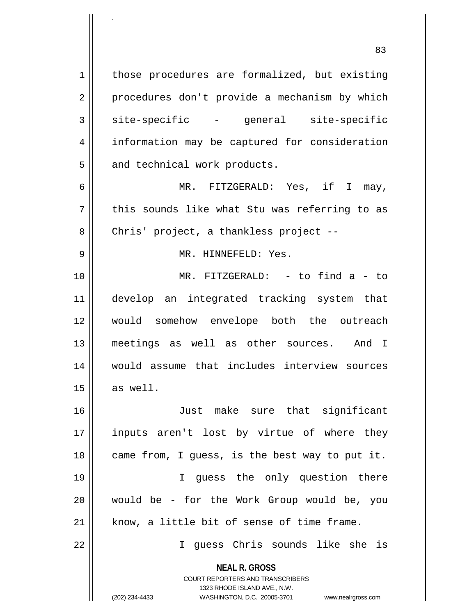**NEAL R. GROSS** COURT REPORTERS AND TRANSCRIBERS 1 | those procedures are formalized, but existing 2 || procedures don't provide a mechanism by which  $3 \parallel$  site-specific - general site-specific 4 | information may be captured for consideration 5 || and technical work products. 6 MR. FITZGERALD: Yes, if I may,  $7 \parallel$  this sounds like what Stu was referring to as 8 | Chris' project, a thankless project --9 MR. HINNEFELD: Yes. 10 MR. FITZGERALD: - to find a - to 11 develop an integrated tracking system that 12 would somehow envelope both the outreach 13 meetings as well as other sources. And I 14 would assume that includes interview sources  $15 \parallel$  as well. 16 Just make sure that significant 17 inputs aren't lost by virtue of where they  $18$  | came from, I guess, is the best way to put it. 19 || T guess the only question there 20 would be - for the Work Group would be, you  $21$  know, a little bit of sense of time frame. 22 I guess Chris sounds like she is

1323 RHODE ISLAND AVE., N.W.

83

.

(202) 234-4433 WASHINGTON, D.C. 20005-3701 www.nealrgross.com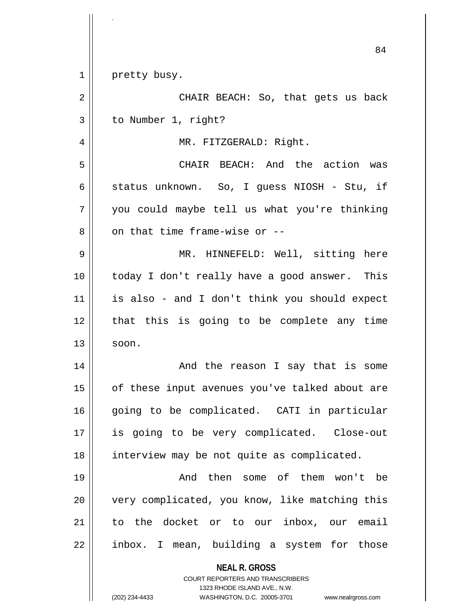|                | 84                                                                                                                                                              |
|----------------|-----------------------------------------------------------------------------------------------------------------------------------------------------------------|
| $\mathbf 1$    | pretty busy.                                                                                                                                                    |
| $\overline{2}$ | CHAIR BEACH: So, that gets us back                                                                                                                              |
| 3              | to Number 1, right?                                                                                                                                             |
| 4              | MR. FITZGERALD: Right.                                                                                                                                          |
| 5              | CHAIR BEACH: And the action was                                                                                                                                 |
| 6              | status unknown. So, I guess NIOSH - Stu, if                                                                                                                     |
| 7              | you could maybe tell us what you're thinking                                                                                                                    |
| 8              | on that time frame-wise or --                                                                                                                                   |
| 9              | MR. HINNEFELD: Well, sitting here                                                                                                                               |
| 10             | today I don't really have a good answer. This                                                                                                                   |
| 11             | is also - and I don't think you should expect                                                                                                                   |
| 12             | that this is going to be complete any time                                                                                                                      |
| 13             | soon.                                                                                                                                                           |
| 14             | And the reason I say that is some                                                                                                                               |
| 15             | of these input avenues you've talked about are                                                                                                                  |
| 16             | going to be complicated. CATI in particular                                                                                                                     |
| 17             | is going to be very complicated. Close-out                                                                                                                      |
| 18             | interview may be not quite as complicated.                                                                                                                      |
| 19             | And then some of them won't be                                                                                                                                  |
| 20             | very complicated, you know, like matching this                                                                                                                  |
| 21             | to the docket or to our inbox, our email                                                                                                                        |
| 22             | inbox. I mean, building a system for those                                                                                                                      |
|                | <b>NEAL R. GROSS</b><br>COURT REPORTERS AND TRANSCRIBERS<br>1323 RHODE ISLAND AVE., N.W.<br>(202) 234-4433<br>WASHINGTON, D.C. 20005-3701<br>www.nealrgross.com |
|                |                                                                                                                                                                 |

.

 $\mathop{\text{||}}$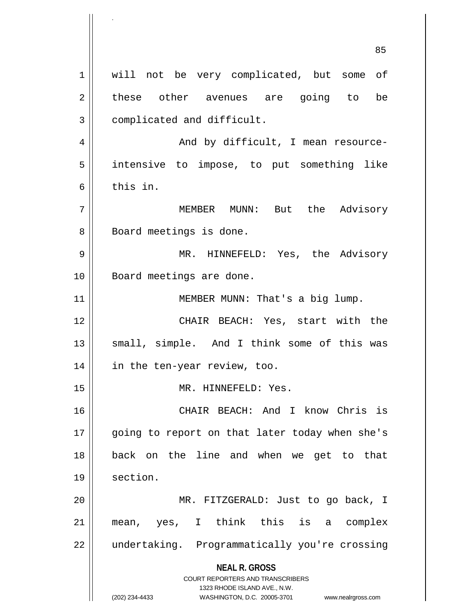**NEAL R. GROSS** COURT REPORTERS AND TRANSCRIBERS 1323 RHODE ISLAND AVE., N.W. (202) 234-4433 WASHINGTON, D.C. 20005-3701 www.nealrgross.com 85 1 || will not be very complicated, but some of 2 || these other avenues are going to be 3 | complicated and difficult. 4 | And by difficult, I mean resource-5 intensive to impose, to put something like 6 this in. 7 MEMBER MUNN: But the Advisory 8 | Board meetings is done. 9 MR. HINNEFELD: Yes, the Advisory 10 || Board meetings are done. 11 || MEMBER MUNN: That's a big lump. 12 CHAIR BEACH: Yes, start with the 13 || small, simple. And I think some of this was 14 in the ten-year review, too. 15 || MR. HINNEFELD: Yes. 16 CHAIR BEACH: And I know Chris is 17 || going to report on that later today when she's 18 back on the line and when we get to that 19 | section. 20 MR. FITZGERALD: Just to go back, I 21 mean, yes, I think this is a complex 22 undertaking. Programmatically you're crossing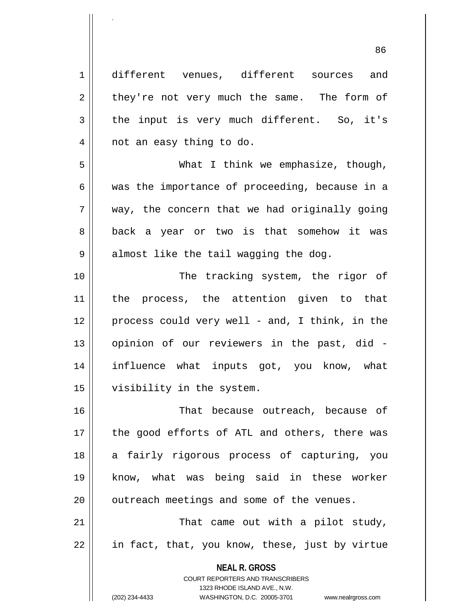1 different venues, different sources and  $2 \parallel$  they're not very much the same. The form of  $3 \parallel$  the input is very much different. So, it's 4 || not an easy thing to do. 5 What I think we emphasize, though, 6 was the importance of proceeding, because in a  $7 \parallel$  way, the concern that we had originally going 8 || back a year or two is that somehow it was  $9 \parallel$  almost like the tail wagging the dog. 10 || The tracking system, the rigor of 11 || the process, the attention given to that  $12 \parallel$  process could very well - and, I think, in the 13 || opinion of our reviewers in the past, did -14 influence what inputs got, you know, what 15 visibility in the system. 16 That because outreach, because of 17 || the good efforts of ATL and others, there was 18 a fairly rigorous process of capturing, you 19 know, what was being said in these worker  $20$  | outreach meetings and some of the venues. 21 || That came out with a pilot study,

 $22 \parallel$  in fact, that, you know, these, just by virtue

**NEAL R. GROSS** COURT REPORTERS AND TRANSCRIBERS

1323 RHODE ISLAND AVE., N.W.

.

(202) 234-4433 WASHINGTON, D.C. 20005-3701 www.nealrgross.com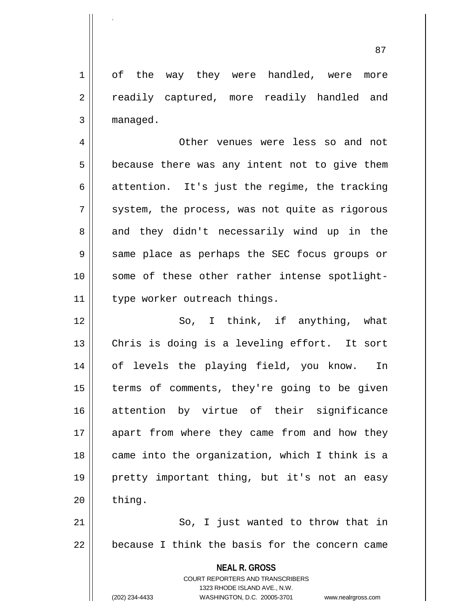1 of the way they were handled, were more 2 || readily captured, more readily handled and  $3$  | managed.

.

4 Other venues were less so and not  $5 \parallel$  because there was any intent not to give them  $6 \parallel$  attention. It's just the regime, the tracking  $7 \parallel$  system, the process, was not quite as rigorous 8 and they didn't necessarily wind up in the 9 || same place as perhaps the SEC focus groups or 10 || some of these other rather intense spotlight-11 | type worker outreach things.

12 || So, I think, if anything, what 13 || Chris is doing is a leveling effort. It sort 14 of levels the playing field, you know. In 15 || terms of comments, they're going to be given 16 attention by virtue of their significance 17 || apart from where they came from and how they  $18$  || came into the organization, which I think is a 19 pretty important thing, but it's not an easy  $20$  | thing.

21 || So, I just wanted to throw that in  $22$   $\parallel$  because I think the basis for the concern came

**NEAL R. GROSS**

COURT REPORTERS AND TRANSCRIBERS 1323 RHODE ISLAND AVE., N.W. (202) 234-4433 WASHINGTON, D.C. 20005-3701 www.nealrgross.com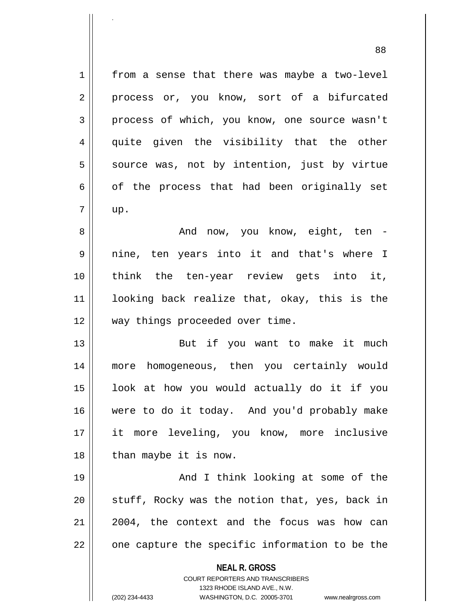**NEAL R. GROSS** COURT REPORTERS AND TRANSCRIBERS 1323 RHODE ISLAND AVE., N.W. (202) 234-4433 WASHINGTON, D.C. 20005-3701 www.nealrgross.com 1 | from a sense that there was maybe a two-level 2 || process or, you know, sort of a bifurcated 3 process of which, you know, one source wasn't 4 quite given the visibility that the other  $5 \parallel$  source was, not by intention, just by virtue  $6 \parallel$  of the process that had been originally set  $7 \parallel \quad \text{up.}$ 8 || The Mondellinow, you know, eight, ten 9 nine, ten years into it and that's where I 10 think the ten-year review gets into it, 11 looking back realize that, okay, this is the 12 || way things proceeded over time. 13 || But if you want to make it much 14 more homogeneous, then you certainly would  $15$  || look at how you would actually do it if you 16 were to do it today. And you'd probably make 17 it more leveling, you know, more inclusive  $18$  | than maybe it is now. 19 || And I think looking at some of the  $20$  || stuff, Rocky was the notion that, yes, back in  $21$  | 2004, the context and the focus was how can  $22$  || one capture the specific information to be the

.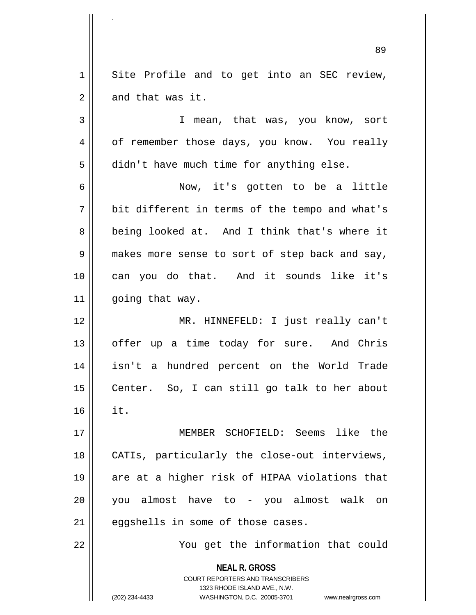**NEAL R. GROSS** COURT REPORTERS AND TRANSCRIBERS 1323 RHODE ISLAND AVE., N.W. (202) 234-4433 WASHINGTON, D.C. 20005-3701 www.nealrgross.com 89 1 || Site Profile and to get into an SEC review,  $2 \parallel$  and that was it. 3 I mean, that was, you know, sort 4 | of remember those days, you know. You really 5 | didn't have much time for anything else. 6 Now, it's gotten to be a little 7 bit different in terms of the tempo and what's 8 being looked at. And I think that's where it 9 || makes more sense to sort of step back and say, 10 can you do that. And it sounds like it's 11 | going that way. 12 MR. HINNEFELD: I just really can't 13 || offer up a time today for sure. And Chris 14 isn't a hundred percent on the World Trade 15 || Center. So, I can still go talk to her about  $16$   $\parallel$  it. 17 MEMBER SCHOFIELD: Seems like the 18 || CATIs, particularly the close-out interviews, 19 are at a higher risk of HIPAA violations that 20 you almost have to - you almost walk on  $21$  | eqgshells in some of those cases. 22 You get the information that could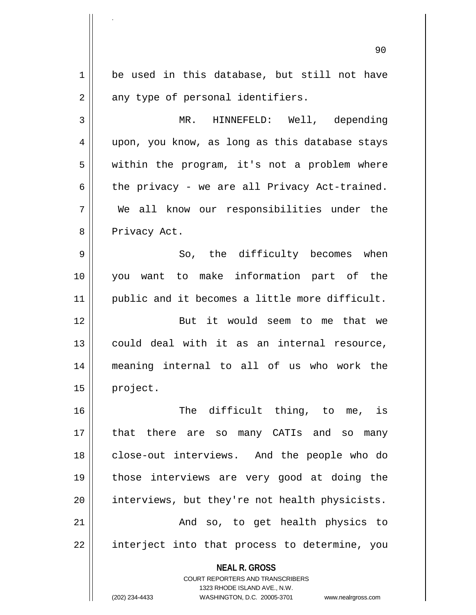**NEAL R. GROSS** COURT REPORTERS AND TRANSCRIBERS 1323 RHODE ISLAND AVE., N.W. (202) 234-4433 WASHINGTON, D.C. 20005-3701 www.nealrgross.com 90 1 be used in this database, but still not have  $2 \parallel$  any type of personal identifiers. 3 MR. HINNEFELD: Well, depending 4 || upon, you know, as long as this database stays 5 || within the program, it's not a problem where  $6 \parallel$  the privacy - we are all Privacy Act-trained. 7 We all know our responsibilities under the 8 || Privacy Act. 9 So, the difficulty becomes when 10 you want to make information part of the 11 || public and it becomes a little more difficult. 12 || But it would seem to me that we 13 could deal with it as an internal resource, 14 meaning internal to all of us who work the 15 | project. 16 || The difficult thing, to me, is 17 that there are so many CATIs and so many 18 || close-out interviews. And the people who do 19 those interviews are very good at doing the 20 | interviews, but they're not health physicists. 21 || The Rand so, to get health physics to 22 || interject into that process to determine, you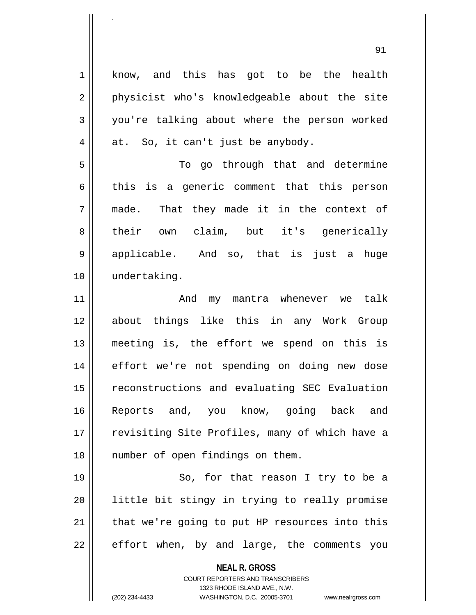**NEAL R. GROSS** 1 know, and this has got to be the health 2 || physicist who's knowledgeable about the site 3 you're talking about where the person worked  $4 \parallel$  at. So, it can't just be anybody. 5 To go through that and determine  $6 \parallel$  this is a generic comment that this person 7 || made. That they made it in the context of 8 their own claim, but it's generically 9 applicable. And so, that is just a huge 10 undertaking. 11 And my mantra whenever we talk 12 about things like this in any Work Group 13 meeting is, the effort we spend on this is 14 || effort we're not spending on doing new dose 15 || reconstructions and evaluating SEC Evaluation 16 Reports and, you know, going back and 17 || revisiting Site Profiles, many of which have a 18 || number of open findings on them. 19 || So, for that reason I try to be a 20 || little bit stingy in trying to really promise  $21$  | that we're going to put HP resources into this  $22$  || effort when, by and large, the comments you

> COURT REPORTERS AND TRANSCRIBERS 1323 RHODE ISLAND AVE., N.W.

.

(202) 234-4433 WASHINGTON, D.C. 20005-3701 www.nealrgross.com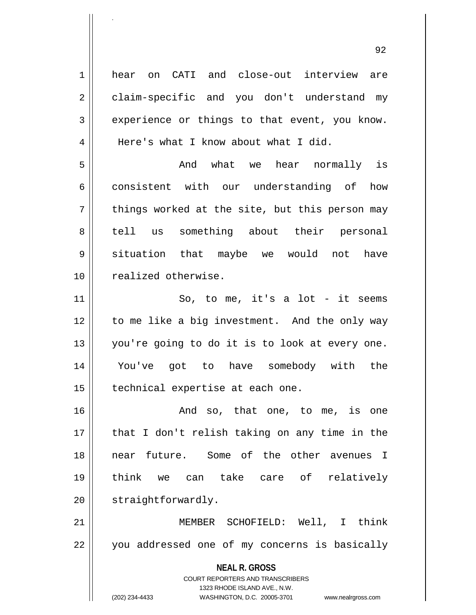**NEAL R. GROSS** COURT REPORTERS AND TRANSCRIBERS 1323 RHODE ISLAND AVE., N.W. 1 hear on CATI and close-out interview are 2 | claim-specific and you don't understand my  $3 \parallel$  experience or things to that event, you know. 4 | Here's what I know about what I did. 5 And what we hear normally is 6 consistent with our understanding of how  $7 \parallel$  things worked at the site, but this person may 8 tell us something about their personal 9 || situation that maybe we would not have 10 || realized otherwise.  $11$   $\parallel$  So, to me, it's a lot - it seems 12 || to me like a big investment. And the only way 13 || you're going to do it is to look at every one. 14 You've got to have somebody with the 15 | technical expertise at each one. 16 and so, that one, to me, is one 17 || that I don't relish taking on any time in the 18 near future. Some of the other avenues I 19 think we can take care of relatively 20 | straightforwardly. 21 MEMBER SCHOFIELD: Well, I think 22 || you addressed one of my concerns is basically

.

(202) 234-4433 WASHINGTON, D.C. 20005-3701 www.nealrgross.com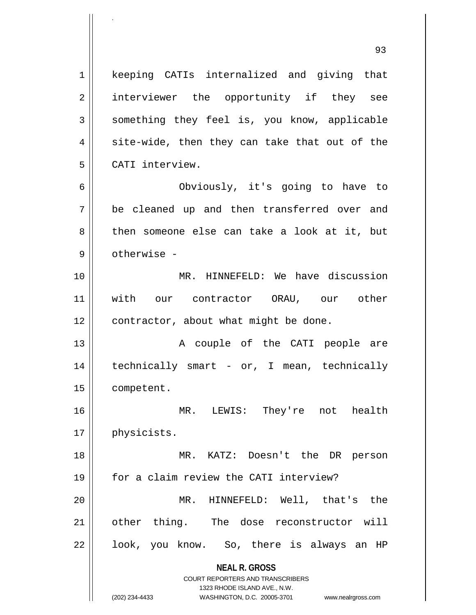**NEAL R. GROSS** COURT REPORTERS AND TRANSCRIBERS 1323 RHODE ISLAND AVE., N.W. (202) 234-4433 WASHINGTON, D.C. 20005-3701 www.nealrgross.com 1 || keeping CATIs internalized and giving that 2 || interviewer the opportunity if they see  $3 \parallel$  something they feel is, you know, applicable  $4 \parallel$  site-wide, then they can take that out of the 5 CATI interview. 6 Obviously, it's going to have to 7 be cleaned up and then transferred over and 8 then someone else can take a look at it, but 9 otherwise - 10 || MR. HINNEFELD: We have discussion 11 || with our contractor ORAU, our other 12 | contractor, about what might be done. 13 A couple of the CATI people are 14 technically smart - or, I mean, technically 15 | competent. 16 MR. LEWIS: They're not health 17 | physicists. 18 MR. KATZ: Doesn't the DR person 19 for a claim review the CATI interview? 20 || MR. HINNEFELD: Well, that's the 21 other thing. The dose reconstructor will  $22 \parallel$  look, you know. So, there is always an HP

.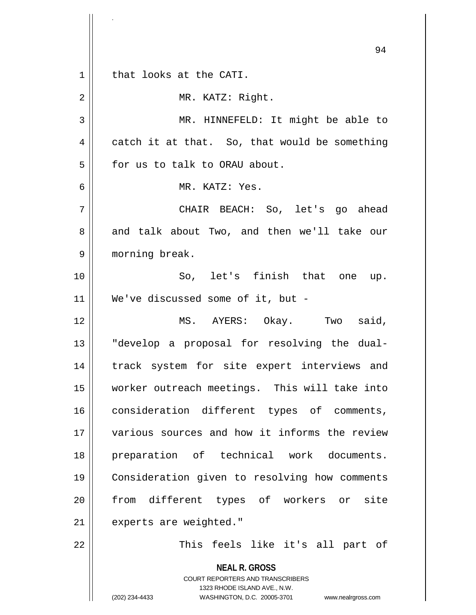**NEAL R. GROSS** COURT REPORTERS AND TRANSCRIBERS 1323 RHODE ISLAND AVE., N.W. (202) 234-4433 WASHINGTON, D.C. 20005-3701 www.nealrgross.com 94 1 || that looks at the CATI. 2 || MR. KATZ: Right. 3 || MR. HINNEFELD: It might be able to  $4 \parallel$  catch it at that. So, that would be something 5 | for us to talk to ORAU about. 6 MR. KATZ: Yes. 7 CHAIR BEACH: So, let's go ahead 8 and talk about Two, and then we'll take our 9 || morning break. 10 So, let's finish that one up. 11 || We've discussed some of it, but -12 MS. AYERS: Okay. Two said, 13 || "develop a proposal for resolving the dual-14 || track system for site expert interviews and 15 worker outreach meetings. This will take into 16 || consideration different types of comments, 17 various sources and how it informs the review 18 || preparation of technical work documents. 19 Consideration given to resolving how comments 20 || from different types of workers or site 21 | experts are weighted." 22 || This feels like it's all part of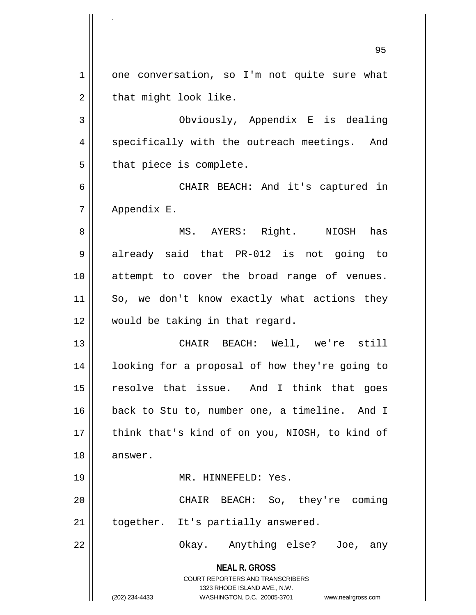**NEAL R. GROSS** COURT REPORTERS AND TRANSCRIBERS 1323 RHODE ISLAND AVE., N.W. (202) 234-4433 WASHINGTON, D.C. 20005-3701 www.nealrgross.com 95 1 || one conversation, so I'm not quite sure what  $2 \parallel$  that might look like. 3 Obviously, Appendix E is dealing 4 || specifically with the outreach meetings. And  $5$  | that piece is complete. 6 CHAIR BEACH: And it's captured in 7 Appendix E. 8 MS. AYERS: Right. NIOSH has 9 already said that PR-012 is not going to 10 attempt to cover the broad range of venues. 11 || So, we don't know exactly what actions they 12 would be taking in that regard. 13 CHAIR BEACH: Well, we're still 14 || looking for a proposal of how they're going to 15 || resolve that issue. And I think that goes 16 back to Stu to, number one, a timeline. And I 17 || think that's kind of on you, NIOSH, to kind of 18 | answer. 19 || MR. HINNEFELD: Yes. 20 CHAIR BEACH: So, they're coming  $21$  | together. It's partially answered. 22 Okay. Anything else? Joe, any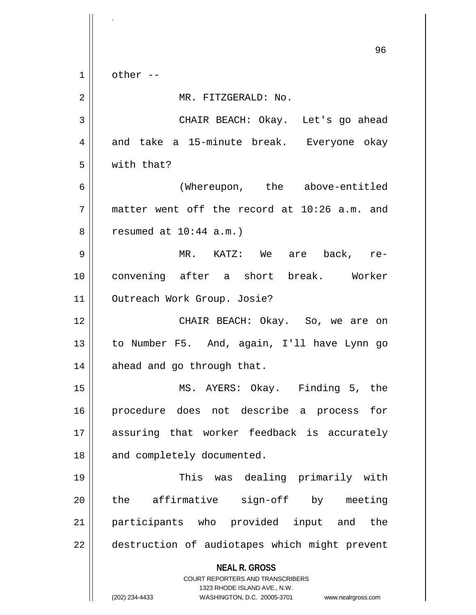**NEAL R. GROSS** COURT REPORTERS AND TRANSCRIBERS 1323 RHODE ISLAND AVE., N.W. (202) 234-4433 WASHINGTON, D.C. 20005-3701 www.nealrgross.com 96  $1 \parallel$  other --2 | MR. FITZGERALD: No. 3 CHAIR BEACH: Okay. Let's go ahead 4 and take a 15-minute break. Everyone okay 5 with that? 6 (Whereupon, the above-entitled  $7$  || matter went off the record at 10:26 a.m. and  $8 \parallel$  resumed at  $10:44$  a.m.) 9 MR. KATZ: We are back, re-10 convening after a short break. Worker 11 | Outreach Work Group. Josie? 12 CHAIR BEACH: Okay. So, we are on 13 to Number F5. And, again, I'll have Lynn go 14 || ahead and go through that. 15 MS. AYERS: Okay. Finding 5, the 16 procedure does not describe a process for 17 assuring that worker feedback is accurately 18 || and completely documented. 19 This was dealing primarily with 20 the affirmative sign-off by meeting 21 participants who provided input and the 22 | destruction of audiotapes which might prevent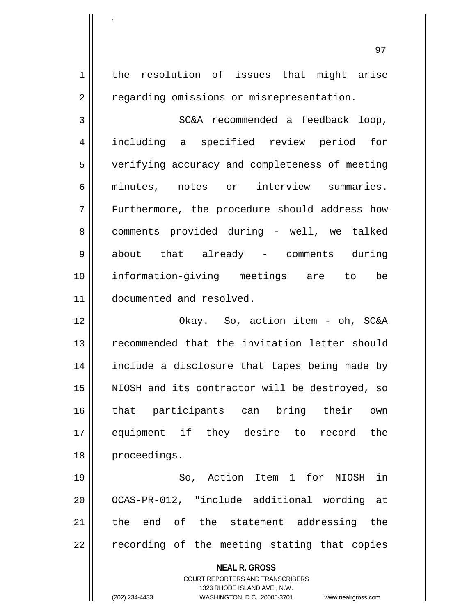**NEAL R. GROSS** COURT REPORTERS AND TRANSCRIBERS 1 | the resolution of issues that might arise 2 | regarding omissions or misrepresentation. 3 SC&A recommended a feedback loop, 4 including a specified review period for 5 | verifying accuracy and completeness of meeting 6 minutes, notes or interview summaries. 7 Furthermore, the procedure should address how 8 comments provided during - well, we talked 9 about that already - comments during 10 information-giving meetings are to be 11 documented and resolved. 12 Okay. So, action item - oh, SC&A 13 || recommended that the invitation letter should 14 include a disclosure that tapes being made by 15 || NIOSH and its contractor will be destroyed, so 16 that participants can bring their own 17 equipment if they desire to record the 18 | proceedings. 19 So, Action Item 1 for NIOSH in 20 || OCAS-PR-012, "include additional wording at 21 || the end of the statement addressing the  $22$   $\parallel$  recording of the meeting stating that copies

1323 RHODE ISLAND AVE., N.W.

.

(202) 234-4433 WASHINGTON, D.C. 20005-3701 www.nealrgross.com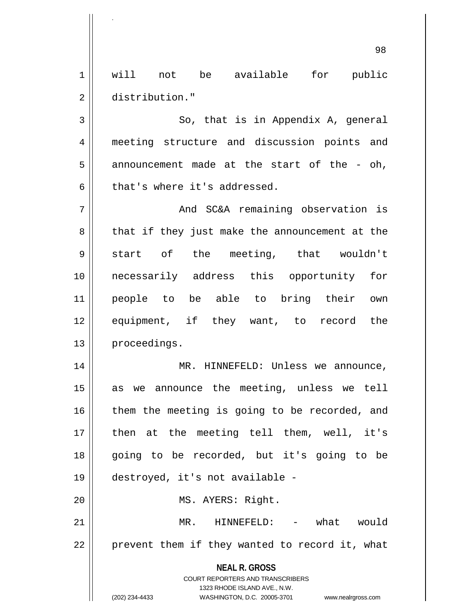1 will not be available for public 2 distribution."

.

 $3 \parallel$  So, that is in Appendix A, general 4 meeting structure and discussion points and  $5 \parallel$  announcement made at the start of the - oh,  $6$  || that's where it's addressed.

7 And SC&A remaining observation is  $8 \parallel$  that if they just make the announcement at the 9 Start of the meeting, that wouldn't 10 necessarily address this opportunity for 11 people to be able to bring their own 12 equipment, if they want, to record the 13 | proceedings.

14 MR. HINNEFELD: Unless we announce, 15 as we announce the meeting, unless we tell  $16$  them the meeting is going to be recorded, and 17 || then at the meeting tell them, well, it's 18 going to be recorded, but it's going to be 19 destroyed, it's not available - 20 || MS. AYERS: Right. 21 MR. HINNEFELD: - what would 22 || prevent them if they wanted to record it, what

> **NEAL R. GROSS** COURT REPORTERS AND TRANSCRIBERS

> > 1323 RHODE ISLAND AVE., N.W.

(202) 234-4433 WASHINGTON, D.C. 20005-3701 www.nealrgross.com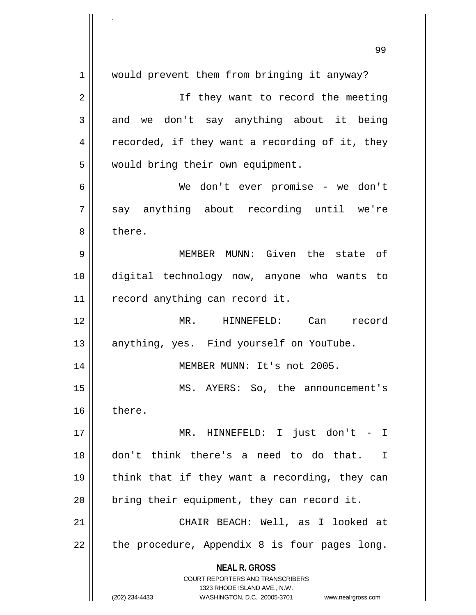**NEAL R. GROSS** COURT REPORTERS AND TRANSCRIBERS 1323 RHODE ISLAND AVE., N.W. (202) 234-4433 WASHINGTON, D.C. 20005-3701 www.nealrgross.com 99 1 || would prevent them from bringing it anyway? 2 || If they want to record the meeting  $3 \parallel$  and we don't say anything about it being  $4 \parallel$  recorded, if they want a recording of it, they 5 | would bring their own equipment. 6 We don't ever promise - we don't  $7 \parallel$  say anything about recording until we're 8 l there. 9 MEMBER MUNN: Given the state of 10 digital technology now, anyone who wants to  $11$  | record anything can record it. 12 MR. HINNEFELD: Can record 13 || anything, yes. Find yourself on YouTube. 14 || MEMBER MUNN: It's not 2005. 15 MS. AYERS: So, the announcement's 16 there. 17 MR. HINNEFELD: I just don't - I 18 don't think there's a need to do that. I 19 || think that if they want a recording, they can  $20$  | bring their equipment, they can record it. 21 CHAIR BEACH: Well, as I looked at 22  $\parallel$  the procedure, Appendix 8 is four pages long.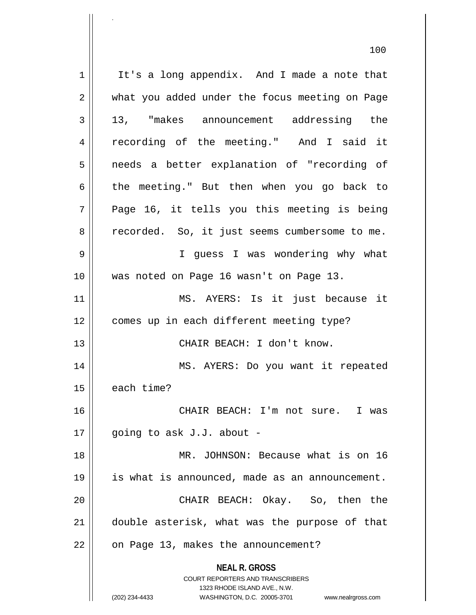**NEAL R. GROSS** COURT REPORTERS AND TRANSCRIBERS 1323 RHODE ISLAND AVE., N.W. (202) 234-4433 WASHINGTON, D.C. 20005-3701 www.nealrgross.com  $1 \parallel$  It's a long appendix. And I made a note that 2 || what you added under the focus meeting on Page 3 13, "makes announcement addressing the 4 || recording of the meeting." And I said it 5 || needs a better explanation of "recording of 6 the meeting." But then when you go back to  $7 \parallel$  Page 16, it tells you this meeting is being 8 | recorded. So, it just seems cumbersome to me. 9 I guess I was wondering why what 10 was noted on Page 16 wasn't on Page 13. 11 MS. AYERS: Is it just because it 12 | comes up in each different meeting type? 13 CHAIR BEACH: I don't know. 14 MS. AYERS: Do you want it repeated  $15$  | each time? 16 CHAIR BEACH: I'm not sure. I was 17  $\parallel$  qoing to ask J.J. about -18 || MR. JOHNSON: Because what is on 16 19 | is what is announced, made as an announcement. 20 || CHAIR BEACH: Okay. So, then the 21 double asterisk, what was the purpose of that 22 | on Page 13, makes the announcement?

100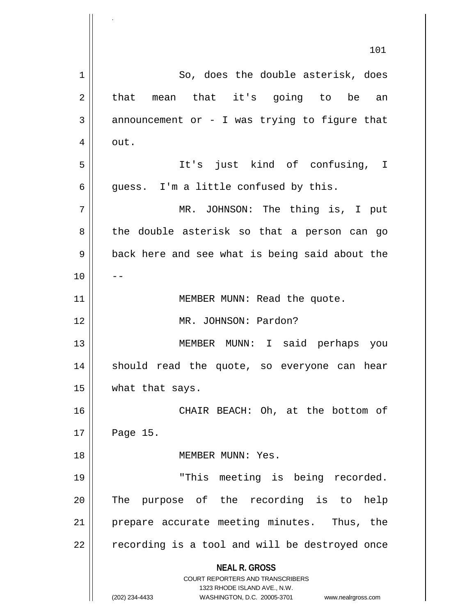|    | 101                                                                                                                                                                    |
|----|------------------------------------------------------------------------------------------------------------------------------------------------------------------------|
| 1  | So, does the double asterisk, does                                                                                                                                     |
| 2  | that mean that it's going to be an                                                                                                                                     |
| 3  | announcement or - I was trying to figure that                                                                                                                          |
| 4  | out.                                                                                                                                                                   |
| 5  | It's just kind of confusing, I                                                                                                                                         |
| 6  | guess. I'm a little confused by this.                                                                                                                                  |
| 7  | MR. JOHNSON: The thing is, I put                                                                                                                                       |
| 8  | the double asterisk so that a person can go                                                                                                                            |
| 9  | back here and see what is being said about the                                                                                                                         |
| 10 |                                                                                                                                                                        |
| 11 | MEMBER MUNN: Read the quote.                                                                                                                                           |
| 12 | MR. JOHNSON: Pardon?                                                                                                                                                   |
| 13 | MEMBER MUNN: I said perhaps you                                                                                                                                        |
| 14 | should read the quote, so everyone can hear                                                                                                                            |
| 15 | what that says.                                                                                                                                                        |
| 16 | CHAIR BEACH: Oh, at the bottom of                                                                                                                                      |
| 17 | Page 15.                                                                                                                                                               |
| 18 | MEMBER MUNN: Yes.                                                                                                                                                      |
| 19 | "This meeting is being recorded.                                                                                                                                       |
| 20 | The purpose of the recording is to help                                                                                                                                |
| 21 | prepare accurate meeting minutes. Thus, the                                                                                                                            |
| 22 | recording is a tool and will be destroyed once                                                                                                                         |
|    | <b>NEAL R. GROSS</b><br><b>COURT REPORTERS AND TRANSCRIBERS</b><br>1323 RHODE ISLAND AVE., N.W.<br>(202) 234-4433<br>WASHINGTON, D.C. 20005-3701<br>www.nealrgross.com |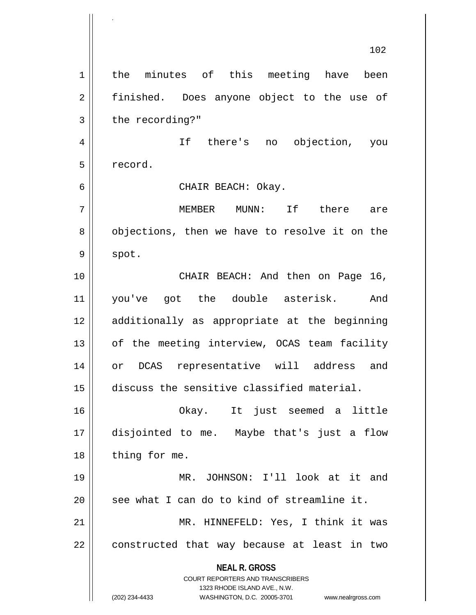**NEAL R. GROSS** COURT REPORTERS AND TRANSCRIBERS 1323 RHODE ISLAND AVE., N.W. (202) 234-4433 WASHINGTON, D.C. 20005-3701 www.nealrgross.com 102 1 | the minutes of this meeting have been 2 || finished. Does anyone object to the use of  $3 \parallel$  the recording?" 4 If there's no objection, you 5 record. 6 CHAIR BEACH: Okay. 7 MEMBER MUNN: If there are  $8 \parallel$  objections, then we have to resolve it on the  $9 \parallel$  spot. 10 || CHAIR BEACH: And then on Page 16, 11 you've got the double asterisk. And 12 additionally as appropriate at the beginning 13 || of the meeting interview, OCAS team facility 14 or DCAS representative will address and 15 discuss the sensitive classified material. 16 Okay. It just seemed a little 17 disjointed to me. Maybe that's just a flow  $18$  | thing for me. 19 MR. JOHNSON: I'll look at it and  $20$  | see what I can do to kind of streamline it. 21 || MR. HINNEFELD: Yes, I think it was  $22$  || constructed that way because at least in two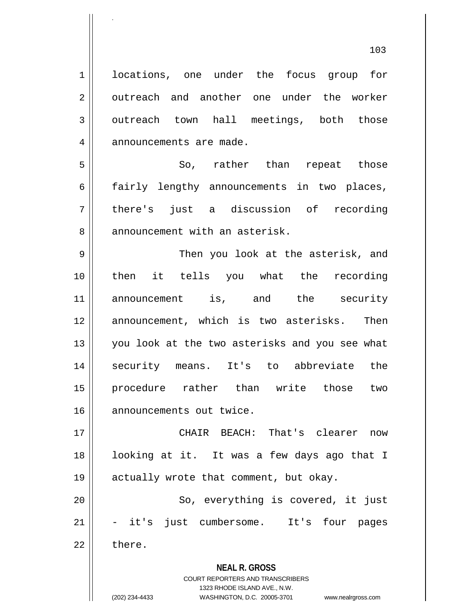1 | locations, one under the focus group for 2 | outreach and another one under the worker  $3 \parallel$  outreach town hall meetings, both those 4 | announcements are made. 5 So, rather than repeat those  $6 \parallel$  fairly lengthy announcements in two places, 7 || there's just a discussion of recording 8 || announcement with an asterisk. 9 Then you look at the asterisk, and 10 then it tells you what the recording 11 announcement is, and the security 12 announcement, which is two asterisks. Then 13 || you look at the two asterisks and you see what 14 security means. It's to abbreviate the 15 procedure rather than write those two 16 | announcements out twice.

.

17 CHAIR BEACH: That's clearer now 18 looking at it. It was a few days ago that I 19 || actually wrote that comment, but okay. 20 || So, everything is covered, it just 21 || - it's just cumbersome. It's four pages  $22 \parallel$  there.

> **NEAL R. GROSS** COURT REPORTERS AND TRANSCRIBERS 1323 RHODE ISLAND AVE., N.W. (202) 234-4433 WASHINGTON, D.C. 20005-3701 www.nealrgross.com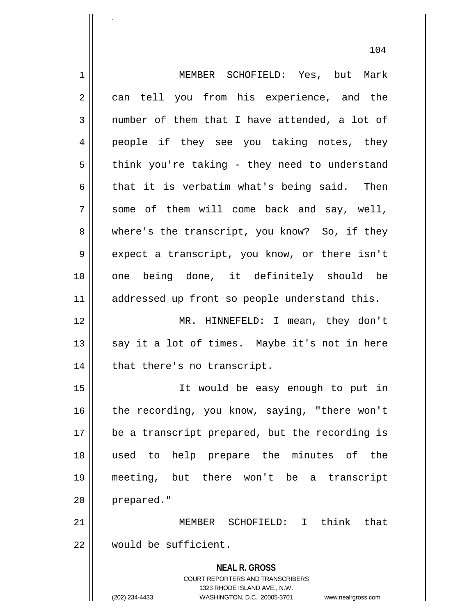**NEAL R. GROSS** COURT REPORTERS AND TRANSCRIBERS 1323 RHODE ISLAND AVE., N.W. 1 MEMBER SCHOFIELD: Yes, but Mark 2 || can tell you from his experience, and the  $3 \parallel$  number of them that I have attended, a lot of 4 people if they see you taking notes, they  $5 \parallel$  think you're taking - they need to understand 6 that it is verbatim what's being said. Then  $7 \parallel$  some of them will come back and say, well, 8 where's the transcript, you know? So, if they 9 || expect a transcript, you know, or there isn't 10 one being done, it definitely should be 11 || addressed up front so people understand this. 12 MR. HINNEFELD: I mean, they don't  $13$  say it a lot of times. Maybe it's not in here 14 || that there's no transcript. 15 It would be easy enough to put in 16 || the recording, you know, saying, "there won't 17 || be a transcript prepared, but the recording is 18 used to help prepare the minutes of the 19 meeting, but there won't be a transcript 20 | prepared." 21 MEMBER SCHOFIELD: I think that 22 would be sufficient.

.

(202) 234-4433 WASHINGTON, D.C. 20005-3701 www.nealrgross.com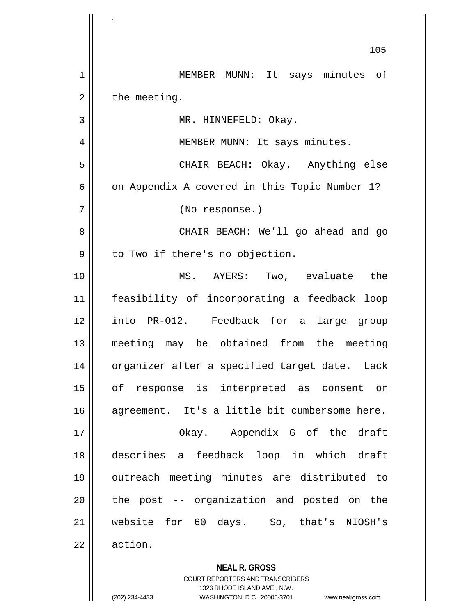**NEAL R. GROSS** 105 1 MEMBER MUNN: It says minutes of  $2 \parallel$  the meeting. 3 | MR. HINNEFELD: Okay. 4 || MEMBER MUNN: It says minutes. 5 CHAIR BEACH: Okay. Anything else 6 |  $\vert$  on Appendix A covered in this Topic Number 1? 7 (No response.) 8 CHAIR BEACH: We'll go ahead and go  $9 \parallel$  to Two if there's no objection. 10 MS. AYERS: Two, evaluate the 11 feasibility of incorporating a feedback loop 12 into PR-O12. Feedback for a large group 13 meeting may be obtained from the meeting 14 || organizer after a specified target date. Lack 15 of response is interpreted as consent or 16 agreement. It's a little bit cumbersome here. 17 || Chay. Appendix G of the draft 18 describes a feedback loop in which draft 19 outreach meeting minutes are distributed to  $20$  || the post  $-$  organization and posted on the 21 website for 60 days. So, that's NIOSH's 22 | action.

> COURT REPORTERS AND TRANSCRIBERS 1323 RHODE ISLAND AVE., N.W.

(202) 234-4433 WASHINGTON, D.C. 20005-3701 www.nealrgross.com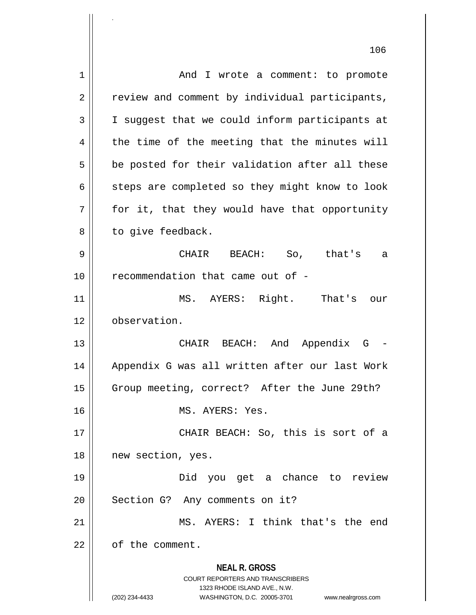**NEAL R. GROSS** COURT REPORTERS AND TRANSCRIBERS 1323 RHODE ISLAND AVE., N.W. (202) 234-4433 WASHINGTON, D.C. 20005-3701 www.nealrgross.com 106 1 | And I wrote a comment: to promote  $2 \parallel$  review and comment by individual participants, 3 | I suggest that we could inform participants at  $4 \parallel$  the time of the meeting that the minutes will  $5 \parallel$  be posted for their validation after all these  $6 \parallel$  steps are completed so they might know to look  $7 \parallel$  for it, that they would have that opportunity 8 | to give feedback. 9 CHAIR BEACH: So, that's a 10 || recommendation that came out of -11 || MS. AYERS: Right. That's our 12 | observation. 13 CHAIR BEACH: And Appendix G - 14 || Appendix G was all written after our last Work 15 | Group meeting, correct? After the June 29th? 16 MS. AYERS: Yes. 17 CHAIR BEACH: So, this is sort of a 18 || new section, yes. 19 Did you get a chance to review 20 || Section G? Any comments on it? 21 MS. AYERS: I think that's the end 22 l of the comment.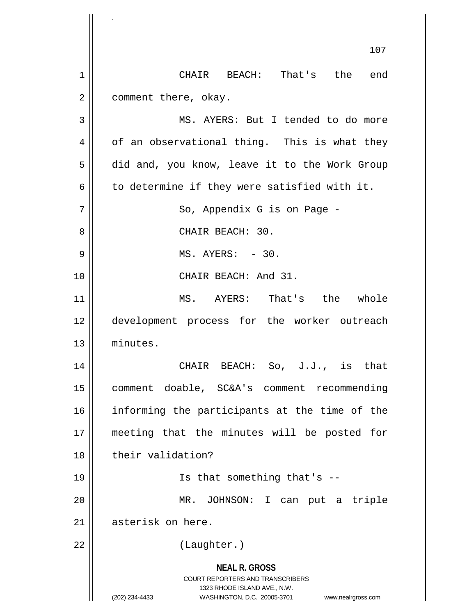**NEAL R. GROSS** COURT REPORTERS AND TRANSCRIBERS 1323 RHODE ISLAND AVE., N.W. (202) 234-4433 WASHINGTON, D.C. 20005-3701 www.nealrgross.com 107 1 || CHAIR BEACH: That's the end 2 | comment there, okay. 3 || MS. AYERS: But I tended to do more  $4 \parallel$  of an observational thing. This is what they 5 did and, you know, leave it to the Work Group  $6 \parallel$  to determine if they were satisfied with it. 7 So, Appendix G is on Page - 8 || CHAIR BEACH: 30. 9 MS. AYERS: - 30. 10 || CHAIR BEACH: And 31. 11 MS. AYERS: That's the whole 12 development process for the worker outreach 13 minutes. 14 CHAIR BEACH: So, J.J., is that 15 | comment doable, SC&A's comment recommending 16 informing the participants at the time of the 17 meeting that the minutes will be posted for 18 || their validation? 19 || Is that something that's --20 MR. JOHNSON: I can put a triple 21 || asterisk on here. 22 || (Laughter.)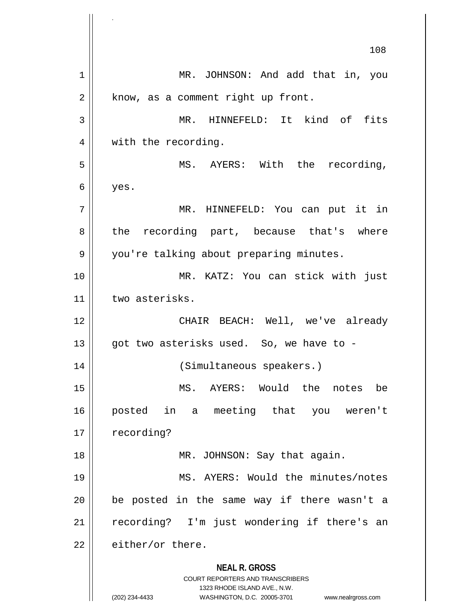**NEAL R. GROSS** COURT REPORTERS AND TRANSCRIBERS 1323 RHODE ISLAND AVE., N.W. (202) 234-4433 WASHINGTON, D.C. 20005-3701 www.nealrgross.com 108 1 || MR. JOHNSON: And add that in, you  $2 \parallel$  know, as a comment right up front. 3 MR. HINNEFELD: It kind of fits 4 || with the recording. 5 MS. AYERS: With the recording,  $6 \mid$  yes. 7 MR. HINNEFELD: You can put it in 8 || the recording part, because that's where 9 || you're talking about preparing minutes. 10 MR. KATZ: You can stick with just 11 | two asterisks. 12 CHAIR BEACH: Well, we've already 13  $\parallel$  qot two asterisks used. So, we have to -14 (Simultaneous speakers.) 15 MS. AYERS: Would the notes be 16 posted in a meeting that you weren't 17 | recording? 18 || MR. JOHNSON: Say that again. 19 MS. AYERS: Would the minutes/notes  $20$  | be posted in the same way if there wasn't a 21 || recording? I'm just wondering if there's an  $22$   $\parallel$  either/or there.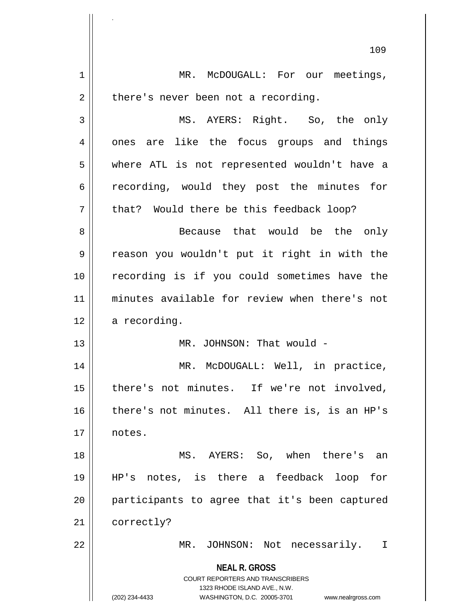**NEAL R. GROSS** COURT REPORTERS AND TRANSCRIBERS 1323 RHODE ISLAND AVE., N.W. (202) 234-4433 WASHINGTON, D.C. 20005-3701 www.nealrgross.com 1 | MR. McDOUGALL: For our meetings,  $2 \parallel$  there's never been not a recording. 3 MS. AYERS: Right. So, the only 4 || ones are like the focus groups and things 5 where ATL is not represented wouldn't have a 6 || recording, would they post the minutes for  $7 \parallel$  that? Would there be this feedback loop? 8 Because that would be the only 9 reason you wouldn't put it right in with the 10 || recording is if you could sometimes have the 11 minutes available for review when there's not  $12 \parallel$  a recording. 13 || MR. JOHNSON: That would -14 || MR. McDOUGALL: Well, in practice, 15 || there's not minutes. If we're not involved, 16 there's not minutes. All there is, is an HP's 17 notes. 18 || MS. AYERS: So, when there's an 19 HP's notes, is there a feedback loop for 20 participants to agree that it's been captured 21 | correctly? 22 MR. JOHNSON: Not necessarily. I

.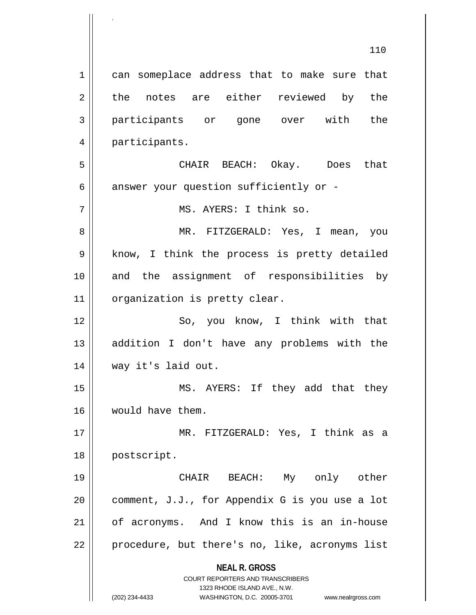**NEAL R. GROSS** COURT REPORTERS AND TRANSCRIBERS 1323 RHODE ISLAND AVE., N.W. (202) 234-4433 WASHINGTON, D.C. 20005-3701 www.nealrgross.com 110 1 || can someplace address that to make sure that 2 the notes are either reviewed by the 3 participants or gone over with the 4 | participants. 5 CHAIR BEACH: Okay. Does that  $6 \parallel$  answer your question sufficiently or -7 || MS. AYERS: I think so. 8 MR. FITZGERALD: Yes, I mean, you 9 || know, I think the process is pretty detailed 10 || and the assignment of responsibilities by 11 | organization is pretty clear. 12 || So, you know, I think with that 13 addition I don't have any problems with the 14 way it's laid out. 15 || MS. AYERS: If they add that they 16 would have them. 17 MR. FITZGERALD: Yes, I think as a 18 | postscript. 19 CHAIR BEACH: My only other 20  $\parallel$  comment, J.J., for Appendix G is you use a lot 21 of acronyms. And I know this is an in-house  $22$  | procedure, but there's no, like, acronyms list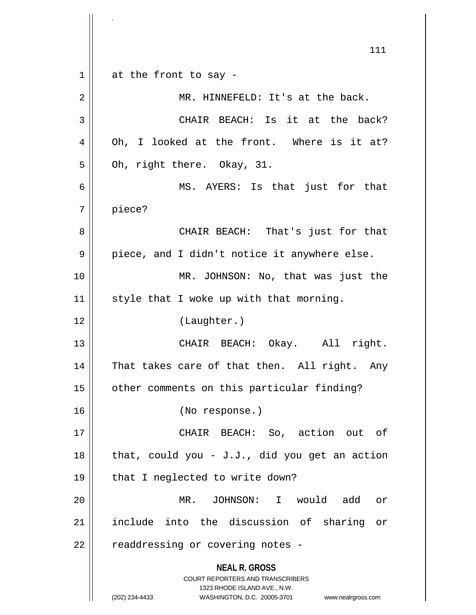**NEAL R. GROSS** COURT REPORTERS AND TRANSCRIBERS 1323 RHODE ISLAND AVE., N.W. (202) 234-4433 WASHINGTON, D.C. 20005-3701 www.nealrgross.com 111  $1 \parallel$  at the front to say -2 || MR. HINNEFELD: It's at the back. 3 || CHAIR BEACH: Is it at the back? 4 || Oh, I looked at the front. Where is it at?  $5 \parallel$  Oh, right there. Okay, 31. 6 MS. AYERS: Is that just for that 7 piece? 8 CHAIR BEACH: That's just for that  $9 \parallel$  piece, and I didn't notice it anywhere else. 10 MR. JOHNSON: No, that was just the  $11$  style that I woke up with that morning. 12 (Laughter.) 13 CHAIR BEACH: Okay. All right. 14 || That takes care of that then. All right. Any 15 | other comments on this particular finding? 16 (No response.) 17 CHAIR BEACH: So, action out of 18  $\parallel$  that, could you - J.J., did you get an action  $19 \parallel$  that I neglected to write down? 20 MR. JOHNSON: I would add or 21 include into the discussion of sharing or  $22$  | readdressing or covering notes -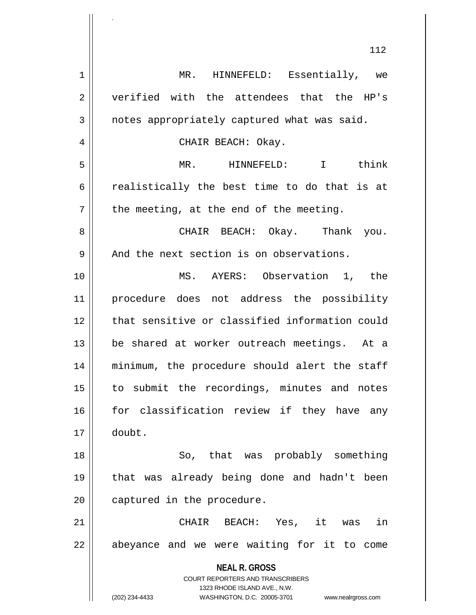|                | ⊥⊥∠                                                                 |
|----------------|---------------------------------------------------------------------|
| 1              | MR. HINNEFELD: Essentially, we                                      |
| $\overline{2}$ | verified with the attendees that the HP's                           |
| 3              | notes appropriately captured what was said.                         |
| 4              | CHAIR BEACH: Okay.                                                  |
| 5              | MR. HINNEFELD:<br>I think                                           |
| 6              | realistically the best time to do that is at                        |
| 7              | the meeting, at the end of the meeting.                             |
| 8              | CHAIR BEACH: Okay. Thank you.                                       |
| 9              | And the next section is on observations.                            |
| 10             | MS. AYERS: Observation 1, the                                       |
| 11             | procedure does not address the possibility                          |
| 12             | that sensitive or classified information could                      |
| 13             | be shared at worker outreach meetings. At a                         |
| 14             | minimum, the procedure should alert the staff                       |
| 15             | to submit the recordings, minutes and notes                         |
| 16             | for classification review if they have any                          |
| 17             | doubt.                                                              |
| 18             | So, that was probably something                                     |
| 19             | that was already being done and hadn't been                         |
| 20             | captured in the procedure.                                          |
| 21             | CHAIR BEACH: Yes, it was<br>in                                      |
| 22             | abeyance and we were waiting for it to come                         |
|                |                                                                     |
|                | <b>COURT REPORTERS AND TRANSCRIBERS</b>                             |
|                | 1323 RHODE ISLAND AVE., N.W.                                        |
|                | <b>NEAL R. GROSS</b>                                                |
|                |                                                                     |
|                | (202) 234-4433<br>WASHINGTON, D.C. 20005-3701<br>www.nealrgross.com |

.

 $\mathbf{\mathcal{H}}$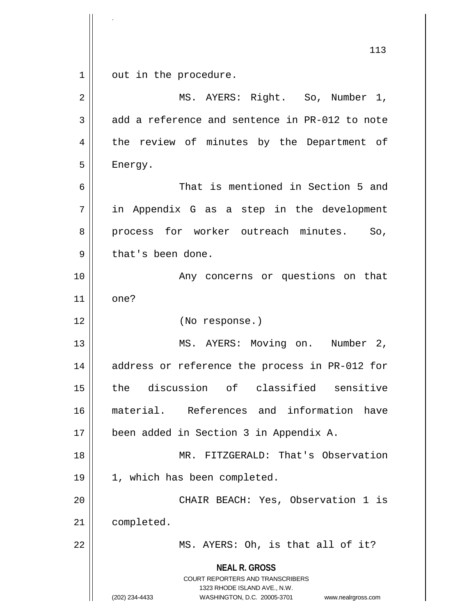**NEAL R. GROSS** COURT REPORTERS AND TRANSCRIBERS 1323 RHODE ISLAND AVE., N.W. (202) 234-4433 WASHINGTON, D.C. 20005-3701 www.nealrgross.com 113  $1 \parallel$  out in the procedure. 2 || MS. AYERS: Right. So, Number 1,  $3 \parallel$  add a reference and sentence in PR-012 to note 4 || the review of minutes by the Department of 5 | Energy. 6 That is mentioned in Section 5 and 7 || in Appendix G as a step in the development 8 || process for worker outreach minutes. So,  $9 \parallel$  that's been done. 10 || The Many concerns or questions on that 11 || one? 12 (No response.) 13 || MS. AYERS: Moving on. Number 2, 14 || address or reference the process in PR-012 for 15 the discussion of classified sensitive 16 material. References and information have 17 been added in Section 3 in Appendix A. 18 MR. FITZGERALD: That's Observation 19 || 1, which has been completed. 20 || CHAIR BEACH: Yes, Observation 1 is 21 completed. 22 || MS. AYERS: Oh, is that all of it?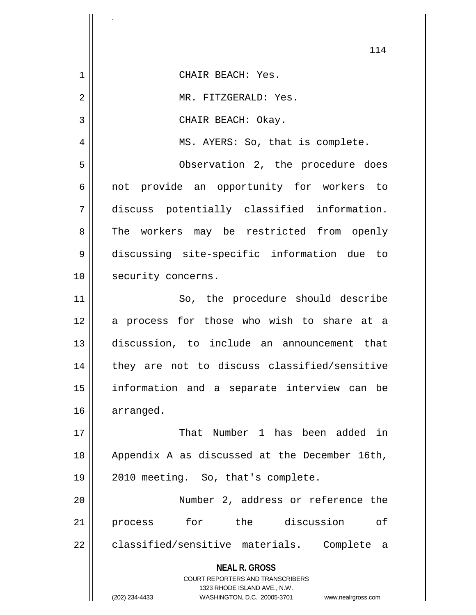|    | 114                                                                                                                                                                    |
|----|------------------------------------------------------------------------------------------------------------------------------------------------------------------------|
| 1  | CHAIR BEACH: Yes.                                                                                                                                                      |
| 2  | MR. FITZGERALD: Yes.                                                                                                                                                   |
| 3  | CHAIR BEACH: Okay.                                                                                                                                                     |
| 4  | MS. AYERS: So, that is complete.                                                                                                                                       |
| 5  | Observation 2, the procedure does                                                                                                                                      |
| 6  | not provide an opportunity for workers to                                                                                                                              |
| 7  | discuss potentially classified information.                                                                                                                            |
| 8  | The workers may be restricted from openly                                                                                                                              |
| 9  | discussing site-specific information due to                                                                                                                            |
| 10 | security concerns.                                                                                                                                                     |
| 11 | So, the procedure should describe                                                                                                                                      |
| 12 | a process for those who wish to share at a                                                                                                                             |
| 13 | discussion, to include an announcement that                                                                                                                            |
| 14 | they are not to discuss classified/sensitive                                                                                                                           |
| 15 | information and a separate interview can be                                                                                                                            |
| 16 | arranged.                                                                                                                                                              |
| 17 | That Number 1 has been added in                                                                                                                                        |
| 18 | Appendix A as discussed at the December 16th,                                                                                                                          |
| 19 | 2010 meeting. So, that's complete.                                                                                                                                     |
| 20 | Number 2, address or reference the                                                                                                                                     |
| 21 | process for the discussion<br>оf                                                                                                                                       |
| 22 | classified/sensitive materials. Complete a                                                                                                                             |
|    | <b>NEAL R. GROSS</b><br><b>COURT REPORTERS AND TRANSCRIBERS</b><br>1323 RHODE ISLAND AVE., N.W.<br>(202) 234-4433<br>WASHINGTON, D.C. 20005-3701<br>www.nealrgross.com |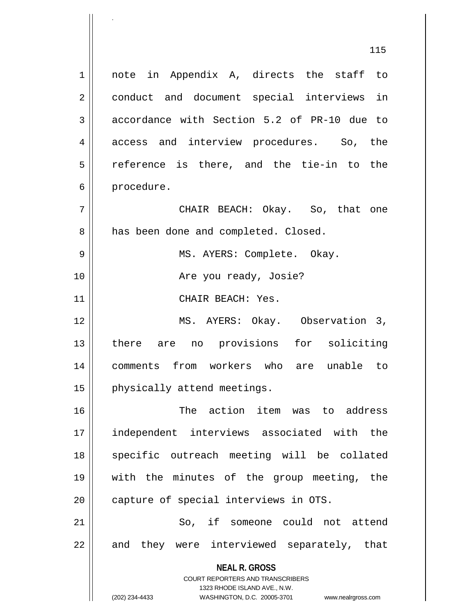**NEAL R. GROSS** COURT REPORTERS AND TRANSCRIBERS 1323 RHODE ISLAND AVE., N.W. (202) 234-4433 WASHINGTON, D.C. 20005-3701 www.nealrgross.com 1 || note in Appendix A, directs the staff to 2 || conduct and document special interviews in 3 accordance with Section 5.2 of PR-10 due to 4 access and interview procedures. So, the  $5 \parallel$  reference is there, and the tie-in to the 6 | procedure. 7 CHAIR BEACH: Okay. So, that one 8 | has been done and completed. Closed. 9 MS. AYERS: Complete. Okay. 10 Are you ready, Josie? 11 || CHAIR BEACH: Yes. 12 MS. AYERS: Okay. Observation 3, 13 there are no provisions for soliciting 14 comments from workers who are unable to 15 | physically attend meetings. 16 The action item was to address 17 independent interviews associated with the 18 || specific outreach meeting will be collated 19 with the minutes of the group meeting, the 20 | capture of special interviews in OTS. 21 || So, if someone could not attend 22 || and they were interviewed separately, that

.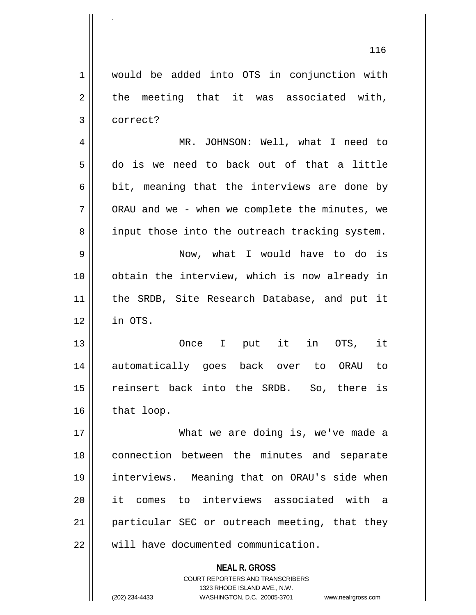**NEAL R. GROSS** COURT REPORTERS AND TRANSCRIBERS 1 would be added into OTS in conjunction with  $2 \parallel$  the meeting that it was associated with, 3 correct? 4 MR. JOHNSON: Well, what I need to 5 do is we need to back out of that a little  $6 \parallel$  bit, meaning that the interviews are done by  $7 \parallel$  ORAU and we - when we complete the minutes, we 8 || input those into the outreach tracking system. 9 Now, what I would have to do is 10 || obtain the interview, which is now already in 11 || the SRDB, Site Research Database, and put it 12 in OTS. 13 Once I put it in OTS, it 14 automatically goes back over to ORAU to 15 || reinsert back into the SRDB. So, there is  $16$  | that loop. 17 What we are doing is, we've made a 18 || connection between the minutes and separate 19 interviews. Meaning that on ORAU's side when 20 it comes to interviews associated with a 21 || particular SEC or outreach meeting, that they 22 We will have documented communication.

1323 RHODE ISLAND AVE., N.W.

.

(202) 234-4433 WASHINGTON, D.C. 20005-3701 www.nealrgross.com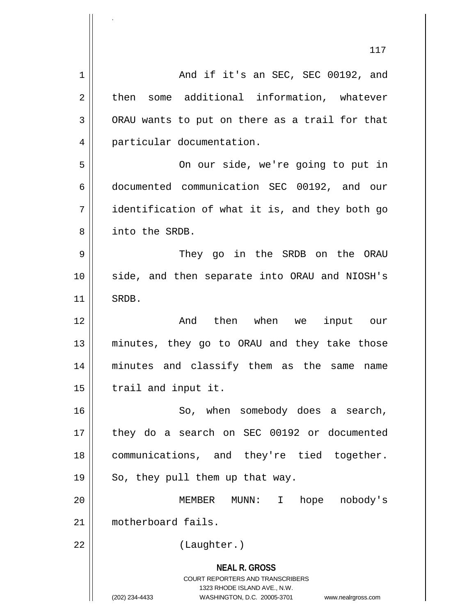**NEAL R. GROSS** COURT REPORTERS AND TRANSCRIBERS 1323 RHODE ISLAND AVE., N.W. 117 1 And if it's an SEC, SEC 00192, and 2 then some additional information, whatever  $3 \parallel$  ORAU wants to put on there as a trail for that 4 | particular documentation. 5 On our side, we're going to put in 6 documented communication SEC 00192, and our 7 identification of what it is, and they both go 8 into the SRDB. 9 They go in the SRDB on the ORAU 10 side, and then separate into ORAU and NIOSH's 11 || SRDB. 12 And then when we input our 13 minutes, they go to ORAU and they take those 14 minutes and classify them as the same name  $15$  | trail and input it. 16 || So, when somebody does a search, 17 || they do a search on SEC 00192 or documented 18 || communications, and they're tied together.  $19 \parallel$  So, they pull them up that way. 20 MEMBER MUNN: I hope nobody's 21 | motherboard fails. 22 || (Laughter.)

.

(202) 234-4433 WASHINGTON, D.C. 20005-3701 www.nealrgross.com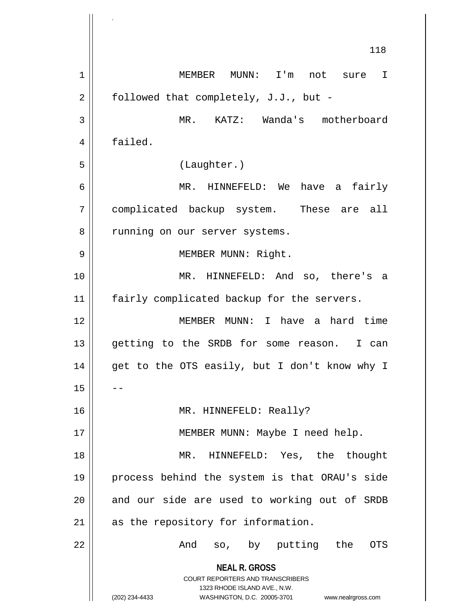**NEAL R. GROSS** COURT REPORTERS AND TRANSCRIBERS 1323 RHODE ISLAND AVE., N.W. (202) 234-4433 WASHINGTON, D.C. 20005-3701 www.nealrgross.com 118 1 MEMBER MUNN: I'm not sure I  $2 \parallel$  followed that completely, J.J., but -3 MR. KATZ: Wanda's motherboard 4 | failed. 5 (Laughter.) 6 MR. HINNEFELD: We have a fairly 7 complicated backup system. These are all 8 | running on our server systems. 9 || MEMBER MUNN: Right. 10 MR. HINNEFELD: And so, there's a 11 || fairly complicated backup for the servers. 12 MEMBER MUNN: I have a hard time 13 getting to the SRDB for some reason. I can 14 || get to the OTS easily, but I don't know why I  $15$ 16 MR. HINNEFELD: Really? 17 || MEMBER MUNN: Maybe I need help. 18 || MR. HINNEFELD: Yes, the thought 19 process behind the system is that ORAU's side 20 || and our side are used to working out of SRDB 21 || as the repository for information. 22 || The Contract And so, by putting the OTS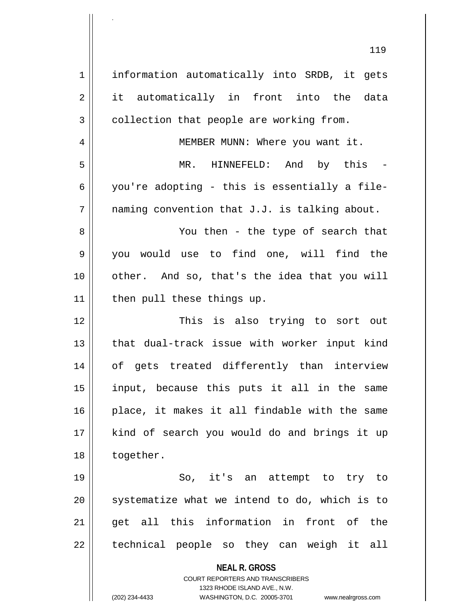**NEAL R. GROSS** COURT REPORTERS AND TRANSCRIBERS 1323 RHODE ISLAND AVE., N.W. (202) 234-4433 WASHINGTON, D.C. 20005-3701 www.nealrgross.com 1 || information automatically into SRDB, it gets 2 it automatically in front into the data  $3 \parallel$  collection that people are working from. 4 MEMBER MUNN: Where you want it. 5 MR. HINNEFELD: And by this -  $6 \parallel$  you're adopting - this is essentially a file- $7 \parallel$  naming convention that J.J. is talking about. 8 You then - the type of search that 9 you would use to find one, will find the 10 other. And so, that's the idea that you will 11 | then pull these things up. 12 This is also trying to sort out 13 || that dual-track issue with worker input kind 14 || of gets treated differently than interview 15 input, because this puts it all in the same  $16$  | place, it makes it all findable with the same 17 || kind of search you would do and brings it up 18 | together. 19 So, it's an attempt to try to  $20$  systematize what we intend to do, which is to 21 || get all this information in front of the  $22$  || technical people so they can weigh it all

.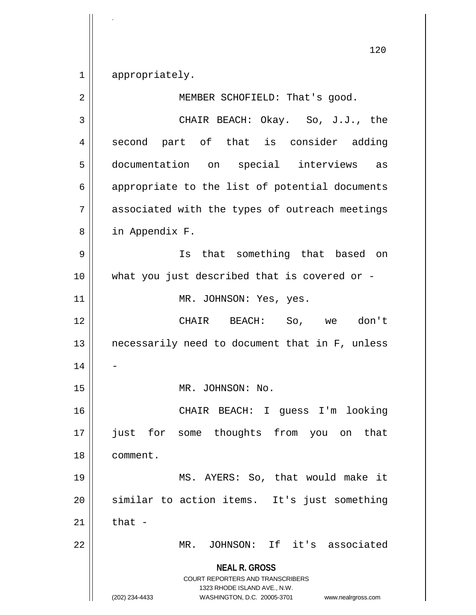1 || appropriately.

.

**NEAL R. GROSS** COURT REPORTERS AND TRANSCRIBERS 1323 RHODE ISLAND AVE., N.W. (202) 234-4433 WASHINGTON, D.C. 20005-3701 www.nealrgross.com 2 MEMBER SCHOFIELD: That's good. 3 CHAIR BEACH: Okay. So, J.J., the 4 second part of that is consider adding 5 documentation on special interviews as 6 || appropriate to the list of potential documents 7 || associated with the types of outreach meetings 8 | in Appendix F. 9 || Is that something that based on 10 what you just described that is covered or - 11 || MR. JOHNSON: Yes, yes. 12 CHAIR BEACH: So, we don't 13 || necessarily need to document that in F, unless 14 15 || MR. JOHNSON: No. 16 CHAIR BEACH: I guess I'm looking 17 just for some thoughts from you on that 18 comment. 19 MS. AYERS: So, that would make it 20 || similar to action items. It's just something 21  $\parallel$  that -22 MR. JOHNSON: If it's associated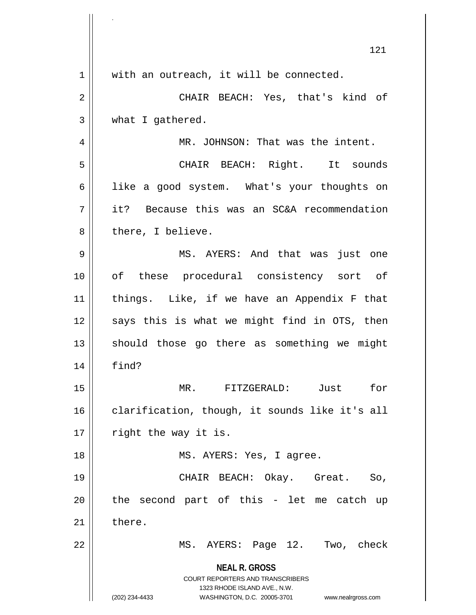|    | 121                                                                                                                                                                    |
|----|------------------------------------------------------------------------------------------------------------------------------------------------------------------------|
| 1  | with an outreach, it will be connected.                                                                                                                                |
| 2  | CHAIR BEACH: Yes, that's kind of                                                                                                                                       |
| 3  | what I gathered.                                                                                                                                                       |
| 4  | MR. JOHNSON: That was the intent.                                                                                                                                      |
| 5  | CHAIR BEACH: Right. It sounds                                                                                                                                          |
| 6  | like a good system. What's your thoughts on                                                                                                                            |
| 7  | it? Because this was an SC&A recommendation                                                                                                                            |
| 8  | there, I believe.                                                                                                                                                      |
| 9  | MS. AYERS: And that was just one                                                                                                                                       |
| 10 | of these procedural consistency sort of                                                                                                                                |
| 11 | things. Like, if we have an Appendix F that                                                                                                                            |
| 12 | says this is what we might find in OTS, then                                                                                                                           |
| 13 | should those go there as something we might                                                                                                                            |
| 14 | find?                                                                                                                                                                  |
| 15 | for<br>MR. FITZGERALD: Just                                                                                                                                            |
| 16 | clarification, though, it sounds like it's all                                                                                                                         |
| 17 | right the way it is.                                                                                                                                                   |
| 18 | MS. AYERS: Yes, I agree.                                                                                                                                               |
| 19 | CHAIR BEACH: Okay. Great.<br>So,                                                                                                                                       |
| 20 | the second part of this - let me catch<br>up                                                                                                                           |
| 21 | there.                                                                                                                                                                 |
| 22 | MS. AYERS: Page 12. Two, check                                                                                                                                         |
|    | <b>NEAL R. GROSS</b><br><b>COURT REPORTERS AND TRANSCRIBERS</b><br>1323 RHODE ISLAND AVE., N.W.<br>(202) 234-4433<br>WASHINGTON, D.C. 20005-3701<br>www.nealrgross.com |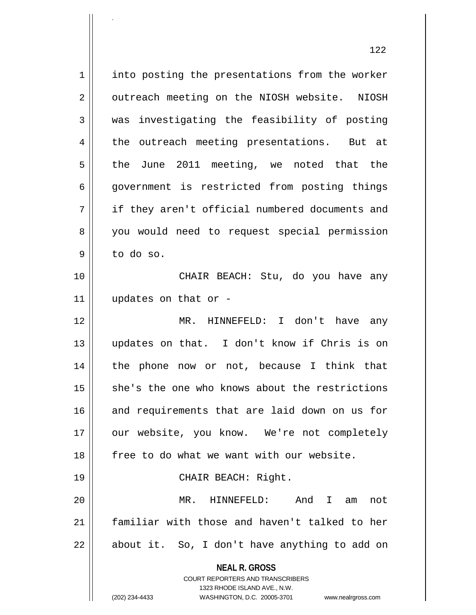**NEAL R. GROSS** COURT REPORTERS AND TRANSCRIBERS 1323 RHODE ISLAND AVE., N.W. (202) 234-4433 WASHINGTON, D.C. 20005-3701 www.nealrgross.com 1 || into posting the presentations from the worker 2 | outreach meeting on the NIOSH website. NIOSH  $3 \parallel$  was investigating the feasibility of posting 4 the outreach meeting presentations. But at  $5 \parallel$  the June 2011 meeting, we noted that the 6 || government is restricted from posting things 7 || if they aren't official numbered documents and 8 you would need to request special permission 9 to do so. 10 CHAIR BEACH: Stu, do you have any 11 updates on that or - 12 MR. HINNEFELD: I don't have any 13 updates on that. I don't know if Chris is on 14 || the phone now or not, because I think that 15 || she's the one who knows about the restrictions 16 || and requirements that are laid down on us for 17 || our website, you know. We're not completely 18 free to do what we want with our website. 19 || CHAIR BEACH: Right. 20 MR. HINNEFELD: And I am not 21 familiar with those and haven't talked to her 22 || about it. So, I don't have anything to add on

.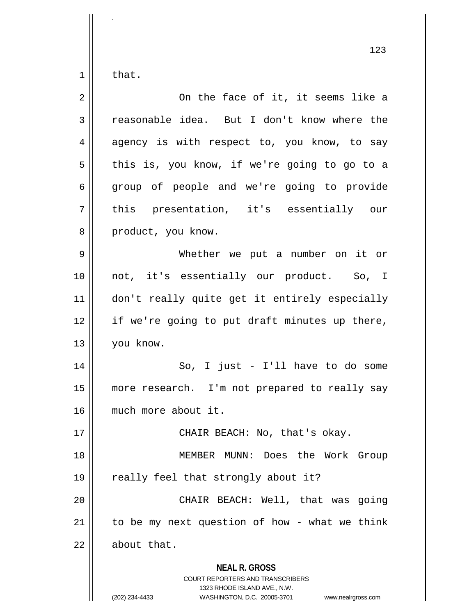$1 \parallel$  that.

| $\overline{2}$ | On the face of it, it seems like a                                                                                                                                     |
|----------------|------------------------------------------------------------------------------------------------------------------------------------------------------------------------|
| 3              | reasonable idea. But I don't know where the                                                                                                                            |
| 4              | agency is with respect to, you know, to say                                                                                                                            |
| 5              | this is, you know, if we're going to go to a                                                                                                                           |
| 6              | group of people and we're going to provide                                                                                                                             |
| 7              | this presentation, it's essentially our                                                                                                                                |
| 8              | product, you know.                                                                                                                                                     |
| 9              | Whether we put a number on it or                                                                                                                                       |
| 10             | not, it's essentially our product. So, I                                                                                                                               |
| 11             | don't really quite get it entirely especially                                                                                                                          |
| 12             | if we're going to put draft minutes up there,                                                                                                                          |
| 13             | you know.                                                                                                                                                              |
| 14             | So, I just - I'll have to do some                                                                                                                                      |
| 15             | more research. I'm not prepared to really say                                                                                                                          |
| 16             | much more about it.                                                                                                                                                    |
| 17             | CHAIR BEACH: No, that's okay.                                                                                                                                          |
| 18             | MEMBER MUNN: Does the Work Group                                                                                                                                       |
| 19             | really feel that strongly about it?                                                                                                                                    |
| 20             | CHAIR BEACH: Well, that was going                                                                                                                                      |
| 21             | to be my next question of how - what we think                                                                                                                          |
| 22             | about that.                                                                                                                                                            |
|                | <b>NEAL R. GROSS</b><br><b>COURT REPORTERS AND TRANSCRIBERS</b><br>1323 RHODE ISLAND AVE., N.W.<br>(202) 234-4433<br>WASHINGTON, D.C. 20005-3701<br>www.nealrgross.com |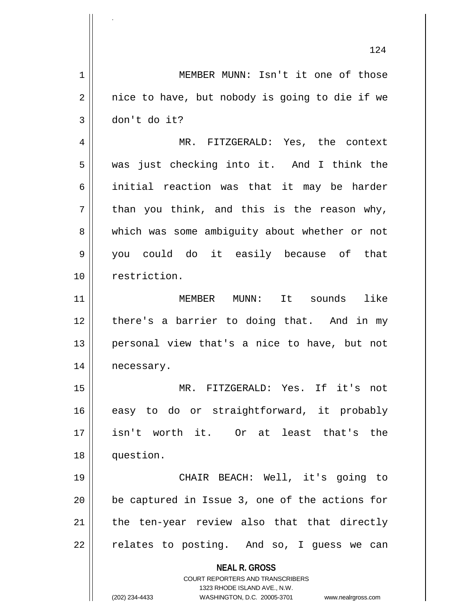**NEAL R. GROSS** COURT REPORTERS AND TRANSCRIBERS 1323 RHODE ISLAND AVE., N.W. (202) 234-4433 WASHINGTON, D.C. 20005-3701 www.nealrgross.com 124 1 | MEMBER MUNN: Isn't it one of those  $2 \parallel$  nice to have, but nobody is going to die if we  $3 \parallel$  don't do it? 4 MR. FITZGERALD: Yes, the context 5 was just checking into it. And I think the 6 initial reaction was that it may be harder  $7 \parallel$  than you think, and this is the reason why, 8 which was some ambiguity about whether or not 9 you could do it easily because of that 10 || restriction. 11 MEMBER MUNN: It sounds like 12 there's a barrier to doing that. And in my 13 personal view that's a nice to have, but not 14 | necessary. 15 MR. FITZGERALD: Yes. If it's not 16 easy to do or straightforward, it probably 17 isn't worth it. Or at least that's the 18 question. 19 CHAIR BEACH: Well, it's going to 20 be captured in Issue 3, one of the actions for  $21$  | the ten-year review also that that directly 22 || relates to posting. And so, I guess we can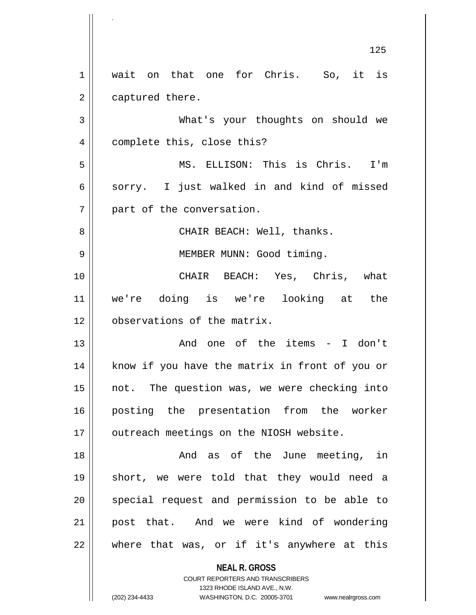**NEAL R. GROSS** COURT REPORTERS AND TRANSCRIBERS 125 1 || wait on that one for Chris. So, it is 2 | captured there. 3 What's your thoughts on should we 4 | complete this, close this? 5 MS. ELLISON: This is Chris. I'm 6 sorry. I just walked in and kind of missed 7 || part of the conversation. 8 CHAIR BEACH: Well, thanks. 9 || MEMBER MUNN: Good timing. 10 CHAIR BEACH: Yes, Chris, what 11 we're doing is we're looking at the 12 | observations of the matrix. 13 And one of the items - I don't 14 || know if you have the matrix in front of you or 15 not. The question was, we were checking into 16 posting the presentation from the worker 17 | outreach meetings on the NIOSH website. 18 || The Sund as of the June meeting, in 19 short, we were told that they would need a 20 || special request and permission to be able to 21 post that. And we were kind of wondering 22 where that was, or if it's anywhere at this

1323 RHODE ISLAND AVE., N.W.

.

(202) 234-4433 WASHINGTON, D.C. 20005-3701 www.nealrgross.com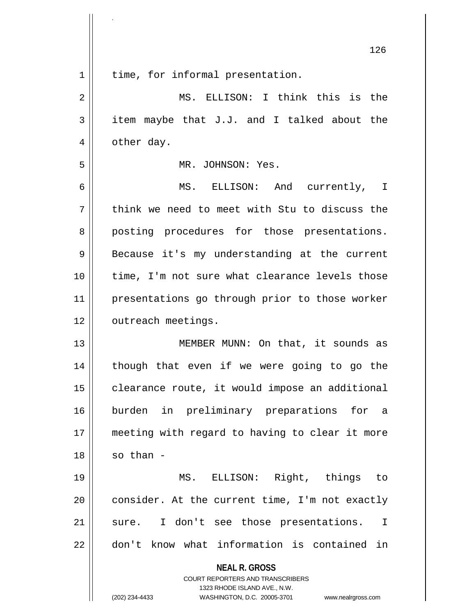|                | 126                                                                                                                                                                    |
|----------------|------------------------------------------------------------------------------------------------------------------------------------------------------------------------|
| $\mathbf 1$    | time, for informal presentation.                                                                                                                                       |
| $\overline{2}$ | MS. ELLISON: I think this is the                                                                                                                                       |
| 3              | item maybe that J.J. and I talked about the                                                                                                                            |
| 4              | other day.                                                                                                                                                             |
| 5              | MR. JOHNSON: Yes.                                                                                                                                                      |
| 6              | MS. ELLISON: And currently, I                                                                                                                                          |
| 7              | think we need to meet with Stu to discuss the                                                                                                                          |
| 8              | posting procedures for those presentations.                                                                                                                            |
| 9              | Because it's my understanding at the current                                                                                                                           |
| 10             | time, I'm not sure what clearance levels those                                                                                                                         |
| 11             | presentations go through prior to those worker                                                                                                                         |
| 12             | outreach meetings.                                                                                                                                                     |
| 13             | MEMBER MUNN: On that, it sounds as                                                                                                                                     |
| 14             | though that even if we were going to go the                                                                                                                            |
| 15             | clearance route, it would impose an additional                                                                                                                         |
| 16             | burden in preliminary preparations for a                                                                                                                               |
| 17             | meeting with regard to having to clear it more                                                                                                                         |
| 18             | so than -                                                                                                                                                              |
| 19             | MS. ELLISON: Right, things to                                                                                                                                          |
| 20             | consider. At the current time, I'm not exactly                                                                                                                         |
| 21             | sure. I don't see those presentations.<br>$\mathbf{I}$                                                                                                                 |
| 22             | don't know what information is contained in                                                                                                                            |
|                | <b>NEAL R. GROSS</b><br><b>COURT REPORTERS AND TRANSCRIBERS</b><br>1323 RHODE ISLAND AVE., N.W.<br>(202) 234-4433<br>WASHINGTON, D.C. 20005-3701<br>www.nealrgross.com |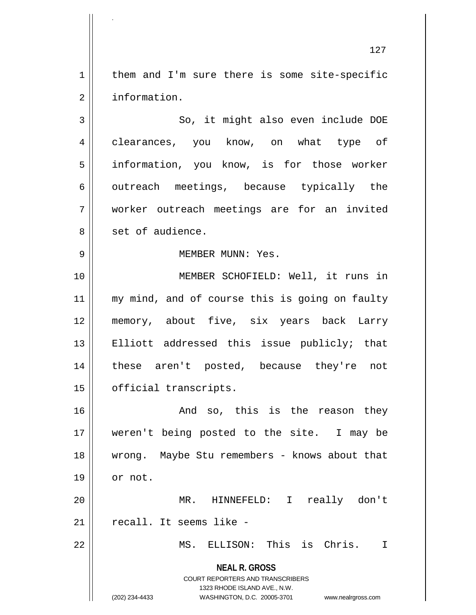$1 \parallel$  them and I'm sure there is some site-specific 2 | information.

3 || So, it might also even include DOE 4 clearances, you know, on what type of 5 || information, you know, is for those worker  $6 \parallel$  outreach meetings, because typically the 7 worker outreach meetings are for an invited 8 || set of audience.

## 9 MEMBER MUNN: Yes.

10 || **MEMBER SCHOFIELD:** Well, it runs in 11 || my mind, and of course this is going on faulty 12 memory, about five, six years back Larry 13 || Elliott addressed this issue publicly; that 14 these aren't posted, because they're not 15 | official transcripts.

16 and so, this is the reason they 17 weren't being posted to the site. I may be 18 wrong. Maybe Stu remembers - knows about that  $19 \parallel \quad \text{or not.}$ 

20 MR. HINNEFELD: I really don't 21 || recall. It seems like -

22 MS. ELLISON: This is Chris. I

**NEAL R. GROSS** COURT REPORTERS AND TRANSCRIBERS

1323 RHODE ISLAND AVE., N.W.

.

(202) 234-4433 WASHINGTON, D.C. 20005-3701 www.nealrgross.com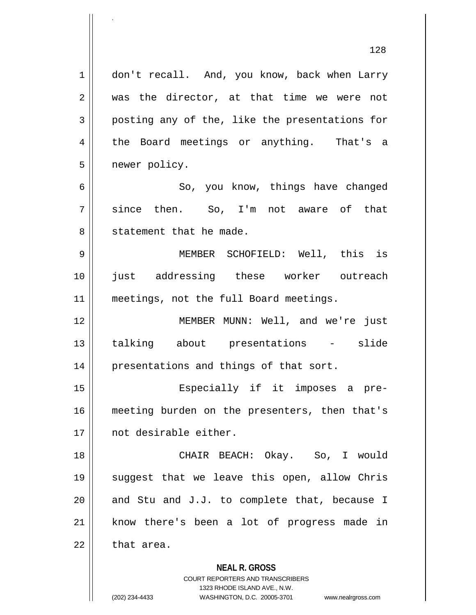**NEAL R. GROSS** COURT REPORTERS AND TRANSCRIBERS 1 | don't recall. And, you know, back when Larry  $2 \parallel$  was the director, at that time we were not  $3 \parallel$  posting any of the, like the presentations for 4 the Board meetings or anything. That's a 5 newer policy. 6 So, you know, things have changed 7 since then. So, I'm not aware of that 8 || statement that he made. 9 MEMBER SCHOFIELD: Well, this is 10 just addressing these worker outreach 11 || meetings, not the full Board meetings. 12 MEMBER MUNN: Well, and we're just 13 talking about presentations - slide 14 || presentations and things of that sort. 15 || Especially if it imposes a pre-16 || meeting burden on the presenters, then that's 17 not desirable either. 18 CHAIR BEACH: Okay. So, I would 19 suggest that we leave this open, allow Chris 20  $\parallel$  and Stu and J.J. to complete that, because I 21 || know there's been a lot of progress made in  $22$  | that area.

> 1323 RHODE ISLAND AVE., N.W. (202) 234-4433 WASHINGTON, D.C. 20005-3701 www.nealrgross.com

.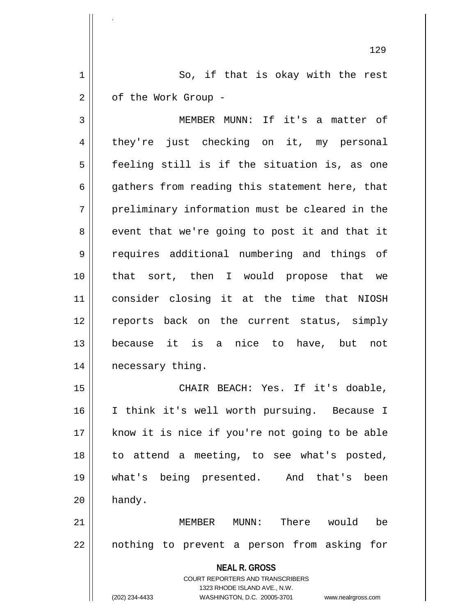1 || So, if that is okay with the rest  $2 \parallel$  of the Work Group -

.

3 MEMBER MUNN: If it's a matter of 4 they're just checking on it, my personal  $5$  feeling still is if the situation is, as one  $6 \parallel$  gathers from reading this statement here, that 7 || preliminary information must be cleared in the  $8 \parallel$  event that we're going to post it and that it 9 || requires additional numbering and things of 10 that sort, then I would propose that we 11 consider closing it at the time that NIOSH 12 || reports back on the current status, simply 13 because it is a nice to have, but not 14 | necessary thing.

15 CHAIR BEACH: Yes. If it's doable, 16 I think it's well worth pursuing. Because I 17 || know it is nice if you're not going to be able 18 to attend a meeting, to see what's posted, 19 what's being presented. And that's been  $20$  | handy.

21 MEMBER MUNN: There would be 22 || nothing to prevent a person from asking for

> **NEAL R. GROSS** COURT REPORTERS AND TRANSCRIBERS 1323 RHODE ISLAND AVE., N.W. (202) 234-4433 WASHINGTON, D.C. 20005-3701 www.nealrgross.com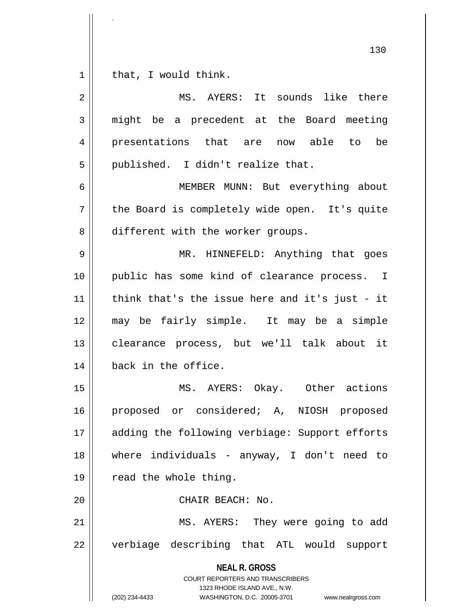.

 $\overline{\phantom{a}}$ 

| $\overline{2}$ | MS. AYERS: It sounds like there                                                                                                                                        |
|----------------|------------------------------------------------------------------------------------------------------------------------------------------------------------------------|
| 3              | might be a precedent at the Board meeting                                                                                                                              |
| 4              | presentations that are now able to<br>be                                                                                                                               |
| 5              | published. I didn't realize that.                                                                                                                                      |
| 6              | MEMBER MUNN: But everything about                                                                                                                                      |
| 7              | the Board is completely wide open. It's quite                                                                                                                          |
| 8              | different with the worker groups.                                                                                                                                      |
| 9              | MR. HINNEFELD: Anything that goes                                                                                                                                      |
| 10             | public has some kind of clearance process. I                                                                                                                           |
| 11             | think that's the issue here and it's just - it                                                                                                                         |
| 12             | may be fairly simple. It may be a simple                                                                                                                               |
| 13             | clearance process, but we'll talk about it                                                                                                                             |
| 14             | back in the office.                                                                                                                                                    |
| 15             | MS. AYERS: Okay. Other actions                                                                                                                                         |
| 16             | proposed or considered; A, NIOSH proposed                                                                                                                              |
| 17             | adding the following verbiage: Support efforts                                                                                                                         |
| 18             | where individuals - anyway, I don't need to                                                                                                                            |
| 19             | read the whole thing.                                                                                                                                                  |
| 20             | CHAIR BEACH: No.                                                                                                                                                       |
| 21             | MS. AYERS: They were going to add                                                                                                                                      |
| 22             | verbiage describing that ATL would support                                                                                                                             |
|                | <b>NEAL R. GROSS</b><br><b>COURT REPORTERS AND TRANSCRIBERS</b><br>1323 RHODE ISLAND AVE., N.W.<br>(202) 234-4433<br>WASHINGTON, D.C. 20005-3701<br>www.nealrgross.com |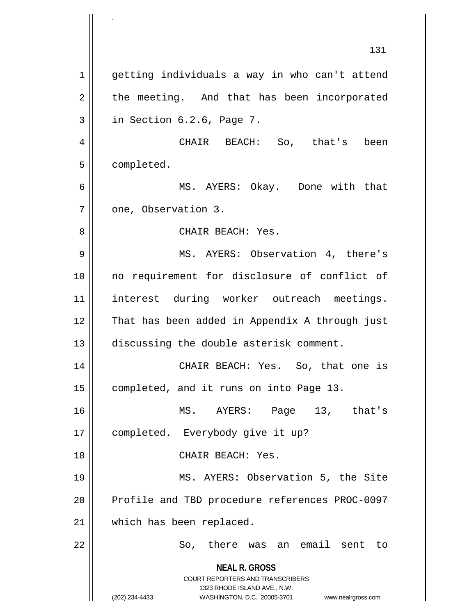**NEAL R. GROSS** COURT REPORTERS AND TRANSCRIBERS 1323 RHODE ISLAND AVE., N.W. (202) 234-4433 WASHINGTON, D.C. 20005-3701 www.nealrgross.com 131 1 | getting individuals a way in who can't attend 2 || the meeting. And that has been incorporated  $3 \parallel$  in Section 6.2.6, Page 7. 4 CHAIR BEACH: So, that's been 5 | completed. 6 MS. AYERS: Okay. Done with that 7 | one, Observation 3. 8 CHAIR BEACH: Yes. 9 MS. AYERS: Observation 4, there's 10 no requirement for disclosure of conflict of 11 interest during worker outreach meetings. 12 That has been added in Appendix A through just 13 discussing the double asterisk comment. 14 || CHAIR BEACH: Yes. So, that one is 15 | completed, and it runs on into Page 13. 16 MS. AYERS: Page 13, that's 17 | completed. Everybody give it up? 18 CHAIR BEACH: Yes. 19 || MS. AYERS: Observation 5, the Site 20 || Profile and TBD procedure references PROC-0097 21 | which has been replaced. 22 So, there was an email sent to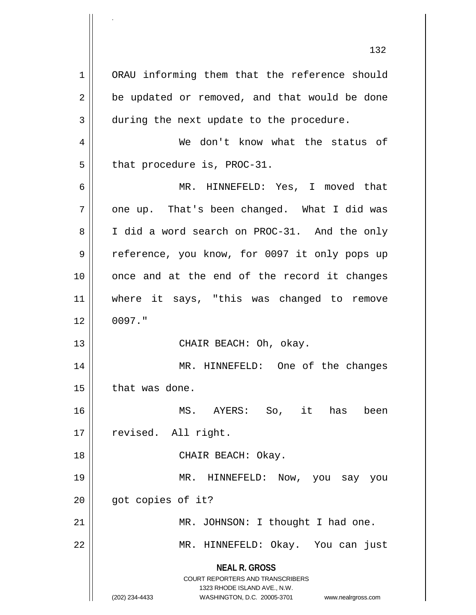**NEAL R. GROSS** COURT REPORTERS AND TRANSCRIBERS 1323 RHODE ISLAND AVE., N.W. (202) 234-4433 WASHINGTON, D.C. 20005-3701 www.nealrgross.com 1 | ORAU informing them that the reference should  $2 \parallel$  be updated or removed, and that would be done 3 during the next update to the procedure. 4 We don't know what the status of  $5$  || that procedure is, PROC-31. 6 MR. HINNEFELD: Yes, I moved that  $7 \parallel$  one up. That's been changed. What I did was 8 I did a word search on PROC-31. And the only 9 || reference, you know, for 0097 it only pops up 10 once and at the end of the record it changes 11 || where it says, "this was changed to remove  $12 \parallel 0097.$ " 13 || CHAIR BEACH: Oh, okay. 14 MR. HINNEFELD: One of the changes  $15$  | that was done. 16 MS. AYERS: So, it has been 17 | revised. All right. 18 CHAIR BEACH: Okay. 19 MR. HINNEFELD: Now, you say you  $20$  | got copies of it? 21 | MR. JOHNSON: I thought I had one. 22 MR. HINNEFELD: Okay. You can just

.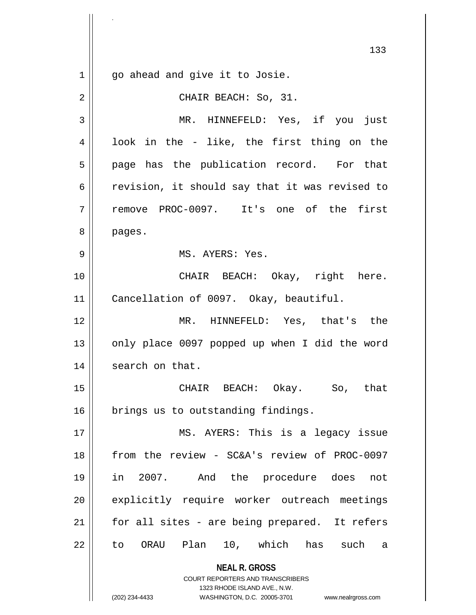**NEAL R. GROSS** COURT REPORTERS AND TRANSCRIBERS 1323 RHODE ISLAND AVE., N.W. (202) 234-4433 WASHINGTON, D.C. 20005-3701 www.nealrgross.com 133 1 || go ahead and give it to Josie. 2 | CHAIR BEACH: So, 31. 3 MR. HINNEFELD: Yes, if you just  $4 \parallel$  look in the - like, the first thing on the  $5 \parallel$  page has the publication record. For that  $6 \parallel$  revision, it should say that it was revised to 7 remove PROC-0097. It's one of the first 8 | pages. 9 MS. AYERS: Yes. 10 CHAIR BEACH: Okay, right here. 11 Cancellation of 0097. Okay, beautiful. 12 MR. HINNEFELD: Yes, that's the 13  $\parallel$  only place 0097 popped up when I did the word 14 | search on that. 15 CHAIR BEACH: Okay. So, that 16 | brings us to outstanding findings. 17 || MS. AYERS: This is a legacy issue 18 from the review - SC&A's review of PROC-0097 19 in 2007. And the procedure does not 20 || explicitly require worker outreach meetings  $21$  | for all sites - are being prepared. It refers 22 || to ORAU Plan 10, which has such a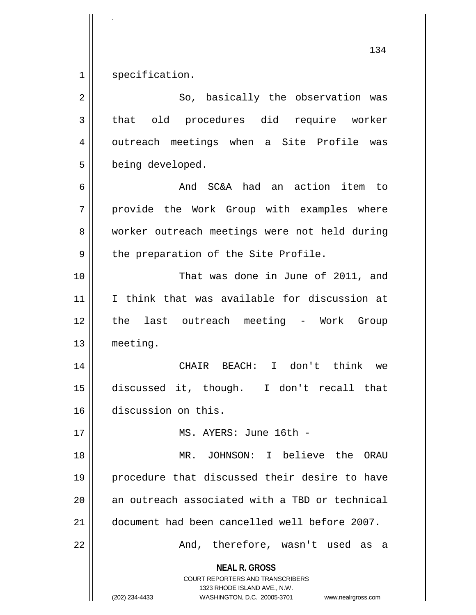$1$  specification.

.

| $\overline{2}$ | So, basically the observation was                                                                                                                                      |
|----------------|------------------------------------------------------------------------------------------------------------------------------------------------------------------------|
| 3              | old procedures did require worker<br>that                                                                                                                              |
| 4              | outreach meetings when a Site Profile was                                                                                                                              |
| 5              | being developed.                                                                                                                                                       |
| 6              | And SC&A had an action item to                                                                                                                                         |
| 7              | provide the Work Group with examples where                                                                                                                             |
| 8              | worker outreach meetings were not held during                                                                                                                          |
| 9              | the preparation of the Site Profile.                                                                                                                                   |
| 10             | That was done in June of 2011, and                                                                                                                                     |
| 11             | I think that was available for discussion at                                                                                                                           |
| 12             | the last outreach meeting - Work Group                                                                                                                                 |
| 13             | meeting.                                                                                                                                                               |
| 14             | CHAIR BEACH: I don't think we                                                                                                                                          |
| 15             | discussed it, though. I don't recall that                                                                                                                              |
| 16             | discussion on this.                                                                                                                                                    |
| 17             | MS. AYERS: June 16th -                                                                                                                                                 |
| 18             | MR. JOHNSON: I believe the ORAU                                                                                                                                        |
| 19             | procedure that discussed their desire to have                                                                                                                          |
| 20             | an outreach associated with a TBD or technical                                                                                                                         |
| 21             | document had been cancelled well before 2007.                                                                                                                          |
| 22             | And, therefore, wasn't used as a                                                                                                                                       |
|                | <b>NEAL R. GROSS</b><br><b>COURT REPORTERS AND TRANSCRIBERS</b><br>1323 RHODE ISLAND AVE., N.W.<br>(202) 234-4433<br>WASHINGTON, D.C. 20005-3701<br>www.nealrgross.com |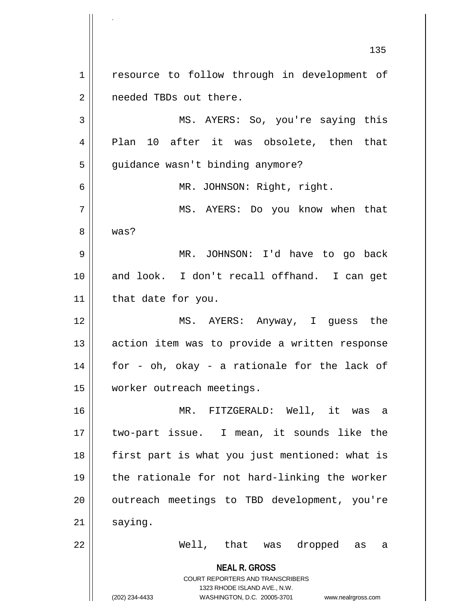**NEAL R. GROSS** COURT REPORTERS AND TRANSCRIBERS 1323 RHODE ISLAND AVE., N.W. (202) 234-4433 WASHINGTON, D.C. 20005-3701 www.nealrgross.com 135 1 | resource to follow through in development of 2 | needed TBDs out there. 3 MS. AYERS: So, you're saying this 4 Plan 10 after it was obsolete, then that 5 | guidance wasn't binding anymore? 6 MR. JOHNSON: Right, right. 7 MS. AYERS: Do you know when that 8 was? 9 MR. JOHNSON: I'd have to go back 10 || and look. I don't recall offhand. I can get 11 | that date for you. 12 MS. AYERS: Anyway, I guess the 13 || action item was to provide a written response  $14$  || for - oh, okay - a rationale for the lack of 15 worker outreach meetings. 16 MR. FITZGERALD: Well, it was a 17 two-part issue. I mean, it sounds like the 18 || first part is what you just mentioned: what is 19 the rationale for not hard-linking the worker 20 || outreach meetings to TBD development, you're  $21$  saying. 22 Well, that was dropped as a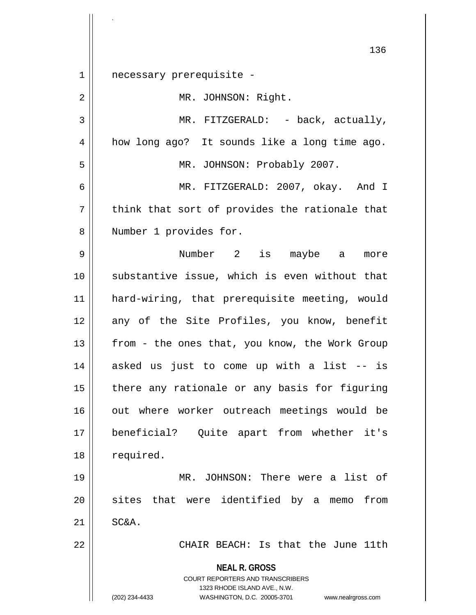**NEAL R. GROSS** COURT REPORTERS AND TRANSCRIBERS 1323 RHODE ISLAND AVE., N.W. (202) 234-4433 WASHINGTON, D.C. 20005-3701 www.nealrgross.com 136 1 necessary prerequisite - 2 | MR. JOHNSON: Right. 3 || MR. FITZGERALD: - back, actually, 4 | how long ago? It sounds like a long time ago. 5 MR. JOHNSON: Probably 2007. 6 MR. FITZGERALD: 2007, okay. And I  $7$  think that sort of provides the rationale that 8 || Number 1 provides for. 9 Number 2 is maybe a more 10 || substantive issue, which is even without that 11 hard-wiring, that prerequisite meeting, would 12 any of the Site Profiles, you know, benefit 13  $\parallel$  from - the ones that, you know, the Work Group  $14$  asked us just to come up with a list  $-$  is  $15$  | there any rationale or any basis for figuring 16 || out where worker outreach meetings would be 17 beneficial? Quite apart from whether it's 18 | required. 19 MR. JOHNSON: There were a list of 20 || sites that were identified by a memo from  $21$  SC&A. 22 || CHAIR BEACH: Is that the June 11th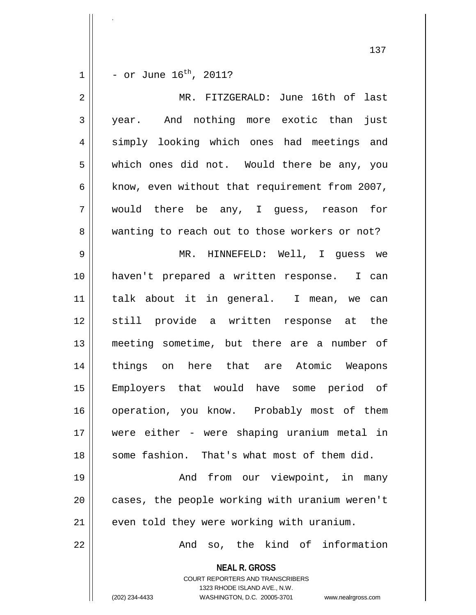$1 \parallel -$  or June  $16^{th}$ , 2011?

.

| $\overline{2}$ | MR. FITZGERALD: June 16th of last                                                                                                                                      |
|----------------|------------------------------------------------------------------------------------------------------------------------------------------------------------------------|
| $\mathfrak{Z}$ | year. And nothing more exotic than just                                                                                                                                |
| 4              | simply looking which ones had meetings and                                                                                                                             |
| 5              | which ones did not. Would there be any, you                                                                                                                            |
| 6              | know, even without that requirement from 2007,                                                                                                                         |
| 7              | would there be any, I guess, reason for                                                                                                                                |
| 8              | wanting to reach out to those workers or not?                                                                                                                          |
| $\mathsf 9$    | MR. HINNEFELD: Well, I guess we                                                                                                                                        |
| 10             | haven't prepared a written response. I can                                                                                                                             |
| 11             | talk about it in general. I mean, we can                                                                                                                               |
| 12             | still provide a written response at the                                                                                                                                |
| 13             | meeting sometime, but there are a number of                                                                                                                            |
| 14             | things on here that are Atomic Weapons                                                                                                                                 |
| 15             | Employers that would have some period of                                                                                                                               |
| 16             | operation, you know. Probably most of them                                                                                                                             |
| 17             | were either - were shaping uranium metal in                                                                                                                            |
| 18             | some fashion. That's what most of them did.                                                                                                                            |
| 19             | And from our viewpoint, in many                                                                                                                                        |
| 20             | cases, the people working with uranium weren't                                                                                                                         |
| 21             | even told they were working with uranium.                                                                                                                              |
| 22             | And so, the kind of information                                                                                                                                        |
|                | <b>NEAL R. GROSS</b><br><b>COURT REPORTERS AND TRANSCRIBERS</b><br>1323 RHODE ISLAND AVE., N.W.<br>(202) 234-4433<br>WASHINGTON, D.C. 20005-3701<br>www.nealrgross.com |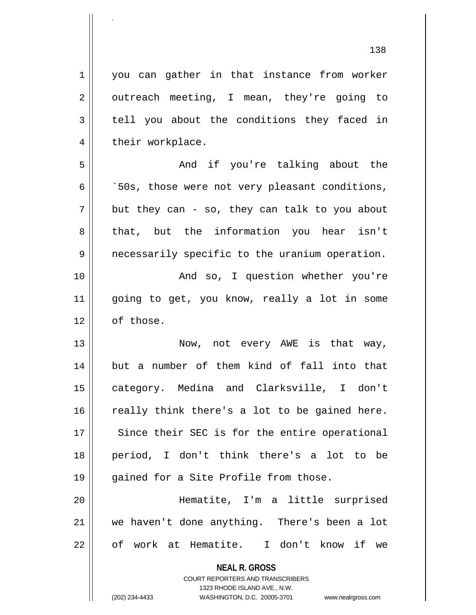**NEAL R. GROSS** COURT REPORTERS AND TRANSCRIBERS 1323 RHODE ISLAND AVE., N.W. (202) 234-4433 WASHINGTON, D.C. 20005-3701 www.nealrgross.com 1 you can gather in that instance from worker  $2 \parallel$  outreach meeting, I mean, they're going to  $3 \parallel$  tell you about the conditions they faced in 4 | their workplace. 5 And if you're talking about the  $6 \parallel$   $50s$ , those were not very pleasant conditions,  $7 \parallel$  but they can - so, they can talk to you about 8 || that, but the information you hear isn't 9 | necessarily specific to the uranium operation. 10 || The Monduiso, I question whether you're 11 going to get, you know, really a lot in some  $12 \parallel$  of those. 13 || Now, not every AWE is that way, 14 but a number of them kind of fall into that 15 category. Medina and Clarksville, I don't  $16$  really think there's a lot to be gained here. 17 || Since their SEC is for the entire operational 18 period, I don't think there's a lot to be 19 || gained for a Site Profile from those. 20 Hematite, I'm a little surprised 21 we haven't done anything. There's been a lot 22 || of work at Hematite. I don't know if we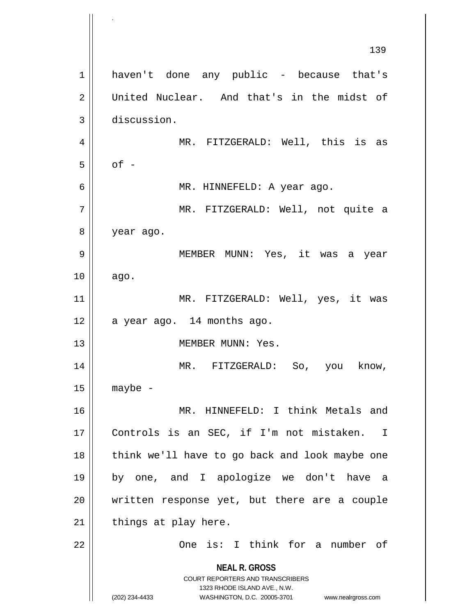**NEAL R. GROSS** COURT REPORTERS AND TRANSCRIBERS 1323 RHODE ISLAND AVE., N.W. (202) 234-4433 WASHINGTON, D.C. 20005-3701 www.nealrgross.com 139 1 || haven't done any public - because that's 2 United Nuclear. And that's in the midst of 3 discussion. 4 || MR. FITZGERALD: Well, this is as  $5$  || of -6 MR. HINNEFELD: A year ago. 7 MR. FITZGERALD: Well, not quite a 8 | year ago. 9 MEMBER MUNN: Yes, it was a year  $10 \parallel$  ago. 11 || MR. FITZGERALD: Well, yes, it was  $12 \parallel$  a year ago. 14 months ago. 13 || MEMBER MUNN: Yes. 14 MR. FITZGERALD: So, you know,  $15$  maybe -16 || MR. HINNEFELD: I think Metals and 17 Controls is an SEC, if I'm not mistaken. I 18 || think we'll have to go back and look maybe one 19 by one, and I apologize we don't have a 20 || written response yet, but there are a couple  $21$  | things at play here. 22 One is: I think for a number of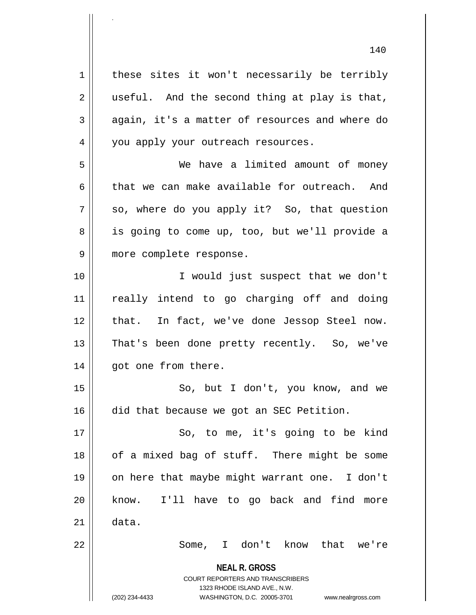**NEAL R. GROSS** COURT REPORTERS AND TRANSCRIBERS 1323 RHODE ISLAND AVE., N.W. (202) 234-4433 WASHINGTON, D.C. 20005-3701 www.nealrgross.com  $1 \parallel$  these sites it won't necessarily be terribly  $2 \parallel$  useful. And the second thing at play is that,  $3 \parallel$  again, it's a matter of resources and where do 4 | you apply your outreach resources. 5 We have a limited amount of money 6 that we can make available for outreach. And  $7 \parallel$  so, where do you apply it? So, that question 8 || is going to come up, too, but we'll provide a 9 || more complete response. 10 I would just suspect that we don't 11 really intend to go charging off and doing 12 || that. In fact, we've done Jessop Steel now. 13 || That's been done pretty recently. So, we've 14 || got one from there. 15 || So, but I don't, you know, and we 16 | did that because we got an SEC Petition. 17 || So, to me, it's going to be kind 18 || of a mixed bag of stuff. There might be some 19 on here that maybe might warrant one. I don't 20 || know. I'll have to go back and find more  $21 \parallel$  data. 22 Some, I don't know that we're

.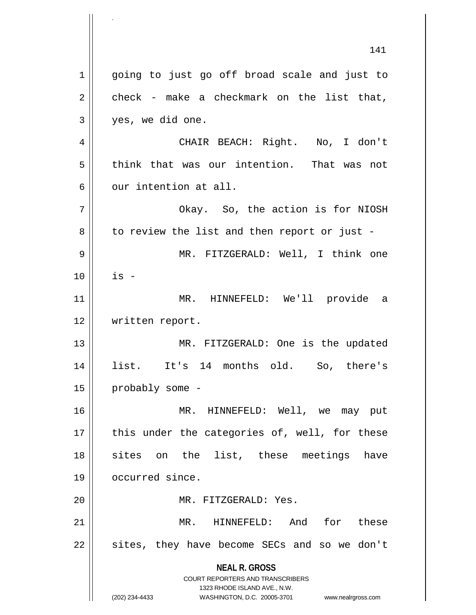**NEAL R. GROSS** COURT REPORTERS AND TRANSCRIBERS 1323 RHODE ISLAND AVE., N.W. (202) 234-4433 WASHINGTON, D.C. 20005-3701 www.nealrgross.com 141 1 || going to just go off broad scale and just to  $2 \parallel$  check - make a checkmark on the list that, 3 yes, we did one. 4 CHAIR BEACH: Right. No, I don't 5 think that was our intention. That was not  $6 \parallel$  our intention at all. 7 Okay. So, the action is for NIOSH  $8 \parallel$  to review the list and then report or just -9 MR. FITZGERALD: Well, I think one  $10$   $\parallel$  is  $-$ 11 MR. HINNEFELD: We'll provide a 12 | written report. 13 || MR. FITZGERALD: One is the updated 14 list. It's 14 months old. So, there's 15 | probably some -16 MR. HINNEFELD: Well, we may put  $17$  || this under the categories of, well, for these 18 || sites on the list, these meetings have 19 | occurred since. 20 MR. FITZGERALD: Yes. 21 MR. HINNEFELD: And for these  $22 \parallel$  sites, they have become SECs and so we don't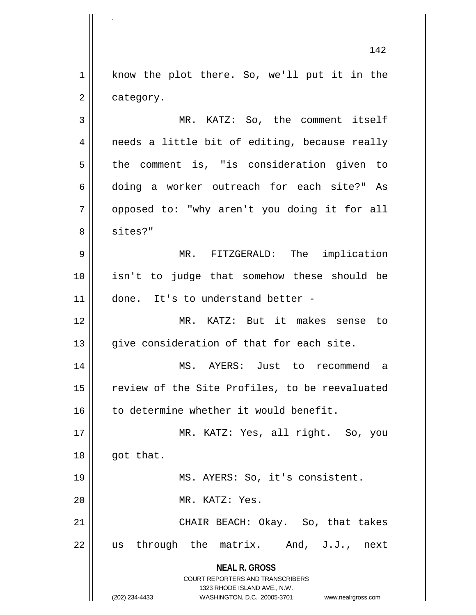1 || know the plot there. So, we'll put it in the  $2 \parallel$  category.

3 MR. KATZ: So, the comment itself 4 || needs a little bit of editing, because really  $5 \parallel$  the comment is, "is consideration given to 6 || doing a worker outreach for each site?" As 7 || opposed to: "why aren't you doing it for all 8 | sites?"

9 MR. FITZGERALD: The implication 10 isn't to judge that somehow these should be 11 done. It's to understand better -

12 MR. KATZ: But it makes sense to 13 || give consideration of that for each site.

14 MS. AYERS: Just to recommend a 15 || review of the Site Profiles, to be reevaluated 16 || to determine whether it would benefit.

17 || MR. KATZ: Yes, all right. So, you  $18$  | qot that. 19 || MS. AYERS: So, it's consistent. 20 MR. KATZ: Yes. 21 || CHAIR BEACH: Okay. So, that takes  $22$  || us through the matrix. And, J.J., next

> **NEAL R. GROSS** COURT REPORTERS AND TRANSCRIBERS 1323 RHODE ISLAND AVE., N.W.

.

(202) 234-4433 WASHINGTON, D.C. 20005-3701 www.nealrgross.com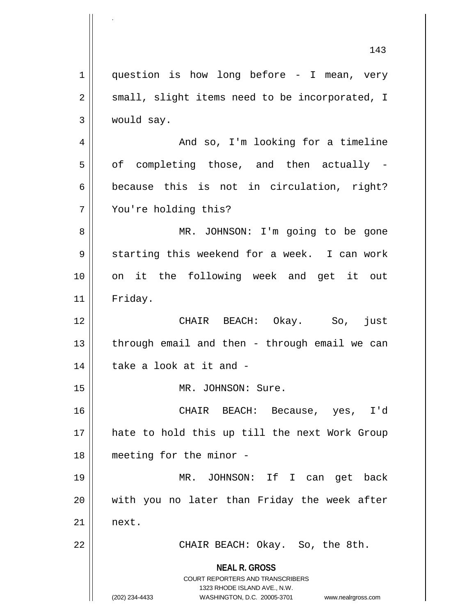**NEAL R. GROSS** COURT REPORTERS AND TRANSCRIBERS 1323 RHODE ISLAND AVE., N.W. (202) 234-4433 WASHINGTON, D.C. 20005-3701 www.nealrgross.com 143  $1 \parallel$  question is how long before - I mean, very  $2 \parallel$  small, slight items need to be incorporated, I 3 would say. 4 | And so, I'm looking for a timeline  $5 \parallel$  of completing those, and then actually - $6 \parallel$  because this is not in circulation, right? 7 You're holding this? 8 || MR. JOHNSON: I'm going to be gone  $9 \parallel$  starting this weekend for a week. I can work 10 on it the following week and get it out 11 Friday. 12 CHAIR BEACH: Okay. So, just  $13$  || through email and then - through email we can  $14$  | take a look at it and -15 || MR. JOHNSON: Sure. 16 CHAIR BEACH: Because, yes, I'd 17 || hate to hold this up till the next Work Group 18 meeting for the minor - 19 MR. JOHNSON: If I can get back  $20$  || with you no later than Friday the week after  $21$  next. 22 | CHAIR BEACH: Okay. So, the 8th.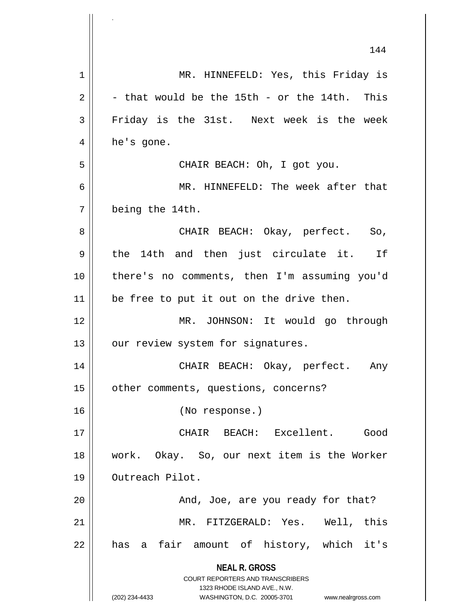|    | 144                                                                 |
|----|---------------------------------------------------------------------|
| 1  | MR. HINNEFELD: Yes, this Friday is                                  |
| 2  | - that would be the 15th - or the 14th. This                        |
| 3  | Friday is the 31st. Next week is the week                           |
| 4  | he's gone.                                                          |
| 5  | CHAIR BEACH: Oh, I got you.                                         |
| 6  | MR. HINNEFELD: The week after that                                  |
| 7  | being the 14th.                                                     |
| 8  | CHAIR BEACH: Okay, perfect. So,                                     |
| 9  | the 14th and then just circulate it. If                             |
| 10 | there's no comments, then I'm assuming you'd                        |
| 11 | be free to put it out on the drive then.                            |
| 12 | MR. JOHNSON: It would go through                                    |
| 13 | our review system for signatures.                                   |
| 14 | CHAIR BEACH: Okay, perfect.<br>Any                                  |
| 15 | other comments, questions, concerns?                                |
| 16 | (No response.)                                                      |
| 17 | CHAIR BEACH: Excellent. Good                                        |
| 18 | work. Okay. So, our next item is the Worker                         |
| 19 | Outreach Pilot.                                                     |
| 20 | And, Joe, are you ready for that?                                   |
| 21 | MR. FITZGERALD: Yes. Well, this                                     |
| 22 | has a fair amount of history, which it's                            |
|    | <b>NEAL R. GROSS</b><br><b>COURT REPORTERS AND TRANSCRIBERS</b>     |
|    | 1323 RHODE ISLAND AVE., N.W.                                        |
|    | (202) 234-4433<br>WASHINGTON, D.C. 20005-3701<br>www.nealrgross.com |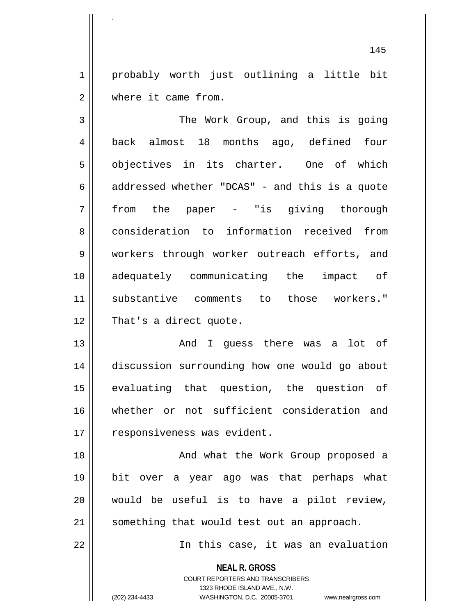1 || probably worth just outlining a little bit 2 Where it came from.

3 | The Work Group, and this is going 4 back almost 18 months ago, defined four 5 || objectives in its charter. One of which  $6 \parallel$  addressed whether "DCAS" - and this is a quote 7 from the paper - "is giving thorough 8 consideration to information received from 9 workers through worker outreach efforts, and 10 adequately communicating the impact of 11 substantive comments to those workers." 12 || That's a direct quote.

13 And I guess there was a lot of 14 discussion surrounding how one would go about 15 evaluating that question, the question of 16 whether or not sufficient consideration and 17 | responsiveness was evident.

18 || And what the Work Group proposed a 19 bit over a year ago was that perhaps what 20 would be useful is to have a pilot review, 21 || something that would test out an approach.

22 || In this case, it was an evaluation

**NEAL R. GROSS** COURT REPORTERS AND TRANSCRIBERS 1323 RHODE ISLAND AVE., N.W.

.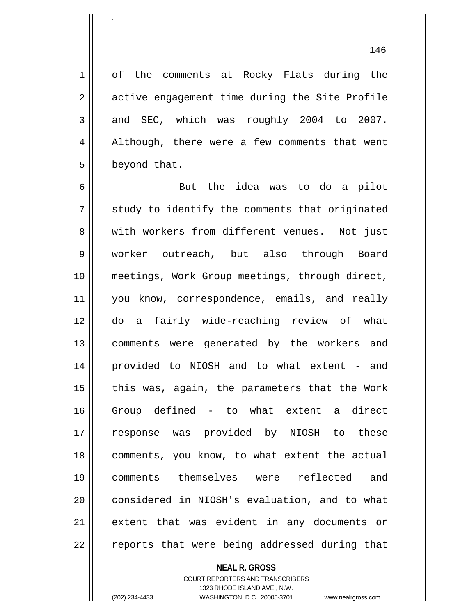1 of the comments at Rocky Flats during the 2 | active engagement time during the Site Profile  $3 \parallel$  and SEC, which was roughly 2004 to 2007. 4 || Although, there were a few comments that went 5 | beyond that.

6 But the idea was to do a pilot  $7 \parallel$  study to identify the comments that originated 8 || with workers from different venues. Not just 9 worker outreach, but also through Board 10 meetings, Work Group meetings, through direct, 11 || you know, correspondence, emails, and really 12 do a fairly wide-reaching review of what 13 comments were generated by the workers and 14 provided to NIOSH and to what extent - and 15  $\parallel$  this was, again, the parameters that the Work 16 Group defined - to what extent a direct 17 response was provided by NIOSH to these 18 comments, you know, to what extent the actual 19 comments themselves were reflected and 20 || considered in NIOSH's evaluation, and to what 21 extent that was evident in any documents or 22 || reports that were being addressed during that

## **NEAL R. GROSS**

COURT REPORTERS AND TRANSCRIBERS 1323 RHODE ISLAND AVE., N.W. (202) 234-4433 WASHINGTON, D.C. 20005-3701 www.nealrgross.com

.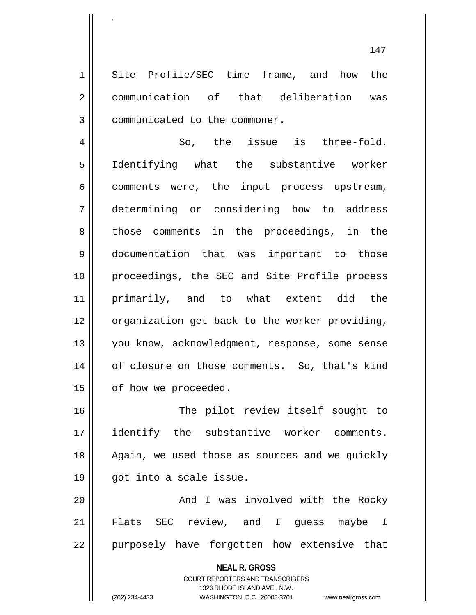1 Site Profile/SEC time frame, and how the 2 communication of that deliberation was 3 | communicated to the commoner.

.

4 || So, the issue is three-fold. 5 Identifying what the substantive worker  $6 \parallel$  comments were, the input process upstream, 7 determining or considering how to address 8 || those comments in the proceedings, in the 9 documentation that was important to those 10 proceedings, the SEC and Site Profile process 11 primarily, and to what extent did the 12 | organization get back to the worker providing, 13 || you know, acknowledgment, response, some sense 14 || of closure on those comments. So, that's kind 15 | of how we proceeded.

16 || The pilot review itself sought to 17 identify the substantive worker comments. 18 || Again, we used those as sources and we quickly 19 got into a scale issue.

20 || And I was involved with the Rocky 21 Flats SEC review, and I guess maybe I 22 || purposely have forgotten how extensive that

> **NEAL R. GROSS** COURT REPORTERS AND TRANSCRIBERS 1323 RHODE ISLAND AVE., N.W. (202) 234-4433 WASHINGTON, D.C. 20005-3701 www.nealrgross.com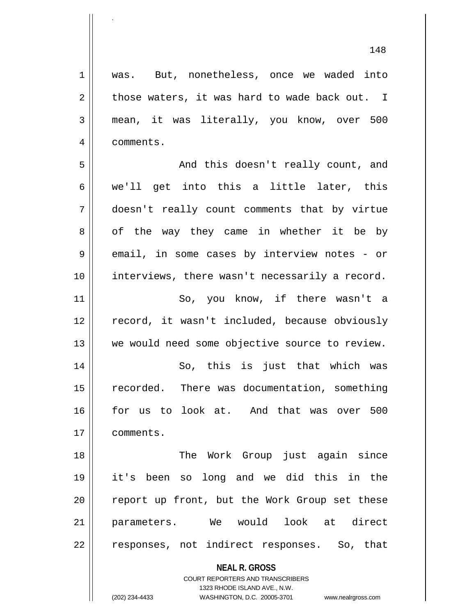**NEAL R. GROSS** COURT REPORTERS AND TRANSCRIBERS 1 was. But, nonetheless, once we waded into  $2 \parallel$  those waters, it was hard to wade back out. I 3 mean, it was literally, you know, over 500 4 comments. 5 And this doesn't really count, and 6 || we'll get into this a little later, this 7 doesn't really count comments that by virtue 8 || of the way they came in whether it be by  $9 \parallel$  email, in some cases by interview notes - or 10 || interviews, there wasn't necessarily a record. 11 || So, you know, if there wasn't a 12 || record, it wasn't included, because obviously 13 || we would need some objective source to review. 14 || So, this is just that which was 15 || recorded. There was documentation, something 16 for us to look at. And that was over 500 17 comments. 18 || The Work Group just again since 19 it's been so long and we did this in the 20 || report up front, but the Work Group set these 21 parameters. We would look at direct 22 || responses, not indirect responses. So, that

1323 RHODE ISLAND AVE., N.W.

.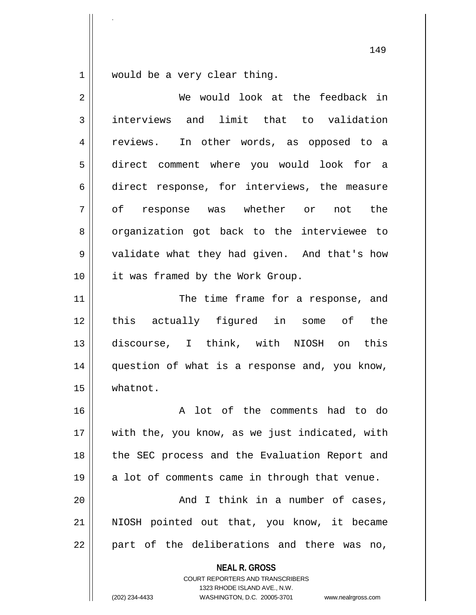$1 \parallel$  would be a very clear thing.

.

| $\overline{2}$ | We would look at the feedback in                                                                                                                                |
|----------------|-----------------------------------------------------------------------------------------------------------------------------------------------------------------|
| 3              | interviews and limit that to validation                                                                                                                         |
| 4              | reviews. In other words, as opposed to a                                                                                                                        |
| 5              | direct comment where you would look for a                                                                                                                       |
| 6              | direct response, for interviews, the measure                                                                                                                    |
| 7              | of response was whether or not the                                                                                                                              |
| 8              | organization got back to the interviewee to                                                                                                                     |
| 9              | validate what they had given. And that's how                                                                                                                    |
| 10             | it was framed by the Work Group.                                                                                                                                |
| 11             | The time frame for a response, and                                                                                                                              |
| 12             | this actually figured in some of the                                                                                                                            |
| 13             | discourse, I think, with NIOSH on this                                                                                                                          |
| 14             | question of what is a response and, you know,                                                                                                                   |
| 15             | whatnot.                                                                                                                                                        |
| 16             | A lot of the comments had to do                                                                                                                                 |
| 17             | with the, you know, as we just indicated, with                                                                                                                  |
| 18             | the SEC process and the Evaluation Report and                                                                                                                   |
| 19             | a lot of comments came in through that venue.                                                                                                                   |
| 20             | And I think in a number of cases,                                                                                                                               |
| 21             | NIOSH pointed out that, you know, it became                                                                                                                     |
| 22             | part of the deliberations and there was no,                                                                                                                     |
|                | <b>NEAL R. GROSS</b><br>COURT REPORTERS AND TRANSCRIBERS<br>1323 RHODE ISLAND AVE., N.W.<br>(202) 234-4433<br>WASHINGTON, D.C. 20005-3701<br>www.nealrgross.com |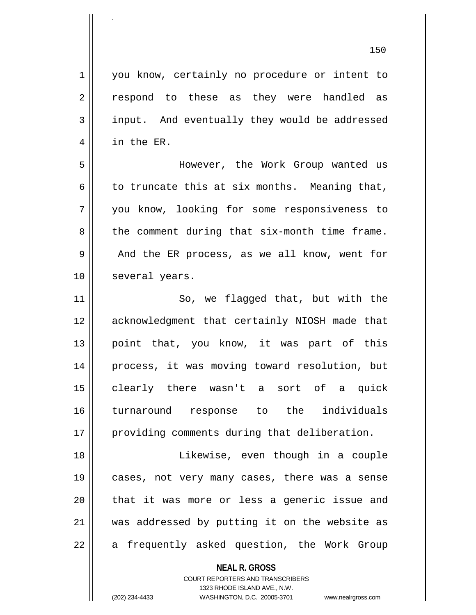**NEAL R. GROSS** COURT REPORTERS AND TRANSCRIBERS 1323 RHODE ISLAND AVE., N.W. 1 | you know, certainly no procedure or intent to 2 || respond to these as they were handled as 3 input. And eventually they would be addressed 4 || in the ER. 5 However, the Work Group wanted us 6 to truncate this at six months. Meaning that, 7 you know, looking for some responsiveness to  $8 \parallel$  the comment during that six-month time frame. 9 And the ER process, as we all know, went for 10 | several years. 11 || So, we flagged that, but with the 12 || acknowledgment that certainly NIOSH made that 13 || point that, you know, it was part of this 14 process, it was moving toward resolution, but 15 clearly there wasn't a sort of a quick 16 turnaround response to the individuals 17 || providing comments during that deliberation. 18 || Likewise, even though in a couple 19 cases, not very many cases, there was a sense 20 || that it was more or less a generic issue and 21 was addressed by putting it on the website as  $22$  || a frequently asked question, the Work Group

.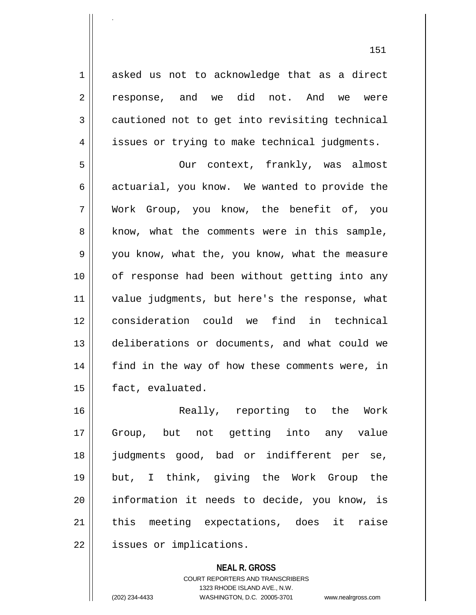1 asked us not to acknowledge that as a direct 2 response, and we did not. And we were 3 cautioned not to get into revisiting technical 4 | issues or trying to make technical judgments.

.

5 || Our context, frankly, was almost  $6 \parallel$  actuarial, you know. We wanted to provide the 7 Work Group, you know, the benefit of, you  $8 \parallel$  know, what the comments were in this sample, 9 || you know, what the, you know, what the measure 10 of response had been without getting into any 11 || value judgments, but here's the response, what 12 consideration could we find in technical 13 deliberations or documents, and what could we 14 || find in the way of how these comments were, in 15 | fact, evaluated.

16 Really, reporting to the Work 17 Group, but not getting into any value 18 judgments good, bad or indifferent per se, 19 but, I think, giving the Work Group the 20 information it needs to decide, you know, is  $21$   $\parallel$  this meeting expectations, does it raise 22 | issues or implications.

> **NEAL R. GROSS** COURT REPORTERS AND TRANSCRIBERS 1323 RHODE ISLAND AVE., N.W. (202) 234-4433 WASHINGTON, D.C. 20005-3701 www.nealrgross.com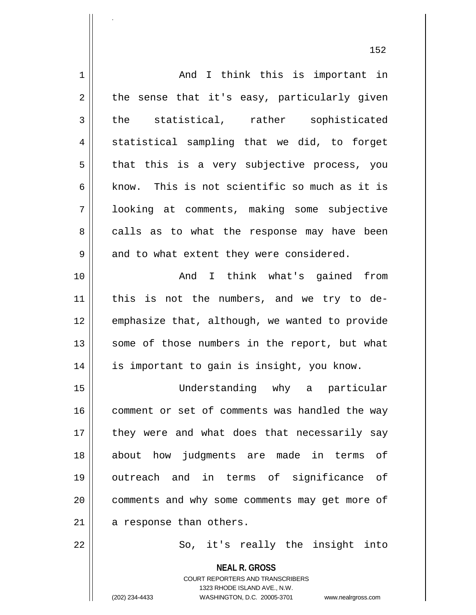|             | 152                                                                                             |
|-------------|-------------------------------------------------------------------------------------------------|
| $\mathbf 1$ | And I think this is important in                                                                |
| $\mathbf 2$ | the sense that it's easy, particularly given                                                    |
| 3           | the statistical, rather sophisticated                                                           |
| 4           | statistical sampling that we did, to forget                                                     |
| 5           | that this is a very subjective process, you                                                     |
| 6           | know. This is not scientific so much as it is                                                   |
| 7           | looking at comments, making some subjective                                                     |
| 8           | calls as to what the response may have been                                                     |
| 9           | and to what extent they were considered.                                                        |
| 10          | And I think what's gained<br>from                                                               |
| 11          | this is not the numbers, and we try to de-                                                      |
| 12          | emphasize that, although, we wanted to provide                                                  |
| 13          | some of those numbers in the report, but what                                                   |
| 14          | is important to gain is insight, you know.                                                      |
| 15          | Understanding why a particular                                                                  |
| 16          | comment or set of comments was handled the way                                                  |
| 17          | they were and what does that necessarily say                                                    |
| 18          | about how judgments are made in terms of                                                        |
| 19          | outreach and in terms of significance of                                                        |
| 20          | comments and why some comments may get more of                                                  |
| 21          | a response than others.                                                                         |
| 22          | So, it's really the insight into                                                                |
|             | <b>NEAL R. GROSS</b><br><b>COURT REPORTERS AND TRANSCRIBERS</b><br>1323 RHODE ISLAND AVE., N.W. |

1323 RHODE ISLAND AVE., N.W.

 $\prod_{i=1}^{n}$ 

.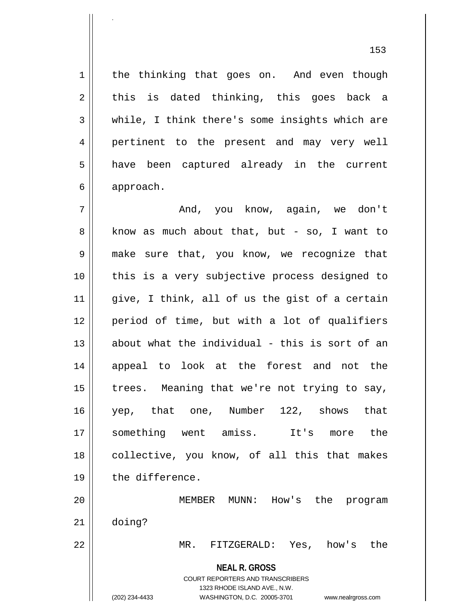153

1 | the thinking that goes on. And even though  $2 \parallel$  this is dated thinking, this goes back a 3 while, I think there's some insights which are 4 || pertinent to the present and may very well 5 || have been captured already in the current 6 approach. 7 And, you know, again, we don't  $8 \parallel$  know as much about that, but - so, I want to

9 make sure that, you know, we recognize that 10 || this is a very subjective process designed to  $11$  give, I think, all of us the gist of a certain 12 period of time, but with a lot of qualifiers  $13$  about what the individual - this is sort of an 14 || appeal to look at the forest and not the 15  $\parallel$  trees. Meaning that we're not trying to say, 16 yep, that one, Number 122, shows that 17 something went amiss. It's more the 18 || collective, you know, of all this that makes 19 || the difference.

20 MEMBER MUNN: How's the program 21 doing?

22 MR. FITZGERALD: Yes, how's the

**NEAL R. GROSS** COURT REPORTERS AND TRANSCRIBERS

1323 RHODE ISLAND AVE., N.W.

.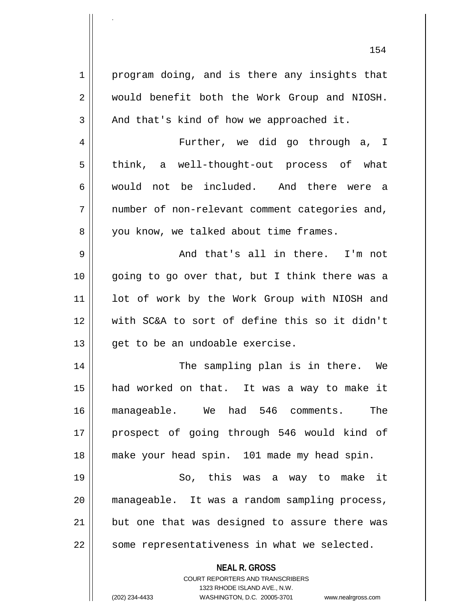1 || program doing, and is there any insights that 2 || would benefit both the Work Group and NIOSH.  $3 \parallel$  And that's kind of how we approached it. 4 Further, we did go through a, I  $5 \parallel$  think, a well-thought-out process of what 6 would not be included. And there were a  $7 \parallel$  number of non-relevant comment categories and, 8 | you know, we talked about time frames. 9 And that's all in there. I'm not 10 || going to go over that, but I think there was a 11 || lot of work by the Work Group with NIOSH and 12 with SC&A to sort of define this so it didn't  $13$  | qet to be an undoable exercise. 14 The sampling plan is in there. We 15 had worked on that. It was a way to make it 16 manageable. We had 546 comments. The 17 || prospect of going through 546 would kind of 18 make your head spin. 101 made my head spin. 19 So, this was a way to make it 20 manageable. It was a random sampling process, 21 || but one that was designed to assure there was

154

.

COURT REPORTERS AND TRANSCRIBERS 1323 RHODE ISLAND AVE., N.W. (202) 234-4433 WASHINGTON, D.C. 20005-3701 www.nealrgross.com

**NEAL R. GROSS**

 $22$  || some representativeness in what we selected.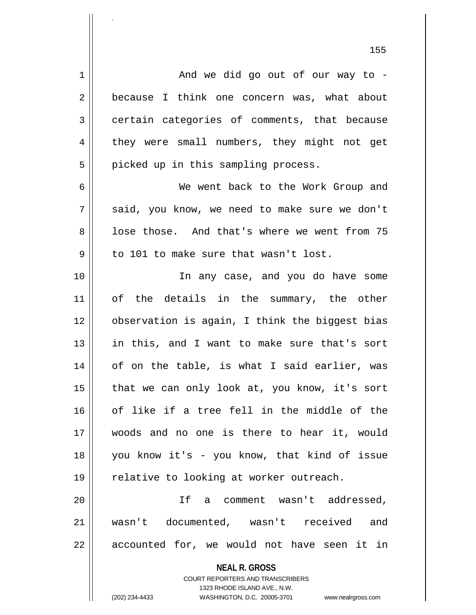1 And we did go out of our way to - 2 because I think one concern was, what about  $3 \parallel$  certain categories of comments, that because 4 they were small numbers, they might not get  $5 \parallel$  picked up in this sampling process. 6 We went back to the Work Group and  $7 \parallel$  said, you know, we need to make sure we don't 8 l lose those. And that's where we went from 75  $9 \parallel$  to 101 to make sure that wasn't lost. 10 In any case, and you do have some 11 of the details in the summary, the other 12 observation is again, I think the biggest bias 13 in this, and I want to make sure that's sort 14 || of on the table, is what I said earlier, was  $15$  | that we can only look at, you know, it's sort 16 || of like if a tree fell in the middle of the 17 woods and no one is there to hear it, would 18 you know it's - you know, that kind of issue 19 | relative to looking at worker outreach. 20 If a comment wasn't addressed, 21 wasn't documented, wasn't received and

 $22 \parallel$  accounted for, we would not have seen it in

**NEAL R. GROSS** COURT REPORTERS AND TRANSCRIBERS

1323 RHODE ISLAND AVE., N.W.

.

(202) 234-4433 WASHINGTON, D.C. 20005-3701 www.nealrgross.com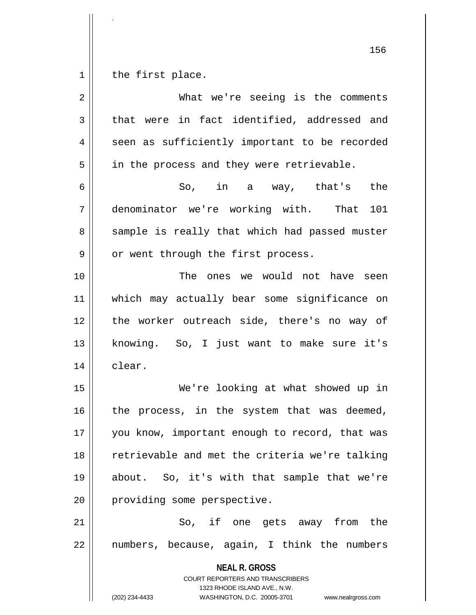$1 \parallel$  the first place.

.

| $\overline{2}$ | What we're seeing is the comments                                                                                                                               |
|----------------|-----------------------------------------------------------------------------------------------------------------------------------------------------------------|
| 3              | that were in fact identified, addressed and                                                                                                                     |
| 4              | seen as sufficiently important to be recorded                                                                                                                   |
| 5              | in the process and they were retrievable.                                                                                                                       |
| 6              | So, in a way, that's<br>the                                                                                                                                     |
| 7              | denominator we're working with. That<br>101                                                                                                                     |
| 8              | sample is really that which had passed muster                                                                                                                   |
| $\mathsf 9$    | or went through the first process.                                                                                                                              |
| 10             | The ones we would not have seen                                                                                                                                 |
| 11             | which may actually bear some significance on                                                                                                                    |
| 12             | the worker outreach side, there's no way of                                                                                                                     |
| 13             | knowing. So, I just want to make sure it's                                                                                                                      |
| 14             | clear.                                                                                                                                                          |
| 15             | We're looking at what showed up in                                                                                                                              |
| 16             | the process, in the system that was deemed,                                                                                                                     |
| 17             | you know, important enough to record, that was                                                                                                                  |
| 18             | retrievable and met the criteria we're talking                                                                                                                  |
| 19             | about. So, it's with that sample that we're                                                                                                                     |
| 20             | providing some perspective.                                                                                                                                     |
| 21             | So, if one gets away from the                                                                                                                                   |
| 22             | numbers, because, again, I think the numbers                                                                                                                    |
|                | <b>NEAL R. GROSS</b><br>COURT REPORTERS AND TRANSCRIBERS<br>1323 RHODE ISLAND AVE., N.W.<br>(202) 234-4433<br>WASHINGTON, D.C. 20005-3701<br>www.nealrgross.com |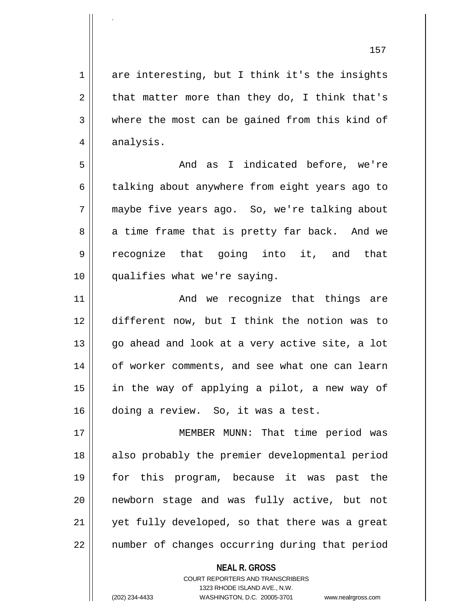$1 \parallel$  are interesting, but I think it's the insights  $2 \parallel$  that matter more than they do, I think that's 3 where the most can be gained from this kind of  $4 \parallel$  analysis.

5 And as I indicated before, we're 6 | talking about anywhere from eight years ago to 7 maybe five years ago. So, we're talking about  $8 \parallel$  a time frame that is pretty far back. And we 9 || recognize that going into it, and that 10 qualifies what we're saying.

11 And we recognize that things are 12 different now, but I think the notion was to  $13$  || go ahead and look at a very active site, a lot 14 || of worker comments, and see what one can learn 15 in the way of applying a pilot, a new way of 16 doing a review. So, it was a test.

17 MEMBER MUNN: That time period was 18 || also probably the premier developmental period 19 for this program, because it was past the 20 newborn stage and was fully active, but not 21 || yet fully developed, so that there was a great 22 || number of changes occurring during that period

> **NEAL R. GROSS** COURT REPORTERS AND TRANSCRIBERS

> > 1323 RHODE ISLAND AVE., N.W.

.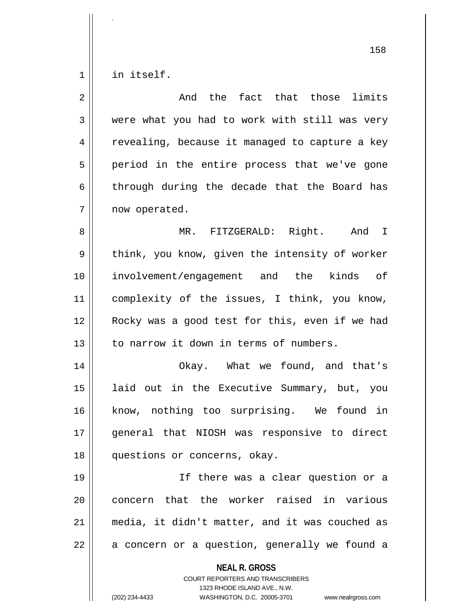$1$  in itself.

.

| $\overline{2}$ | And the fact that those limits                                                                                                                                         |
|----------------|------------------------------------------------------------------------------------------------------------------------------------------------------------------------|
| 3              | were what you had to work with still was very                                                                                                                          |
| 4              | revealing, because it managed to capture a key                                                                                                                         |
| 5              | period in the entire process that we've gone                                                                                                                           |
| 6              | through during the decade that the Board has                                                                                                                           |
| 7              | now operated.                                                                                                                                                          |
| 8              | MR. FITZGERALD: Right. And I                                                                                                                                           |
| 9              | think, you know, given the intensity of worker                                                                                                                         |
| 10             | involvement/engagement and the kinds of                                                                                                                                |
| 11             | complexity of the issues, I think, you know,                                                                                                                           |
| 12             | Rocky was a good test for this, even if we had                                                                                                                         |
| 13             | to narrow it down in terms of numbers.                                                                                                                                 |
| 14             | Okay. What we found, and that's                                                                                                                                        |
| 15             | laid out in the Executive Summary, but, you                                                                                                                            |
| 16             | know, nothing too surprising. We found in                                                                                                                              |
| 17             | general that NIOSH was responsive to direct                                                                                                                            |
| 18             | questions or concerns, okay.                                                                                                                                           |
| 19             | If there was a clear question or a                                                                                                                                     |
| 20             | concern that the worker raised in various                                                                                                                              |
| 21             | media, it didn't matter, and it was couched as                                                                                                                         |
| 22             | a concern or a question, generally we found a                                                                                                                          |
|                | <b>NEAL R. GROSS</b><br><b>COURT REPORTERS AND TRANSCRIBERS</b><br>1323 RHODE ISLAND AVE., N.W.<br>(202) 234-4433<br>WASHINGTON, D.C. 20005-3701<br>www.nealrgross.com |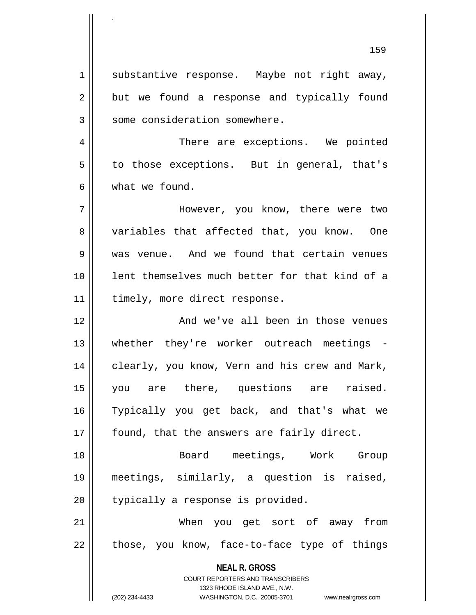1 || substantive response. Maybe not right away,  $2 \parallel$  but we found a response and typically found 3 | some consideration somewhere.

.

4 There are exceptions. We pointed  $5 \parallel$  to those exceptions. But in general, that's 6 what we found.

7 However, you know, there were two 8 variables that affected that, you know. One 9 Weas venue. And we found that certain venues 10 lent themselves much better for that kind of a 11 | timely, more direct response.

12 And we've all been in those venues 13 || whether they're worker outreach meetings -14 | clearly, you know, Vern and his crew and Mark, 15 you are there, questions are raised. 16 Typically you get back, and that's what we  $17$  | found, that the answers are fairly direct.

18 Board meetings, Work Group 19 meetings, similarly, a question is raised,  $20$  || typically a response is provided.

21 When you get sort of away from  $22$  || those, you know, face-to-face type of things

> **NEAL R. GROSS** COURT REPORTERS AND TRANSCRIBERS

1323 RHODE ISLAND AVE., N.W. (202) 234-4433 WASHINGTON, D.C. 20005-3701 www.nealrgross.com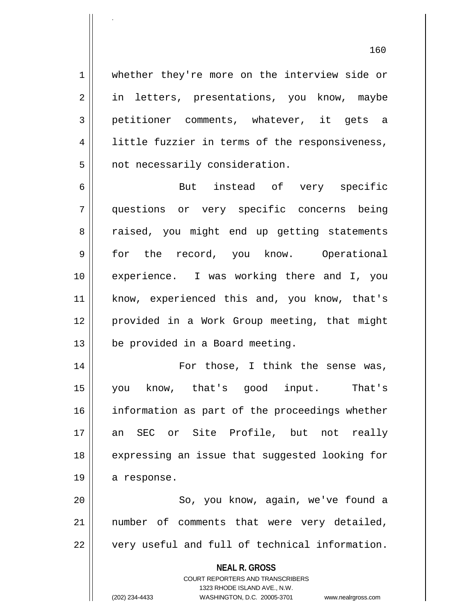1 whether they're more on the interview side or 2 || in letters, presentations, you know, maybe 3 petitioner comments, whatever, it gets a 4 || little fuzzier in terms of the responsiveness,  $5$  | not necessarily consideration.

.

6 But instead of very specific 7 questions or very specific concerns being 8 a raised, you might end up getting statements 9 for the record, you know. Operational 10 experience. I was working there and I, you 11 || know, experienced this and, you know, that's 12 provided in a Work Group meeting, that might 13 | be provided in a Board meeting.

14 || For those, I think the sense was, 15 you know, that's good input. That's 16 information as part of the proceedings whether 17 an SEC or Site Profile, but not really 18 || expressing an issue that suggested looking for 19 | a response.

20 || So, you know, aqain, we've found a 21 || number of comments that were very detailed,  $22$   $\parallel$  very useful and full of technical information.

**NEAL R. GROSS**

COURT REPORTERS AND TRANSCRIBERS 1323 RHODE ISLAND AVE., N.W. (202) 234-4433 WASHINGTON, D.C. 20005-3701 www.nealrgross.com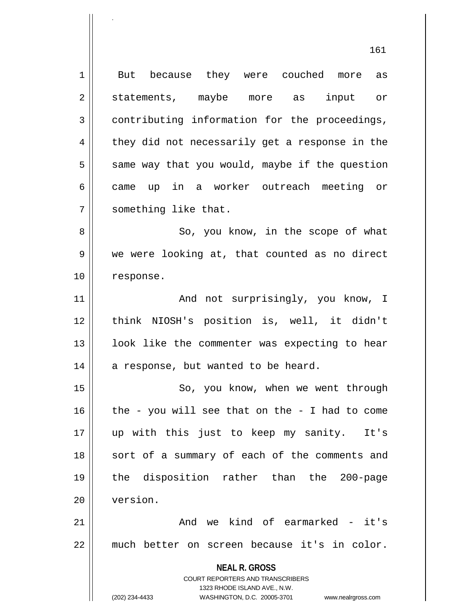**NEAL R. GROSS** COURT REPORTERS AND TRANSCRIBERS 1323 RHODE ISLAND AVE., N.W. (202) 234-4433 WASHINGTON, D.C. 20005-3701 www.nealrgross.com 1 But because they were couched more as 2 || statements, maybe more as input or 3 contributing information for the proceedings,  $4 \parallel$  they did not necessarily get a response in the  $5 \parallel$  same way that you would, maybe if the question 6 came up in a worker outreach meeting or 7 | something like that. 8 || So, you know, in the scope of what 9 || we were looking at, that counted as no direct 10 response. 11 || The Mand not surprisingly, you know, I 12 think NIOSH's position is, well, it didn't  $13$  || look like the commenter was expecting to hear  $14$  | a response, but wanted to be heard. 15 || So, you know, when we went through 16  $\parallel$  the - you will see that on the - I had to come 17 up with this just to keep my sanity. It's 18 || sort of a summary of each of the comments and 19 the disposition rather than the 200-page 20 version.  $21$   $\parallel$  and we kind of earmarked - it's 22 much better on screen because it's in color.

.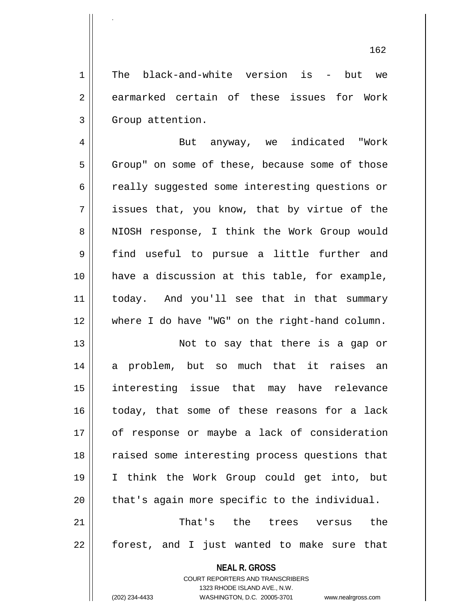1 The black-and-white version is - but we 2 earmarked certain of these issues for Work 3 | Group attention.

.

4 | But anyway, we indicated "Work  $5$  | Group" on some of these, because some of those 6 cally suggested some interesting questions or  $7 \parallel$  issues that, you know, that by virtue of the 8 || NIOSH response, I think the Work Group would 9 find useful to pursue a little further and 10 have a discussion at this table, for example, 11 today. And you'll see that in that summary 12 where I do have "WG" on the right-hand column.

13 || Not to say that there is a gap or 14 a problem, but so much that it raises an 15 interesting issue that may have relevance 16 today, that some of these reasons for a lack 17 || of response or maybe a lack of consideration 18 || raised some interesting process questions that 19 I think the Work Group could get into, but  $20$  || that's again more specific to the individual.

21 That's the trees versus the 22 || forest, and I just wanted to make sure that

> **NEAL R. GROSS** COURT REPORTERS AND TRANSCRIBERS

1323 RHODE ISLAND AVE., N.W. (202) 234-4433 WASHINGTON, D.C. 20005-3701 www.nealrgross.com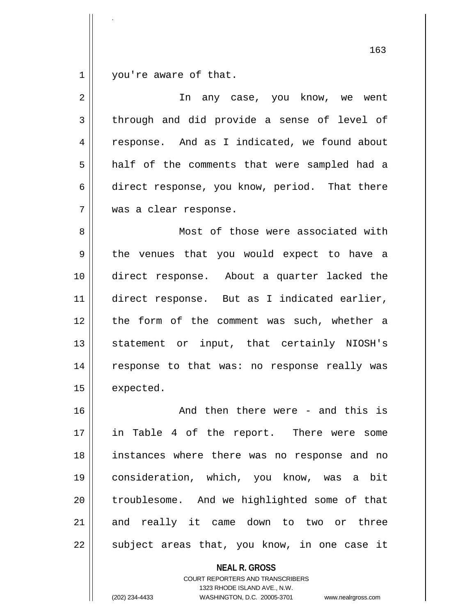1 | you're aware of that.

.

| $\overline{2}$ | In any case, you know, we went                |
|----------------|-----------------------------------------------|
| 3              | through and did provide a sense of level of   |
| 4              | response. And as I indicated, we found about  |
| 5              | half of the comments that were sampled had a  |
| 6              | direct response, you know, period. That there |
| 7              | was a clear response.                         |
| 8              | Most of those were associated with            |
| 9              | the venues that you would expect to have a    |
| 10             | direct response. About a quarter lacked the   |
| 11             | direct response. But as I indicated earlier,  |
| 12             | the form of the comment was such, whether a   |
| 13             | statement or input, that certainly NIOSH's    |
| 14             | response to that was: no response really was  |
| 15             | expected.                                     |
| 16             | And then there were - and this is             |
| 17             | in Table 4 of the report. There were<br>some  |
| 18             | instances where there was no response and no  |
| 19             | consideration, which, you know, was a bit     |
| 20             | troublesome. And we highlighted some of that  |
| 21             | and really it came down to two or three       |
| 22             | subject areas that, you know, in one case it  |

**NEAL R. GROSS** COURT REPORTERS AND TRANSCRIBERS

1323 RHODE ISLAND AVE., N.W.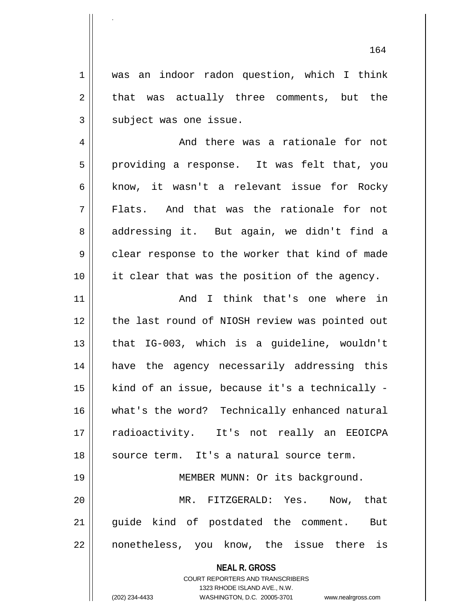1 || was an indoor radon question, which I think  $2 \parallel$  that was actually three comments, but the  $3$  | subject was one issue.

4 And there was a rationale for not 5 || providing a response. It was felt that, you 6 know, it wasn't a relevant issue for Rocky 7 Flats. And that was the rationale for not 8 addressing it. But again, we didn't find a 9 clear response to the worker that kind of made 10 it clear that was the position of the agency.

11 And I think that's one where in 12 || the last round of NIOSH review was pointed out 13 || that IG-003, which is a guideline, wouldn't 14 have the agency necessarily addressing this  $15$  | kind of an issue, because it's a technically -16 what's the word? Technically enhanced natural 17 radioactivity. It's not really an EEOICPA 18 || source term. It's a natural source term. 19 || MEMBER MUNN: Or its background.

20 MR. FITZGERALD: Yes. Now, that 21 || quide kind of postdated the comment. But 22 || nonetheless, you know, the issue there is

> **NEAL R. GROSS** COURT REPORTERS AND TRANSCRIBERS 1323 RHODE ISLAND AVE., N.W.

.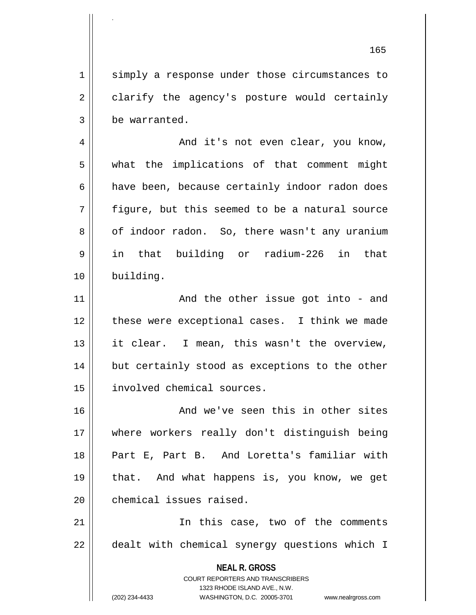165 1 || simply a response under those circumstances to 2 clarify the agency's posture would certainly 3 be warranted. 4 | And it's not even clear, you know, 5 what the implications of that comment might 6 | have been, because certainly indoor radon does 7 figure, but this seemed to be a natural source 8 | of indoor radon. So, there wasn't any uranium 9 in that building or radium-226 in that 10 building. 11 || And the other issue got into - and 12 || these were exceptional cases. I think we made 13 || it clear. I mean, this wasn't the overview,  $14$  | but certainly stood as exceptions to the other 15 involved chemical sources. 16 || The Mond we've seen this in other sites 17 where workers really don't distinguish being 18 Part E, Part B. And Loretta's familiar with 19 that. And what happens is, you know, we get 20 **chemical** issues raised.

.

21 || The this case, two of the comments 22 || dealt with chemical synergy questions which I

> **NEAL R. GROSS** COURT REPORTERS AND TRANSCRIBERS

1323 RHODE ISLAND AVE., N.W.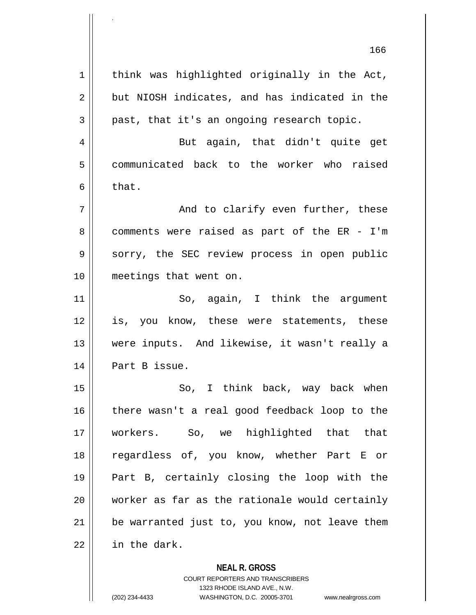$1$  think was highlighted originally in the Act,  $2 \parallel$  but NIOSH indicates, and has indicated in the  $3 \parallel$  past, that it's an ongoing research topic. 4 || But again, that didn't quite get 5 communicated back to the worker who raised  $6 \parallel$  that.  $7 \parallel$  and to clarify even further, these 8 comments were raised as part of the ER - I'm 9 Sorry, the SEC review process in open public 10 meetings that went on. 11 || So, again, I think the argument 12 is, you know, these were statements, these 13 were inputs. And likewise, it wasn't really a 14 | Part B issue. 15 || So, I think back, way back when 16 || there wasn't a real good feedback loop to the 17 workers. So, we highlighted that that 18 regardless of, you know, whether Part E or 19 Part B, certainly closing the loop with the 20 worker as far as the rationale would certainly  $21$  | be warranted just to, you know, not leave them 22 in the dark.

**NEAL R. GROSS**

COURT REPORTERS AND TRANSCRIBERS 1323 RHODE ISLAND AVE., N.W. (202) 234-4433 WASHINGTON, D.C. 20005-3701 www.nealrgross.com

.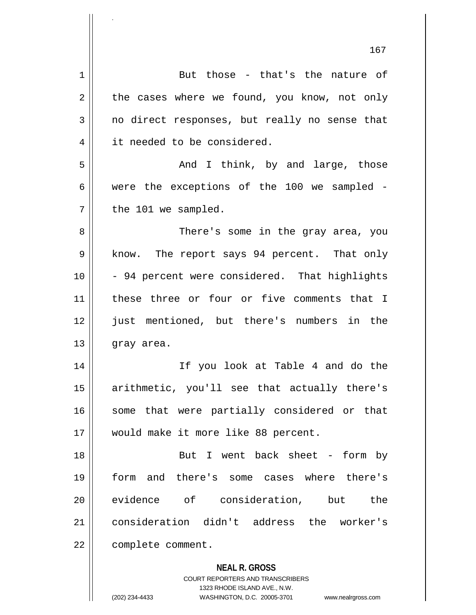| 1  | But those - that's the nature of                                        |
|----|-------------------------------------------------------------------------|
| 2  | the cases where we found, you know, not only                            |
| 3  | no direct responses, but really no sense that                           |
| 4  | it needed to be considered.                                             |
| 5  | And I think, by and large, those                                        |
| 6  | were the exceptions of the 100 we sampled -                             |
| 7  | the 101 we sampled.                                                     |
| 8  | There's some in the gray area, you                                      |
| 9  | know. The report says 94 percent. That only                             |
| 10 | - 94 percent were considered. That highlights                           |
| 11 | these three or four or five comments that I                             |
| 12 | just mentioned, but there's numbers in the                              |
| 13 | gray area.                                                              |
| 14 | If you look at Table 4 and do the                                       |
| 15 | arithmetic, you'll see that actually there's                            |
| 16 | some that were partially considered or that                             |
| 17 | would make it more like 88 percent.                                     |
| 18 | But I went back sheet - form by                                         |
| 19 | and there's some cases where there's<br>form                            |
| 20 | evidence of consideration, but<br>the                                   |
| 21 | consideration didn't address the worker's                               |
| 22 | complete comment.                                                       |
|    |                                                                         |
|    | <b>NEAL R. GROSS</b>                                                    |
|    | <b>COURT REPORTERS AND TRANSCRIBERS</b><br>1323 RHODE ISLAND AVE., N.W. |
|    | (202) 234-4433<br>WASHINGTON, D.C. 20005-3701<br>www.nealrgross.com     |

.

 $\mathsf{I}$ 

 $\mathsf{I}$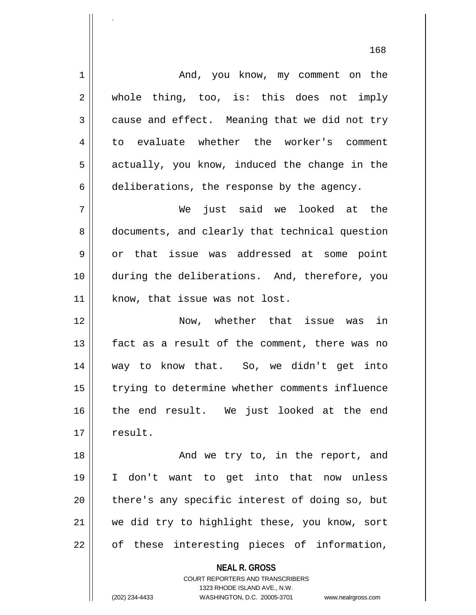**NEAL R. GROSS** COURT REPORTERS AND TRANSCRIBERS 1 | And, you know, my comment on the 2 || whole thing, too, is: this does not imply  $3 \parallel$  cause and effect. Meaning that we did not try 4 to evaluate whether the worker's comment  $5 \parallel$  actually, you know, induced the change in the 6 deliberations, the response by the agency. 7 We just said we looked at the 8 documents, and clearly that technical question 9 or that issue was addressed at some point 10 during the deliberations. And, therefore, you  $11$  | know, that issue was not lost. 12 Now, whether that issue was in 13 fact as a result of the comment, there was no 14 way to know that. So, we didn't get into 15 || trying to determine whether comments influence 16 the end result. We just looked at the end 17 | result. 18 || And we try to, in the report, and 19 I don't want to get into that now unless 20 || there's any specific interest of doing so, but 21 we did try to highlight these, you know, sort  $22 \parallel$  of these interesting pieces of information,

1323 RHODE ISLAND AVE., N.W.

.

(202) 234-4433 WASHINGTON, D.C. 20005-3701 www.nealrgross.com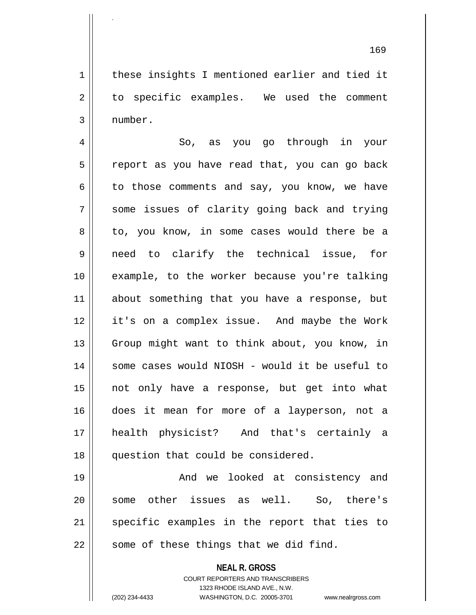1 || these insights I mentioned earlier and tied it 2 || to specific examples. We used the comment 3 number.

4 || So, as you go through in your 5 || report as you have read that, you can go back  $6 \parallel$  to those comments and say, you know, we have 7 Some issues of clarity going back and trying 8 || to, you know, in some cases would there be a 9 need to clarify the technical issue, for 10 example, to the worker because you're talking 11 about something that you have a response, but 12 it's on a complex issue. And maybe the Work 13 || Group might want to think about, you know, in 14 some cases would NIOSH - would it be useful to 15 not only have a response, but get into what 16 does it mean for more of a layperson, not a 17 health physicist? And that's certainly a 18 || question that could be considered.

19 And we looked at consistency and 20 || some other issues as well. So, there's 21 || specific examples in the report that ties to  $22$  || some of these things that we did find.

> **NEAL R. GROSS** COURT REPORTERS AND TRANSCRIBERS 1323 RHODE ISLAND AVE., N.W.

.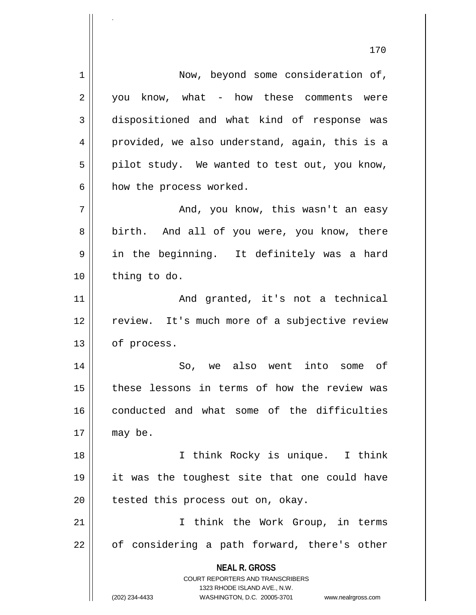**NEAL R. GROSS** COURT REPORTERS AND TRANSCRIBERS 1323 RHODE ISLAND AVE., N.W. (202) 234-4433 WASHINGTON, D.C. 20005-3701 www.nealrgross.com 1 | Now, beyond some consideration of,  $2 \parallel$  you know, what - how these comments were 3 dispositioned and what kind of response was 4 provided, we also understand, again, this is a  $5 \parallel$  pilot study. We wanted to test out, you know,  $6 \parallel$  how the process worked. 7 And, you know, this wasn't an easy 8 || birth. And all of you were, you know, there 9 in the beginning. It definitely was a hard  $10$  | thing to do. 11 || And granted, it's not a technical 12 || review. It's much more of a subjective review 13 | of process. 14 So, we also went into some of 15 || these lessons in terms of how the review was 16 || conducted and what some of the difficulties  $17$  may be. 18 I think Rocky is unique. I think 19 it was the toughest site that one could have  $20$  | tested this process out on, okay. 21 I think the Work Group, in terms  $22 \parallel$  of considering a path forward, there's other

170

.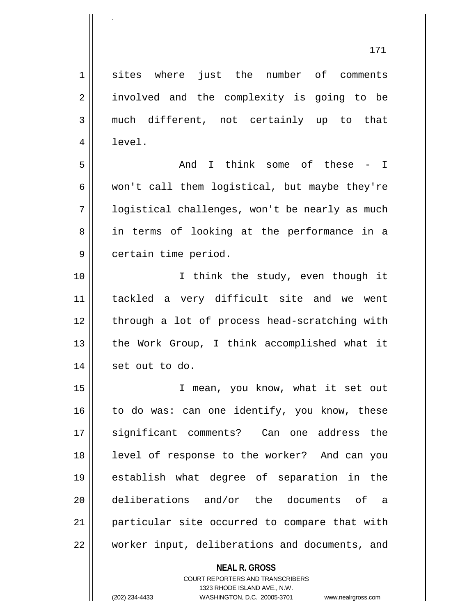1 sites where just the number of comments 2 || involved and the complexity is going to be 3 much different, not certainly up to that 4 | level. 5 And I think some of these - I

 $6 \parallel$  won't call them logistical, but maybe they're 7 | | logistical challenges, won't be nearly as much 8 || in terms of looking at the performance in a 9 | certain time period.

10 || T think the study, even though it 11 tackled a very difficult site and we went 12 || through a lot of process head-scratching with 13 || the Work Group, I think accomplished what it  $14$  | set out to do.

15 I mean, you know, what it set out  $16$  to do was: can one identify, you know, these 17 significant comments? Can one address the 18 || level of response to the worker? And can you 19 establish what degree of separation in the 20 deliberations and/or the documents of a 21 || particular site occurred to compare that with 22 worker input, deliberations and documents, and

## **NEAL R. GROSS** COURT REPORTERS AND TRANSCRIBERS 1323 RHODE ISLAND AVE., N.W.

.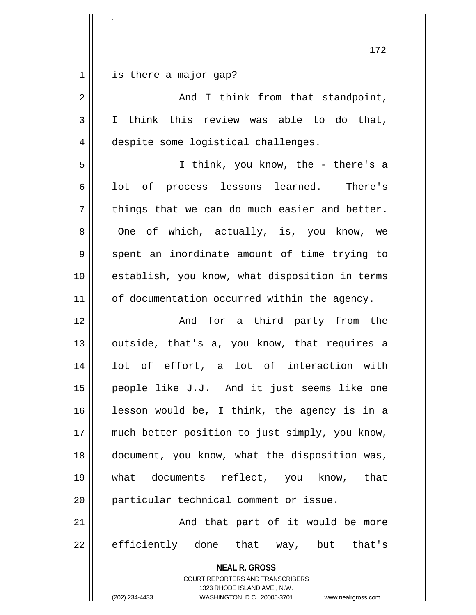|  |  | $1$ is there a major gap? |  |
|--|--|---------------------------|--|

.

| $\overline{a}$ | And I think from that standpoint,                                                                                                                                      |
|----------------|------------------------------------------------------------------------------------------------------------------------------------------------------------------------|
| 3              | I think this review was able to do that,                                                                                                                               |
| $\overline{4}$ | despite some logistical challenges.                                                                                                                                    |
| 5              | I think, you know, the - there's a                                                                                                                                     |
| 6              | lot of process lessons learned. There's                                                                                                                                |
| 7              | things that we can do much easier and better.                                                                                                                          |
| 8              | One of which, actually, is, you know, we                                                                                                                               |
| $\mathsf 9$    | spent an inordinate amount of time trying to                                                                                                                           |
| 10             | establish, you know, what disposition in terms                                                                                                                         |
| 11             | of documentation occurred within the agency.                                                                                                                           |
| 12             | And for a third party from the                                                                                                                                         |
| 13             | outside, that's a, you know, that requires a                                                                                                                           |
| 14             | lot of effort, a lot of interaction with                                                                                                                               |
| 15             | people like J.J. And it just seems like one                                                                                                                            |
| 16             | lesson would be, I think, the agency is in a                                                                                                                           |
| 17             | much better position to just simply, you know,                                                                                                                         |
| 18             | document, you know, what the disposition was,                                                                                                                          |
| 19             | what documents reflect, you know, that                                                                                                                                 |
| 20             | particular technical comment or issue.                                                                                                                                 |
| 21             | And that part of it would be more                                                                                                                                      |
| 22             | efficiently done that way, but that's                                                                                                                                  |
|                | <b>NEAL R. GROSS</b><br><b>COURT REPORTERS AND TRANSCRIBERS</b><br>1323 RHODE ISLAND AVE., N.W.<br>(202) 234-4433<br>WASHINGTON, D.C. 20005-3701<br>www.nealrgross.com |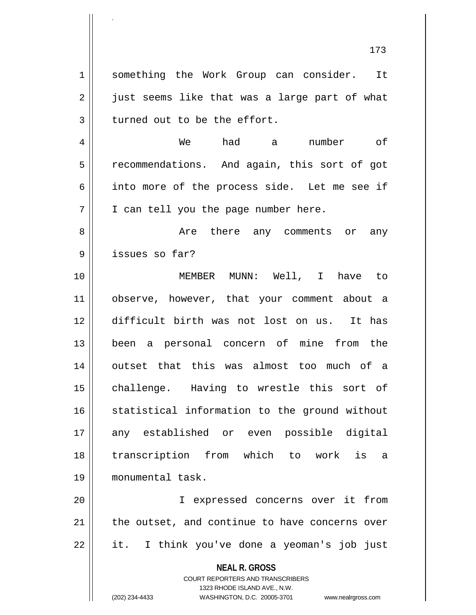1 || something the Work Group can consider. It  $2 \parallel$  just seems like that was a large part of what  $3$  turned out to be the effort.

.

4 We had a number of 5 | recommendations. And again, this sort of got 6 || into more of the process side. Let me see if  $7 \parallel$  I can tell you the page number here.

8 Are there any comments or any 9 || issues so far?

10 MEMBER MUNN: Well, I have to 11 observe, however, that your comment about a 12 difficult birth was not lost on us. It has 13 been a personal concern of mine from the 14 outset that this was almost too much of a 15 || challenge. Having to wrestle this sort of 16 statistical information to the ground without 17 any established or even possible digital 18 transcription from which to work is a 19 monumental task.

20 I expressed concerns over it from  $21$  | the outset, and continue to have concerns over  $22 \parallel$  it. I think you've done a yeoman's job just

> **NEAL R. GROSS** COURT REPORTERS AND TRANSCRIBERS

> > 1323 RHODE ISLAND AVE., N.W.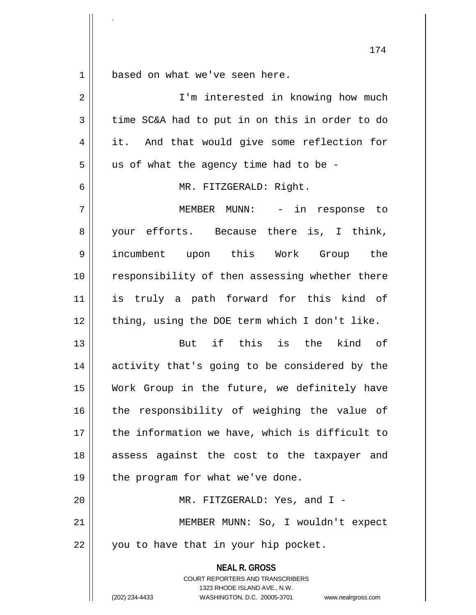1 | based on what we've seen here.

.

| $\overline{2}$ | I'm interested in knowing how much                                                                                                                              |
|----------------|-----------------------------------------------------------------------------------------------------------------------------------------------------------------|
| 3              | time SC&A had to put in on this in order to do                                                                                                                  |
| $\overline{4}$ | it. And that would give some reflection for                                                                                                                     |
| 5              | us of what the agency time had to be -                                                                                                                          |
| $\epsilon$     | MR. FITZGERALD: Right.                                                                                                                                          |
| 7              | MEMBER MUNN: - in response to                                                                                                                                   |
| 8              | your efforts. Because there is, I think,                                                                                                                        |
| $\mathsf 9$    | incumbent upon this Work Group the                                                                                                                              |
| 10             | responsibility of then assessing whether there                                                                                                                  |
| 11             | is truly a path forward for this kind of                                                                                                                        |
| 12             | thing, using the DOE term which I don't like.                                                                                                                   |
| 13             | But if this is the<br>kind of                                                                                                                                   |
| 14             | activity that's going to be considered by the                                                                                                                   |
| 15             | Work Group in the future, we definitely have                                                                                                                    |
| 16             | the responsibility of weighing the value of                                                                                                                     |
| 17             | the information we have, which is difficult to                                                                                                                  |
| 18             | assess against the cost to the taxpayer and                                                                                                                     |
| 19             | the program for what we've done.                                                                                                                                |
| 20             | MR. FITZGERALD: Yes, and I -                                                                                                                                    |
| 21             | MEMBER MUNN: So, I wouldn't expect                                                                                                                              |
| 22             | you to have that in your hip pocket.                                                                                                                            |
|                | <b>NEAL R. GROSS</b><br>COURT REPORTERS AND TRANSCRIBERS<br>1323 RHODE ISLAND AVE., N.W.<br>(202) 234-4433<br>WASHINGTON, D.C. 20005-3701<br>www.nealrgross.com |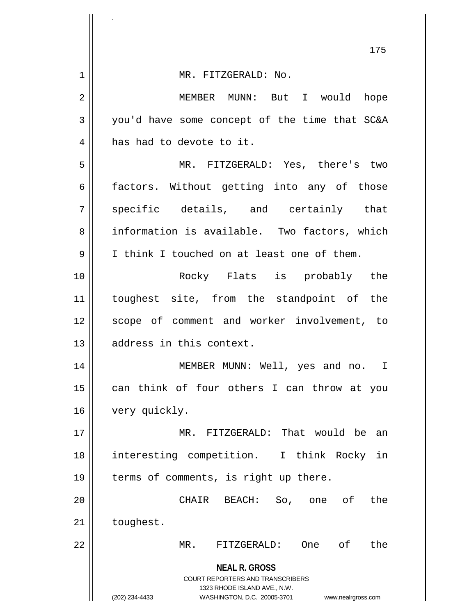| 175                                           |
|-----------------------------------------------|
|                                               |
| MEMBER MUNN: But I would hope                 |
| you'd have some concept of the time that SC&A |
|                                               |
| MR. FITZGERALD: Yes, there's two              |
| factors. Without getting into any of those    |
| specific details, and certainly that          |
| information is available. Two factors, which  |
| I think I touched on at least one of them.    |
| Rocky Flats is probably the                   |
| toughest site, from the standpoint of the     |
| scope of comment and worker involvement, to   |
|                                               |
| MEMBER MUNN: Well, yes and no.<br>I           |
| can think of four others I can throw at you   |
|                                               |
| MR. FITZGERALD: That would be<br>an           |
| interesting competition. I think Rocky in     |
| terms of comments, is right up there.         |
| the<br>So, one of                             |
|                                               |
| оf<br>the<br>One                              |
|                                               |
|                                               |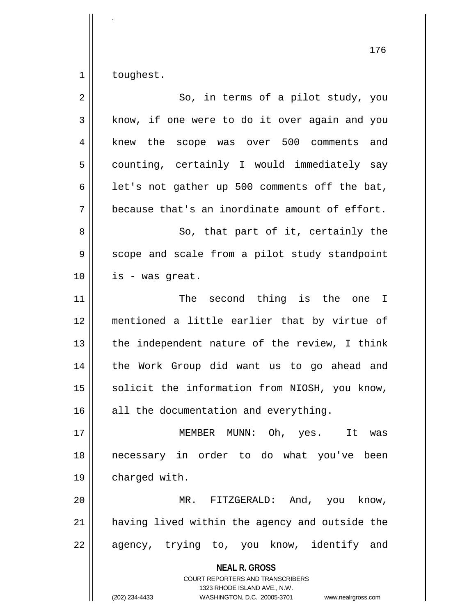$1 \parallel$  toughest.

.

| $\overline{2}$ | So, in terms of a pilot study, you                                                                                                                                     |
|----------------|------------------------------------------------------------------------------------------------------------------------------------------------------------------------|
| 3              | know, if one were to do it over again and you                                                                                                                          |
| 4              | knew the scope was over 500 comments and                                                                                                                               |
| 5              | counting, certainly I would immediately say                                                                                                                            |
| 6              | let's not gather up 500 comments off the bat,                                                                                                                          |
| 7              | because that's an inordinate amount of effort.                                                                                                                         |
| 8              | So, that part of it, certainly the                                                                                                                                     |
| 9              | scope and scale from a pilot study standpoint                                                                                                                          |
| 10             | is - was great.                                                                                                                                                        |
| 11             | The second thing is the one I                                                                                                                                          |
| 12             | mentioned a little earlier that by virtue of                                                                                                                           |
| 13             | the independent nature of the review, I think                                                                                                                          |
| 14             | the Work Group did want us to go ahead and                                                                                                                             |
| 15             | solicit the information from NIOSH, you know,                                                                                                                          |
| 16             | all the documentation and everything.                                                                                                                                  |
| 17             | MEMBER MUNN: Oh, yes.<br>It was                                                                                                                                        |
| 18             | necessary in order to do what you've been                                                                                                                              |
| 19             | charged with.                                                                                                                                                          |
| 20             | MR.<br>FITZGERALD: And, you know,                                                                                                                                      |
| 21             | having lived within the agency and outside the                                                                                                                         |
| 22             | agency, trying to, you know, identify and                                                                                                                              |
|                | <b>NEAL R. GROSS</b><br><b>COURT REPORTERS AND TRANSCRIBERS</b><br>1323 RHODE ISLAND AVE., N.W.<br>(202) 234-4433<br>WASHINGTON, D.C. 20005-3701<br>www.nealrgross.com |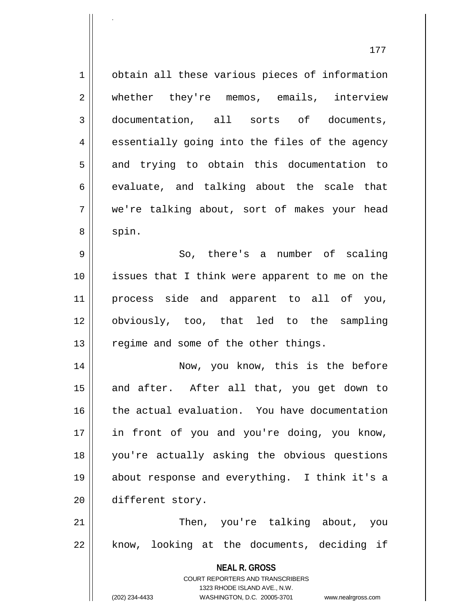177 1 | obtain all these various pieces of information 2 || whether they're memos, emails, interview 3 documentation, all sorts of documents, 4 || essentially going into the files of the agency 5 and trying to obtain this documentation to  $6 \parallel$  evaluate, and talking about the scale that 7 we're talking about, sort of makes your head  $8 \parallel$  spin. 9 || So, there's a number of scaling 10 issues that I think were apparent to me on the 11 process side and apparent to all of you, 12 obviously, too, that led to the sampling  $13$  | regime and some of the other things. 14 || Now, you know, this is the before 15 || and after. After all that, you get down to 16 the actual evaluation. You have documentation 17 || in front of you and you're doing, you know, 18 you're actually asking the obvious questions 19 about response and everything. I think it's a 20 different story. 21 Then, you're talking about, you 22 || know, looking at the documents, deciding if

.

1323 RHODE ISLAND AVE., N.W. (202) 234-4433 WASHINGTON, D.C. 20005-3701 www.nealrgross.com

**NEAL R. GROSS** COURT REPORTERS AND TRANSCRIBERS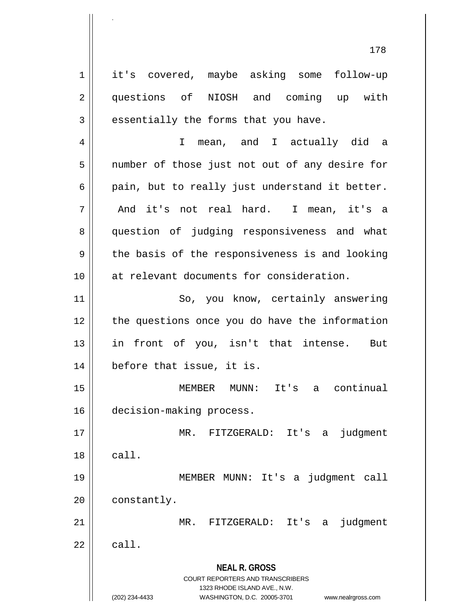**NEAL R. GROSS** COURT REPORTERS AND TRANSCRIBERS 1323 RHODE ISLAND AVE., N.W. (202) 234-4433 WASHINGTON, D.C. 20005-3701 www.nealrgross.com 1 it's covered, maybe asking some follow-up 2 questions of NIOSH and coming up with  $3 \parallel$  essentially the forms that you have. 4 I mean, and I actually did a 5 || number of those just not out of any desire for  $6 \parallel$  pain, but to really just understand it better.  $7 \parallel$  And it's not real hard. I mean, it's a 8 || question of judging responsiveness and what  $9 \parallel$  the basis of the responsiveness is and looking 10 at relevant documents for consideration. 11 || So, you know, certainly answering 12 || the questions once you do have the information 13 in front of you, isn't that intense. But 14 before that issue, it is. 15 MEMBER MUNN: It's a continual 16 decision-making process. 17 MR. FITZGERALD: It's a judgment  $18 \parallel$  call. 19 MEMBER MUNN: It's a judgment call 20 | constantly. 21 MR. FITZGERALD: It's a judgment  $22$   $\parallel$  call.

.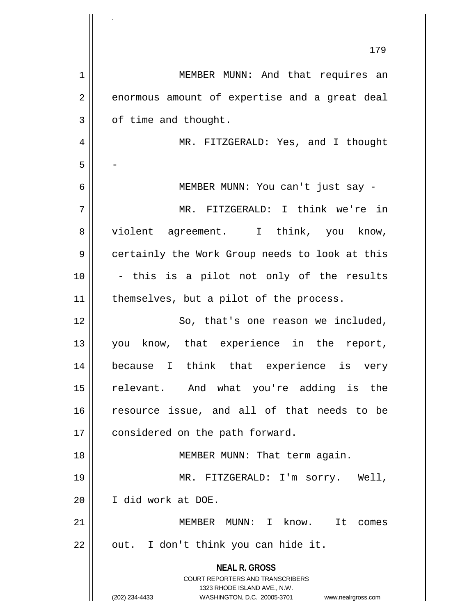**NEAL R. GROSS** COURT REPORTERS AND TRANSCRIBERS 1323 RHODE ISLAND AVE., N.W. (202) 234-4433 WASHINGTON, D.C. 20005-3701 www.nealrgross.com 179 1 | MEMBER MUNN: And that requires an  $2 \parallel$  enormous amount of expertise and a great deal  $3 \parallel$  of time and thought. 4 MR. FITZGERALD: Yes, and I thought  $5 \parallel -$ 6 MEMBER MUNN: You can't just say - 7 MR. FITZGERALD: I think we're in 8 || violent agreement. I think, you know, 9 || certainly the Work Group needs to look at this  $10$  || - this is a pilot not only of the results  $11$  | themselves, but a pilot of the process. 12 || So, that's one reason we included, 13 || you know, that experience in the report, 14 because I think that experience is very 15 || relevant. And what you're adding is the 16 resource issue, and all of that needs to be 17 | considered on the path forward. 18 || MEMBER MUNN: That term again. 19 MR. FITZGERALD: I'm sorry. Well, 20 I did work at DOE. 21 MEMBER MUNN: I know. It comes  $22$  || out. I don't think you can hide it.

.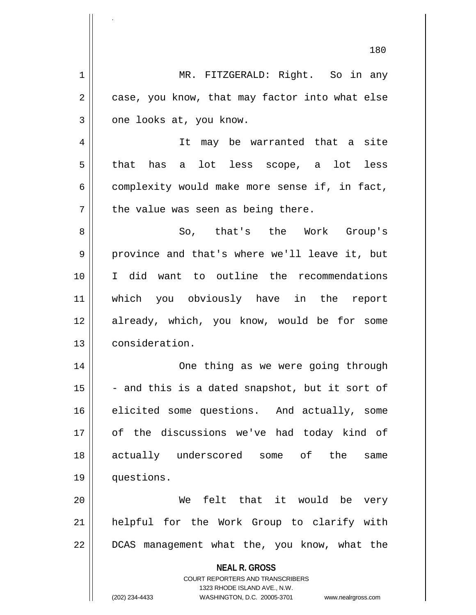**NEAL R. GROSS** COURT REPORTERS AND TRANSCRIBERS 1323 RHODE ISLAND AVE., N.W. (202) 234-4433 WASHINGTON, D.C. 20005-3701 www.nealrgross.com 1 || MR. FITZGERALD: Right. So in any  $2 \parallel$  case, you know, that may factor into what else  $3 \parallel$  one looks at, you know. 4 || It may be warranted that a site  $5 \parallel$  that has a lot less scope, a lot less  $6 \parallel$  complexity would make more sense if, in fact,  $7$  | the value was seen as being there. 8 So, that's the Work Group's 9 province and that's where we'll leave it, but 10 I did want to outline the recommendations 11 which you obviously have in the report 12 || already, which, you know, would be for some 13 | consideration. 14 One thing as we were going through  $15$  - and this is a dated snapshot, but it sort of 16 elicited some questions. And actually, some 17 of the discussions we've had today kind of 18 actually underscored some of the same 19 questions. 20 We felt that it would be very 21 helpful for the Work Group to clarify with 22 || DCAS management what the, you know, what the

.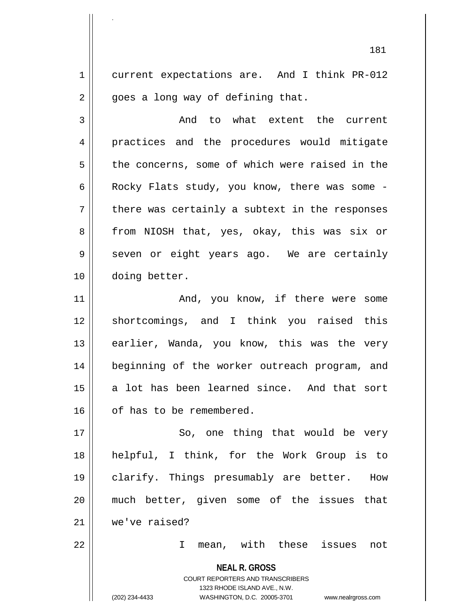1 current expectations are. And I think PR-012  $2 \parallel$  goes a long way of defining that.

.

3 and to what extent the current 4 || practices and the procedures would mitigate 5 the concerns, some of which were raised in the 6 | Rocky Flats study, you know, there was some  $7 \parallel$  there was certainly a subtext in the responses 8 || from NIOSH that, yes, okay, this was six or  $9 \parallel$  seven or eight years ago. We are certainly 10 doing better.

11 || The Mand, you know, if there were some 12 shortcomings, and I think you raised this 13 || earlier, Wanda, you know, this was the very 14 || beginning of the worker outreach program, and 15 a lot has been learned since. And that sort 16 | of has to be remembered.

17 || So, one thing that would be very 18 helpful, I think, for the Work Group is to 19 clarify. Things presumably are better. How 20 much better, given some of the issues that 21 we've raised?

22 I mean, with these issues not

**NEAL R. GROSS** COURT REPORTERS AND TRANSCRIBERS 1323 RHODE ISLAND AVE., N.W. (202) 234-4433 WASHINGTON, D.C. 20005-3701 www.nealrgross.com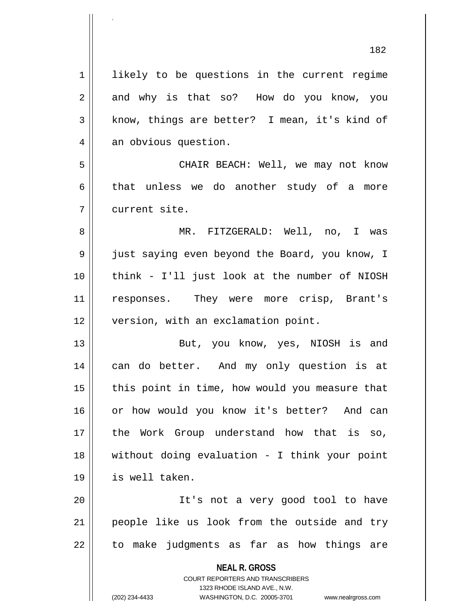**NEAL R. GROSS** 1 || likely to be questions in the current regime 2 and why is that so? How do you know, you  $3 \parallel$  know, things are better? I mean, it's kind of 4 an obvious question. 5 CHAIR BEACH: Well, we may not know  $6 \parallel$  that unless we do another study of a more 7 current site. 8 MR. FITZGERALD: Well, no, I was 9 just saying even beyond the Board, you know, I 10 think - I'll just look at the number of NIOSH 11 || responses. They were more crisp, Brant's 12 | version, with an exclamation point. 13 || But, you know, yes, NIOSH is and 14 || can do better. And my only question is at  $15$  | this point in time, how would you measure that 16 or how would you know it's better? And can 17 the Work Group understand how that is so, 18 without doing evaluation - I think your point 19 is well taken. 20 || It's not a very good tool to have 21 || people like us look from the outside and try 22 || to make judgments as far as how things are

> COURT REPORTERS AND TRANSCRIBERS 1323 RHODE ISLAND AVE., N.W.

(202) 234-4433 WASHINGTON, D.C. 20005-3701 www.nealrgross.com

.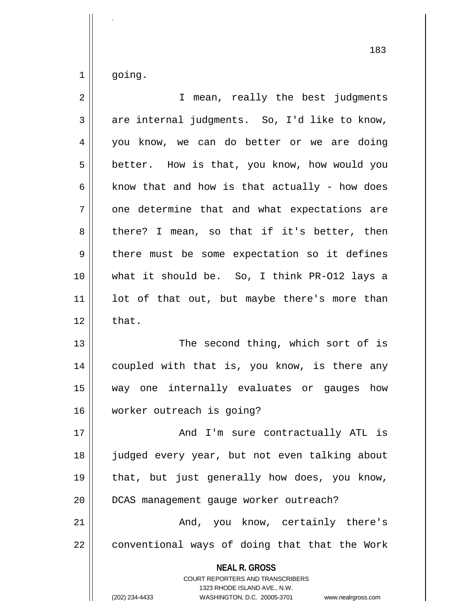$1 \parallel$  going.

.

| $\overline{2}$ | I mean, really the best judgments                                                                                                                                      |
|----------------|------------------------------------------------------------------------------------------------------------------------------------------------------------------------|
| 3              | are internal judgments. So, I'd like to know,                                                                                                                          |
| 4              | you know, we can do better or we are doing                                                                                                                             |
| 5              | better. How is that, you know, how would you                                                                                                                           |
| 6              | know that and how is that actually - how does                                                                                                                          |
| 7              | one determine that and what expectations are                                                                                                                           |
| 8              | there? I mean, so that if it's better, then                                                                                                                            |
| 9              | there must be some expectation so it defines                                                                                                                           |
| 10             | what it should be. So, I think PR-012 lays a                                                                                                                           |
| 11             | lot of that out, but maybe there's more than                                                                                                                           |
| 12             | that.                                                                                                                                                                  |
| 13             | The second thing, which sort of is                                                                                                                                     |
| 14             | coupled with that is, you know, is there any                                                                                                                           |
| 15             | way one internally evaluates or gauges how                                                                                                                             |
| 16             | worker outreach is going?                                                                                                                                              |
| 17             | And I'm sure contractually ATL is                                                                                                                                      |
| 18             | judged every year, but not even talking about                                                                                                                          |
| 19             | that, but just generally how does, you know,                                                                                                                           |
| 20             | DCAS management gauge worker outreach?                                                                                                                                 |
| 21             | And, you know, certainly there's                                                                                                                                       |
| 22             | conventional ways of doing that that the Work                                                                                                                          |
|                | <b>NEAL R. GROSS</b><br><b>COURT REPORTERS AND TRANSCRIBERS</b><br>1323 RHODE ISLAND AVE., N.W.<br>(202) 234-4433<br>WASHINGTON, D.C. 20005-3701<br>www.nealrgross.com |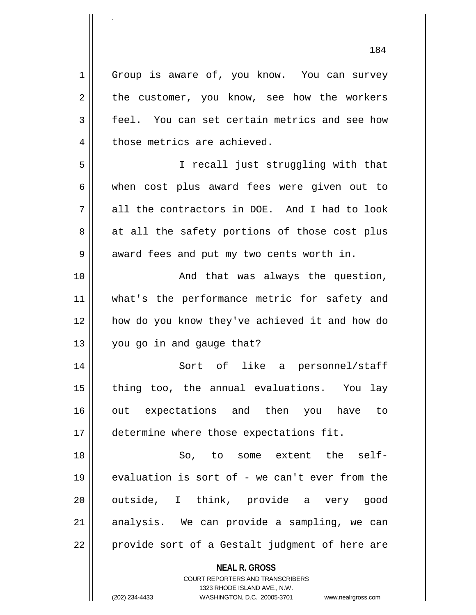1 Group is aware of, you know. You can survey  $2 \parallel$  the customer, you know, see how the workers 3 | feel. You can set certain metrics and see how 4 | those metrics are achieved. 5 I recall just struggling with that 6 when cost plus award fees were given out to  $7 \parallel$  all the contractors in DOE. And I had to look  $8 \parallel$  at all the safety portions of those cost plus 9 || award fees and put my two cents worth in. 10 || The Charas always the question, 11 || what's the performance metric for safety and 12 how do you know they've achieved it and how do  $13 \parallel$  you go in and gauge that? 14 Sort of like a personnel/staff  $15$  || thing too, the annual evaluations. You lay 16 out expectations and then you have to 17  $\parallel$  determine where those expectations fit. 18 So, to some extent the self-19  $\parallel$  evaluation is sort of - we can't ever from the 20 || outside, I think, provide a very good  $21$  analysis. We can provide a sampling, we can  $22$  || provide sort of a Gestalt judgment of here are

> **NEAL R. GROSS** COURT REPORTERS AND TRANSCRIBERS

> > 1323 RHODE ISLAND AVE., N.W.

(202) 234-4433 WASHINGTON, D.C. 20005-3701 www.nealrgross.com

.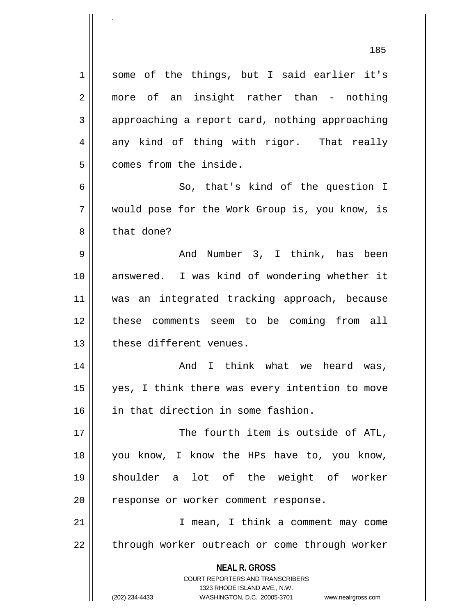**NEAL R. GROSS** COURT REPORTERS AND TRANSCRIBERS 1 || some of the things, but I said earlier it's 2 || more of an insight rather than - nothing 3 approaching a report card, nothing approaching  $4 \parallel$  any kind of thing with rigor. That really 5 | comes from the inside. 6 So, that's kind of the question I 7 would pose for the Work Group is, you know, is 8 | that done? 9 And Number 3, I think, has been 10 answered. I was kind of wondering whether it 11 was an integrated tracking approach, because 12 these comments seem to be coming from all 13 l these different venues. 14 And I think what we heard was, 15 yes, I think there was every intention to move 16 in that direction in some fashion. 17 The fourth item is outside of ATL, 18 you know, I know the HPs have to, you know, 19 shoulder a lot of the weight of worker 20 || response or worker comment response. 21 || T mean, I think a comment may come 22 || through worker outreach or come through worker

1323 RHODE ISLAND AVE., N.W.

.

(202) 234-4433 WASHINGTON, D.C. 20005-3701 www.nealrgross.com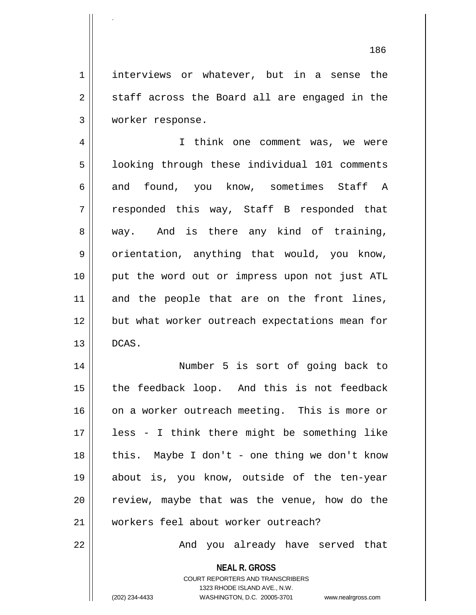1 | interviews or whatever, but in a sense the  $2 \parallel$  staff across the Board all are engaged in the 3 worker response.

4 || I think one comment was, we were 5 | looking through these individual 101 comments 6 and found, you know, sometimes Staff A  $7 \parallel$  responded this way, Staff B responded that  $8 \parallel$  way. And is there any kind of training, 9 || orientation, anything that would, you know, 10 put the word out or impress upon not just ATL  $11$  and the people that are on the front lines, 12 || but what worker outreach expectations mean for  $13 \parallel$  DCAS.

14 || **Number 5** is sort of going back to  $15$  || the feedback loop. And this is not feedback 16 on a worker outreach meeting. This is more or 17 less - I think there might be something like  $18$  || this. Maybe I don't - one thing we don't know 19 about is, you know, outside of the ten-year  $20$   $\parallel$  review, maybe that was the venue, how do the 21 workers feel about worker outreach?

22 And you already have served that

**NEAL R. GROSS** COURT REPORTERS AND TRANSCRIBERS 1323 RHODE ISLAND AVE., N.W.

.

(202) 234-4433 WASHINGTON, D.C. 20005-3701 www.nealrgross.com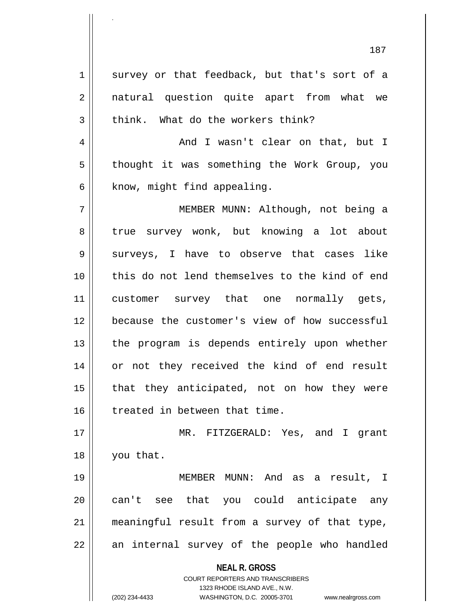**NEAL R. GROSS** COURT REPORTERS AND TRANSCRIBERS 1323 RHODE ISLAND AVE., N.W.  $1 \parallel$  survey or that feedback, but that's sort of a 2 || natural question quite apart from what we  $3 \parallel$  think. What do the workers think? 4 And I wasn't clear on that, but I 5 | thought it was something the Work Group, you  $6$  || know, might find appealing. 7 MEMBER MUNN: Although, not being a 8 || true survey wonk, but knowing a lot about 9 surveys, I have to observe that cases like 10 this do not lend themselves to the kind of end 11 || customer survey that one normally gets, 12 **because** the customer's view of how successful 13 || the program is depends entirely upon whether 14 or not they received the kind of end result  $15$  || that they anticipated, not on how they were 16 | treated in between that time. 17 MR. FITZGERALD: Yes, and I grant 18 || you that. 19 MEMBER MUNN: And as a result, I 20 || can't see that you could anticipate any 21 meaningful result from a survey of that type,  $22$  || an internal survey of the people who handled

.

(202) 234-4433 WASHINGTON, D.C. 20005-3701 www.nealrgross.com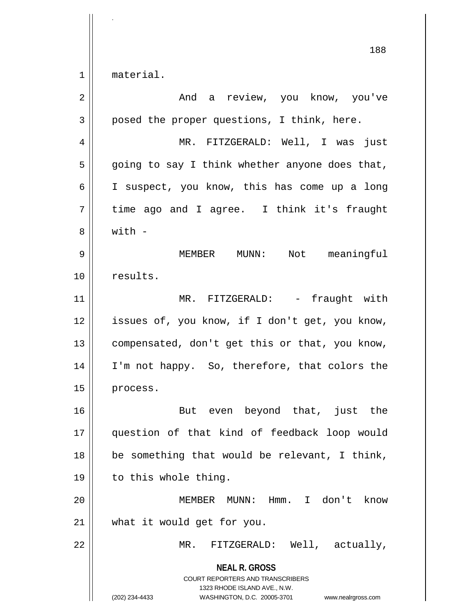1 || material.

.

| $\overline{2}$ | And a review, you know, you've                                                                                                                                         |
|----------------|------------------------------------------------------------------------------------------------------------------------------------------------------------------------|
| 3              | posed the proper questions, I think, here.                                                                                                                             |
| 4              | MR. FITZGERALD: Well, I was just                                                                                                                                       |
| 5              | going to say I think whether anyone does that,                                                                                                                         |
| 6              | I suspect, you know, this has come up a long                                                                                                                           |
| 7              | time ago and I agree. I think it's fraught                                                                                                                             |
| 8              | $with -$                                                                                                                                                               |
| 9              | MEMBER<br>$MUNN$ :<br>Not meaningful                                                                                                                                   |
| 10             | results.                                                                                                                                                               |
| 11             | MR. FITZGERALD: - fraught with                                                                                                                                         |
| 12             | issues of, you know, if I don't get, you know,                                                                                                                         |
| 13             | compensated, don't get this or that, you know,                                                                                                                         |
| 14             | I'm not happy. So, therefore, that colors the                                                                                                                          |
| 15             | process.                                                                                                                                                               |
| 16             | But even beyond that, just the                                                                                                                                         |
| 17             | question of that kind of feedback loop would                                                                                                                           |
| 18             | be something that would be relevant, I think,                                                                                                                          |
| 19             | to this whole thing.                                                                                                                                                   |
| 20             | MEMBER MUNN: Hmm.<br>I don't know                                                                                                                                      |
| 21             | what it would get for you.                                                                                                                                             |
| 22             | MR. FITZGERALD: Well, actually,                                                                                                                                        |
|                | <b>NEAL R. GROSS</b><br><b>COURT REPORTERS AND TRANSCRIBERS</b><br>1323 RHODE ISLAND AVE., N.W.<br>(202) 234-4433<br>WASHINGTON, D.C. 20005-3701<br>www.nealrgross.com |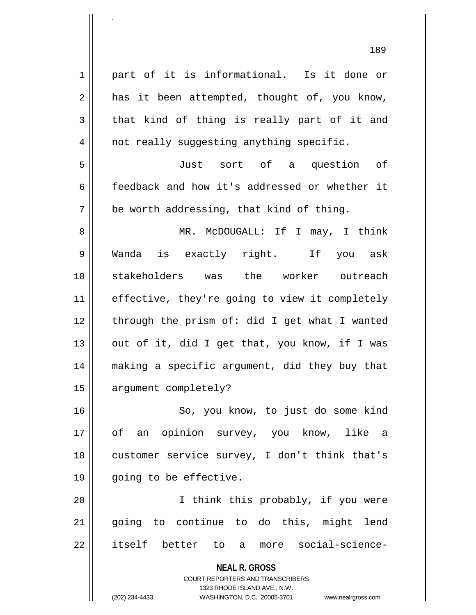**NEAL R. GROSS** COURT REPORTERS AND TRANSCRIBERS 1323 RHODE ISLAND AVE., N.W. 1 || part of it is informational. Is it done or  $2 \parallel$  has it been attempted, thought of, you know,  $3 \parallel$  that kind of thing is really part of it and 4 || not really suggesting anything specific. 5 Just sort of a question of 6 feedback and how it's addressed or whether it  $7 \parallel$  be worth addressing, that kind of thing. 8 MR. McDOUGALL: If I may, I think 9 Wanda is exactly right. If you ask 10 stakeholders was the worker outreach 11 | effective, they're going to view it completely  $12$  | through the prism of: did I get what I wanted 13  $\parallel$  out of it, did I get that, you know, if I was 14 making a specific argument, did they buy that 15 | argument completely? 16 || So, you know, to just do some kind 17 || of an opinion survey, you know, like a 18 || customer service survey, I don't think that's 19 || going to be effective. 20 I think this probably, if you were 21 going to continue to do this, might lend 22 itself better to a more social-science-

.

(202) 234-4433 WASHINGTON, D.C. 20005-3701 www.nealrgross.com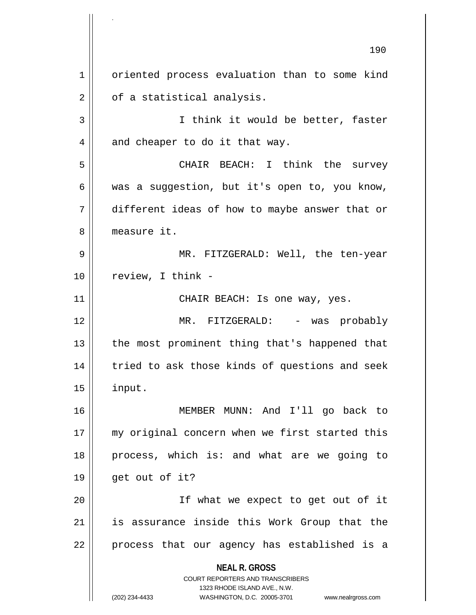**NEAL R. GROSS** COURT REPORTERS AND TRANSCRIBERS 1323 RHODE ISLAND AVE., N.W. (202) 234-4433 WASHINGTON, D.C. 20005-3701 www.nealrgross.com 190 1 | oriented process evaluation than to some kind  $2 \parallel$  of a statistical analysis. 3 || I think it would be better, faster  $4 \parallel$  and cheaper to do it that way. 5 CHAIR BEACH: I think the survey  $6 \parallel$  was a suggestion, but it's open to, you know, 7 different ideas of how to maybe answer that or 8 measure it. 9 MR. FITZGERALD: Well, the ten-year  $10$  | review, I think -11 CHAIR BEACH: Is one way, yes. 12 MR. FITZGERALD: - was probably 13 || the most prominent thing that's happened that 14 || tried to ask those kinds of questions and seek  $15$  || input. 16 MEMBER MUNN: And I'll go back to 17 || my original concern when we first started this 18 process, which is: and what are we going to  $19 \parallel$  get out of it? 20 || If what we expect to get out of it 21 is assurance inside this Work Group that the  $22 \parallel$  process that our agency has established is a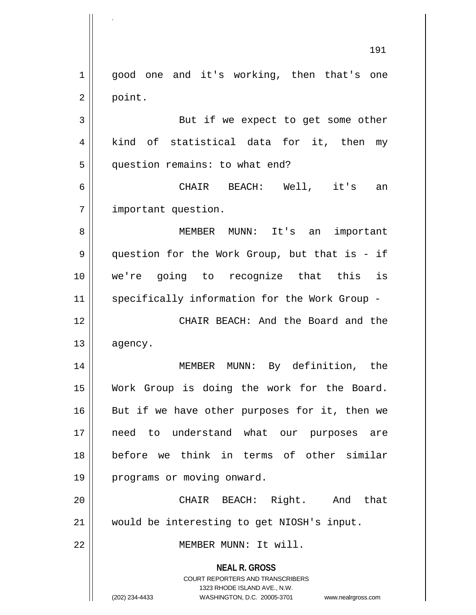**NEAL R. GROSS** COURT REPORTERS AND TRANSCRIBERS 1323 RHODE ISLAND AVE., N.W. (202) 234-4433 WASHINGTON, D.C. 20005-3701 www.nealrgross.com 191 1 || good one and it's working, then that's one  $2 \parallel$  point. 3 || But if we expect to get some other 4 || kind of statistical data for it, then my 5 | question remains: to what end? 6 CHAIR BEACH: Well, it's an 7 | important question. 8 MEMBER MUNN: It's an important 9 || question for the Work Group, but that is - if 10 we're going to recognize that this is 11 || specifically information for the Work Group -12 CHAIR BEACH: And the Board and the 13 agency. 14 MEMBER MUNN: By definition, the 15 Work Group is doing the work for the Board.  $16$  But if we have other purposes for it, then we 17 need to understand what our purposes are 18 before we think in terms of other similar 19 | programs or moving onward. 20 CHAIR BEACH: Right. And that 21 would be interesting to get NIOSH's input. 22 MEMBER MUNN: It will.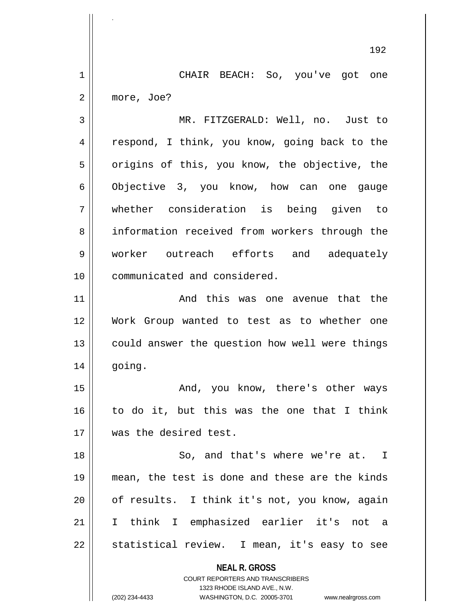1 CHAIR BEACH: So, you've got one 2 more, Joe?

3 MR. FITZGERALD: Well, no. Just to 4 || respond, I think, you know, going back to the  $5 \parallel$  origins of this, you know, the objective, the 6 Objective 3, you know, how can one gauge 7 whether consideration is being given to 8 information received from workers through the 9 worker outreach efforts and adequately 10 communicated and considered.

11 And this was one avenue that the 12 Work Group wanted to test as to whether one 13 || could answer the question how well were things 14 going.

15 And, you know, there's other ways 16 to do it, but this was the one that I think 17 was the desired test.

18 || So, and that's where we're at. I 19 mean, the test is done and these are the kinds 20 || of results. I think it's not, you know, again 21 I think I emphasized earlier it's not a  $22 \parallel$  statistical review. I mean, it's easy to see

> **NEAL R. GROSS** COURT REPORTERS AND TRANSCRIBERS

> > 1323 RHODE ISLAND AVE., N.W.

.

(202) 234-4433 WASHINGTON, D.C. 20005-3701 www.nealrgross.com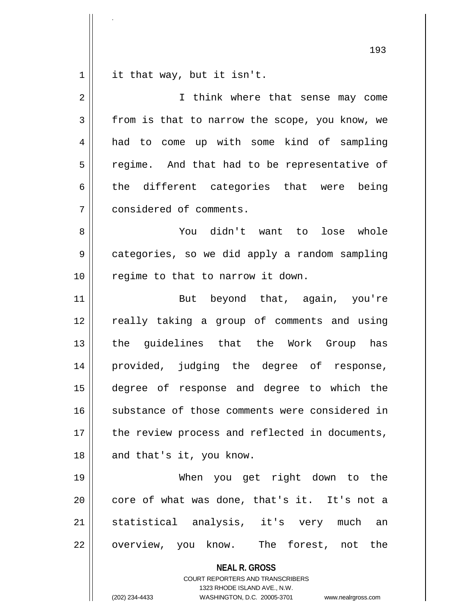$1$  it that way, but it isn't.

.

| 2  | I think where that sense may come                                                                                                                               |
|----|-----------------------------------------------------------------------------------------------------------------------------------------------------------------|
| 3  | from is that to narrow the scope, you know, we                                                                                                                  |
| 4  | had to come up with some kind of sampling                                                                                                                       |
| 5  | regime. And that had to be representative of                                                                                                                    |
| 6  | the different categories that were being                                                                                                                        |
| 7  | considered of comments.                                                                                                                                         |
| 8  | You didn't want to lose whole                                                                                                                                   |
| 9  | categories, so we did apply a random sampling                                                                                                                   |
| 10 | regime to that to narrow it down.                                                                                                                               |
| 11 | But beyond that, again, you're                                                                                                                                  |
| 12 | really taking a group of comments and using                                                                                                                     |
| 13 | the guidelines that the Work Group has                                                                                                                          |
| 14 | provided, judging the degree of response,                                                                                                                       |
| 15 | degree of response and degree to which the                                                                                                                      |
| 16 | substance of those comments were considered in                                                                                                                  |
| 17 | the review process and reflected in documents,                                                                                                                  |
| 18 | and that's it, you know.                                                                                                                                        |
| 19 | When you get right down to the                                                                                                                                  |
| 20 | core of what was done, that's it. It's not a                                                                                                                    |
| 21 | statistical analysis, it's very much<br>an                                                                                                                      |
| 22 | overview, you know. The forest, not the                                                                                                                         |
|    | <b>NEAL R. GROSS</b><br>COURT REPORTERS AND TRANSCRIBERS<br>1323 RHODE ISLAND AVE., N.W.<br>(202) 234-4433<br>WASHINGTON, D.C. 20005-3701<br>www.nealrgross.com |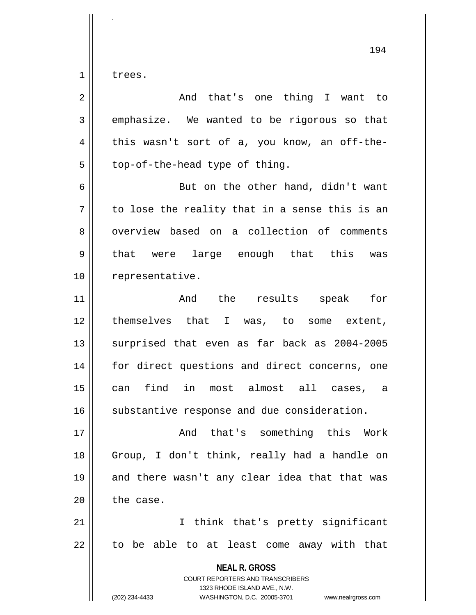$1 \parallel$  trees.

.

| $\overline{2}$ | And that's one thing I want to                                                                                                                                         |
|----------------|------------------------------------------------------------------------------------------------------------------------------------------------------------------------|
| 3              | emphasize. We wanted to be rigorous so that                                                                                                                            |
| 4              | this wasn't sort of a, you know, an off-the-                                                                                                                           |
| 5              | top-of-the-head type of thing.                                                                                                                                         |
| 6              | But on the other hand, didn't want                                                                                                                                     |
| 7              | to lose the reality that in a sense this is an                                                                                                                         |
| 8              | overview based on a collection of comments                                                                                                                             |
| 9              | that were large enough that this was                                                                                                                                   |
| 10             | representative.                                                                                                                                                        |
| 11             | And the results<br>speak for                                                                                                                                           |
| 12             | themselves that I was, to some extent,                                                                                                                                 |
| 13             | surprised that even as far back as 2004-2005                                                                                                                           |
| 14             | for direct questions and direct concerns, one                                                                                                                          |
| 15             | find in most almost all cases, a<br>can                                                                                                                                |
| 16             | substantive response and due consideration.                                                                                                                            |
| 17             | something this Work<br>And that's                                                                                                                                      |
| 18             | Group, I don't think, really had a handle on                                                                                                                           |
| 19             | and there wasn't any clear idea that that was                                                                                                                          |
| 20             | the case.                                                                                                                                                              |
| 21             | I think that's pretty significant                                                                                                                                      |
| 22             | to be able to at least come away with that                                                                                                                             |
|                | <b>NEAL R. GROSS</b><br><b>COURT REPORTERS AND TRANSCRIBERS</b><br>1323 RHODE ISLAND AVE., N.W.<br>(202) 234-4433<br>WASHINGTON, D.C. 20005-3701<br>www.nealrgross.com |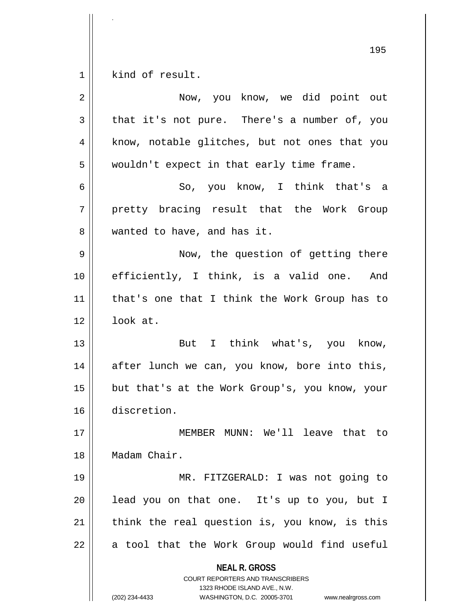$1$  kind of result.

| 2  | Now, you know, we did point out                                                                                                                                 |
|----|-----------------------------------------------------------------------------------------------------------------------------------------------------------------|
| 3  | that it's not pure. There's a number of, you                                                                                                                    |
| 4  | know, notable glitches, but not ones that you                                                                                                                   |
| 5  | wouldn't expect in that early time frame.                                                                                                                       |
| 6  | So, you know, I think that's a                                                                                                                                  |
| 7  | pretty bracing result that the Work Group                                                                                                                       |
| 8  | wanted to have, and has it.                                                                                                                                     |
| 9  | Now, the question of getting there                                                                                                                              |
| 10 | efficiently, I think, is a valid one. And                                                                                                                       |
| 11 | that's one that I think the Work Group has to                                                                                                                   |
| 12 | look at.                                                                                                                                                        |
| 13 | But I think what's, you know,                                                                                                                                   |
| 14 | after lunch we can, you know, bore into this,                                                                                                                   |
| 15 | but that's at the Work Group's, you know, your                                                                                                                  |
| 16 | discretion.                                                                                                                                                     |
| 17 | MUNN: We'll leave that to<br>MEMBER                                                                                                                             |
| 18 | Madam Chair.                                                                                                                                                    |
| 19 | MR. FITZGERALD: I was not going to                                                                                                                              |
| 20 | lead you on that one. It's up to you, but I                                                                                                                     |
| 21 | think the real question is, you know, is this                                                                                                                   |
| 22 | a tool that the Work Group would find useful                                                                                                                    |
|    | <b>NEAL R. GROSS</b><br>COURT REPORTERS AND TRANSCRIBERS<br>1323 RHODE ISLAND AVE., N.W.<br>(202) 234-4433<br>WASHINGTON, D.C. 20005-3701<br>www.nealrgross.com |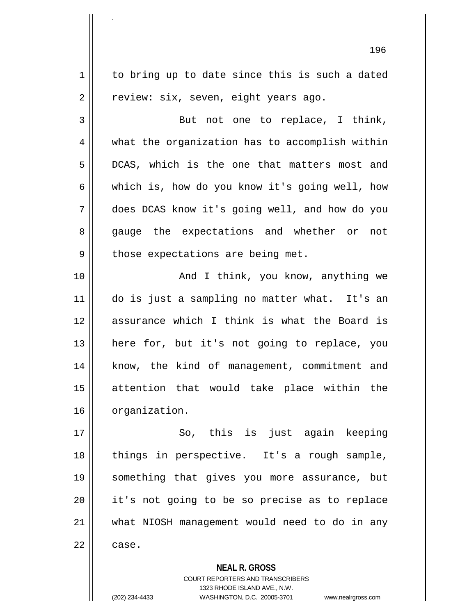196  $1 \parallel$  to bring up to date since this is such a dated  $2 \parallel$  review: six, seven, eight years ago. 3 || But not one to replace, I think,  $4 \parallel$  what the organization has to accomplish within 5 DCAS, which is the one that matters most and 6  $\parallel$  which is, how do you know it's going well, how 7 does DCAS know it's going well, and how do you 8 gauge the expectations and whether or not  $9 \parallel$  those expectations are being met. 10 And I think, you know, anything we 11 do is just a sampling no matter what. It's an 12 assurance which I think is what the Board is 13 || here for, but it's not going to replace, you 14 || know, the kind of management, commitment and 15 attention that would take place within the 16 | organization. 17 || So, this is just again keeping 18 || things in perspective. It's a rough sample, 19 something that gives you more assurance, but 20 it's not going to be so precise as to replace 21 what NIOSH management would need to do in any  $22 \parallel$  case.

**NEAL R. GROSS**

COURT REPORTERS AND TRANSCRIBERS 1323 RHODE ISLAND AVE., N.W. (202) 234-4433 WASHINGTON, D.C. 20005-3701 www.nealrgross.com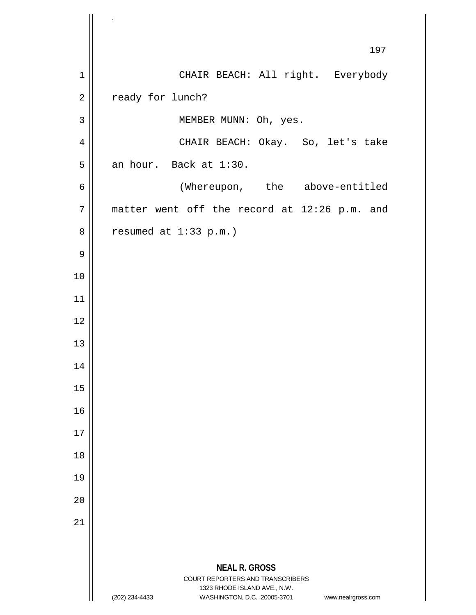**NEAL R. GROSS** COURT REPORTERS AND TRANSCRIBERS 1323 RHODE ISLAND AVE., N.W. (202) 234-4433 WASHINGTON, D.C. 20005-3701 www.nealrgross.com 197 1 | CHAIR BEACH: All right. Everybody 2 | ready for lunch? 3 || MEMBER MUNN: Oh, yes. 4 | CHAIR BEACH: Okay. So, let's take  $5$  an hour. Back at 1:30. 6 | (Whereupon, the above-entitled  $7$  matter went off the record at 12:26 p.m. and  $8 \parallel$  resumed at 1:33 p.m.) 9 10 11 12 13 14 15 16 17 18 19 20 21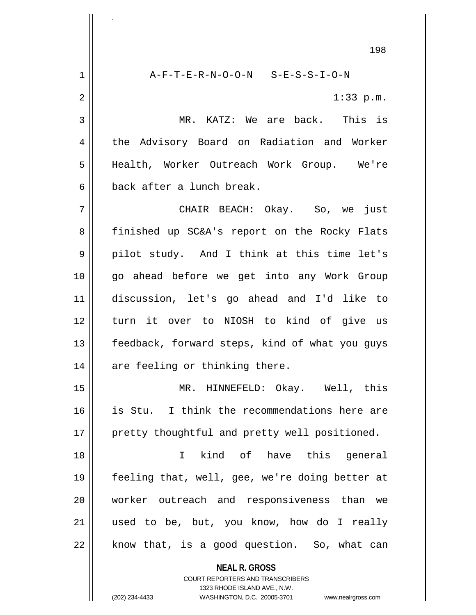**NEAL R. GROSS** COURT REPORTERS AND TRANSCRIBERS 198  $1$   $A-F-T-E-R-N-O-O-N$   $S-E-S-S-I-O-N$ 2  $\parallel$  1:33 p.m. 3 MR. KATZ: We are back. This is 4 the Advisory Board on Radiation and Worker 5 Health, Worker Outreach Work Group. We're 6 back after a lunch break. 7 CHAIR BEACH: Okay. So, we just 8 finished up SC&A's report on the Rocky Flats 9 pilot study. And I think at this time let's 10 go ahead before we get into any Work Group 11 discussion, let's go ahead and I'd like to 12 turn it over to NIOSH to kind of give us 13 || feedback, forward steps, kind of what you guys  $14$  | are feeling or thinking there. 15 MR. HINNEFELD: Okay. Well, this 16 is Stu. I think the recommendations here are 17 || pretty thoughtful and pretty well positioned. 18 I kind of have this general 19 feeling that, well, gee, we're doing better at 20 worker outreach and responsiveness than we 21 used to be, but, you know, how do I really  $22 \parallel$  know that, is a good question. So, what can

> 1323 RHODE ISLAND AVE., N.W. (202) 234-4433 WASHINGTON, D.C. 20005-3701 www.nealrgross.com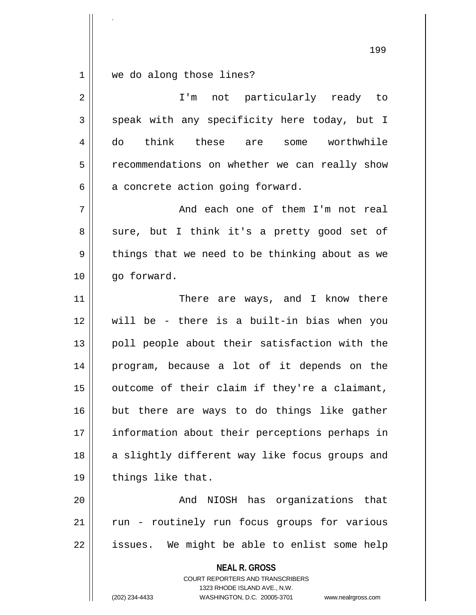$1 \parallel$  we do along those lines?

.

| $\overline{2}$ | I'm not particularly ready to                                                                                                                                          |
|----------------|------------------------------------------------------------------------------------------------------------------------------------------------------------------------|
| 3              | speak with any specificity here today, but I                                                                                                                           |
| 4              | think these are some worthwhile<br>do                                                                                                                                  |
| 5              | recommendations on whether we can really show                                                                                                                          |
| 6              | a concrete action going forward.                                                                                                                                       |
| 7              | And each one of them I'm not real                                                                                                                                      |
| 8              | sure, but I think it's a pretty good set of                                                                                                                            |
| 9              | things that we need to be thinking about as we                                                                                                                         |
| 10             | go forward.                                                                                                                                                            |
| 11             | There are ways, and I know there                                                                                                                                       |
| 12             | will be - there is a built-in bias when you                                                                                                                            |
| 13             | poll people about their satisfaction with the                                                                                                                          |
| 14             | program, because a lot of it depends on the                                                                                                                            |
| 15             | outcome of their claim if they're a claimant,                                                                                                                          |
| 16             | but there are ways to do things like gather                                                                                                                            |
| 17             | information about their perceptions perhaps in                                                                                                                         |
| 18             | a slightly different way like focus groups and                                                                                                                         |
| 19             | things like that.                                                                                                                                                      |
| 20             | And NIOSH has organizations that                                                                                                                                       |
| 21             | run - routinely run focus groups for various                                                                                                                           |
| 22             | issues. We might be able to enlist some help                                                                                                                           |
|                | <b>NEAL R. GROSS</b><br><b>COURT REPORTERS AND TRANSCRIBERS</b><br>1323 RHODE ISLAND AVE., N.W.<br>(202) 234-4433<br>WASHINGTON, D.C. 20005-3701<br>www.nealrgross.com |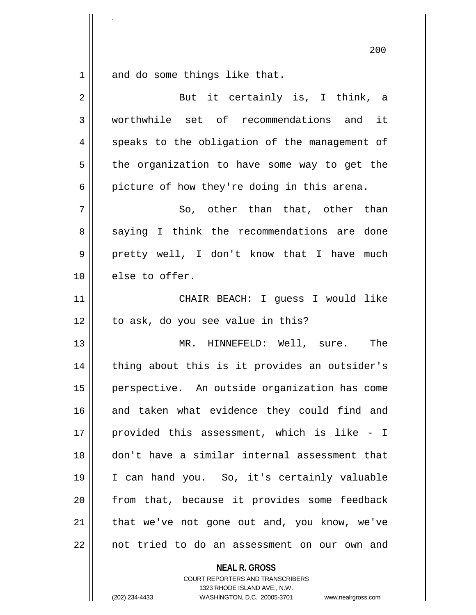$1 \parallel$  and do some things like that.

.

| $\overline{2}$ | But it certainly is, I think, a               |
|----------------|-----------------------------------------------|
| 3              | worthwhile set of recommendations and it      |
| 4              | speaks to the obligation of the management of |
| 5              | the organization to have some way to get the  |
| 6              | picture of how they're doing in this arena.   |
| 7              | So, other than that, other than               |
| 8              | saying I think the recommendations are done   |
| 9              | pretty well, I don't know that I have much    |
| 10             | else to offer.                                |
| 11             | CHAIR BEACH: I guess I would like             |
| 12             | to ask, do you see value in this?             |
| 13             | MR. HINNEFELD: Well, sure. The                |
| 14             | thing about this is it provides an outsider's |
| 15             | perspective. An outside organization has come |
| 16             | and taken what evidence they could find and   |
| 17             | provided this assessment, which is like - I   |
| 18             | don't have a similar internal assessment that |
| 19             | I can hand you. So, it's certainly valuable   |
| 20             | from that, because it provides some feedback  |
| 21             | that we've not gone out and, you know, we've  |
| 22             | not tried to do an assessment on our own and  |

**NEAL R. GROSS** COURT REPORTERS AND TRANSCRIBERS

1323 RHODE ISLAND AVE., N.W.

(202) 234-4433 WASHINGTON, D.C. 20005-3701 www.nealrgross.com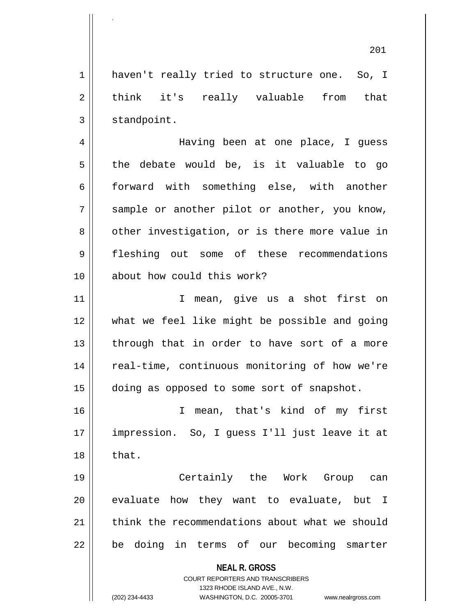1 | haven't really tried to structure one. So, I  $2 \parallel$  think it's really valuable from that  $3 \parallel$  standpoint.

.

4 Having been at one place, I guess  $5 \parallel$  the debate would be, is it valuable to go 6 || forward with something else, with another  $7 \parallel$  sample or another pilot or another, you know, 8 | other investigation, or is there more value in 9 fleshing out some of these recommendations 10 about how could this work?

11 || I mean, give us a shot first on 12 what we feel like might be possible and going  $13$  || through that in order to have sort of a more 14 || real-time, continuous monitoring of how we're 15 doing as opposed to some sort of snapshot.

16 I mean, that's kind of my first 17 impression. So, I guess I'll just leave it at  $18 \parallel$  that.

19 Certainly the Work Group can  $20$  evaluate how they want to evaluate, but I 21 think the recommendations about what we should 22 || be doing in terms of our becoming smarter

> **NEAL R. GROSS** COURT REPORTERS AND TRANSCRIBERS 1323 RHODE ISLAND AVE., N.W. (202) 234-4433 WASHINGTON, D.C. 20005-3701 www.nealrgross.com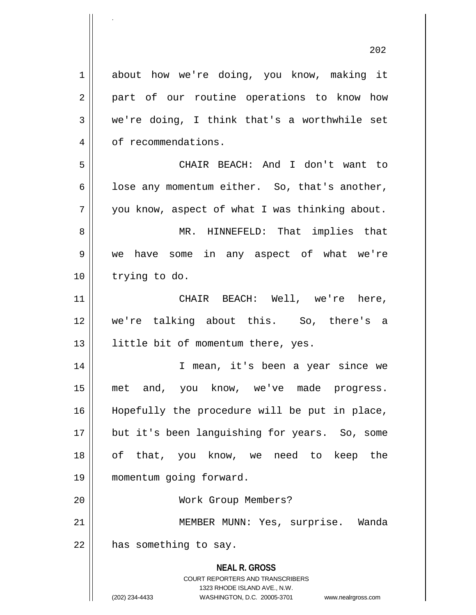**NEAL R. GROSS** COURT REPORTERS AND TRANSCRIBERS 1323 RHODE ISLAND AVE., N.W. 1 about how we're doing, you know, making it 2 || part of our routine operations to know how  $3 \parallel$  we're doing, I think that's a worthwhile set 4 | of recommendations. 5 CHAIR BEACH: And I don't want to  $6 \parallel$  lose any momentum either. So, that's another,  $7 \parallel$  you know, aspect of what I was thinking about. 8 MR. HINNEFELD: That implies that 9 we have some in any aspect of what we're 10 | trying to do. 11 CHAIR BEACH: Well, we're here, 12 we're talking about this. So, there's a 13 || little bit of momentum there, yes. 14 I mean, it's been a year since we 15 met and, you know, we've made progress. 16 || Hopefully the procedure will be put in place, 17 || but it's been languishing for years. So, some 18 of that, you know, we need to keep the 19 momentum going forward. 20 Work Group Members? 21 || MEMBER MUNN: Yes, surprise. Wanda  $22$  | has something to say.

.

<sup>(202) 234-4433</sup> WASHINGTON, D.C. 20005-3701 www.nealrgross.com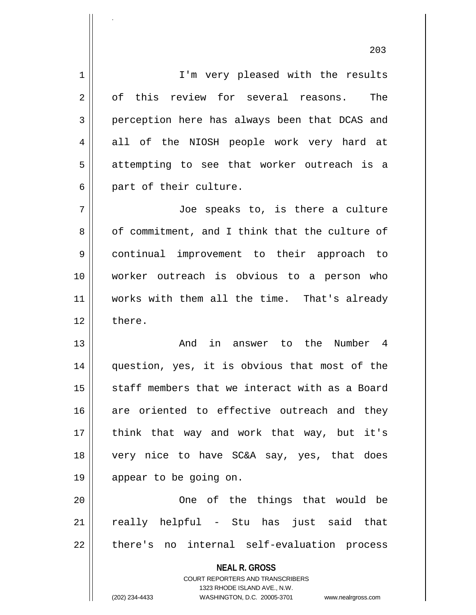**NEAL R. GROSS** 1 || I'm very pleased with the results 2 || of this review for several reasons. The 3 perception here has always been that DCAS and 4 all of the NIOSH people work very hard at  $5 \parallel$  attempting to see that worker outreach is a 6 || part of their culture. 7 Joe speaks to, is there a culture 8 of commitment, and I think that the culture of 9 continual improvement to their approach to 10 worker outreach is obvious to a person who 11 || works with them all the time. That's already 12 l there. 13 And in answer to the Number 4 14 question, yes, it is obvious that most of the 15  $\parallel$  staff members that we interact with as a Board 16 are oriented to effective outreach and they 17 || think that way and work that way, but it's 18 very nice to have SC&A say, yes, that does 19 || appear to be going on. 20 One of the things that would be 21 || really helpful - Stu has just said that 22 || there's no internal self-evaluation process

COURT REPORTERS AND TRANSCRIBERS

(202) 234-4433 WASHINGTON, D.C. 20005-3701 www.nealrgross.com

.

1323 RHODE ISLAND AVE., N.W.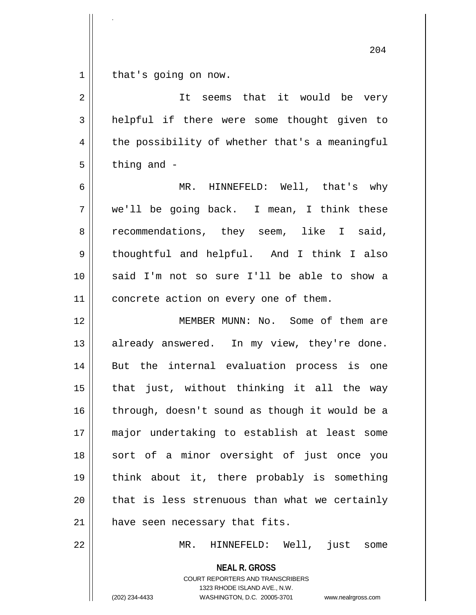$1 \parallel$  that's going on now.

.

| 2  | It seems that it would be very                 |
|----|------------------------------------------------|
| 3  | helpful if there were some thought given to    |
| 4  | the possibility of whether that's a meaningful |
| 5  | thing and -                                    |
| 6  | MR. HINNEFELD: Well, that's why                |
| 7  | we'll be going back. I mean, I think these     |
| 8  | recommendations, they seem, like I said,       |
| 9  | thoughtful and helpful. And I think I also     |
| 10 | said I'm not so sure I'll be able to show a    |
| 11 | concrete action on every one of them.          |
| 12 | MEMBER MUNN: No. Some of them are              |
| 13 | already answered. In my view, they're done.    |
| 14 | But the internal evaluation process is one     |
| 15 | that just, without thinking it all the way     |
| 16 | through, doesn't sound as though it would be a |
| 17 | major undertaking to establish at least some   |
| 18 | sort of a minor oversight of just once you     |
| 19 | think about it, there probably is something    |
| 20 | that is less strenuous than what we certainly  |
| 21 | have seen necessary that fits.                 |
| 22 | MR. HINNEFELD: Well, just some                 |
|    | <b>NEAL R. GROSS</b>                           |

COURT REPORTERS AND TRANSCRIBERS 1323 RHODE ISLAND AVE., N.W.

(202) 234-4433 WASHINGTON, D.C. 20005-3701 www.nealrgross.com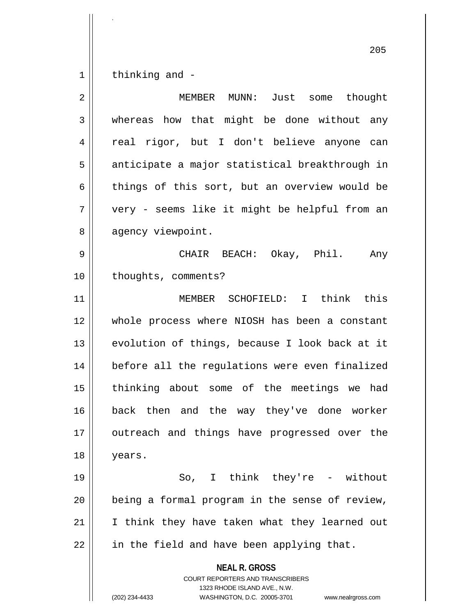$1 \parallel$  thinking and -

| $\overline{2}$ | MEMBER MUNN: Just some thought                                                                                                                                  |
|----------------|-----------------------------------------------------------------------------------------------------------------------------------------------------------------|
| 3              | whereas how that might be done without any                                                                                                                      |
| $\overline{4}$ | real rigor, but I don't believe anyone can                                                                                                                      |
| 5              | anticipate a major statistical breakthrough in                                                                                                                  |
| 6              | things of this sort, but an overview would be                                                                                                                   |
| 7              | very - seems like it might be helpful from an                                                                                                                   |
| 8              | agency viewpoint.                                                                                                                                               |
| 9              | CHAIR BEACH: Okay, Phil.<br>Any                                                                                                                                 |
| 10             | thoughts, comments?                                                                                                                                             |
| 11             | MEMBER SCHOFIELD: I think this                                                                                                                                  |
| 12             | whole process where NIOSH has been a constant                                                                                                                   |
| 13             | evolution of things, because I look back at it                                                                                                                  |
| 14             | before all the regulations were even finalized                                                                                                                  |
| 15             | thinking about some of the meetings we had                                                                                                                      |
| 16             | back then and the way they've done worker                                                                                                                       |
| 17             | outreach and things have progressed over the                                                                                                                    |
| 18             | years.                                                                                                                                                          |
| 19             | So, I think they're - without                                                                                                                                   |
| 20             | being a formal program in the sense of review,                                                                                                                  |
| 21             | I think they have taken what they learned out                                                                                                                   |
| 22             | in the field and have been applying that.                                                                                                                       |
|                | <b>NEAL R. GROSS</b><br>COURT REPORTERS AND TRANSCRIBERS<br>1323 RHODE ISLAND AVE., N.W.<br>(202) 234-4433<br>WASHINGTON, D.C. 20005-3701<br>www.nealrgross.com |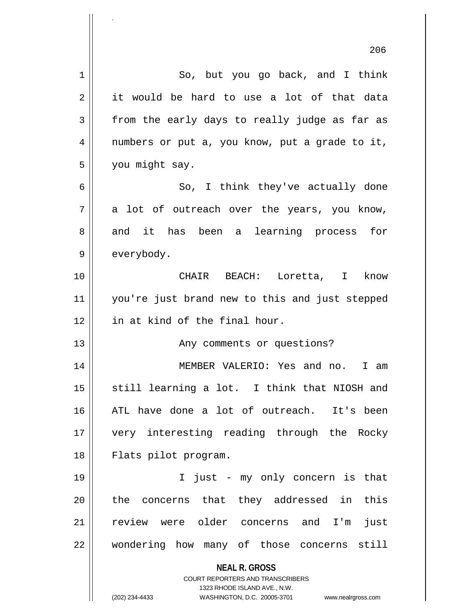|    | ⊿∪ຽ                                                                     |
|----|-------------------------------------------------------------------------|
| 1  | So, but you go back, and I think                                        |
| 2  | it would be hard to use a lot of that data                              |
| 3  | from the early days to really judge as far as                           |
| 4  | numbers or put a, you know, put a grade to it,                          |
| 5  | you might say.                                                          |
| 6  | So, I think they've actually done                                       |
| 7  | a lot of outreach over the years, you know,                             |
| 8  | and it has been a learning process<br>for                               |
| 9  | everybody.                                                              |
| 10 | CHAIR BEACH: Loretta, I know                                            |
| 11 | you're just brand new to this and just stepped                          |
| 12 | in at kind of the final hour.                                           |
| 13 | Any comments or questions?                                              |
| 14 | MEMBER VALERIO: Yes and no.<br>I am                                     |
| 15 | still learning a lot. I think that NIOSH and                            |
| 16 | ATL have done a lot of outreach. It's been                              |
| 17 | very interesting reading through the Rocky                              |
| 18 | Flats pilot program.                                                    |
| 19 | I just - my only concern is that                                        |
| 20 | the concerns that they addressed in<br>this                             |
| 21 | review were older concerns and I'm<br>just                              |
| 22 | wondering how many of those concerns still                              |
|    | <b>NEAL R. GROSS</b>                                                    |
|    | <b>COURT REPORTERS AND TRANSCRIBERS</b><br>1323 RHODE ISLAND AVE., N.W. |
|    | WASHINGTON, D.C. 20005-3701<br>(202) 234-4433<br>www.nealrgross.com     |

.

 $\mathsf{I}$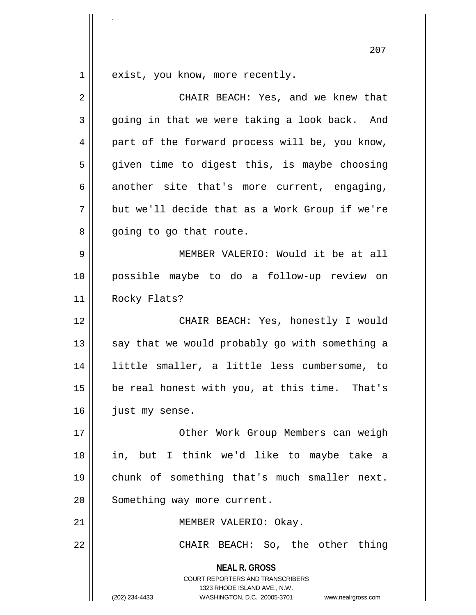$1 \parallel$  exist, you know, more recently.

.

| $\overline{2}$ | CHAIR BEACH: Yes, and we knew that                                                                                                                              |
|----------------|-----------------------------------------------------------------------------------------------------------------------------------------------------------------|
| 3              | going in that we were taking a look back. And                                                                                                                   |
| 4              | part of the forward process will be, you know,                                                                                                                  |
| 5              | given time to digest this, is maybe choosing                                                                                                                    |
| 6              | another site that's more current, engaging,                                                                                                                     |
| 7              | but we'll decide that as a Work Group if we're                                                                                                                  |
| 8              | going to go that route.                                                                                                                                         |
| 9              | MEMBER VALERIO: Would it be at all                                                                                                                              |
| 10             | possible maybe to do a follow-up review on                                                                                                                      |
| 11             | Rocky Flats?                                                                                                                                                    |
| 12             | CHAIR BEACH: Yes, honestly I would                                                                                                                              |
| 13             | say that we would probably go with something a                                                                                                                  |
| 14             | little smaller, a little less cumbersome, to                                                                                                                    |
| 15             | be real honest with you, at this time. That's                                                                                                                   |
| 16             | just my sense.                                                                                                                                                  |
| 17             | Other Work Group Members can weigh                                                                                                                              |
| 18             | in, but I think we'd like to maybe take a                                                                                                                       |
| 19             | chunk of something that's much smaller next.                                                                                                                    |
| 20             | Something way more current.                                                                                                                                     |
| 21             | MEMBER VALERIO: Okay.                                                                                                                                           |
| 22             | CHAIR BEACH: So, the other thing                                                                                                                                |
|                | <b>NEAL R. GROSS</b><br>COURT REPORTERS AND TRANSCRIBERS<br>1323 RHODE ISLAND AVE., N.W.<br>(202) 234-4433<br>WASHINGTON, D.C. 20005-3701<br>www.nealrgross.com |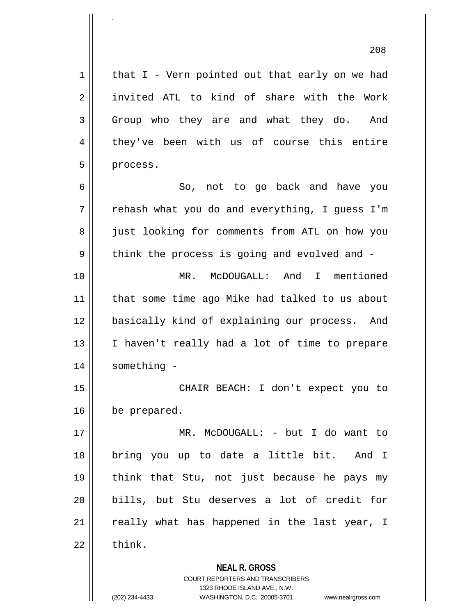$1 \parallel$  that I - Vern pointed out that early on we had 2 || invited ATL to kind of share with the Work 3 Group who they are and what they do. And 4 they've been with us of course this entire  $5$  | process. 6 So, not to go back and have you  $7 \parallel$  rehash what you do and everything, I quess I'm 8 | just looking for comments from ATL on how you  $9 \parallel$  think the process is going and evolved and -10 MR. McDOUGALL: And I mentioned 11 that some time ago Mike had talked to us about 12 basically kind of explaining our process. And 13 || I haven't really had a lot of time to prepare 14 something - 15 CHAIR BEACH: I don't expect you to 16 | be prepared. 17 MR. McDOUGALL: - but I do want to 18 bring you up to date a little bit. And I 19 think that Stu, not just because he pays my 20 bills, but Stu deserves a lot of credit for  $21$  really what has happened in the last year, I  $22$   $\parallel$  think.

**NEAL R. GROSS**

COURT REPORTERS AND TRANSCRIBERS 1323 RHODE ISLAND AVE., N.W. (202) 234-4433 WASHINGTON, D.C. 20005-3701 www.nealrgross.com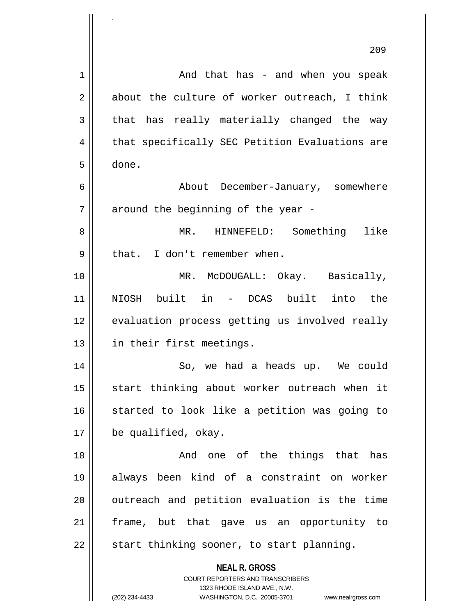|                | 209                                                                 |
|----------------|---------------------------------------------------------------------|
| 1              | And that has - and when you speak                                   |
| $\overline{2}$ | about the culture of worker outreach, I think                       |
| 3              | that has really materially changed the way                          |
| 4              | that specifically SEC Petition Evaluations are                      |
| 5              | done.                                                               |
| 6              | About December-January, somewhere                                   |
| 7              | around the beginning of the year -                                  |
| 8              | MR. HINNEFELD: Something like                                       |
| 9              | that. I don't remember when.                                        |
| 10             | MR. McDOUGALL: Okay. Basically,                                     |
| 11             | NIOSH built in - DCAS built into the                                |
| 12             | evaluation process getting us involved really                       |
| 13             | in their first meetings.                                            |
| 14             | So, we had a heads up. We could                                     |
| 15             | start thinking about worker outreach when it                        |
| 16             | started to look like a petition was going to                        |
| 17             | be qualified, okay.                                                 |
| 18             | And one of the things that has                                      |
| 19             | always been kind of a constraint on worker                          |
| 20             | outreach and petition evaluation is the time                        |
| 21             | frame, but that gave us an opportunity to                           |
| 22             | start thinking sooner, to start planning.                           |
|                | <b>NEAL R. GROSS</b><br><b>COURT REPORTERS AND TRANSCRIBERS</b>     |
|                | 1323 RHODE ISLAND AVE., N.W.                                        |
|                | (202) 234-4433<br>WASHINGTON, D.C. 20005-3701<br>www.nealrgross.com |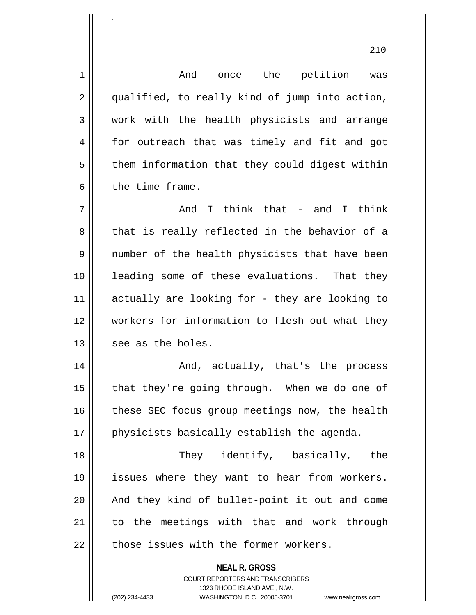**NEAL R. GROSS** COURT REPORTERS AND TRANSCRIBERS 1 And once the petition was 2 || qualified, to really kind of jump into action, 3 work with the health physicists and arrange 4 for outreach that was timely and fit and got  $5 \parallel$  them information that they could digest within 6 b the time frame.  $7 \parallel$  and I think that - and I think 8 that is really reflected in the behavior of a 9 || number of the health physicists that have been 10 || leading some of these evaluations. That they 11 actually are looking for - they are looking to 12 workers for information to flesh out what they  $13$  || see as the holes. 14 And, actually, that's the process 15  $\parallel$  that they're going through. When we do one of  $16$  | these SEC focus group meetings now, the health 17 || physicists basically establish the agenda. 18 They identify, basically, the 19 || issues where they want to hear from workers. 20 || And they kind of bullet-point it out and come 21 || to the meetings with that and work through  $22$   $\parallel$  those issues with the former workers.

1323 RHODE ISLAND AVE., N.W.

.

(202) 234-4433 WASHINGTON, D.C. 20005-3701 www.nealrgross.com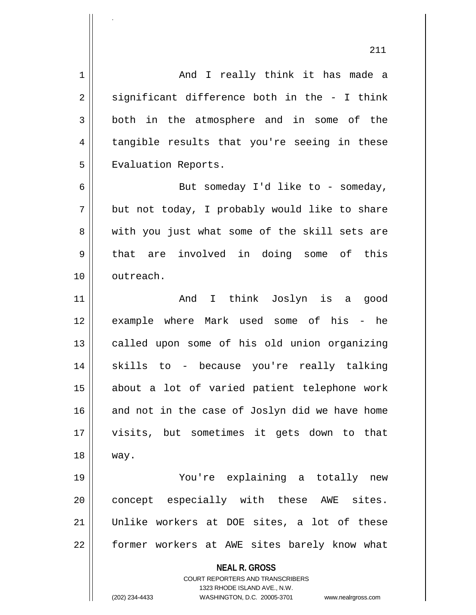**NEAL R. GROSS** COURT REPORTERS AND TRANSCRIBERS 1323 RHODE ISLAND AVE., N.W. (202) 234-4433 WASHINGTON, D.C. 20005-3701 www.nealrgross.com 1 And I really think it has made a  $2 \parallel$  significant difference both in the - I think 3 both in the atmosphere and in some of the 4 || tangible results that you're seeing in these 5 | Evaluation Reports.  $6 \parallel$  But someday I'd like to - someday,  $7 \parallel$  but not today, I probably would like to share 8 with you just what some of the skill sets are 9 || that are involved in doing some of this 10 | outreach. 11 || Think Joslyn is a good 12 example where Mark used some of his - he 13 || called upon some of his old union organizing 14 skills to - because you're really talking 15 about a lot of varied patient telephone work  $16$  and not in the case of Joslyn did we have home 17 visits, but sometimes it gets down to that 18 way. 19 You're explaining a totally new 20 || concept especially with these AWE sites. 21 Unlike workers at DOE sites, a lot of these 22 | former workers at AWE sites barely know what

.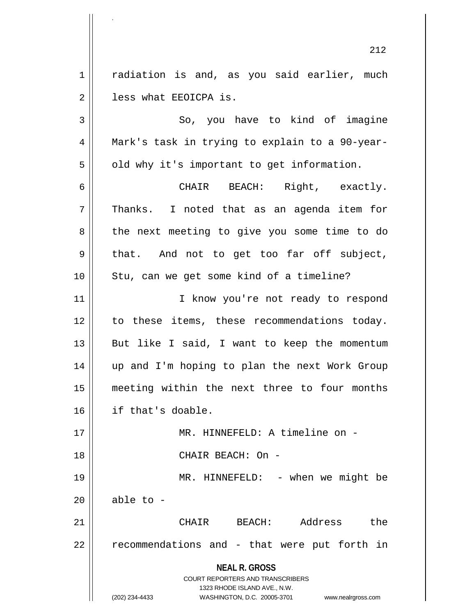1 | radiation is and, as you said earlier, much 2 | less what EEOICPA is.

3 So, you have to kind of imagine 4 Mark's task in trying to explain to a 90-year- $5 \parallel$  old why it's important to get information.

6 CHAIR BEACH: Right, exactly.  $7 \parallel$  Thanks. I noted that as an agenda item for 8 the next meeting to give you some time to do 9 || that. And not to get too far off subject, 10 || Stu, can we get some kind of a timeline?

11 || T know you're not ready to respond 12 to these items, these recommendations today. 13  $\parallel$  But like I said, I want to keep the momentum 14 up and I'm hoping to plan the next Work Group 15 meeting within the next three to four months 16 if that's doable.

17 MR. HINNEFELD: A timeline on - 18 CHAIR BEACH: On - 19 || MR. HINNEFELD: - when we might be

 $20$  | able to -

.

21 CHAIR BEACH: Address the 22 || recommendations and - that were put forth in

**NEAL R. GROSS**

COURT REPORTERS AND TRANSCRIBERS 1323 RHODE ISLAND AVE., N.W. (202) 234-4433 WASHINGTON, D.C. 20005-3701 www.nealrgross.com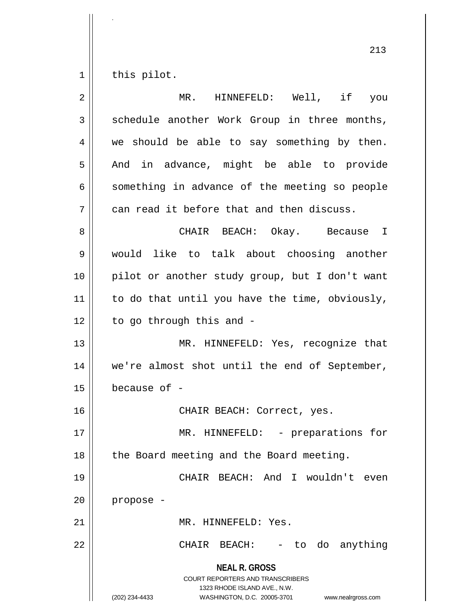$1 \parallel$  this pilot.

| $\overline{2}$ | MR. HINNEFELD: Well, if you                                                                                                                                            |
|----------------|------------------------------------------------------------------------------------------------------------------------------------------------------------------------|
| 3              | schedule another Work Group in three months,                                                                                                                           |
| 4              | we should be able to say something by then.                                                                                                                            |
| 5              | And in advance, might be able to provide                                                                                                                               |
| 6              | something in advance of the meeting so people                                                                                                                          |
| 7              | can read it before that and then discuss.                                                                                                                              |
| 8              | CHAIR BEACH: Okay. Because I                                                                                                                                           |
| 9              | would like to talk about choosing another                                                                                                                              |
| 10             | pilot or another study group, but I don't want                                                                                                                         |
| 11             | to do that until you have the time, obviously,                                                                                                                         |
| 12             | to go through this and -                                                                                                                                               |
| 13             | MR. HINNEFELD: Yes, recognize that                                                                                                                                     |
| 14             | we're almost shot until the end of September,                                                                                                                          |
| 15             | because of -                                                                                                                                                           |
| 16             | CHAIR BEACH: Correct, yes.                                                                                                                                             |
| 17             | MR. HINNEFELD: - preparations for                                                                                                                                      |
| 18             | the Board meeting and the Board meeting.                                                                                                                               |
| 19             | CHAIR BEACH: And I wouldn't<br>even                                                                                                                                    |
| 20             | propose -                                                                                                                                                              |
| 21             | MR. HINNEFELD: Yes.                                                                                                                                                    |
| 22             | CHAIR<br>BEACH:<br>- to do anything                                                                                                                                    |
|                | <b>NEAL R. GROSS</b><br><b>COURT REPORTERS AND TRANSCRIBERS</b><br>1323 RHODE ISLAND AVE., N.W.<br>(202) 234-4433<br>WASHINGTON, D.C. 20005-3701<br>www.nealrgross.com |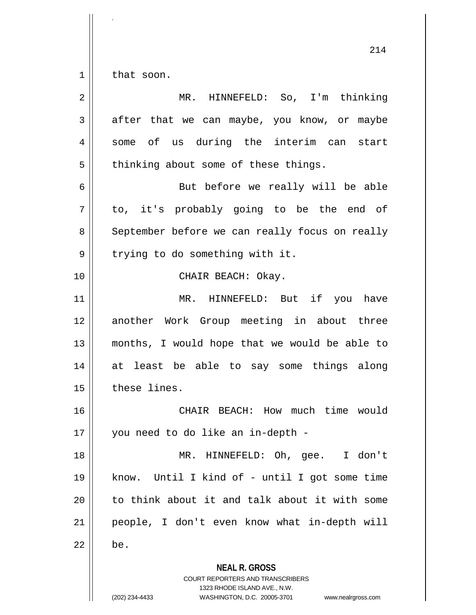$1 \parallel$  that soon.

.

**NEAL R. GROSS** COURT REPORTERS AND TRANSCRIBERS 1323 RHODE ISLAND AVE., N.W. (202) 234-4433 WASHINGTON, D.C. 20005-3701 www.nealrgross.com 2 MR. HINNEFELD: So, I'm thinking  $3 \parallel$  after that we can maybe, you know, or maybe 4 || some of us during the interim can start  $5 \parallel$  thinking about some of these things. 6 But before we really will be able  $7 \parallel$  to, it's probably going to be the end of 8 | September before we can really focus on really  $9 \parallel$  trying to do something with it. 10 || CHAIR BEACH: Okay. 11 MR. HINNEFELD: But if you have 12 another Work Group meeting in about three 13 months, I would hope that we would be able to 14 at least be able to say some things along 15 | these lines. 16 CHAIR BEACH: How much time would 17 || you need to do like an in-depth -18 MR. HINNEFELD: Oh, gee. I don't 19 know. Until I kind of - until I got some time  $20$  || to think about it and talk about it with some 21 people, I don't even know what in-depth will  $22 \parallel$  be.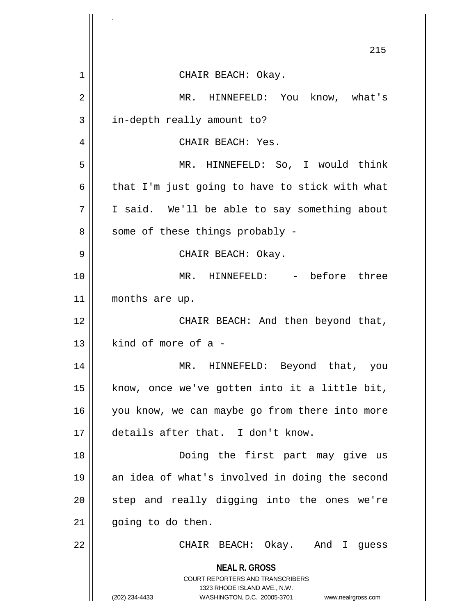|                | 215                                                                                                                                                             |
|----------------|-----------------------------------------------------------------------------------------------------------------------------------------------------------------|
| $\mathbf 1$    | CHAIR BEACH: Okay.                                                                                                                                              |
| $\overline{2}$ | MR. HINNEFELD: You know, what's                                                                                                                                 |
| 3              | in-depth really amount to?                                                                                                                                      |
| 4              | CHAIR BEACH: Yes.                                                                                                                                               |
| 5              | MR. HINNEFELD: So, I would think                                                                                                                                |
| 6              | that I'm just going to have to stick with what                                                                                                                  |
| 7              | I said. We'll be able to say something about                                                                                                                    |
| 8              | some of these things probably -                                                                                                                                 |
| 9              | CHAIR BEACH: Okay.                                                                                                                                              |
| 10             | MR. HINNEFELD: - before three                                                                                                                                   |
| 11             | months are up.                                                                                                                                                  |
| 12             | CHAIR BEACH: And then beyond that,                                                                                                                              |
| 13             | kind of more of a -                                                                                                                                             |
| 14             | MR. HINNEFELD: Beyond that, you                                                                                                                                 |
| 15             | know, once we've gotten into it a little bit,                                                                                                                   |
| 16             | you know, we can maybe go from there into more                                                                                                                  |
| 17             | details after that. I don't know.                                                                                                                               |
| 18             | Doing the first part may give us                                                                                                                                |
| 19             | an idea of what's involved in doing the second                                                                                                                  |
| 20             | step and really digging into the ones we're                                                                                                                     |
| 21             | going to do then.                                                                                                                                               |
| 22             | CHAIR BEACH: Okay. And I guess                                                                                                                                  |
|                | <b>NEAL R. GROSS</b><br>COURT REPORTERS AND TRANSCRIBERS<br>1323 RHODE ISLAND AVE., N.W.<br>(202) 234-4433<br>WASHINGTON, D.C. 20005-3701<br>www.nealrgross.com |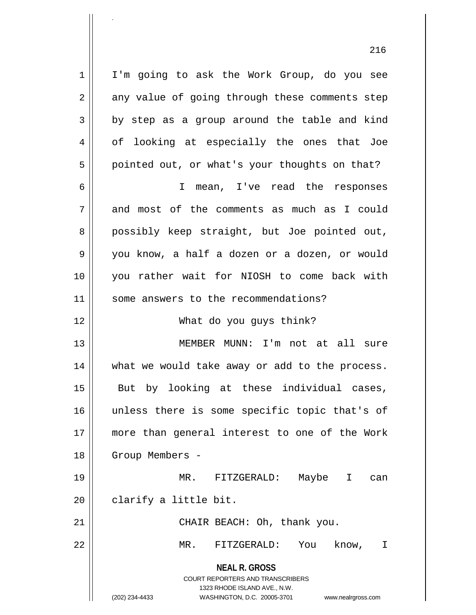1 || I'm going to ask the Work Group, do you see  $2 \parallel$  any value of going through these comments step  $3 \parallel$  by step as a group around the table and kind 4 of looking at especially the ones that Joe  $5 \parallel$  pointed out, or what's your thoughts on that? 6 I mean, I've read the responses 7 and most of the comments as much as I could

8 possibly keep straight, but Joe pointed out, 9 you know, a half a dozen or a dozen, or would 10 you rather wait for NIOSH to come back with 11 || some answers to the recommendations?

12 What do you guys think?

13 MEMBER MUNN: I'm not at all sure 14 what we would take away or add to the process. 15 || But by looking at these individual cases, 16 unless there is some specific topic that's of 17 more than general interest to one of the Work 18 || Group Members -

19 MR. FITZGERALD: Maybe I can  $20$  | clarify a little bit.

21 || CHAIR BEACH: Oh, thank you.

22 MR. FITZGERALD: You know, I

**NEAL R. GROSS** COURT REPORTERS AND TRANSCRIBERS

1323 RHODE ISLAND AVE., N.W.

.

(202) 234-4433 WASHINGTON, D.C. 20005-3701 www.nealrgross.com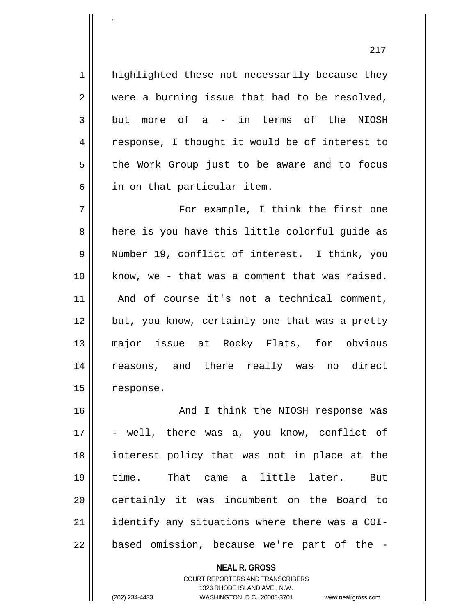1 | highlighted these not necessarily because they  $2 \parallel$  were a burning issue that had to be resolved,  $3 \parallel$  but more of a - in terms of the NIOSH 4 || response, I thought it would be of interest to  $5 \parallel$  the Work Group just to be aware and to focus  $6 \parallel$  in on that particular item. 7 For example, I think the first one 8 || here is you have this little colorful guide as 9 Number 19, conflict of interest. I think, you 10 || know, we - that was a comment that was raised. 11 || And of course it's not a technical comment, 12 || but, you know, certainly one that was a pretty 13 major issue at Rocky Flats, for obvious 14 reasons, and there really was no direct 15 | response. 16 || And I think the NIOSH response was  $17 \parallel$  - well, there was a, you know, conflict of 18 interest policy that was not in place at the 19 time. That came a little later. But 20 || certainly it was incumbent on the Board to  $21$  | identify any situations where there was a COI- $22$  || based omission, because we're part of the -

> **NEAL R. GROSS** COURT REPORTERS AND TRANSCRIBERS

> > 1323 RHODE ISLAND AVE., N.W.

.

(202) 234-4433 WASHINGTON, D.C. 20005-3701 www.nealrgross.com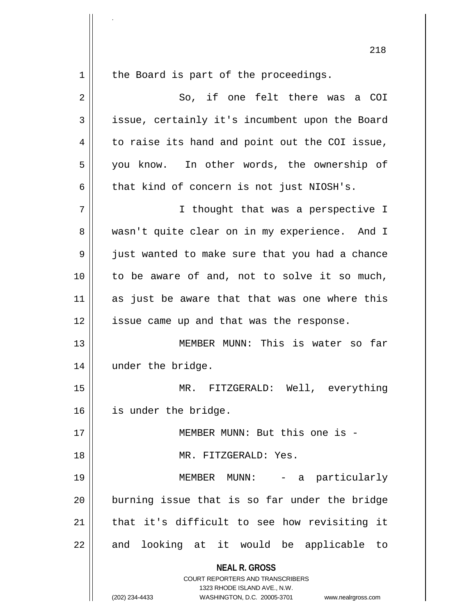**NEAL R. GROSS** COURT REPORTERS AND TRANSCRIBERS 1323 RHODE ISLAND AVE., N.W. (202) 234-4433 WASHINGTON, D.C. 20005-3701 www.nealrgross.com  $1 \parallel$  the Board is part of the proceedings. 2 So, if one felt there was a COI 3 issue, certainly it's incumbent upon the Board 4 | to raise its hand and point out the COI issue, 5 || you know. In other words, the ownership of  $6 \parallel$  that kind of concern is not just NIOSH's. 7 || Thought that was a perspective I 8 wasn't quite clear on in my experience. And I 9 just wanted to make sure that you had a chance 10 to be aware of and, not to solve it so much,  $11$  as just be aware that that was one where this 12 || issue came up and that was the response. 13 MEMBER MUNN: This is water so far 14 under the bridge. 15 MR. FITZGERALD: Well, everything 16 | is under the bridge. 17 MEMBER MUNN: But this one is - 18 MR. FITZGERALD: Yes. 19 MEMBER MUNN: - a particularly 20 || burning issue that is so far under the bridge  $21$  | that it's difficult to see how revisiting it  $22$  and looking at it would be applicable to

.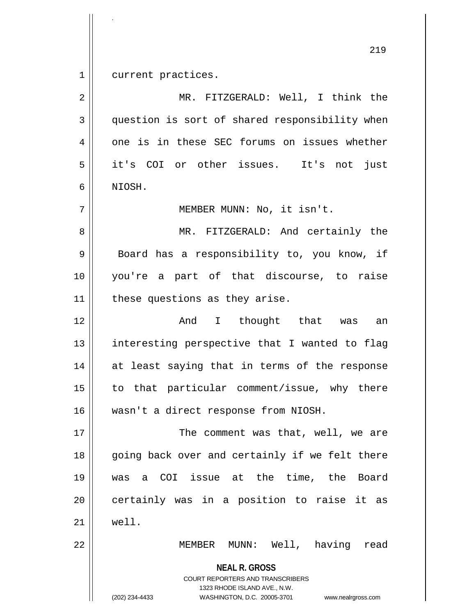1 current practices.

| $\overline{2}$ | MR. FITZGERALD: Well, I think the                                                                                                                                      |
|----------------|------------------------------------------------------------------------------------------------------------------------------------------------------------------------|
| 3              | question is sort of shared responsibility when                                                                                                                         |
| $\overline{4}$ | one is in these SEC forums on issues whether                                                                                                                           |
| 5              | it's COI or other issues. It's not just                                                                                                                                |
| 6              | NIOSH.                                                                                                                                                                 |
| 7              | MEMBER MUNN: No, it isn't.                                                                                                                                             |
| 8              | MR. FITZGERALD: And certainly the                                                                                                                                      |
| $\mathsf 9$    | Board has a responsibility to, you know, if                                                                                                                            |
| 10             | you're a part of that discourse, to raise                                                                                                                              |
| 11             | these questions as they arise.                                                                                                                                         |
| 12             | And I thought that was<br>an                                                                                                                                           |
| 13             | interesting perspective that I wanted to flag                                                                                                                          |
| 14             | at least saying that in terms of the response                                                                                                                          |
| 15             | to that particular comment/issue, why there                                                                                                                            |
| 16             | wasn't a direct response from NIOSH.                                                                                                                                   |
| 17             | The comment was that, well, we are                                                                                                                                     |
| 18             | going back over and certainly if we felt there                                                                                                                         |
| 19             | a COI issue at the time, the Board<br>was                                                                                                                              |
| 20             | certainly was in a position to raise it as                                                                                                                             |
| 21             | well.                                                                                                                                                                  |
| 22             | MEMBER MUNN: Well, having<br>read                                                                                                                                      |
|                | <b>NEAL R. GROSS</b><br><b>COURT REPORTERS AND TRANSCRIBERS</b><br>1323 RHODE ISLAND AVE., N.W.<br>(202) 234-4433<br>WASHINGTON, D.C. 20005-3701<br>www.nealrgross.com |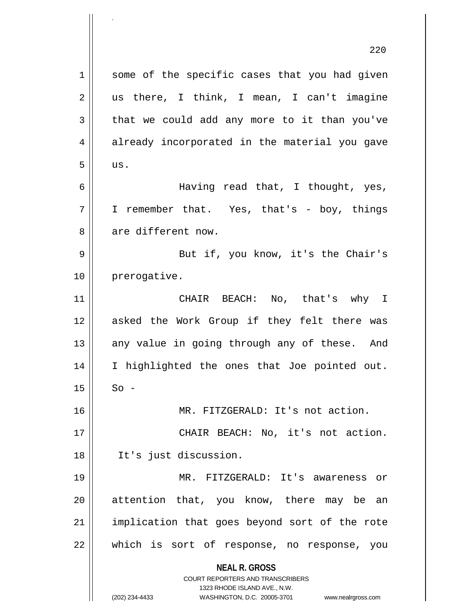**NEAL R. GROSS** COURT REPORTERS AND TRANSCRIBERS 1323 RHODE ISLAND AVE., N.W. 220 1 || some of the specific cases that you had given  $2 \parallel$  us there, I think, I mean, I can't imagine  $3 \parallel$  that we could add any more to it than you've 4 already incorporated in the material you gave  $5$  || us. 6 Having read that, I thought, yes, 7 I remember that. Yes, that's - boy, things 8 are different now. 9 But if, you know, it's the Chair's 10 | prerogative. 11 CHAIR BEACH: No, that's why I 12 asked the Work Group if they felt there was  $13$  any value in going through any of these. And 14 || I highlighted the ones that Joe pointed out.  $15 \parallel$  So -16 MR. FITZGERALD: It's not action. 17 || CHAIR BEACH: No, it's not action. 18 It's just discussion. 19 MR. FITZGERALD: It's awareness or 20 || attention that, you know, there may be an 21 || implication that goes beyond sort of the rote 22 which is sort of response, no response, you

.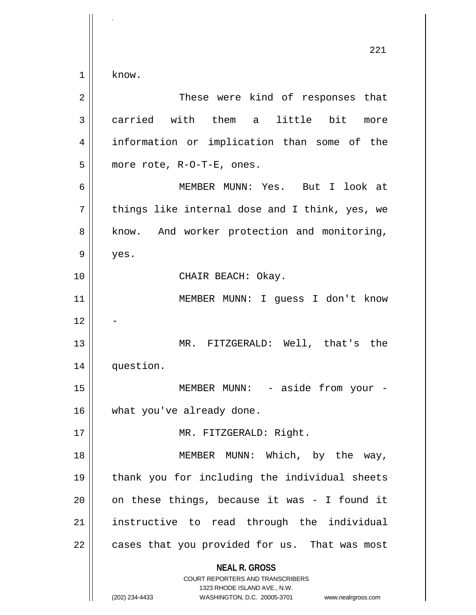**NEAL R. GROSS** COURT REPORTERS AND TRANSCRIBERS 1323 RHODE ISLAND AVE., N.W. (202) 234-4433 WASHINGTON, D.C. 20005-3701 www.nealrgross.com 221  $1 \parallel$  know. 2 These were kind of responses that 3 carried with them a little bit more 4 || information or implication than some of the  $5$  || more rote, R-O-T-E, ones. 6 MEMBER MUNN: Yes. But I look at  $7 \parallel$  things like internal dose and I think, yes, we 8 || know. And worker protection and monitoring,  $9 \parallel$  yes. 10 || CHAIR BEACH: Okay. 11 MEMBER MUNN: I guess I don't know  $12$ 13 MR. FITZGERALD: Well, that's the 14 question. 15 || MEMBER MUNN: - aside from your -16 || what you've already done. 17 || MR. FITZGERALD: Right. 18 || MEMBER MUNN: Which, by the way, 19 thank you for including the individual sheets  $20$  || on these things, because it was - I found it 21 || instructive to read through the individual 22 || cases that you provided for us. That was most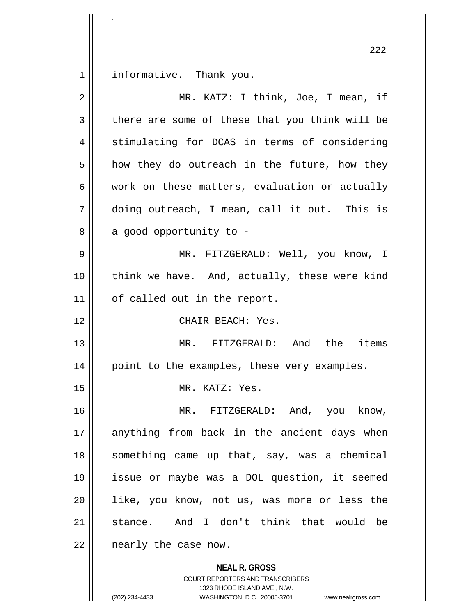1 | informative. Thank you.

.

| $\overline{2}$ | MR. KATZ: I think, Joe, I mean, if             |
|----------------|------------------------------------------------|
| 3              | there are some of these that you think will be |
| 4              | stimulating for DCAS in terms of considering   |
| 5              | how they do outreach in the future, how they   |
| 6              | work on these matters, evaluation or actually  |
| 7              | doing outreach, I mean, call it out. This is   |
| 8              | a good opportunity to -                        |
| 9              | MR. FITZGERALD: Well, you know, I              |
| 10             | think we have. And, actually, these were kind  |
| 11             | of called out in the report.                   |
| 12             | CHAIR BEACH: Yes.                              |
| 13             | MR. FITZGERALD: And the items                  |
| 14             | point to the examples, these very examples.    |
| 15             | MR. KATZ: Yes.                                 |
| 16             | MR. FITZGERALD: And, you know,                 |
| 17             | anything from back in the ancient days when    |
| 18             | something came up that, say, was a chemical    |
| 19             | issue or maybe was a DOL question, it seemed   |
| 20             | like, you know, not us, was more or less the   |
| 21             | stance. And I don't think that would be        |
| 22             | nearly the case now.                           |
|                | <b>NEAL R. GROSS</b>                           |

COURT REPORTERS AND TRANSCRIBERS 1323 RHODE ISLAND AVE., N.W. (202) 234-4433 WASHINGTON, D.C. 20005-3701 www.nealrgross.com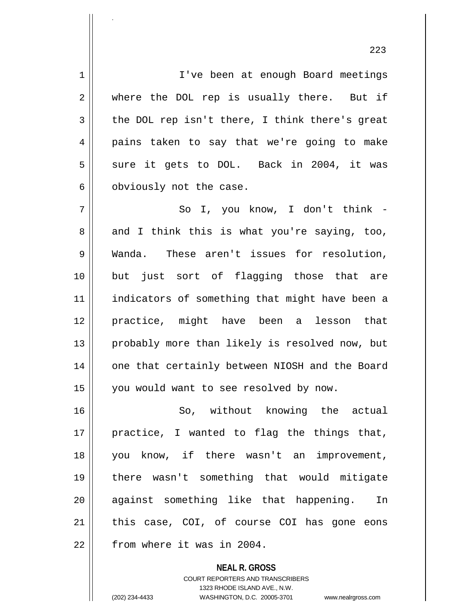1 | I | I've been at enough Board meetings 2 where the DOL rep is usually there. But if  $3 \parallel$  the DOL rep isn't there, I think there's great 4 pains taken to say that we're going to make  $5 \parallel$  sure it gets to DOL. Back in 2004, it was 6 | obviously not the case. 7 || So I, you know, I don't think - $8 \parallel$  and I think this is what you're saying, too, 9 Wanda. These aren't issues for resolution, 10 but just sort of flagging those that are 11 || indicators of something that might have been a 12 practice, might have been a lesson that 13 || probably more than likely is resolved now, but 14 || one that certainly between NIOSH and the Board 15 || you would want to see resolved by now. 16 || So, without knowing the actual  $17$  || practice, I wanted to flag the things that, 18 you know, if there wasn't an improvement, 19 there wasn't something that would mitigate 20 against something like that happening. In 21 || this case, COI, of course COI has gone eons 22 | from where it was in 2004.

> **NEAL R. GROSS** COURT REPORTERS AND TRANSCRIBERS 1323 RHODE ISLAND AVE., N.W. (202) 234-4433 WASHINGTON, D.C. 20005-3701 www.nealrgross.com

.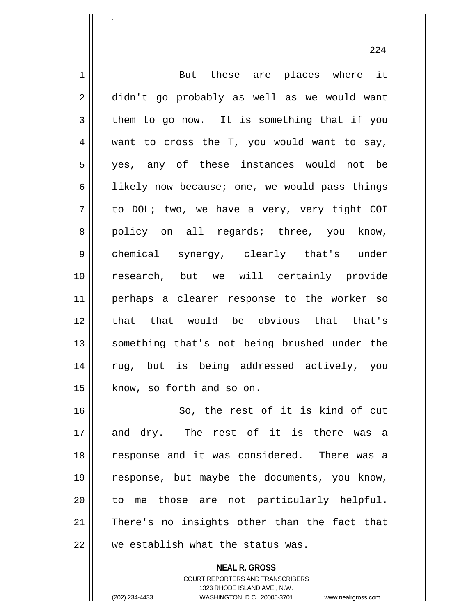1 || But these are places where it 2 didn't go probably as well as we would want  $3 \parallel$  them to go now. It is something that if you  $4 \parallel$  want to cross the T, you would want to say, 5 || yes, any of these instances would not be 6 | likely now because; one, we would pass things  $7 \parallel$  to DOL; two, we have a very, very tight COI 8 || policy on all regards; three, you know, 9 || chemical synergy, clearly that's under 10 research, but we will certainly provide 11 perhaps a clearer response to the worker so 12 || that that would be obvious that that's 13 || something that's not being brushed under the 14 || rug, but is being addressed actively, you 15 | know, so forth and so on. 16 || So, the rest of it is kind of cut 17 and dry. The rest of it is there was a 18 || response and it was considered. There was a

19 response, but maybe the documents, you know, 20 || to me those are not particularly helpful. 21 || There's no insights other than the fact that  $22$   $\parallel$  we establish what the status was.

> **NEAL R. GROSS** COURT REPORTERS AND TRANSCRIBERS 1323 RHODE ISLAND AVE., N.W. (202) 234-4433 WASHINGTON, D.C. 20005-3701 www.nealrgross.com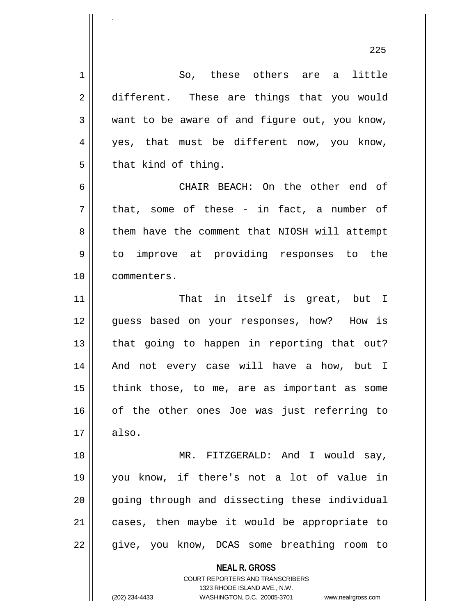**NEAL R. GROSS** COURT REPORTERS AND TRANSCRIBERS 1 So, these others are a little 2 different. These are things that you would  $3 \parallel$  want to be aware of and figure out, you know, 4 yes, that must be different now, you know,  $5 \parallel$  that kind of thing. 6 CHAIR BEACH: On the other end of  $7 ||$  that, some of these - in fact, a number of 8 | them have the comment that NIOSH will attempt 9 to improve at providing responses to the 10 commenters. 11 || That in itself is great, but I 12 guess based on your responses, how? How is  $13$  || that going to happen in reporting that out? 14 || And not every case will have a how, but I  $15$  || think those, to me, are as important as some 16 of the other ones Joe was just referring to  $17 \parallel$  also. 18 MR. FITZGERALD: And I would say, 19 you know, if there's not a lot of value in 20 || qoing through and dissecting these individual 21 || cases, then maybe it would be appropriate to 22 || give, you know, DCAS some breathing room to

1323 RHODE ISLAND AVE., N.W.

225

.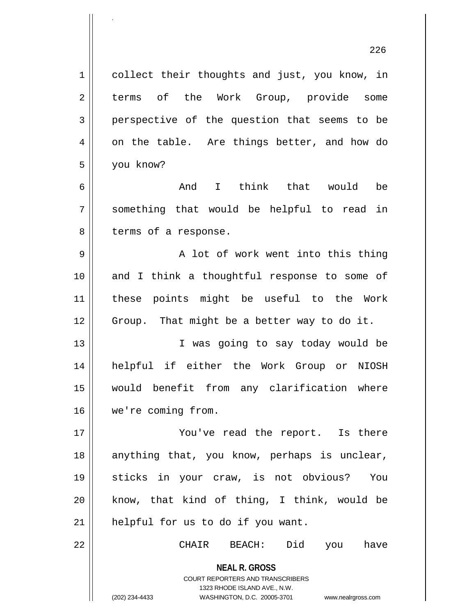**NEAL R. GROSS** 1 | collect their thoughts and just, you know, in 2 terms of the Work Group, provide some 3 perspective of the question that seems to be  $4 \parallel$  on the table. Are things better, and how do 5 you know? 6 And I think that would be 7 something that would be helpful to read in  $8 \parallel$  terms of a response. 9 || A lot of work went into this thing 10 and I think a thoughtful response to some of 11 these points might be useful to the Work  $12$  | Group. That might be a better way to do it. 13 || T was going to say today would be 14 helpful if either the Work Group or NIOSH 15 would benefit from any clarification where 16 we're coming from. 17 || You've read the report. Is there 18 || anything that, you know, perhaps is unclear, 19 sticks in your craw, is not obvious? You 20  $\parallel$  know, that kind of thing, I think, would be 21 || helpful for us to do if you want. 22 CHAIR BEACH: Did you have

.

1323 RHODE ISLAND AVE., N.W. (202) 234-4433 WASHINGTON, D.C. 20005-3701 www.nealrgross.com

COURT REPORTERS AND TRANSCRIBERS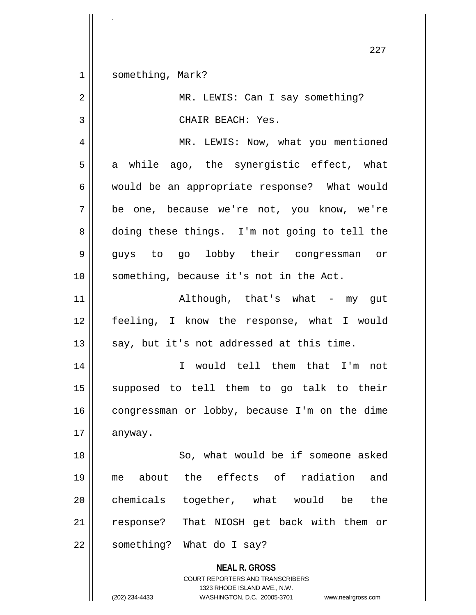**NEAL R. GROSS** 227 1 || something, Mark? 2 || MR. LEWIS: Can I say something? 3 || CHAIR BEACH: Yes. 4 | MR. LEWIS: Now, what you mentioned  $5 \parallel$  a while ago, the synergistic effect, what 6 would be an appropriate response? What would 7 be one, because we're not, you know, we're 8 doing these things. I'm not going to tell the 9 guys to go lobby their congressman or 10 || something, because it's not in the Act. 11 || Although, that's what - my gut 12 feeling, I know the response, what I would 13  $\parallel$  say, but it's not addressed at this time. 14 I would tell them that I'm not 15 supposed to tell them to go talk to their  $16$  congressman or lobby, because I'm on the dime 17 | anyway. 18 || So, what would be if someone asked 19 me about the effects of radiation and  $20$  chemicals together, what would be the 21 || response? That NIOSH get back with them or 22 || something? What do I say?

> COURT REPORTERS AND TRANSCRIBERS 1323 RHODE ISLAND AVE., N.W.

.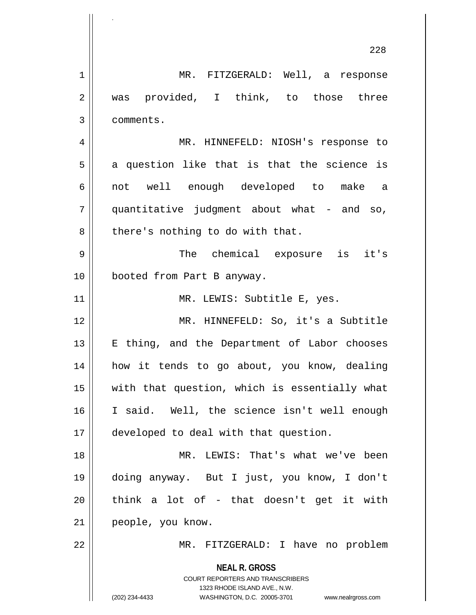**NEAL R. GROSS** COURT REPORTERS AND TRANSCRIBERS 1323 RHODE ISLAND AVE., N.W. (202) 234-4433 WASHINGTON, D.C. 20005-3701 www.nealrgross.com 228 1 MR. FITZGERALD: Well, a response 2 || was provided, I think, to those three 3 comments. 4 MR. HINNEFELD: NIOSH's response to  $5 \parallel$  a question like that is that the science is 6 || not well enough developed to make a 7 quantitative judgment about what - and so,  $8$  | there's nothing to do with that. 9 The chemical exposure is it's 10 booted from Part B anyway. 11 || MR. LEWIS: Subtitle E, yes. 12 MR. HINNEFELD: So, it's a Subtitle 13 || E thing, and the Department of Labor chooses 14 how it tends to go about, you know, dealing 15 with that question, which is essentially what 16 I said. Well, the science isn't well enough 17 || developed to deal with that question. 18 || MR. LEWIS: That's what we've been 19 doing anyway. But I just, you know, I don't  $20$  || think a lot of - that doesn't get it with 21 || people, you know. 22 || MR. FITZGERALD: I have no problem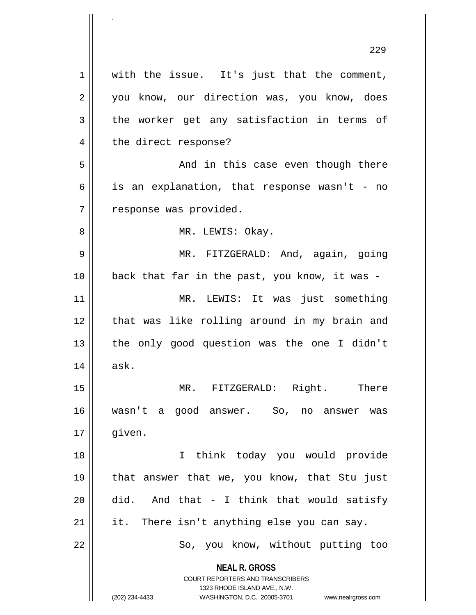**NEAL R. GROSS** COURT REPORTERS AND TRANSCRIBERS 1323 RHODE ISLAND AVE., N.W. (202) 234-4433 WASHINGTON, D.C. 20005-3701 www.nealrgross.com  $1 \parallel$  with the issue. It's just that the comment, 2 || you know, our direction was, you know, does  $3 \parallel$  the worker get any satisfaction in terms of 4 || the direct response? 5 And in this case even though there  $6 \parallel$  is an explanation, that response wasn't - no  $7$  | response was provided. 8 MR. LEWIS: Okay. 9 || MR. FITZGERALD: And, again, going 10 back that far in the past, you know, it was - 11 MR. LEWIS: It was just something 12 || that was like rolling around in my brain and 13 || the only good question was the one I didn't  $14 \parallel$  ask. 15 || MR. FITZGERALD: Right. There 16 wasn't a good answer. So, no answer was 17 || qiven. 18 I think today you would provide 19 that answer that we, you know, that Stu just  $20$  did. And that - I think that would satisfy  $21$  | it. There isn't anything else you can say. 22 || So, you know, without putting too

.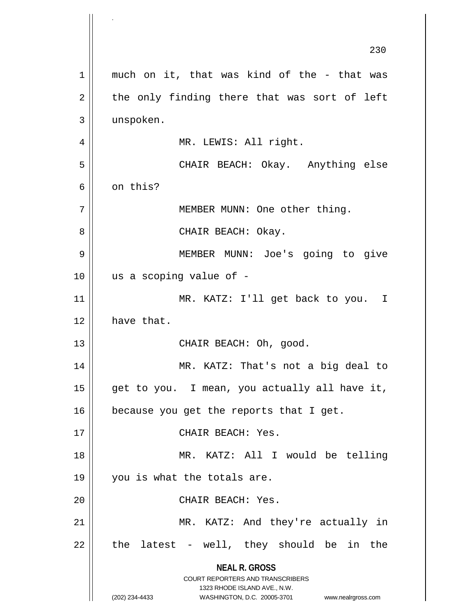**NEAL R. GROSS** COURT REPORTERS AND TRANSCRIBERS 1323 RHODE ISLAND AVE., N.W. (202) 234-4433 WASHINGTON, D.C. 20005-3701 www.nealrgross.com 230  $1 \parallel$  much on it, that was kind of the - that was  $2 \parallel$  the only finding there that was sort of left 3 unspoken. 4 || MR. LEWIS: All right. 5 CHAIR BEACH: Okay. Anything else 6 on this? 7 || MEMBER MUNN: One other thing. 8 || CHAIR BEACH: Okay. 9 MEMBER MUNN: Joe's going to give  $10$  || us a scoping value of -11 MR. KATZ: I'll get back to you. I 12 have that. 13 || CHAIR BEACH: Oh, good. 14 MR. KATZ: That's not a big deal to 15  $\parallel$  get to you. I mean, you actually all have it,  $16$  because you get the reports that I get. 17 || CHAIR BEACH: Yes. 18 MR. KATZ: All I would be telling 19 || you is what the totals are. 20 | CHAIR BEACH: Yes. 21 || MR. KATZ: And they're actually in  $22$  || the latest - well, they should be in the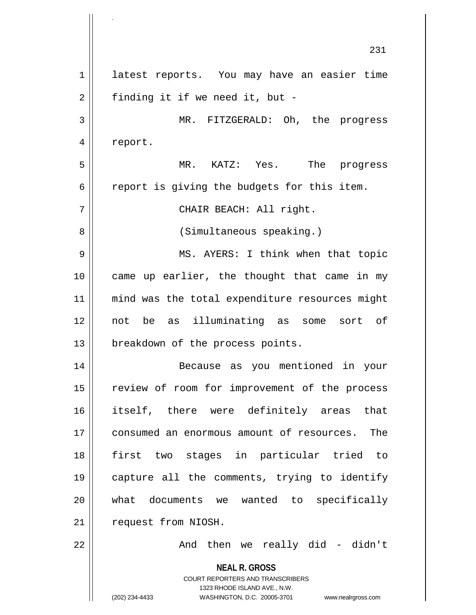**NEAL R. GROSS** COURT REPORTERS AND TRANSCRIBERS 1323 RHODE ISLAND AVE., N.W. (202) 234-4433 WASHINGTON, D.C. 20005-3701 www.nealrgross.com 231 1 | latest reports. You may have an easier time  $2 \parallel$  finding it if we need it, but -3 MR. FITZGERALD: Oh, the progress 4 | report. 5 MR. KATZ: Yes. The progress  $6 \parallel$  report is giving the budgets for this item. 7 CHAIR BEACH: All right. 8 || (Simultaneous speaking.) 9 MS. AYERS: I think when that topic 10 || came up earlier, the thought that came in my 11 || mind was the total expenditure resources might 12 not be as illuminating as some sort of 13 || breakdown of the process points. 14 Because as you mentioned in your 15 || review of room for improvement of the process 16 itself, there were definitely areas that 17 consumed an enormous amount of resources. The 18 first two stages in particular tried to 19 capture all the comments, trying to identify 20 what documents we wanted to specifically 21 | request from NIOSH.  $22$  ||  $\qquad \qquad$  And then we really did - didn't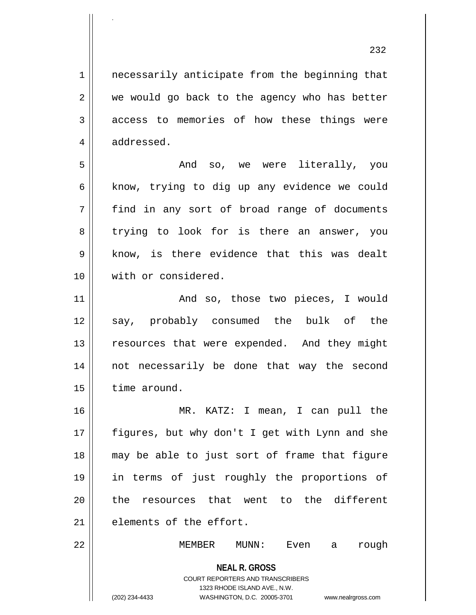1 || necessarily anticipate from the beginning that  $2 \parallel$  we would go back to the agency who has better  $3 \parallel$  access to memories of how these things were 4 | addressed.

.

5 And so, we were literally, you  $6 \parallel$  know, trying to dig up any evidence we could 7 find in any sort of broad range of documents 8 trying to look for is there an answer, you  $9 \parallel$  know, is there evidence that this was dealt 10 With or considered.

11 || The Mand so, those two pieces, I would 12 say, probably consumed the bulk of the 13 || resources that were expended. And they might 14 not necessarily be done that way the second 15 | time around.

16 MR. KATZ: I mean, I can pull the 17 || figures, but why don't I get with Lynn and she 18 may be able to just sort of frame that figure 19 in terms of just roughly the proportions of 20 || the resources that went to the different 21 elements of the effort.

22 MEMBER MUNN: Even a rough

COURT REPORTERS AND TRANSCRIBERS 1323 RHODE ISLAND AVE., N.W.

**NEAL R. GROSS**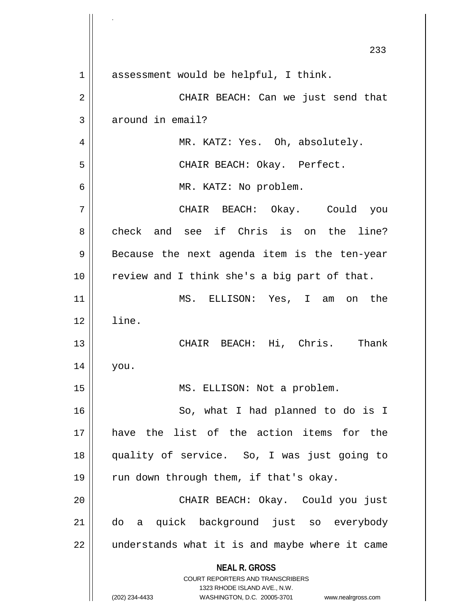**NEAL R. GROSS** COURT REPORTERS AND TRANSCRIBERS 1323 RHODE ISLAND AVE., N.W. (202) 234-4433 WASHINGTON, D.C. 20005-3701 www.nealrgross.com 233 1 assessment would be helpful, I think. 2 CHAIR BEACH: Can we just send that  $3 \parallel$  around in email? 4 MR. KATZ: Yes. Oh, absolutely. 5 CHAIR BEACH: Okay. Perfect. 6 MR. KATZ: No problem. 7 CHAIR BEACH: Okay. Could you 8 check and see if Chris is on the line?  $9 \parallel$  Because the next agenda item is the ten-year 10 review and I think she's a big part of that. 11 MS. ELLISON: Yes, I am on the  $12 \parallel$  line. 13 CHAIR BEACH: Hi, Chris. Thank 14 you. 15 || MS. ELLISON: Not a problem. 16 || So, what I had planned to do is I 17 have the list of the action items for the 18 quality of service. So, I was just going to 19  $\parallel$  run down through them, if that's okay. 20 CHAIR BEACH: Okay. Could you just 21 do a quick background just so everybody 22 || understands what it is and maybe where it came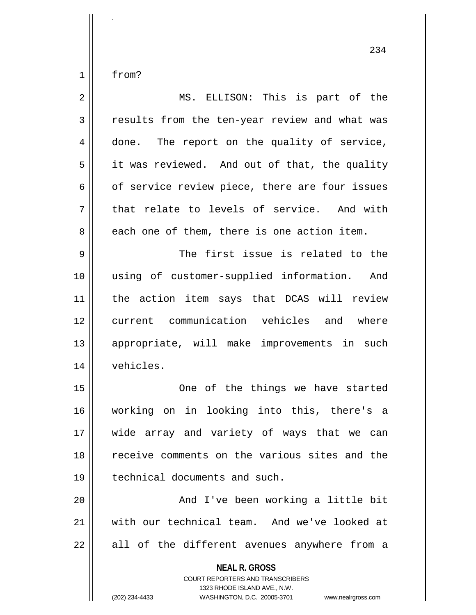$1$  from?

.

| $\sqrt{2}$     | MS. ELLISON: This is part of the                                                                                                                                       |
|----------------|------------------------------------------------------------------------------------------------------------------------------------------------------------------------|
| $\mathbf{3}$   | results from the ten-year review and what was                                                                                                                          |
| $\overline{4}$ | done. The report on the quality of service,                                                                                                                            |
| 5              | it was reviewed. And out of that, the quality                                                                                                                          |
| 6              | of service review piece, there are four issues                                                                                                                         |
| 7              | that relate to levels of service. And with                                                                                                                             |
| 8              | each one of them, there is one action item.                                                                                                                            |
| $\mathsf 9$    | The first issue is related to the                                                                                                                                      |
| 10             | using of customer-supplied information. And                                                                                                                            |
| 11             | the action item says that DCAS will review                                                                                                                             |
| 12             | current communication vehicles and where                                                                                                                               |
| 13             | appropriate, will make improvements in such                                                                                                                            |
| 14             | vehicles.                                                                                                                                                              |
| 15             | One of the things we have started                                                                                                                                      |
| 16             | working on in looking into this, there's a                                                                                                                             |
| 17             | wide array and variety of ways that we can                                                                                                                             |
| 18             | receive comments on the various sites and the                                                                                                                          |
| 19             | technical documents and such.                                                                                                                                          |
| 20             | And I've been working a little bit                                                                                                                                     |
| 21             | with our technical team. And we've looked at                                                                                                                           |
| 22             | all of the different avenues anywhere from a                                                                                                                           |
|                | <b>NEAL R. GROSS</b><br><b>COURT REPORTERS AND TRANSCRIBERS</b><br>1323 RHODE ISLAND AVE., N.W.<br>(202) 234-4433<br>WASHINGTON, D.C. 20005-3701<br>www.nealrgross.com |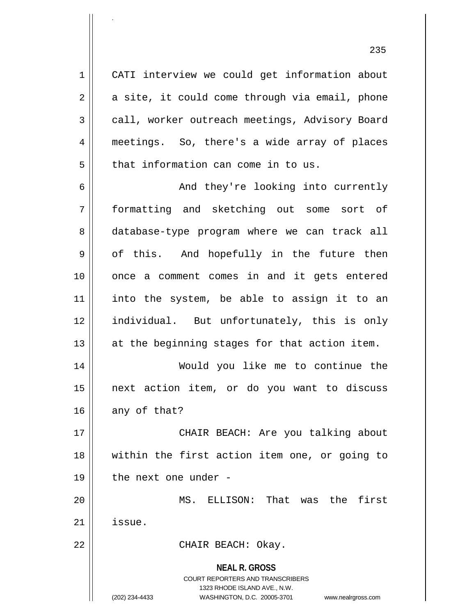1 || CATI interview we could get information about  $2 \parallel$  a site, it could come through via email, phone 3 | call, worker outreach meetings, Advisory Board 4 meetings. So, there's a wide array of places  $5$  || that information can come in to us.

.

6 And they're looking into currently 7 formatting and sketching out some sort of 8 database-type program where we can track all  $9 \parallel$  of this. And hopefully in the future then 10 once a comment comes in and it gets entered 11 into the system, be able to assign it to an 12 individual. But unfortunately, this is only  $13$  || at the beginning stages for that action item.

14 Would you like me to continue the 15 next action item, or do you want to discuss  $16$  any of that?

17 || CHAIR BEACH: Are you talking about 18 within the first action item one, or going to  $19$  | the next one under -

20 MS. ELLISON: That was the first  $21$   $\parallel$  issue.

22 || CHAIR BEACH: Okay.

**NEAL R. GROSS** COURT REPORTERS AND TRANSCRIBERS 1323 RHODE ISLAND AVE., N.W. (202) 234-4433 WASHINGTON, D.C. 20005-3701 www.nealrgross.com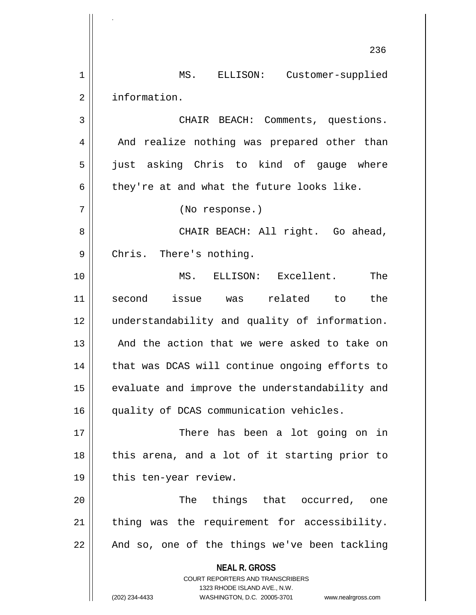**NEAL R. GROSS** COURT REPORTERS AND TRANSCRIBERS 1323 RHODE ISLAND AVE., N.W. (202) 234-4433 WASHINGTON, D.C. 20005-3701 www.nealrgross.com 236 1 | MS. ELLISON: Customer-supplied 2 | information. 3 CHAIR BEACH: Comments, questions. 4 || And realize nothing was prepared other than 5 || just asking Chris to kind of gauge where 6 they're at and what the future looks like. 7 (No response.) 8 CHAIR BEACH: All right. Go ahead, 9 || Chris. There's nothing. 10 MS. ELLISON: Excellent. The 11 second issue was related to the 12 understandability and quality of information. 13 || And the action that we were asked to take on 14 || that was DCAS will continue ongoing efforts to 15 || evaluate and improve the understandability and 16 quality of DCAS communication vehicles. 17 There has been a lot going on in 18 || this arena, and a lot of it starting prior to 19 || this ten-year review. 20 The things that occurred, one  $21$  | thing was the requirement for accessibility.  $22 \parallel$  And so, one of the things we've been tackling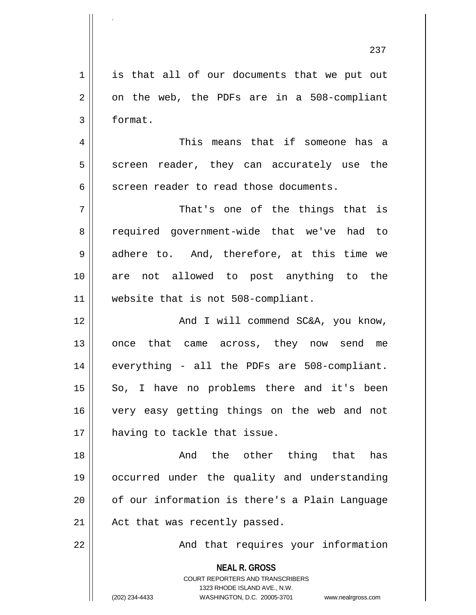**NEAL R. GROSS** COURT REPORTERS AND TRANSCRIBERS 1323 RHODE ISLAND AVE., N.W. (202) 234-4433 WASHINGTON, D.C. 20005-3701 www.nealrgross.com 1 is that all of our documents that we put out  $2 \parallel$  on the web, the PDFs are in a 508-compliant 3 format. 4 This means that if someone has a  $5 \parallel$  screen reader, they can accurately use the  $6 \parallel$  screen reader to read those documents. 7 || That's one of the things that is 8 || required government-wide that we've had to 9 adhere to. And, therefore, at this time we 10 are not allowed to post anything to the 11 || website that is not 508-compliant. 12 || And I will commend SC&A, you know, 13 || once that came across, they now send me 14 || everything - all the PDFs are 508-compliant.  $15 \parallel$  So, I have no problems there and it's been 16 very easy getting things on the web and not 17 having to tackle that issue. 18 || The Sand the other thing that has 19 occurred under the quality and understanding 20 || of our information is there's a Plain Language  $21$  | Act that was recently passed. 22 || And that requires your information

.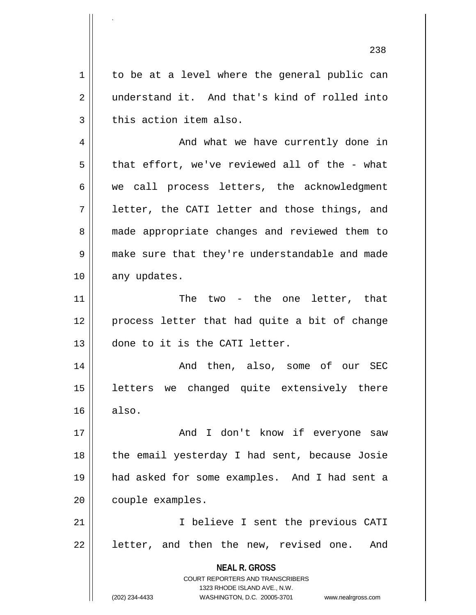**NEAL R. GROSS** COURT REPORTERS AND TRANSCRIBERS 1323 RHODE ISLAND AVE., N.W. (202) 234-4433 WASHINGTON, D.C. 20005-3701 www.nealrgross.com 1 | to be at a level where the general public can 2 understand it. And that's kind of rolled into  $3$  | this action item also. 4 | And what we have currently done in  $5 \parallel$  that effort, we've reviewed all of the - what 6 || we call process letters, the acknowledgment  $7 \parallel$  letter, the CATI letter and those things, and 8 || made appropriate changes and reviewed them to 9 || make sure that they're understandable and made 10 || any updates. 11 || The two - the one letter, that 12 || process letter that had quite a bit of change 13 || done to it is the CATI letter. 14 And then, also, some of our SEC 15 || letters we changed quite extensively there  $16 \parallel$  also. 17 And I don't know if everyone saw 18 || the email yesterday I had sent, because Josie 19 had asked for some examples. And I had sent a 20 | couple examples. 21 || Thelieve I sent the previous CATI  $22$  || letter, and then the new, revised one. And

.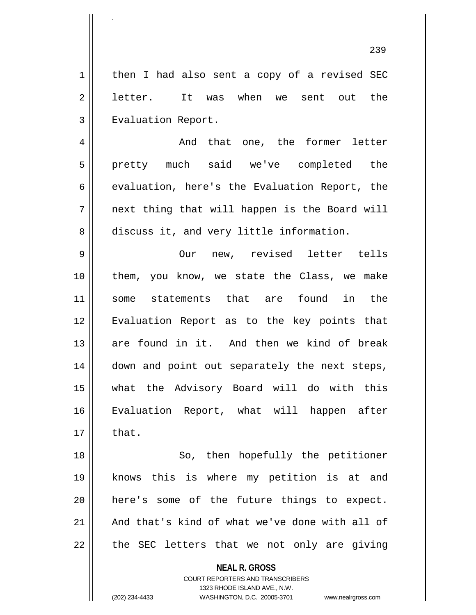239 1 | then I had also sent a copy of a revised SEC 2 || letter. It was when we sent out the 3 | Evaluation Report. 4 And that one, the former letter 5 pretty much said we've completed the  $6 \parallel$  evaluation, here's the Evaluation Report, the  $7 \parallel$  next thing that will happen is the Board will 8 discuss it, and very little information. 9 Our new, revised letter tells 10 them, you know, we state the Class, we make 11 some statements that are found in the 12 Evaluation Report as to the key points that 13 are found in it. And then we kind of break 14 || down and point out separately the next steps, 15 what the Advisory Board will do with this 16 Evaluation Report, what will happen after  $17 \parallel$  that. 18 || So, then hopefully the petitioner 19 knows this is where my petition is at and 20 here's some of the future things to expect. 21 || And that's kind of what we've done with all of  $22$  || the SEC letters that we not only are giving

> **NEAL R. GROSS** COURT REPORTERS AND TRANSCRIBERS

> > 1323 RHODE ISLAND AVE., N.W.

.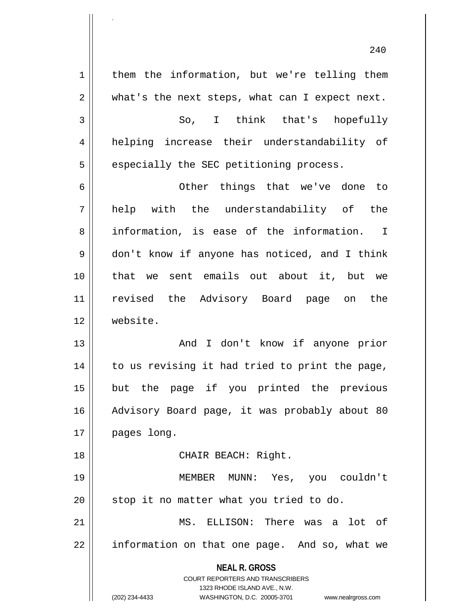**NEAL R. GROSS** COURT REPORTERS AND TRANSCRIBERS 1323 RHODE ISLAND AVE., N.W. (202) 234-4433 WASHINGTON, D.C. 20005-3701 www.nealrgross.com  $1 \parallel$  them the information, but we're telling them  $2 \parallel$  what's the next steps, what can I expect next. 3 || So, I think that's hopefully 4 helping increase their understandability of  $5$  | especially the SEC petitioning process. 6 Other things that we've done to 7 help with the understandability of the 8 information, is ease of the information. I 9 don't know if anyone has noticed, and I think 10 that we sent emails out about it, but we 11 revised the Advisory Board page on the 12 website. 13 And I don't know if anyone prior  $14$  to us revising it had tried to print the page, 15 but the page if you printed the previous 16 || Advisory Board page, it was probably about 80 17 | pages long. 18 || CHAIR BEACH: Right. 19 MEMBER MUNN: Yes, you couldn't 20 || stop it no matter what you tried to do. 21 MS. ELLISON: There was a lot of 22 || information on that one page. And so, what we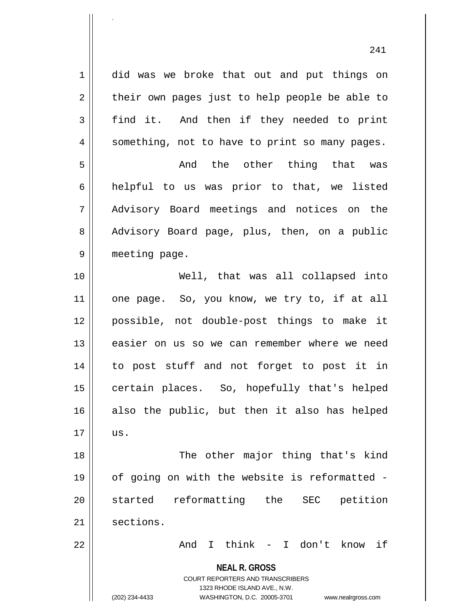1 did was we broke that out and put things on  $2 \parallel$  their own pages just to help people be able to 3 find it. And then if they needed to print  $4 \parallel$  something, not to have to print so many pages. 5 And the other thing that was 6 helpful to us was prior to that, we listed 7 Advisory Board meetings and notices on the 8 || Advisory Board page, plus, then, on a public 9 || meeting page. 10 Well, that was all collapsed into 11 || one page. So, you know, we try to, if at all 12 possible, not double-post things to make it

13 || easier on us so we can remember where we need 14 to post stuff and not forget to post it in 15 || certain places. So, hopefully that's helped 16 also the public, but then it also has helped  $17 \parallel$  us.

18 || The other major thing that's kind 19 of going on with the website is reformatted - 20 started reformatting the SEC petition 21 sections.

22 And I think - I don't know if

**NEAL R. GROSS** COURT REPORTERS AND TRANSCRIBERS

1323 RHODE ISLAND AVE., N.W.

.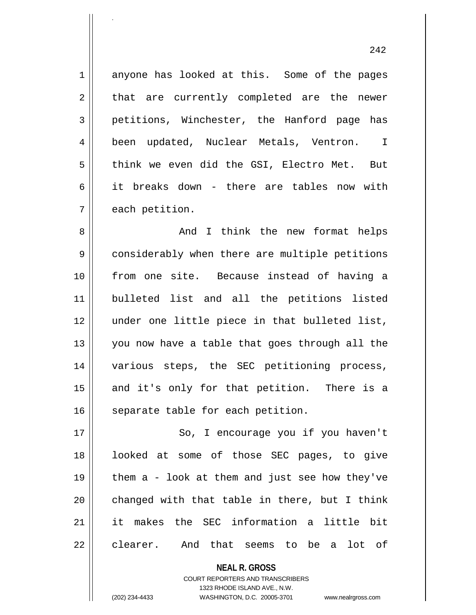1 anyone has looked at this. Some of the pages  $2 \parallel$  that are currently completed are the newer 3 petitions, Winchester, the Hanford page has 4 || been updated, Nuclear Metals, Ventron. I 5 think we even did the GSI, Electro Met. But 6 it breaks down - there are tables now with  $7 \parallel$  each petition.

.

8 And I think the new format helps 9 considerably when there are multiple petitions 10 from one site. Because instead of having a 11 bulleted list and all the petitions listed 12 under one little piece in that bulleted list, 13 || you now have a table that goes through all the 14 || various steps, the SEC petitioning process, 15 || and it's only for that petition. There is a 16 | separate table for each petition.

17 || So, I encourage you if you haven't 18 looked at some of those SEC pages, to give 19  $\parallel$  them a - look at them and just see how they've 20  $\parallel$  changed with that table in there, but I think 21 it makes the SEC information a little bit 22 || clearer. And that seems to be a lot of

> **NEAL R. GROSS** COURT REPORTERS AND TRANSCRIBERS 1323 RHODE ISLAND AVE., N.W. (202) 234-4433 WASHINGTON, D.C. 20005-3701 www.nealrgross.com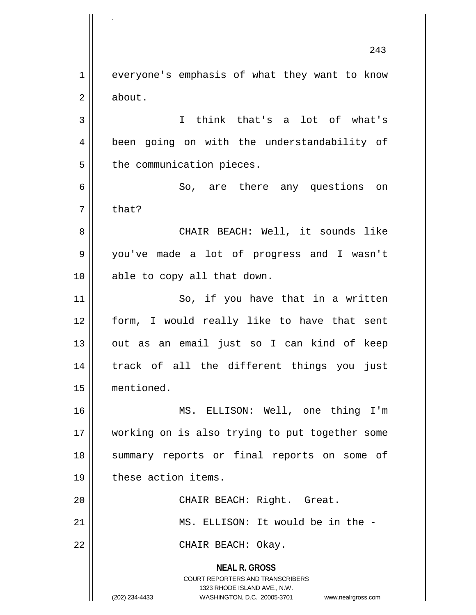**NEAL R. GROSS** COURT REPORTERS AND TRANSCRIBERS 1323 RHODE ISLAND AVE., N.W. (202) 234-4433 WASHINGTON, D.C. 20005-3701 www.nealrgross.com 243 1 | everyone's emphasis of what they want to know 2 | about. 3 I think that's a lot of what's 4 || been going on with the understandability of  $5$  || the communication pieces. 6 So, are there any questions on  $7 \parallel$  that? 8 CHAIR BEACH: Well, it sounds like 9 you've made a lot of progress and I wasn't 10 || able to copy all that down. 11 || So, if you have that in a written 12 form, I would really like to have that sent 13 || out as an email just so I can kind of keep 14 || track of all the different things you just 15 mentioned. 16 MS. ELLISON: Well, one thing I'm 17 working on is also trying to put together some 18 || summary reports or final reports on some of 19 | these action items. 20 || CHAIR BEACH: Right. Great. 21 MS. ELLISON: It would be in the - 22 || CHAIR BEACH: Okay.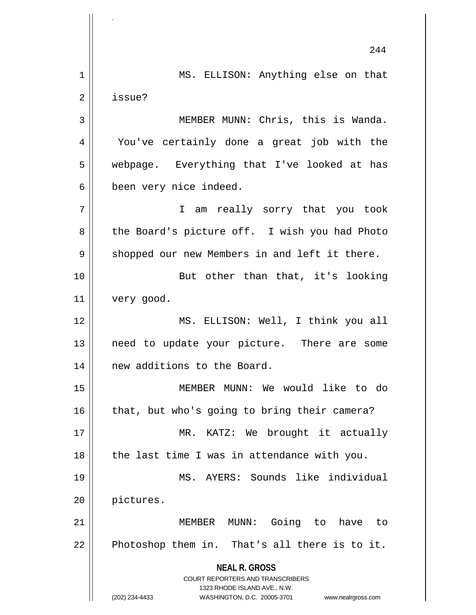**NEAL R. GROSS** COURT REPORTERS AND TRANSCRIBERS 1323 RHODE ISLAND AVE., N.W. (202) 234-4433 WASHINGTON, D.C. 20005-3701 www.nealrgross.com 244 1 || MS. ELLISON: Anything else on that 2 | issue? 3 || MEMBER MUNN: Chris, this is Wanda. 4 You've certainly done a great job with the 5 || webpage. Everything that I've looked at has 6 been very nice indeed. 7 I am really sorry that you took 8 || the Board's picture off. I wish you had Photo  $9 \parallel$  shopped our new Members in and left it there. 10 || But other than that, it's looking 11 very good. 12 MS. ELLISON: Well, I think you all 13 || need to update your picture. There are some 14 || new additions to the Board. 15 MEMBER MUNN: We would like to do  $16$  | that, but who's going to bring their camera? 17 || MR. KATZ: We brought it actually  $18$  || the last time I was in attendance with you. 19 MS. AYERS: Sounds like individual 20 pictures. 21 MEMBER MUNN: Going to have to  $22$  Photoshop them in. That's all there is to it.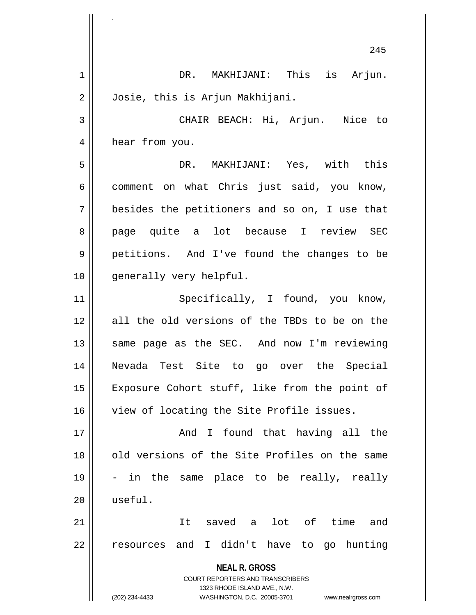**NEAL R. GROSS** COURT REPORTERS AND TRANSCRIBERS 1323 RHODE ISLAND AVE., N.W. (202) 234-4433 WASHINGTON, D.C. 20005-3701 www.nealrgross.com 245 1 || DR. MAKHIJANI: This is Arjun. 2 Josie, this is Arjun Makhijani. 3 CHAIR BEACH: Hi, Arjun. Nice to 4 | hear from you. 5 DR. MAKHIJANI: Yes, with this  $6 \parallel$  comment on what Chris just said, you know,  $7 \parallel$  besides the petitioners and so on, I use that 8 || page quite a lot because I review SEC 9 petitions. And I've found the changes to be 10 || generally very helpful. 11 || Specifically, I found, you know, 12 all the old versions of the TBDs to be on the 13 || same page as the SEC. And now I'm reviewing 14 Nevada Test Site to go over the Special 15 || Exposure Cohort stuff, like from the point of 16 View of locating the Site Profile issues. 17 And I found that having all the 18 || old versions of the Site Profiles on the same  $19 \parallel$  - in the same place to be really, really 20 useful. 21 || It saved a lot of time and 22 || resources and I didn't have to go hunting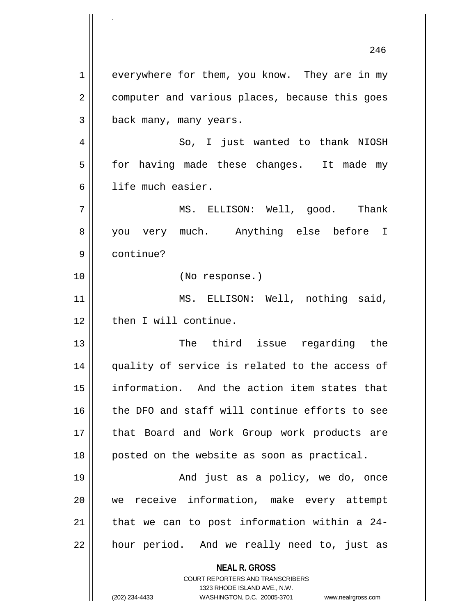**NEAL R. GROSS** COURT REPORTERS AND TRANSCRIBERS 246 1 | everywhere for them, you know. They are in my 2 | computer and various places, because this goes 3 | back many, many years. 4 So, I just wanted to thank NIOSH 5 | for having made these changes. It made my 6 ll life much easier. 7 MS. ELLISON: Well, good. Thank 8 you very much. Anything else before I 9 continue? 10 (No response.) 11 || MS. ELLISON: Well, nothing said, 12 | then I will continue. 13 The third issue regarding the 14 quality of service is related to the access of 15 || information. And the action item states that 16 the DFO and staff will continue efforts to see 17 || that Board and Work Group work products are 18 || posted on the website as soon as practical. 19 And just as a policy, we do, once 20 we receive information, make every attempt 21  $\parallel$  that we can to post information within a 24-22 || hour period. And we really need to, just as

1323 RHODE ISLAND AVE., N.W.

.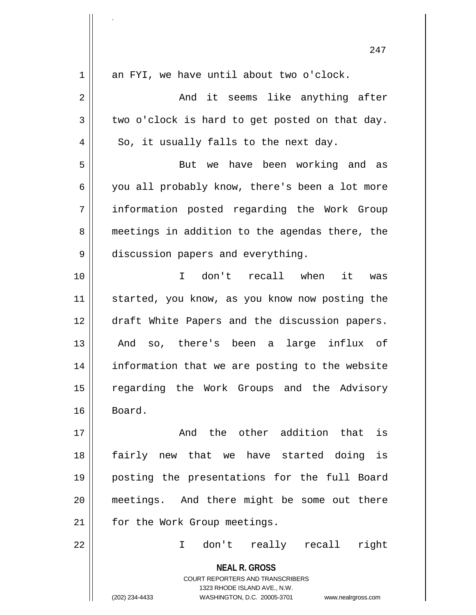|              | 247                                                                 |
|--------------|---------------------------------------------------------------------|
| 1            | an FYI, we have until about two o'clock.                            |
| $\mathbf{2}$ | And it seems like anything after                                    |
| 3            | two o'clock is hard to get posted on that day.                      |
| 4            | So, it usually falls to the next day.                               |
| 5            | But we have been working and as                                     |
| 6            | you all probably know, there's been a lot more                      |
| 7            | information posted regarding the Work Group                         |
| 8            | meetings in addition to the agendas there, the                      |
| 9            | discussion papers and everything.                                   |
| 10           | I don't recall when it<br>was                                       |
| 11           | started, you know, as you know now posting the                      |
| 12           | draft White Papers and the discussion papers.                       |
| 13           | And so, there's been a large influx of                              |
| 14           | information that we are posting to the website                      |
| 15           | regarding the Work Groups and the Advisory                          |
| 16           | Board.                                                              |
| 17           | And the other addition that is                                      |
| 18           | fairly new that we have started doing is                            |
| 19           | posting the presentations for the full Board                        |
| 20           | meetings. And there might be some out there                         |
| 21           | for the Work Group meetings.                                        |
| 22           | don't really recall<br>right<br>$\mathbf{I}$                        |
|              | <b>NEAL R. GROSS</b><br><b>COURT REPORTERS AND TRANSCRIBERS</b>     |
|              | 1323 RHODE ISLAND AVE., N.W.                                        |
|              | (202) 234-4433<br>WASHINGTON, D.C. 20005-3701<br>www.nealrgross.com |

.

 $\begin{array}{c} \hline \end{array}$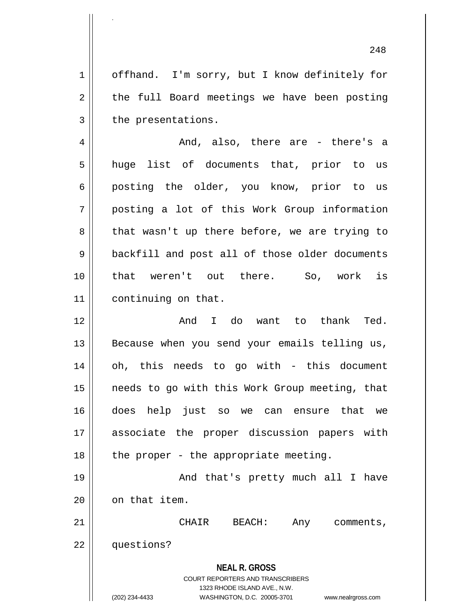1 | offhand. I'm sorry, but I know definitely for  $2 \parallel$  the full Board meetings we have been posting  $3$  | the presentations.

 $4 \parallel$  and, also, there are - there's a 5 || huge list of documents that, prior to us 6 posting the older, you know, prior to us 7 posting a lot of this Work Group information 8 || that wasn't up there before, we are trying to 9 || backfill and post all of those older documents 10 that weren't out there. So, work is 11 | continuing on that.

 $12 \parallel$  and I do want to thank Ted.  $13$  Because when you send your emails telling us, 14 || oh, this needs to go with - this document 15 || needs to go with this Work Group meeting, that 16 does help just so we can ensure that we 17 associate the proper discussion papers with  $18$  || the proper - the appropriate meeting.

19 || And that's pretty much all I have  $20$  |  $\circ$  on that item.

21 CHAIR BEACH: Any comments, 22 questions?

> **NEAL R. GROSS** COURT REPORTERS AND TRANSCRIBERS 1323 RHODE ISLAND AVE., N.W.

.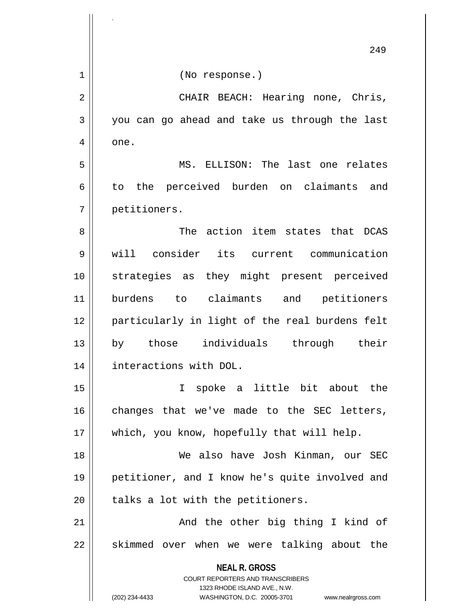|    | 249                                                                     |
|----|-------------------------------------------------------------------------|
| 1  | (No response.)                                                          |
| 2  | CHAIR BEACH: Hearing none, Chris,                                       |
| 3  | you can go ahead and take us through the last                           |
| 4  | one.                                                                    |
| 5  | MS. ELLISON: The last one relates                                       |
| 6  | to the perceived burden on claimants and                                |
| 7  | petitioners.                                                            |
| 8  | The action item states that DCAS                                        |
| 9  | will consider its current communication                                 |
| 10 | strategies as they might present perceived                              |
| 11 | burdens to claimants and petitioners                                    |
| 12 | particularly in light of the real burdens felt                          |
| 13 | individuals<br>those<br>through their<br>by                             |
| 14 | interactions with DOL.                                                  |
| 15 | I spoke a little bit about the                                          |
| 16 | changes that we've made to the SEC letters,                             |
| 17 | which, you know, hopefully that will help.                              |
| 18 | We also have Josh Kinman, our SEC                                       |
| 19 | petitioner, and I know he's quite involved and                          |
| 20 | talks a lot with the petitioners.                                       |
| 21 | And the other big thing I kind of                                       |
| 22 | skimmed over when we were talking about the                             |
|    | <b>NEAL R. GROSS</b>                                                    |
|    | <b>COURT REPORTERS AND TRANSCRIBERS</b><br>1323 RHODE ISLAND AVE., N.W. |
|    | (202) 234-4433<br>WASHINGTON, D.C. 20005-3701<br>www.nealrgross.com     |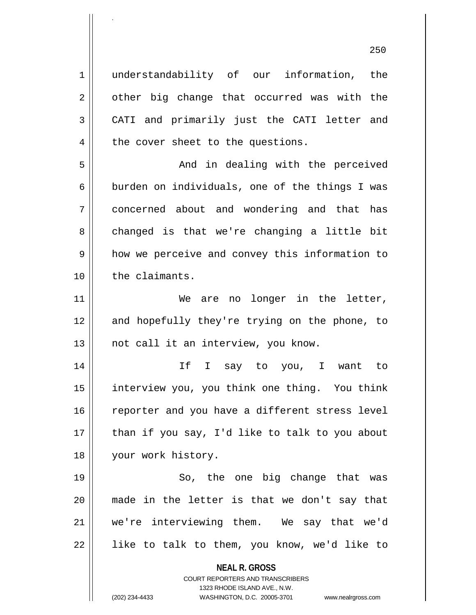1 understandability of our information, the  $2 \parallel$  other big change that occurred was with the 3 CATI and primarily just the CATI letter and  $4 \parallel$  the cover sheet to the questions. 5 And in dealing with the perceived

.

6 | burden on individuals, one of the things I was 7 concerned about and wondering and that has 8 || changed is that we're changing a little bit  $9 \parallel$  how we perceive and convey this information to 10 | the claimants.

11 || We are no longer in the letter, 12 and hopefully they're trying on the phone, to 13 || not call it an interview, you know.

14 If I say to you, I want to 15 interview you, you think one thing. You think 16 || reporter and you have a different stress level  $17$  || than if you say, I'd like to talk to you about 18 your work history.

19 || So, the one big change that was 20 made in the letter is that we don't say that 21 we're interviewing them. We say that we'd  $22$  || like to talk to them, you know, we'd like to

**NEAL R. GROSS**

COURT REPORTERS AND TRANSCRIBERS 1323 RHODE ISLAND AVE., N.W. (202) 234-4433 WASHINGTON, D.C. 20005-3701 www.nealrgross.com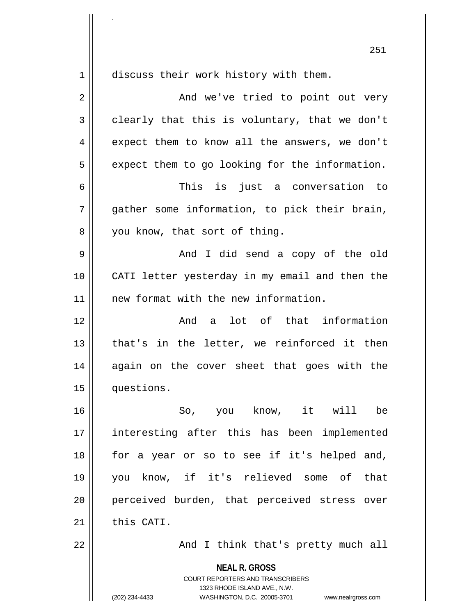1 discuss their work history with them. 2 And we've tried to point out very  $3 \parallel$  clearly that this is voluntary, that we don't 4 expect them to know all the answers, we don't  $5 \parallel$  expect them to go looking for the information. 6 This is just a conversation to  $7 \parallel$  qather some information, to pick their brain, 8 || you know, that sort of thing. 9 And I did send a copy of the old 10 CATI letter yesterday in my email and then the 11 | new format with the new information. 12 And a lot of that information 13 || that's in the letter, we reinforced it then 14 again on the cover sheet that goes with the 15 questions. 16 So, you know, it will be 17 interesting after this has been implemented 18 for a year or so to see if it's helped and, 19 you know, if it's relieved some of that 20 || perceived burden, that perceived stress over  $21$  this CATI. 22 || And I think that's pretty much all

.

**NEAL R. GROSS** COURT REPORTERS AND TRANSCRIBERS 1323 RHODE ISLAND AVE., N.W. (202) 234-4433 WASHINGTON, D.C. 20005-3701 www.nealrgross.com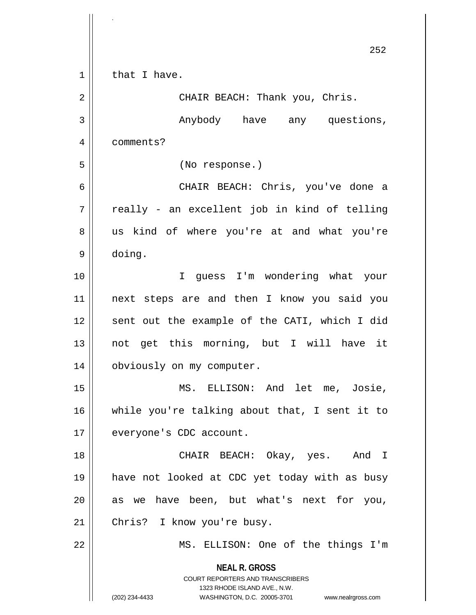|                | 252                                                                 |
|----------------|---------------------------------------------------------------------|
| $\mathbf 1$    | that I have.                                                        |
| $\overline{2}$ | CHAIR BEACH: Thank you, Chris.                                      |
| 3              | Anybody have any questions,                                         |
| $\overline{4}$ | comments?                                                           |
| 5              | (No response.)                                                      |
| 6              | CHAIR BEACH: Chris, you've done a                                   |
| 7              | really - an excellent job in kind of telling                        |
| 8              | us kind of where you're at and what you're                          |
| 9              | doing.                                                              |
| 10             | guess I'm wondering what your<br>I.                                 |
| 11             | next steps are and then I know you said you                         |
| 12             | sent out the example of the CATI, which I did                       |
| 13             | not get this morning, but I will have it                            |
| 14             | obviously on my computer.                                           |
| 15             | MS. ELLISON: And let me, Josie,                                     |
| 16             | while you're talking about that, I sent it to                       |
| 17             | everyone's CDC account.                                             |
| 18             | CHAIR BEACH: Okay, yes. And I                                       |
| 19             | have not looked at CDC yet today with as busy                       |
| 20             | as we have been, but what's next for you,                           |
| 21             | Chris? I know you're busy.                                          |
| 22             | MS. ELLISON: One of the things I'm                                  |
|                | <b>NEAL R. GROSS</b><br><b>COURT REPORTERS AND TRANSCRIBERS</b>     |
|                | 1323 RHODE ISLAND AVE., N.W.                                        |
|                | (202) 234-4433<br>WASHINGTON, D.C. 20005-3701<br>www.nealrgross.com |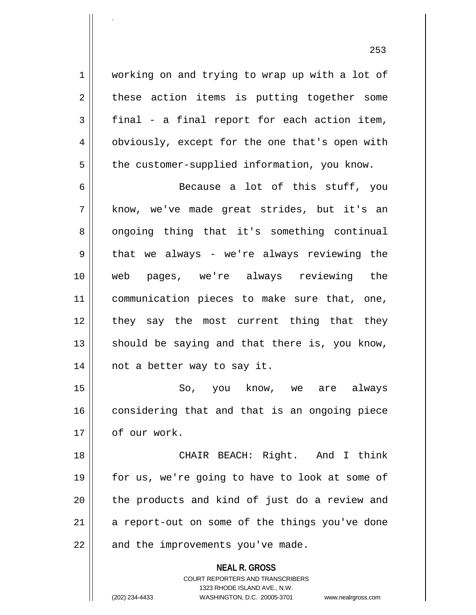1 | working on and trying to wrap up with a lot of  $2 \parallel$  these action items is putting together some  $3 \parallel$  final - a final report for each action item, 4 || obviously, except for the one that's open with  $5 \parallel$  the customer-supplied information, you know.

.

6  $\parallel$  Because a lot of this stuff, you 7 know, we've made great strides, but it's an 8 || ongoing thing that it's something continual  $9 \parallel$  that we always - we're always reviewing the 10 web pages, we're always reviewing the 11 || communication pieces to make sure that, one, 12 || they say the most current thing that they 13  $\parallel$  should be saying and that there is, you know, 14 not a better way to say it.

15 So, you know, we are always 16 considering that and that is an ongoing piece 17 | of our work.

18 || CHAIR BEACH: Right. And I think 19 || for us, we're going to have to look at some of 20 || the products and kind of just do a review and  $21$  a report-out on some of the things you've done  $22$  || and the improvements you've made.

> **NEAL R. GROSS** COURT REPORTERS AND TRANSCRIBERS 1323 RHODE ISLAND AVE., N.W. (202) 234-4433 WASHINGTON, D.C. 20005-3701 www.nealrgross.com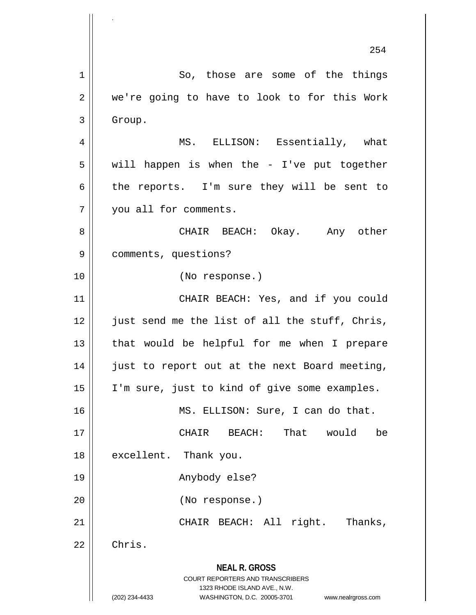**NEAL R. GROSS** COURT REPORTERS AND TRANSCRIBERS 1323 RHODE ISLAND AVE., N.W. (202) 234-4433 WASHINGTON, D.C. 20005-3701 www.nealrgross.com 254 1 So, those are some of the things  $2 \parallel$  we're going to have to look to for this Work 3 | Group. 4 MS. ELLISON: Essentially, what  $5 \parallel$  will happen is when the - I've put together 6 the reports. I'm sure they will be sent to 7 | you all for comments. 8 CHAIR BEACH: Okay. Any other 9 comments, questions? 10 (No response.) 11 || CHAIR BEACH: Yes, and if you could  $12$  | just send me the list of all the stuff, Chris, 13 || that would be helpful for me when I prepare 14 || just to report out at the next Board meeting, 15 || I'm sure, just to kind of give some examples. 16 MS. ELLISON: Sure, I can do that. 17 CHAIR BEACH: That would be 18 || excellent. Thank you. 19 Anybody else? 20 (No response.) 21 || CHAIR BEACH: All right. Thanks,  $22$   $\parallel$  Chris.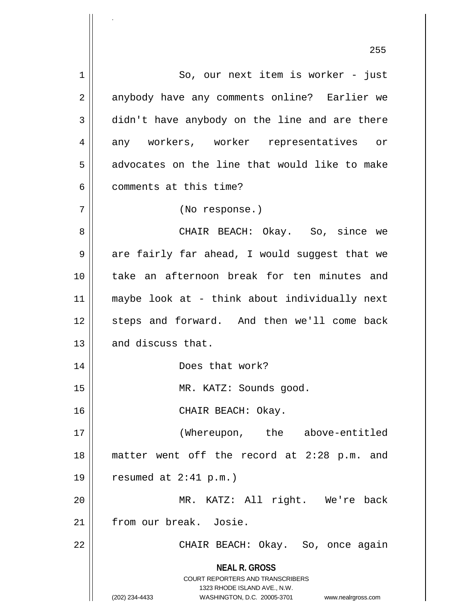**NEAL R. GROSS** COURT REPORTERS AND TRANSCRIBERS 1323 RHODE ISLAND AVE., N.W. (202) 234-4433 WASHINGTON, D.C. 20005-3701 www.nealrgross.com 1 || So, our next item is worker - just 2 || anybody have any comments online? Earlier we 3 didn't have anybody on the line and are there 4 any workers, worker representatives or  $5 \parallel$  advocates on the line that would like to make 6 | comments at this time? 7 (No response.) 8 CHAIR BEACH: Okay. So, since we  $9 \parallel$  are fairly far ahead, I would suggest that we 10 take an afternoon break for ten minutes and 11 maybe look at - think about individually next 12 || steps and forward. And then we'll come back  $13$  and discuss that. 14 Does that work? 15 || MR. KATZ: Sounds good. 16 CHAIR BEACH: Okay. 17 || (Whereupon, the above-entitled 18 matter went off the record at 2:28 p.m. and 19  $\vert$  resumed at 2:41 p.m.) 20 || MR. KATZ: All right. We're back 21 from our break. Josie. 22 CHAIR BEACH: Okay. So, once again

255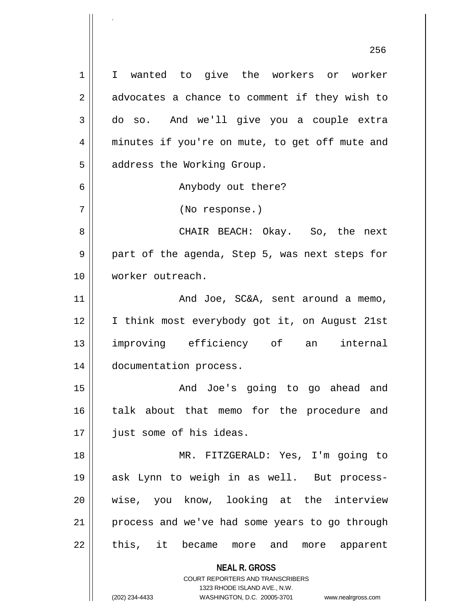**NEAL R. GROSS** COURT REPORTERS AND TRANSCRIBERS 1323 RHODE ISLAND AVE., N.W. (202) 234-4433 WASHINGTON, D.C. 20005-3701 www.nealrgross.com 1 I wanted to give the workers or worker  $2 \parallel$  advocates a chance to comment if they wish to 3 do so. And we'll give you a couple extra 4 minutes if you're on mute, to get off mute and 5 | address the Working Group. 6 || Anybody out there? 7 (No response.) 8 CHAIR BEACH: Okay. So, the next 9 part of the agenda, Step 5, was next steps for 10 worker outreach. 11 | And Joe, SC&A, sent around a memo, 12 || I think most everybody got it, on August 21st 13 improving efficiency of an internal 14 documentation process. 15 And Joe's going to go ahead and 16 || talk about that memo for the procedure and 17 || just some of his ideas. 18 MR. FITZGERALD: Yes, I'm going to 19 ask Lynn to weigh in as well. But process-20 || wise, you know, looking at the interview 21 process and we've had some years to go through 22 || this, it became more and more apparent

.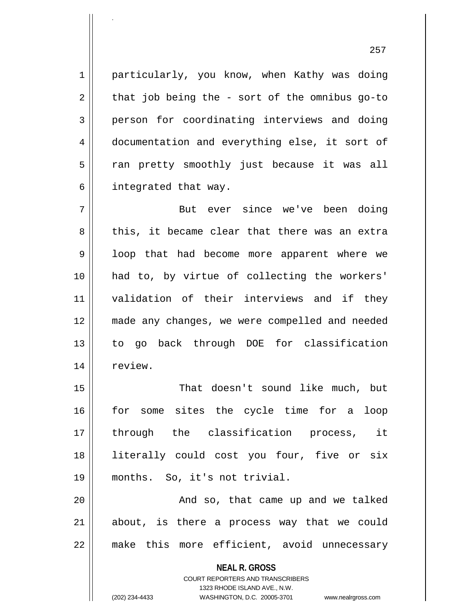1 || particularly, you know, when Kathy was doing  $2 \parallel$  that job being the - sort of the omnibus go-to 3 person for coordinating interviews and doing 4 documentation and everything else, it sort of 5 || ran pretty smoothly just because it was all  $6 \parallel$  integrated that way.

7 But ever since we've been doing 8 this, it became clear that there was an extra 9 || loop that had become more apparent where we 10 had to, by virtue of collecting the workers' 11 validation of their interviews and if they 12 made any changes, we were compelled and needed 13 to go back through DOE for classification 14 | review.

15 That doesn't sound like much, but 16 for some sites the cycle time for a loop 17 through the classification process, it 18 literally could cost you four, five or six 19 months. So, it's not trivial.

20 || And so, that came up and we talked 21 about, is there a process way that we could 22 make this more efficient, avoid unnecessary

> **NEAL R. GROSS** COURT REPORTERS AND TRANSCRIBERS 1323 RHODE ISLAND AVE., N.W.

.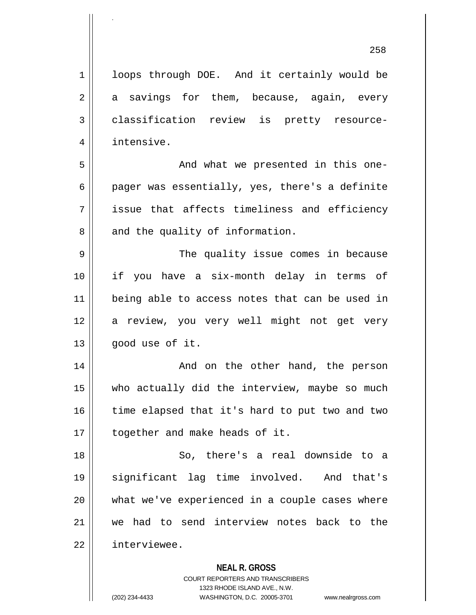| 1  | loops through DOE. And it certainly would be   |
|----|------------------------------------------------|
| 2  | a savings for them, because, again, every      |
| 3  | classification review is pretty resource-      |
| 4  | intensive.                                     |
| 5  | And what we presented in this one-             |
| 6  | pager was essentially, yes, there's a definite |
| 7  | issue that affects timeliness and efficiency   |
| 8  | and the quality of information.                |
| 9  | The quality issue comes in because             |
| 10 | if you have a six-month delay in terms of      |
| 11 | being able to access notes that can be used in |
| 12 | a review, you very well might not get very     |
| 13 | good use of it.                                |
| 14 | And on the other hand, the person              |
| 15 | who actually did the interview, maybe so much  |
| 16 | time elapsed that it's hard to put two and two |
| 17 | together and make heads of it.                 |
| 18 | So, there's a real downside to a               |
| 19 | significant lag time involved. And that's      |
| 20 | what we've experienced in a couple cases where |
| 21 | we had to send interview notes back to the     |

 $22$  | interviewee.

.

## **NEAL R. GROSS**

COURT REPORTERS AND TRANSCRIBERS 1323 RHODE ISLAND AVE., N.W. (202) 234-4433 WASHINGTON, D.C. 20005-3701 www.nealrgross.com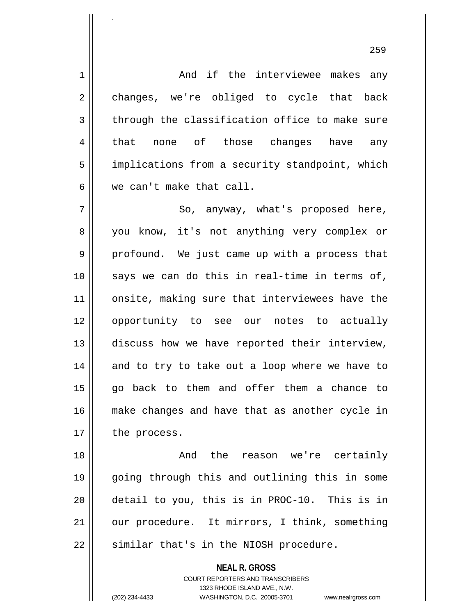1 And if the interviewee makes any 2 || changes, we're obliged to cycle that back  $3$  | through the classification office to make sure 4 || that none of those changes have any 5 | implications from a security standpoint, which 6 we can't make that call. 7 || So, anyway, what's proposed here, 8 you know, it's not anything very complex or  $9 \parallel$  profound. We just came up with a process that 10 || says we can do this in real-time in terms of, 11 || onsite, making sure that interviewees have the 12 opportunity to see our notes to actually 13 discuss how we have reported their interview,  $14$  and to try to take out a loop where we have to 15 go back to them and offer them a chance to 16 make changes and have that as another cycle in  $17$  | the process. 18 And the reason we're certainly

19 going through this and outlining this in some 20 detail to you, this is in PROC-10. This is in 21 | our procedure. It mirrors, I think, something 22 || similar that's in the NIOSH procedure.

> **NEAL R. GROSS** COURT REPORTERS AND TRANSCRIBERS 1323 RHODE ISLAND AVE., N.W. (202) 234-4433 WASHINGTON, D.C. 20005-3701 www.nealrgross.com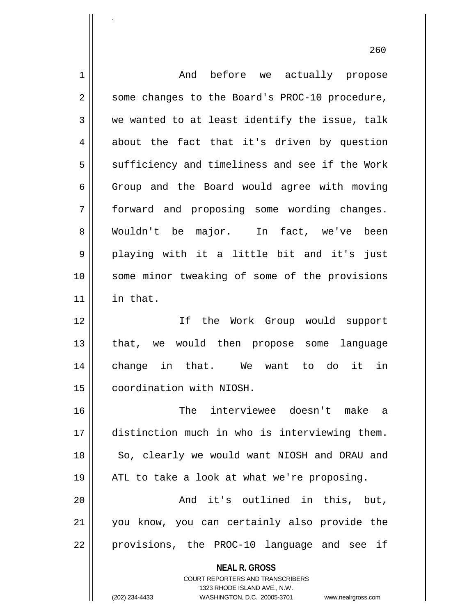| 1  | And before we actually propose                                      |
|----|---------------------------------------------------------------------|
| 2  | some changes to the Board's PROC-10 procedure,                      |
| 3  | we wanted to at least identify the issue, talk                      |
| 4  | about the fact that it's driven by question                         |
| 5  | sufficiency and timeliness and see if the Work                      |
| 6  | Group and the Board would agree with moving                         |
| 7  | forward and proposing some wording changes.                         |
| 8  | Wouldn't be major. In fact, we've been                              |
| 9  | playing with it a little bit and it's just                          |
| 10 | some minor tweaking of some of the provisions                       |
| 11 | in that.                                                            |
| 12 | If the Work Group would support                                     |
| 13 | that, we would then propose some language                           |
| 14 | change in that. We want to do it in                                 |
| 15 | coordination with NIOSH.                                            |
| 16 | interviewee doesn't make a<br>The                                   |
| 17 | distinction much in who is interviewing them.                       |
| 18 | So, clearly we would want NIOSH and ORAU and                        |
| 19 | ATL to take a look at what we're proposing.                         |
| 20 | And it's outlined in this, but,                                     |
| 21 | you know, you can certainly also provide the                        |
| 22 | provisions, the PROC-10 language and see if                         |
|    | <b>NEAL R. GROSS</b><br>COURT REPORTERS AND TRANSCRIBERS            |
|    | 1323 RHODE ISLAND AVE., N.W.                                        |
|    | (202) 234-4433<br>WASHINGTON, D.C. 20005-3701<br>www.nealrgross.com |

.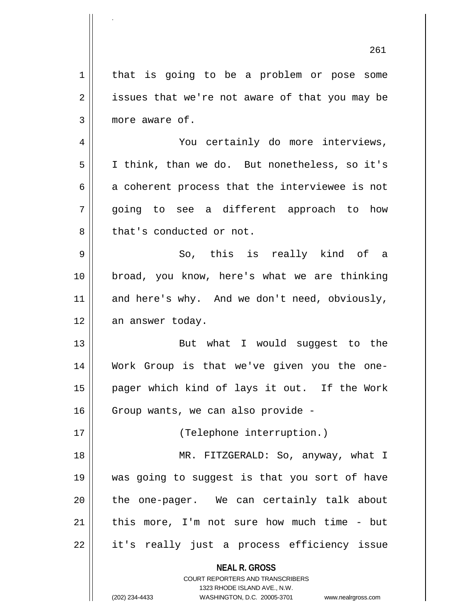**NEAL R. GROSS** COURT REPORTERS AND TRANSCRIBERS 1323 RHODE ISLAND AVE., N.W. 261 1 | that is going to be a problem or pose some  $2 \parallel$  issues that we're not aware of that you may be 3 || more aware of. 4 You certainly do more interviews, 5 I think, than we do. But nonetheless, so it's  $6 \parallel$  a coherent process that the interviewee is not 7 going to see a different approach to how 8 || that's conducted or not.  $9 \parallel$  So, this is really kind of a 10 broad, you know, here's what we are thinking 11 || and here's why. And we don't need, obviously, 12 | an answer today. 13 || But what I would suqqest to the 14 Work Group is that we've given you the one-15 pager which kind of lays it out. If the Work 16 Group wants, we can also provide -17 || (Telephone interruption.) 18 MR. FITZGERALD: So, anyway, what I 19 was going to suggest is that you sort of have 20 || the one-pager. We can certainly talk about  $21$  | this more, I'm not sure how much time - but  $22$  || it's really just a process efficiency issue

.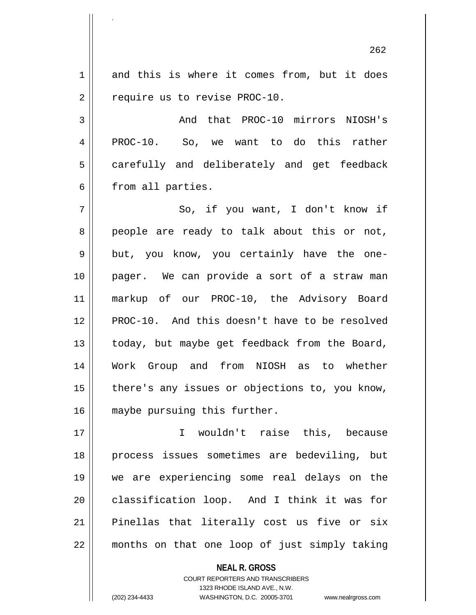1 and this is where it comes from, but it does 2 | require us to revise PROC-10.

.

3 And that PROC-10 mirrors NIOSH's 4 PROC-10. So, we want to do this rather 5 || carefully and deliberately and get feedback 6 from all parties.

7 || So, if you want, I don't know if 8 || people are ready to talk about this or not, 9 || but, you know, you certainly have the one-10 pager. We can provide a sort of a straw man 11 markup of our PROC-10, the Advisory Board 12 PROC-10. And this doesn't have to be resolved 13 || today, but maybe get feedback from the Board, 14 Work Group and from NIOSH as to whether  $15$  | there's any issues or objections to, you know, 16 maybe pursuing this further.

17 I wouldn't raise this, because 18 process issues sometimes are bedeviling, but 19 we are experiencing some real delays on the 20 classification loop. And I think it was for 21 || Pinellas that literally cost us five or six 22 months on that one loop of just simply taking

> **NEAL R. GROSS** COURT REPORTERS AND TRANSCRIBERS 1323 RHODE ISLAND AVE., N.W. (202) 234-4433 WASHINGTON, D.C. 20005-3701 www.nealrgross.com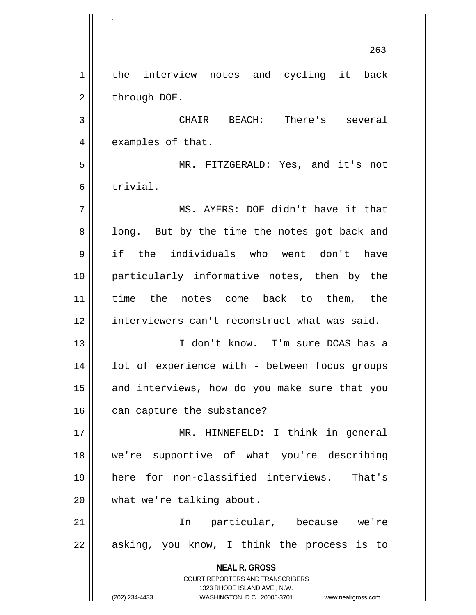**NEAL R. GROSS** COURT REPORTERS AND TRANSCRIBERS 1323 RHODE ISLAND AVE., N.W. (202) 234-4433 WASHINGTON, D.C. 20005-3701 www.nealrgross.com 263 1 | the interview notes and cycling it back  $2 \parallel$  through DOE. 3 CHAIR BEACH: There's several 4 | examples of that. 5 MR. FITZGERALD: Yes, and it's not 6 trivial. 7 MS. AYERS: DOE didn't have it that  $8 \parallel$  long. But by the time the notes got back and 9 if the individuals who went don't have 10 particularly informative notes, then by the 11 time the notes come back to them, the 12 interviewers can't reconstruct what was said. 13 I don't know. I'm sure DCAS has a 14 || lot of experience with - between focus groups 15 || and interviews, how do you make sure that you 16 can capture the substance? 17 MR. HINNEFELD: I think in general 18 we're supportive of what you're describing 19 here for non-classified interviews. That's 20 what we're talking about. 21 In particular, because we're  $22$  || asking, you know, I think the process is to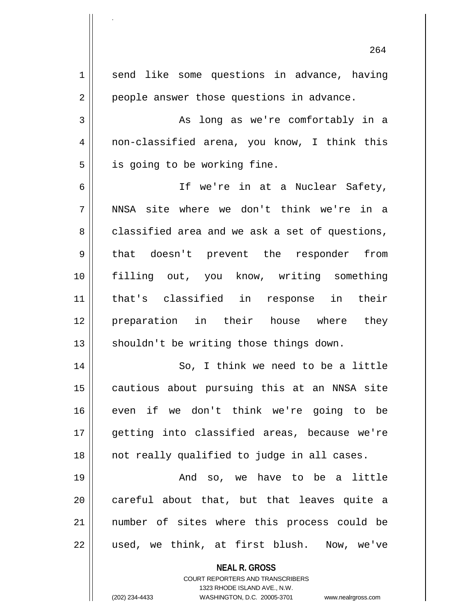**NEAL R. GROSS** COURT REPORTERS AND TRANSCRIBERS 1323 RHODE ISLAND AVE., N.W. 264 1 send like some questions in advance, having 2 | people answer those questions in advance. 3 As long as we're comfortably in a 4 non-classified arena, you know, I think this  $5 \parallel$  is going to be working fine. 6 If we're in at a Nuclear Safety, 7 NNSA site where we don't think we're in a  $8 \parallel$  classified area and we ask a set of questions, 9 || that doesn't prevent the responder from 10 filling out, you know, writing something 11 that's classified in response in their 12 preparation in their house where they  $13$  shouldn't be writing those things down. 14 || So, I think we need to be a little 15 || cautious about pursuing this at an NNSA site 16 even if we don't think we're going to be 17 || qetting into classified areas, because we're 18 not really qualified to judge in all cases. 19 And so, we have to be a little  $20$  careful about that, but that leaves quite a 21 number of sites where this process could be 22 || used, we think, at first blush. Now, we've

.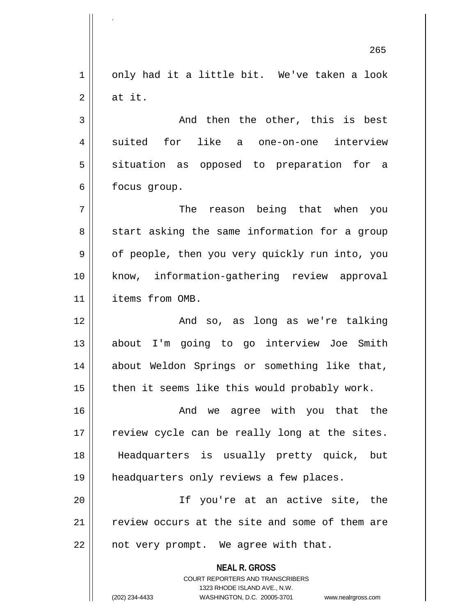$1 \parallel$  only had it a little bit. We've taken a look  $2 \parallel$  at it.

.

 $3 \parallel$  and then the other, this is best 4 || suited for like a one-on-one interview 5 || situation as opposed to preparation for a 6 | focus group.

7 The reason being that when you 8 || start asking the same information for a group 9 || of people, then you very quickly run into, you 10 know, information-gathering review approval 11 | items from OMB.

12 And so, as long as we're talking 13 about I'm going to go interview Joe Smith 14 || about Weldon Springs or something like that,  $15$  | then it seems like this would probably work.

16 And we agree with you that the 17 || review cycle can be really long at the sites. 18 Headquarters is usually pretty quick, but 19 headquarters only reviews a few places.

20 If you're at an active site, the 21 || review occurs at the site and some of them are  $22$  | not very prompt. We agree with that.

> **NEAL R. GROSS** COURT REPORTERS AND TRANSCRIBERS 1323 RHODE ISLAND AVE., N.W. (202) 234-4433 WASHINGTON, D.C. 20005-3701 www.nealrgross.com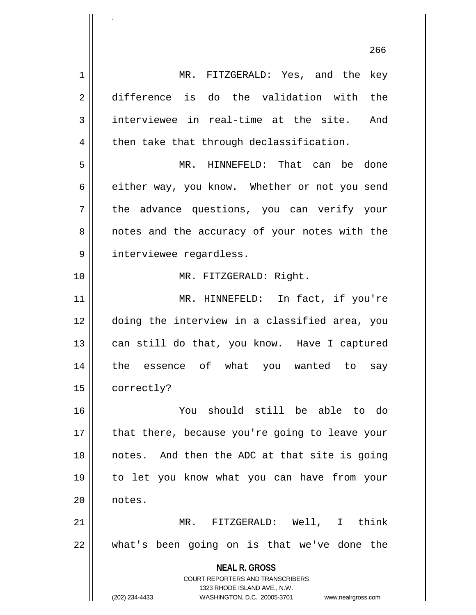**NEAL R. GROSS** COURT REPORTERS AND TRANSCRIBERS 1323 RHODE ISLAND AVE., N.W. (202) 234-4433 WASHINGTON, D.C. 20005-3701 www.nealrgross.com 1 MR. FITZGERALD: Yes, and the key 2 difference is do the validation with the  $3$  interviewee in real-time at the site. And  $4 \parallel$  then take that through declassification. 5 MR. HINNEFELD: That can be done 6 either way, you know. Whether or not you send 7 the advance questions, you can verify your 8 || notes and the accuracy of your notes with the 9 | interviewee regardless. 10 || MR. FITZGERALD: Right. 11 || MR. HINNEFELD: In fact, if you're 12 doing the interview in a classified area, you 13 || can still do that, you know. Have I captured 14 the essence of what you wanted to say 15 | correctly? 16 You should still be able to do 17 || that there, because you're going to leave your 18 notes. And then the ADC at that site is going 19 to let you know what you can have from your 20 || notes. 21 MR. FITZGERALD: Well, I think 22 what's been going on is that we've done the

.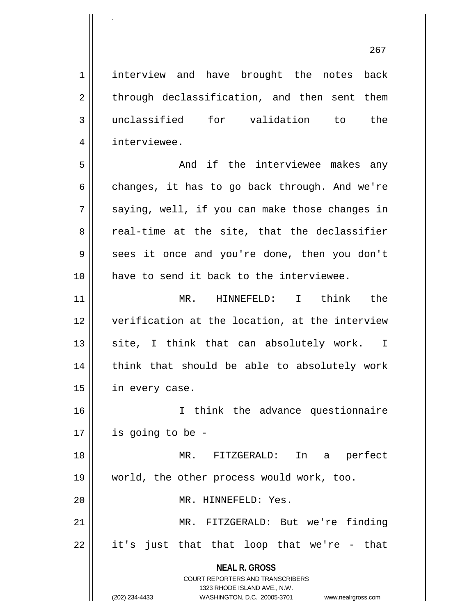**NEAL R. GROSS** 1 | interview and have brought the notes back  $2 \parallel$  through declassification, and then sent them 3 unclassified for validation to the 4 interviewee. 5 And if the interviewee makes any 6 changes, it has to go back through. And we're  $7 \parallel$  saying, well, if you can make those changes in 8 Teal-time at the site, that the declassifier 9 || sees it once and you're done, then you don't 10 have to send it back to the interviewee. 11 MR. HINNEFELD: I think the 12 verification at the location, at the interview  $13$  site, I think that can absolutely work. I 14 || think that should be able to absolutely work 15 | in every case. 16 I think the advance questionnaire  $17 \parallel$  is going to be -18 MR. FITZGERALD: In a perfect 19 world, the other process would work, too. 20 MR. HINNEFELD: Yes. 21 MR. FITZGERALD: But we're finding  $22 \parallel$  it's just that that loop that we're - that

> COURT REPORTERS AND TRANSCRIBERS 1323 RHODE ISLAND AVE., N.W.

.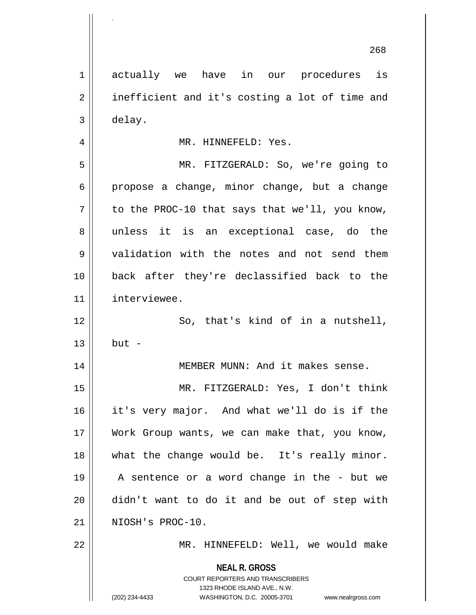**NEAL R. GROSS** COURT REPORTERS AND TRANSCRIBERS 1 actually we have in our procedures is 2 | inefficient and it's costing a lot of time and 3 delay. 4 MR. HINNEFELD: Yes. 5 MR. FITZGERALD: So, we're going to  $6 \parallel$  propose a change, minor change, but a change  $7 \parallel$  to the PROC-10 that says that we'll, you know, 8 || unless it is an exceptional case, do the 9 validation with the notes and not send them 10 back after they're declassified back to the 11 interviewee. 12 || So, that's kind of in a nutshell,  $13 \parallel$  but -14 | MEMBER MUNN: And it makes sense. 15 MR. FITZGERALD: Yes, I don't think 16 it's very major. And what we'll do is if the 17 Work Group wants, we can make that, you know, 18 what the change would be. It's really minor. 19 A sentence or a word change in the - but we 20 didn't want to do it and be out of step with 21 || NIOSH's PROC-10. 22 MR. HINNEFELD: Well, we would make

1323 RHODE ISLAND AVE., N.W.

268

.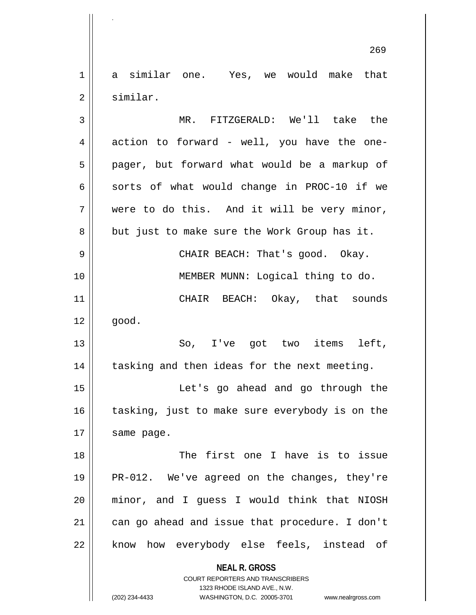1 a similar one. Yes, we would make that 2 similar.

**NEAL R. GROSS** COURT REPORTERS AND TRANSCRIBERS 1323 RHODE ISLAND AVE., N.W. 3 MR. FITZGERALD: We'll take the  $4 \parallel$  action to forward - well, you have the one-5 || pager, but forward what would be a markup of 6  $\parallel$  sorts of what would change in PROC-10 if we  $7 \parallel$  were to do this. And it will be very minor,  $8 \parallel$  but just to make sure the Work Group has it. 9 CHAIR BEACH: That's good. Okay. 10 MEMBER MUNN: Logical thing to do. 11 CHAIR BEACH: Okay, that sounds  $12 \parallel$  good. 13 So, I've got two items left, 14 || tasking and then ideas for the next meeting. 15 Let's go ahead and go through the  $16$  | tasking, just to make sure everybody is on the  $17$  | same page. 18 The first one I have is to issue 19 || PR-012. We've agreed on the changes, they're 20 minor, and I guess I would think that NIOSH 21 || can go ahead and issue that procedure. I don't 22 || know how everybody else feels, instead of

.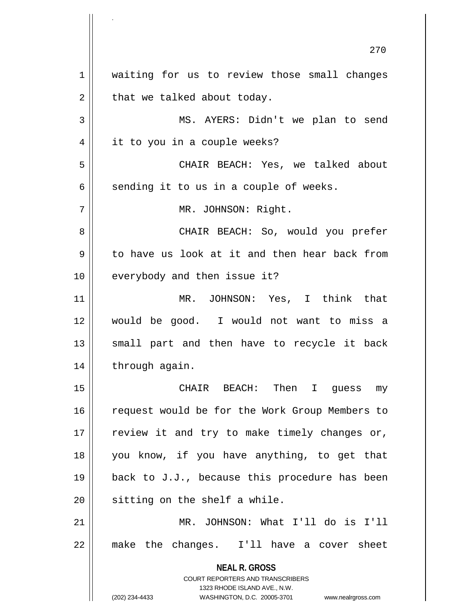**NEAL R. GROSS** COURT REPORTERS AND TRANSCRIBERS 1323 RHODE ISLAND AVE., N.W. (202) 234-4433 WASHINGTON, D.C. 20005-3701 www.nealrgross.com 270 1 || waiting for us to review those small changes  $2 \parallel$  that we talked about today. 3 MS. AYERS: Didn't we plan to send 4 || it to you in a couple weeks? 5 CHAIR BEACH: Yes, we talked about  $6 \parallel$  sending it to us in a couple of weeks. 7 || MR. JOHNSON: Right. 8 CHAIR BEACH: So, would you prefer 9 to have us look at it and then hear back from 10 || everybody and then issue it? 11 MR. JOHNSON: Yes, I think that 12 would be good. I would not want to miss a  $13$  small part and then have to recycle it back 14 | through again. 15 CHAIR BEACH: Then I guess my 16 || request would be for the Work Group Members to  $17$  | review it and try to make timely changes or, 18 you know, if you have anything, to get that 19 back to J.J., because this procedure has been  $20$  | sitting on the shelf a while. 21 MR. JOHNSON: What I'll do is I'll 22 make the changes. I'll have a cover sheet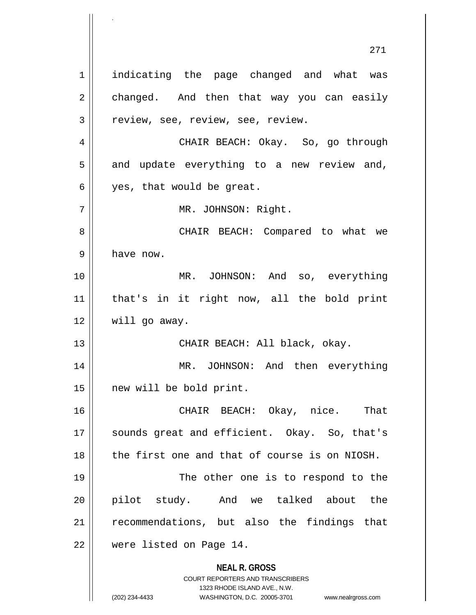**NEAL R. GROSS** COURT REPORTERS AND TRANSCRIBERS 1323 RHODE ISLAND AVE., N.W. (202) 234-4433 WASHINGTON, D.C. 20005-3701 www.nealrgross.com 271 1 || indicating the page changed and what was  $2 \parallel$  changed. And then that way you can easily 3 | Teview, see, review, see, review. 4 CHAIR BEACH: Okay. So, go through  $5 \parallel$  and update everything to a new review and,  $6 \parallel$  yes, that would be great. 7 || MR. JOHNSON: Right. 8 CHAIR BEACH: Compared to what we 9 | have now. 10 MR. JOHNSON: And so, everything 11 that's in it right now, all the bold print 12 | will go away. 13 CHAIR BEACH: All black, okay. 14 || MR. JOHNSON: And then everything 15 new will be bold print. 16 CHAIR BEACH: Okay, nice. That 17 || sounds great and efficient. Okay. So, that's 18 the first one and that of course is on NIOSH. 19 || The other one is to respond to the 20 || pilot study. And we talked about the 21 || recommendations, but also the findings that 22 were listed on Page 14.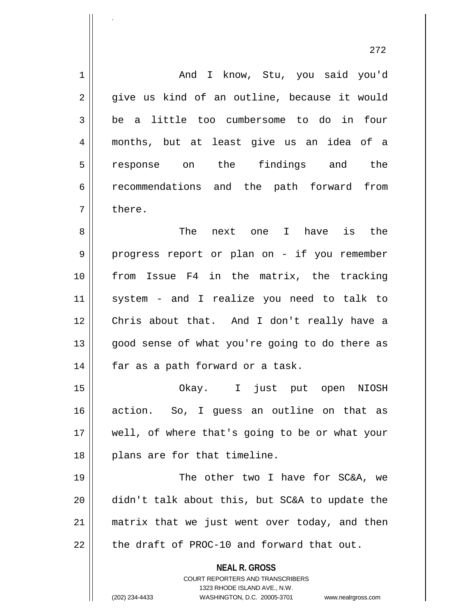**NEAL R. GROSS** COURT REPORTERS AND TRANSCRIBERS 1323 RHODE ISLAND AVE., N.W. (202) 234-4433 WASHINGTON, D.C. 20005-3701 www.nealrgross.com 1 | And I know, Stu, you said you'd 2 give us kind of an outline, because it would  $3 \parallel$  be a little too cumbersome to do in four 4 months, but at least give us an idea of a 5 response on the findings and the 6 recommendations and the path forward from  $7 \parallel$  there. 8 The next one I have is the 9 || progress report or plan on - if you remember 10 from Issue F4 in the matrix, the tracking 11 system - and I realize you need to talk to 12 Chris about that. And I don't really have a 13 || good sense of what you're going to do there as  $14$  | far as a path forward or a task. 15 Okay. I just put open NIOSH 16 action. So, I guess an outline on that as 17 || well, of where that's going to be or what your 18 || plans are for that timeline. 19 || The other two I have for SC&A, we 20 didn't talk about this, but SC&A to update the 21 || matrix that we just went over today, and then  $22$   $\parallel$  the draft of PROC-10 and forward that out.

.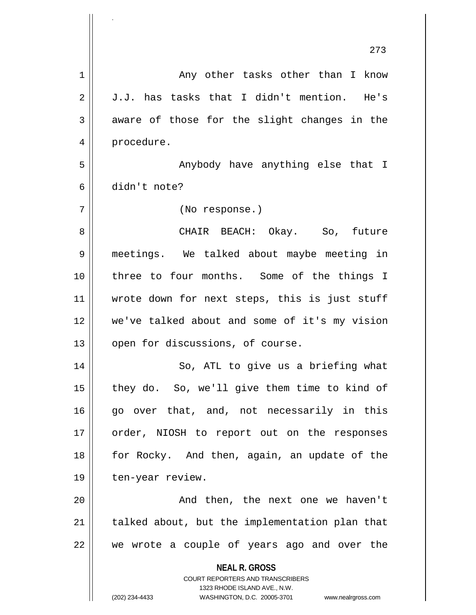|             | 273                                                                 |
|-------------|---------------------------------------------------------------------|
| $\mathbf 1$ | Any other tasks other than I know                                   |
| 2           | J.J. has tasks that I didn't mention. He's                          |
| 3           | aware of those for the slight changes in the                        |
| 4           | procedure.                                                          |
| 5           | Anybody have anything else that I                                   |
| 6           | didn't note?                                                        |
| 7           | (No response.)                                                      |
| 8           | CHAIR BEACH: Okay. So, future                                       |
| 9           | meetings. We talked about maybe meeting in                          |
| 10          | three to four months. Some of the things I                          |
| 11          | wrote down for next steps, this is just stuff                       |
| 12          | we've talked about and some of it's my vision                       |
| 13          | open for discussions, of course.                                    |
| 14          | So, ATL to give us a briefing what                                  |
| 15          | they do. So, we'll give them time to kind of                        |
| 16          | go over that, and, not necessarily in this                          |
| 17          | order, NIOSH to report out on the responses                         |
| 18          | for Rocky. And then, again, an update of the                        |
| 19          | ten-year review.                                                    |
| 20          | And then, the next one we haven't                                   |
| 21          | talked about, but the implementation plan that                      |
| 22          | we wrote a couple of years ago and over the                         |
|             | <b>NEAL R. GROSS</b><br><b>COURT REPORTERS AND TRANSCRIBERS</b>     |
|             | 1323 RHODE ISLAND AVE., N.W.                                        |
|             | (202) 234-4433<br>WASHINGTON, D.C. 20005-3701<br>www.nealrgross.com |

.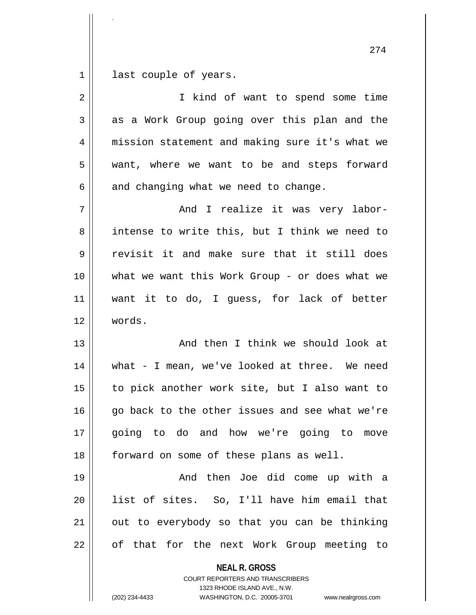$1 \parallel$  last couple of years.

.

| $\overline{2}$ | I kind of want to spend some time                                                                                                                                      |
|----------------|------------------------------------------------------------------------------------------------------------------------------------------------------------------------|
| 3              | as a Work Group going over this plan and the                                                                                                                           |
| 4              | mission statement and making sure it's what we                                                                                                                         |
| 5              | want, where we want to be and steps forward                                                                                                                            |
| 6              | and changing what we need to change.                                                                                                                                   |
| 7              | And I realize it was very labor-                                                                                                                                       |
| 8              | intense to write this, but I think we need to                                                                                                                          |
| 9              | revisit it and make sure that it still does                                                                                                                            |
| 10             | what we want this Work Group - or does what we                                                                                                                         |
| 11             | want it to do, I quess, for lack of better                                                                                                                             |
| 12             | words.                                                                                                                                                                 |
| 13             | And then I think we should look at                                                                                                                                     |
| 14             | what - I mean, we've looked at three. We need                                                                                                                          |
| 15             | to pick another work site, but I also want to                                                                                                                          |
| 16             | go back to the other issues and see what we're                                                                                                                         |
| 17             | going to do and how we're going to move                                                                                                                                |
| 18             | forward on some of these plans as well.                                                                                                                                |
| 19             | And then Joe did come up with a                                                                                                                                        |
| 20             | list of sites. So, I'll have him email that                                                                                                                            |
| 21             | out to everybody so that you can be thinking                                                                                                                           |
| 22             | of that for the next Work Group meeting to                                                                                                                             |
|                | <b>NEAL R. GROSS</b><br><b>COURT REPORTERS AND TRANSCRIBERS</b><br>1323 RHODE ISLAND AVE., N.W.<br>(202) 234-4433<br>WASHINGTON, D.C. 20005-3701<br>www.nealrgross.com |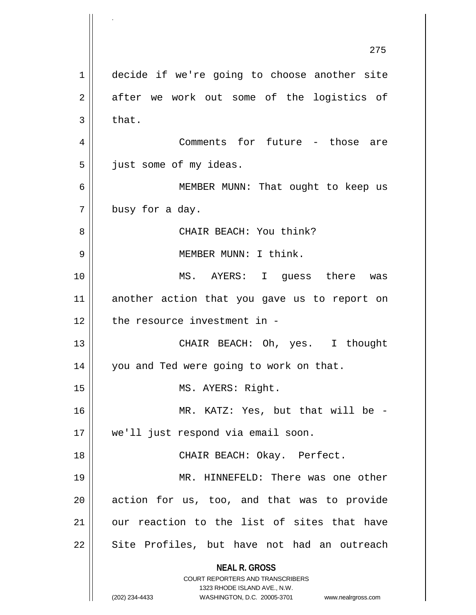**NEAL R. GROSS** COURT REPORTERS AND TRANSCRIBERS 1323 RHODE ISLAND AVE., N.W. (202) 234-4433 WASHINGTON, D.C. 20005-3701 www.nealrgross.com 275 1 decide if we're going to choose another site  $2 \parallel$  after we work out some of the logistics of  $3 \parallel$  that. 4 || Comments for future - those are 5 | just some of my ideas. 6 MEMBER MUNN: That ought to keep us  $7 \parallel$  busy for a day. 8 CHAIR BEACH: You think? 9 MEMBER MUNN: I think. 10 MS. AYERS: I guess there was 11 another action that you gave us to report on 12 || the resource investment in -13 CHAIR BEACH: Oh, yes. I thought 14 | you and Ted were going to work on that. 15 || MS. AYERS: Right. 16 MR. KATZ: Yes, but that will be - 17 we'll just respond via email soon. 18 || CHAIR BEACH: Okay. Perfect. 19 MR. HINNEFELD: There was one other 20 || action for us, too, and that was to provide 21 || our reaction to the list of sites that have 22 || Site Profiles, but have not had an outreach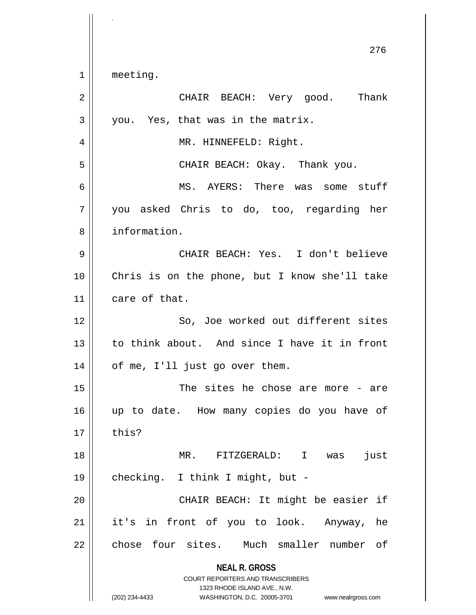**NEAL R. GROSS** COURT REPORTERS AND TRANSCRIBERS 1323 RHODE ISLAND AVE., N.W. (202) 234-4433 WASHINGTON, D.C. 20005-3701 www.nealrgross.com 276 1 || meeting. 2 CHAIR BEACH: Very good. Thank  $3 \parallel$  you. Yes, that was in the matrix. 4 || MR. HINNEFELD: Right. 5 CHAIR BEACH: Okay. Thank you. 6 MS. AYERS: There was some stuff  $7 \parallel$  you asked Chris to do, too, regarding her 8 information. 9 CHAIR BEACH: Yes. I don't believe 10 Chris is on the phone, but I know she'll take 11 care of that. 12 || So, Joe worked out different sites 13 to think about. And since I have it in front  $14$  | of me, I'll just go over them. 15 The sites he chose are more - are 16 up to date. How many copies do you have of  $17 \parallel$  this? 18 MR. FITZGERALD: I was just 19 checking. I think I might, but - 20 CHAIR BEACH: It might be easier if 21 || it's in front of you to look. Anyway, he 22 || chose four sites. Much smaller number of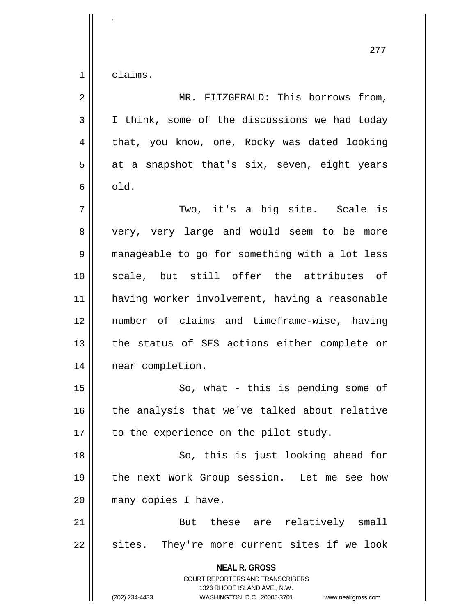$1 \parallel$  claims.

| $\overline{2}$ | MR. FITZGERALD: This borrows from,                                                                                                                                     |
|----------------|------------------------------------------------------------------------------------------------------------------------------------------------------------------------|
| $\mathfrak{Z}$ | I think, some of the discussions we had today                                                                                                                          |
| $\overline{4}$ | that, you know, one, Rocky was dated looking                                                                                                                           |
| 5              | at a snapshot that's six, seven, eight years                                                                                                                           |
| 6              | old.                                                                                                                                                                   |
| 7              | Two, it's a big site. Scale is                                                                                                                                         |
| 8              | very, very large and would seem to be more                                                                                                                             |
| 9              | manageable to go for something with a lot less                                                                                                                         |
| 10             | scale, but still offer the attributes of                                                                                                                               |
| 11             | having worker involvement, having a reasonable                                                                                                                         |
| 12             | number of claims and timeframe-wise, having                                                                                                                            |
| 13             | the status of SES actions either complete or                                                                                                                           |
| 14             | near completion.                                                                                                                                                       |
| 15             | So, what - this is pending some of                                                                                                                                     |
| 16             | the analysis that we've talked about relative                                                                                                                          |
| 17             | to the experience on the pilot study.                                                                                                                                  |
| 18             | So, this is just looking ahead for                                                                                                                                     |
| 19             | the next Work Group session. Let me see how                                                                                                                            |
| 20             | many copies I have.                                                                                                                                                    |
| 21             | But these are relatively small                                                                                                                                         |
| 22             | sites. They're more current sites if we look                                                                                                                           |
|                | <b>NEAL R. GROSS</b><br><b>COURT REPORTERS AND TRANSCRIBERS</b><br>1323 RHODE ISLAND AVE., N.W.<br>(202) 234-4433<br>WASHINGTON, D.C. 20005-3701<br>www.nealrgross.com |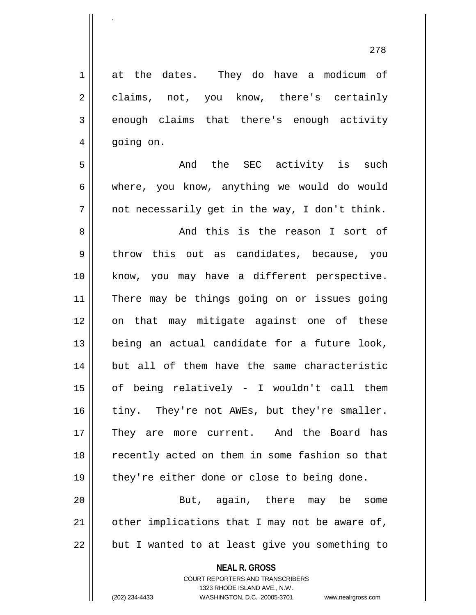| $\mathbf 1$ | at the dates. They do have a modicum of        |
|-------------|------------------------------------------------|
| 2           | claims, not, you know, there's certainly       |
| 3           | enough claims that there's enough activity     |
| 4           | going on.                                      |
| 5           | And the SEC activity is such                   |
| 6           | where, you know, anything we would do would    |
| 7           | not necessarily get in the way, I don't think. |
| 8           | And this is the reason I sort of               |
| 9           | throw this out as candidates, because, you     |
| 10          | know, you may have a different perspective.    |
| 11          | There may be things going on or issues going   |
| 12          | on that may mitigate against one of these      |
| 13          | being an actual candidate for a future look,   |
| 14          | but all of them have the same characteristic   |
| 15          | of being relatively - I wouldn't call them     |
| 16          | tiny. They're not AWEs, but they're smaller.   |
| 17          | They are more current. And the Board has       |
| 18          | recently acted on them in some fashion so that |
| 19          | they're either done or close to being done.    |
| 20          | But, again, there may be some                  |
| 21          | other implications that I may not be aware of, |
| 22          | but I wanted to at least give you something to |
|             | <b>NEAL R. GROSS</b>                           |

COURT REPORTERS AND TRANSCRIBERS 1323 RHODE ISLAND AVE., N.W.

.

(202) 234-4433 WASHINGTON, D.C. 20005-3701 www.nealrgross.com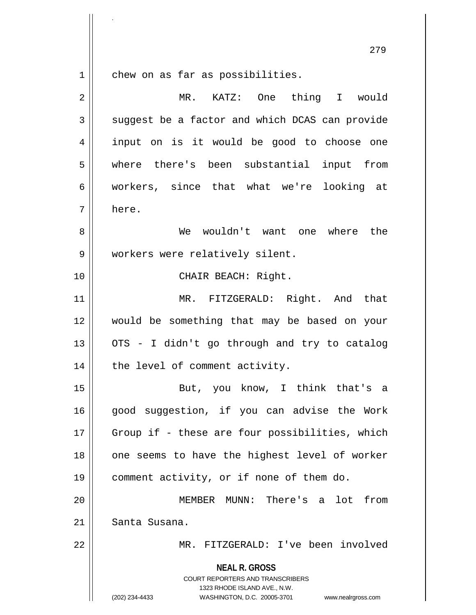$1$  chew on as far as possibilities.

.

| $\overline{2}$ | MR. KATZ: One thing I would                                                                                                                                            |
|----------------|------------------------------------------------------------------------------------------------------------------------------------------------------------------------|
| 3              | suggest be a factor and which DCAS can provide                                                                                                                         |
| 4              | input on is it would be good to choose one                                                                                                                             |
| 5              | where there's been substantial input from                                                                                                                              |
| 6              | workers, since that what we're looking at                                                                                                                              |
| 7              | here.                                                                                                                                                                  |
| 8              | We wouldn't want one where the                                                                                                                                         |
| $\mathsf 9$    | workers were relatively silent.                                                                                                                                        |
| 10             | CHAIR BEACH: Right.                                                                                                                                                    |
| 11             | MR. FITZGERALD: Right. And that                                                                                                                                        |
| 12             | would be something that may be based on your                                                                                                                           |
| 13             | OTS - I didn't go through and try to catalog                                                                                                                           |
| 14             | the level of comment activity.                                                                                                                                         |
| 15             | But, you know, I think that's a                                                                                                                                        |
| 16             | good suggestion, if you can advise the Work                                                                                                                            |
| 17             | Group if - these are four possibilities, which                                                                                                                         |
| 18             | one seems to have the highest level of worker                                                                                                                          |
| 19             | comment activity, or if none of them do.                                                                                                                               |
| 20             | MEMBER<br>MUNN: There's a lot<br>from                                                                                                                                  |
| 21             | Santa Susana.                                                                                                                                                          |
| 22             | FITZGERALD: I've been involved<br>MR.                                                                                                                                  |
|                | <b>NEAL R. GROSS</b><br><b>COURT REPORTERS AND TRANSCRIBERS</b><br>1323 RHODE ISLAND AVE., N.W.<br>WASHINGTON, D.C. 20005-3701<br>(202) 234-4433<br>www.nealrgross.com |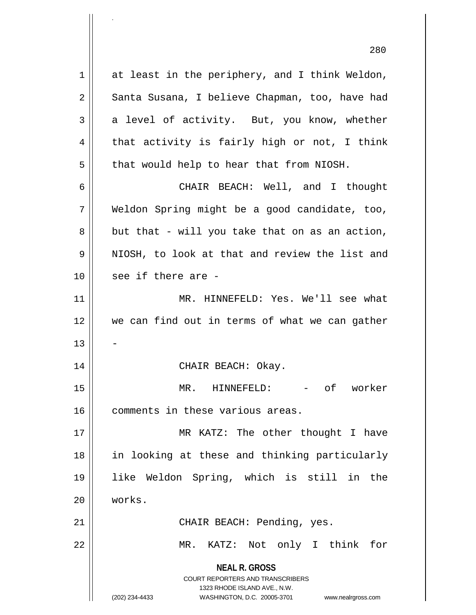**NEAL R. GROSS** COURT REPORTERS AND TRANSCRIBERS 1323 RHODE ISLAND AVE., N.W. (202) 234-4433 WASHINGTON, D.C. 20005-3701 www.nealrgross.com 1 at least in the periphery, and I think Weldon, 2 | Santa Susana, I believe Chapman, too, have had  $3 \parallel$  a level of activity. But, you know, whether  $4 \parallel$  that activity is fairly high or not, I think  $5$  | that would help to hear that from NIOSH. 6 CHAIR BEACH: Well, and I thought 7 Weldon Spring might be a good candidate, too,  $8 \parallel$  but that - will you take that on as an action, 9 || NIOSH, to look at that and review the list and  $10$  || see if there are -11 MR. HINNEFELD: Yes. We'll see what 12 we can find out in terms of what we can gather 13 14 CHAIR BEACH: Okay. 15 MR. HINNEFELD: - of worker 16 | comments in these various areas. 17 || MR KATZ: The other thought I have 18 in looking at these and thinking particularly 19 like Weldon Spring, which is still in the 20 works. 21 || CHAIR BEACH: Pending, yes. 22 MR. KATZ: Not only I think for

.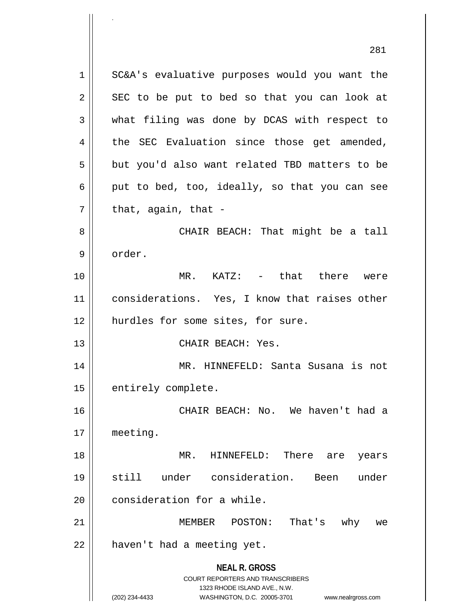**NEAL R. GROSS** COURT REPORTERS AND TRANSCRIBERS 1323 RHODE ISLAND AVE., N.W. (202) 234-4433 WASHINGTON, D.C. 20005-3701 www.nealrgross.com 281 1 | SC&A's evaluative purposes would you want the  $2 \parallel$  SEC to be put to bed so that you can look at 3 what filing was done by DCAS with respect to  $4 \parallel$  the SEC Evaluation since those get amended,  $5 \parallel$  but you'd also want related TBD matters to be 6 | put to bed, too, ideally, so that you can see  $7 \parallel$  that, again, that -8 CHAIR BEACH: That might be a tall 9 order. 10 MR. KATZ: - that there were 11 || considerations. Yes, I know that raises other 12 || hurdles for some sites, for sure. 13 CHAIR BEACH: Yes. 14 MR. HINNEFELD: Santa Susana is not 15 | entirely complete. 16 CHAIR BEACH: No. We haven't had a 17 meeting. 18 MR. HINNEFELD: There are years 19 still under consideration. Been under 20 | consideration for a while. 21 MEMBER POSTON: That's why we  $22$  | haven't had a meeting yet.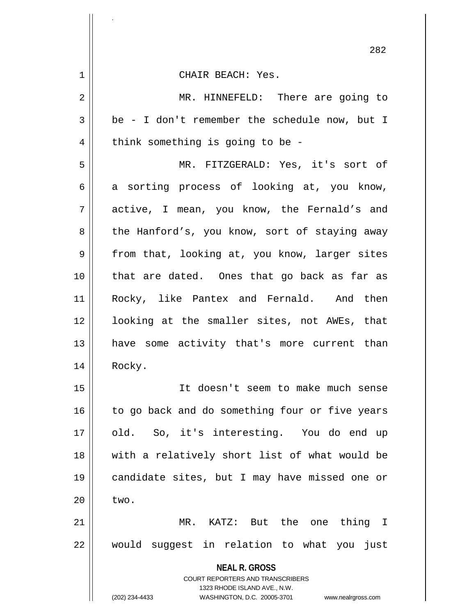| 1  | CHAIR BEACH: Yes.                                                                                |
|----|--------------------------------------------------------------------------------------------------|
| 2  | MR. HINNEFELD: There are going to                                                                |
| 3  | be - I don't remember the schedule now, but I                                                    |
| 4  | think something is going to be -                                                                 |
| 5  | MR. FITZGERALD: Yes, it's sort of                                                                |
| 6  | a sorting process of looking at, you know,                                                       |
| 7  | active, I mean, you know, the Fernald's and                                                      |
| 8  | the Hanford's, you know, sort of staying away                                                    |
| 9  | from that, looking at, you know, larger sites                                                    |
| 10 | that are dated. Ones that go back as far as                                                      |
| 11 | Rocky, like Pantex and Fernald. And then                                                         |
| 12 | looking at the smaller sites, not AWEs, that                                                     |
| 13 | have some activity that's more current than                                                      |
| 14 | Rocky.                                                                                           |
| 15 | It doesn't seem to make much sense                                                               |
| 16 | to go back and do something four or five years                                                   |
| 17 | old. So, it's interesting. You do end up                                                         |
| 18 | with a relatively short list of what would be                                                    |
| 19 | candidate sites, but I may have missed one or                                                    |
| 20 | two.                                                                                             |
| 21 | MR. KATZ: But the one thing I                                                                    |
| 22 | would suggest in relation to what you just                                                       |
|    | <b>NEAL R. GROSS</b><br><b>COURT REPORTERS AND TRANSCRIBERS</b>                                  |
|    | 1323 RHODE ISLAND AVE., N.W.<br>(202) 234-4433<br>WASHINGTON, D.C. 20005-3701 www.nealrgross.com |

.

 $\mathbf{I}$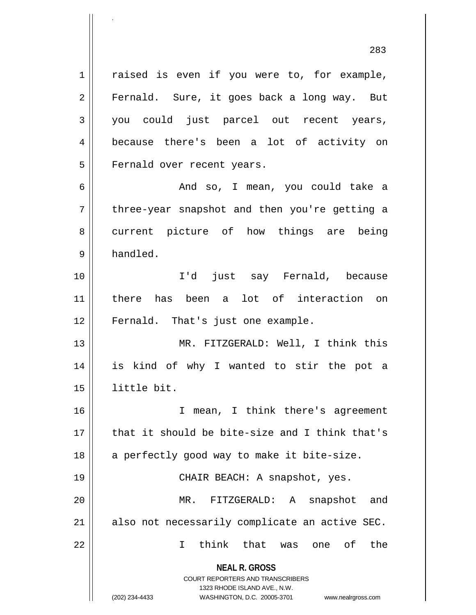**NEAL R. GROSS** 1 || raised is even if you were to, for example, 2 || Fernald. Sure, it goes back a long way. But 3 you could just parcel out recent years, 4 because there's been a lot of activity on 5 || Fernald over recent years. 6 And so, I mean, you could take a  $7 \parallel$  three-year snapshot and then you're getting a 8 || current picture of how things are being 9 | handled. 10 I'd just say Fernald, because 11 there has been a lot of interaction on 12 || Fernald. That's just one example. 13 || MR. FITZGERALD: Well, I think this 14 is kind of why I wanted to stir the pot a 15 little bit. 16 I mean, I think there's agreement  $17$   $\parallel$  that it should be bite-size and I think that's 18 || a perfectly good way to make it bite-size. 19 CHAIR BEACH: A snapshot, yes. 20 MR. FITZGERALD: A snapshot and  $21$  || also not necessarily complicate an active SEC. 22 I think that was one of the

> COURT REPORTERS AND TRANSCRIBERS 1323 RHODE ISLAND AVE., N.W.

.

(202) 234-4433 WASHINGTON, D.C. 20005-3701 www.nealrgross.com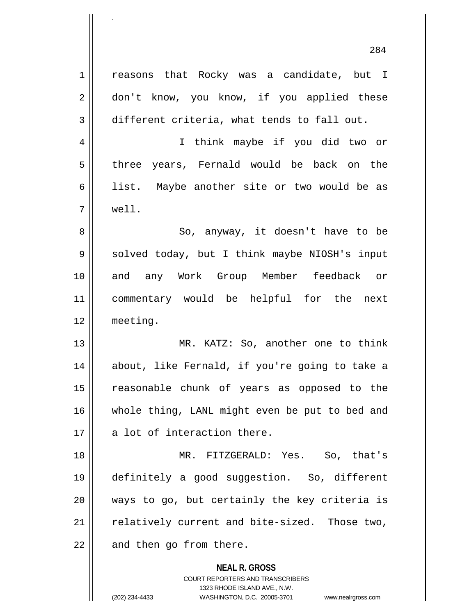1 | reasons that Rocky was a candidate, but I 2 || don't know, you know, if you applied these 3 different criteria, what tends to fall out.

4 I think maybe if you did two or 5 || three years, Fernald would be back on the 6 || list. Maybe another site or two would be as 7 well.

8 || So, anyway, it doesn't have to be 9 || solved today, but I think maybe NIOSH's input 10 and any Work Group Member feedback or 11 commentary would be helpful for the next 12 meeting.

13 || MR. KATZ: So, another one to think 14 about, like Fernald, if you're going to take a 15 reasonable chunk of years as opposed to the 16 whole thing, LANL might even be put to bed and  $17$   $\parallel$  a lot of interaction there.

18 MR. FITZGERALD: Yes. So, that's 19 definitely a good suggestion. So, different  $20$  || ways to go, but certainly the key criteria is  $21$   $\parallel$  relatively current and bite-sized. Those two,  $22$  || and then go from there.

**NEAL R. GROSS**

COURT REPORTERS AND TRANSCRIBERS 1323 RHODE ISLAND AVE., N.W. (202) 234-4433 WASHINGTON, D.C. 20005-3701 www.nealrgross.com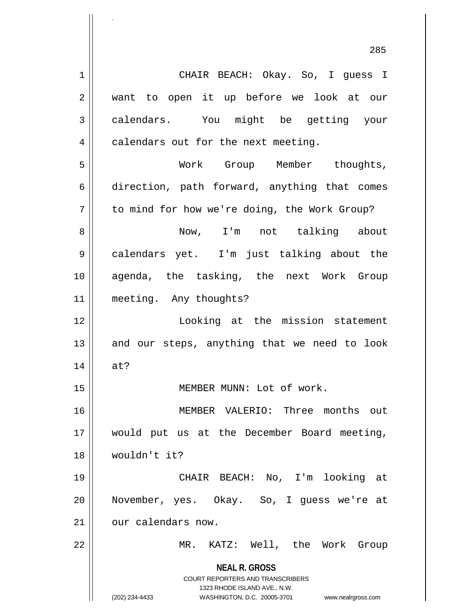**NEAL R. GROSS** COURT REPORTERS AND TRANSCRIBERS 1323 RHODE ISLAND AVE., N.W. 1 CHAIR BEACH: Okay. So, I guess I 2 || want to open it up before we look at our 3 calendars. You might be getting your  $4 \parallel$  calendars out for the next meeting. 5 Work Group Member thoughts, 6 direction, path forward, anything that comes  $7 \parallel$  to mind for how we're doing, the Work Group? 8 Now, I'm not talking about 9 calendars yet. I'm just talking about the 10 agenda, the tasking, the next Work Group 11 || meeting. Any thoughts? 12 Looking at the mission statement  $13$  and our steps, anything that we need to look 14 at? 15 || MEMBER MUNN: Lot of work. 16 MEMBER VALERIO: Three months out 17 would put us at the December Board meeting, 18 wouldn't it? 19 CHAIR BEACH: No, I'm looking at 20 November, yes. Okay. So, I guess we're at 21 | our calendars now. 22 MR. KATZ: Well, the Work Group

.

(202) 234-4433 WASHINGTON, D.C. 20005-3701 www.nealrgross.com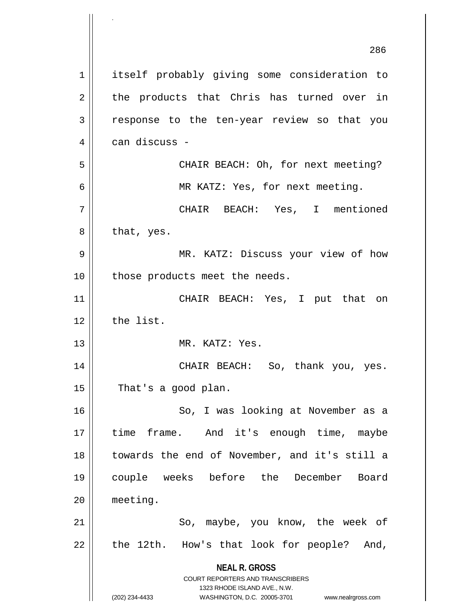**NEAL R. GROSS** COURT REPORTERS AND TRANSCRIBERS 1323 RHODE ISLAND AVE., N.W. (202) 234-4433 WASHINGTON, D.C. 20005-3701 www.nealrgross.com 286 1 | itself probably giving some consideration to  $2 \parallel$  the products that Chris has turned over in 3 || response to the ten-year review so that you 4 can discuss - 5 || CHAIR BEACH: Oh, for next meeting? 6 MR KATZ: Yes, for next meeting. 7 CHAIR BEACH: Yes, I mentioned  $8 \parallel$  that, yes. 9 MR. KATZ: Discuss your view of how 10 || those products meet the needs. 11 CHAIR BEACH: Yes, I put that on  $12$  | the list. 13 MR. KATZ: Yes. 14 CHAIR BEACH: So, thank you, yes.  $15$  | That's a good plan. 16 || So, I was looking at November as a 17 || time frame. And it's enough time, maybe 18 towards the end of November, and it's still a 19 couple weeks before the December Board 20 meeting. 21 || So, maybe, you know, the week of  $22$  || the 12th. How's that look for people? And,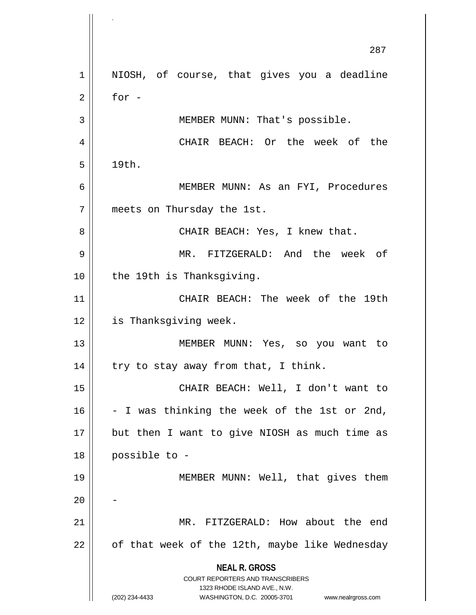**NEAL R. GROSS** COURT REPORTERS AND TRANSCRIBERS 1323 RHODE ISLAND AVE., N.W. (202) 234-4433 WASHINGTON, D.C. 20005-3701 www.nealrgross.com 287 1 || NIOSH, of course, that gives you a deadline  $2 \parallel$  for -3 || MEMBER MUNN: That's possible. 4 || CHAIR BEACH: Or the week of the  $5 \parallel 19th.$ 6 MEMBER MUNN: As an FYI, Procedures 7 meets on Thursday the 1st. 8 CHAIR BEACH: Yes, I knew that. 9 MR. FITZGERALD: And the week of 10 || the 19th is Thanksgiving. 11 CHAIR BEACH: The week of the 19th 12 | is Thanksgiving week. 13 MEMBER MUNN: Yes, so you want to  $14$  || try to stay away from that, I think. 15 CHAIR BEACH: Well, I don't want to  $16$  - I was thinking the week of the 1st or 2nd,  $17$  || but then I want to give NIOSH as much time as 18 possible to - 19 || MEMBER MUNN: Well, that gives them  $20$ 21 MR. FITZGERALD: How about the end  $22$  | of that week of the 12th, maybe like Wednesday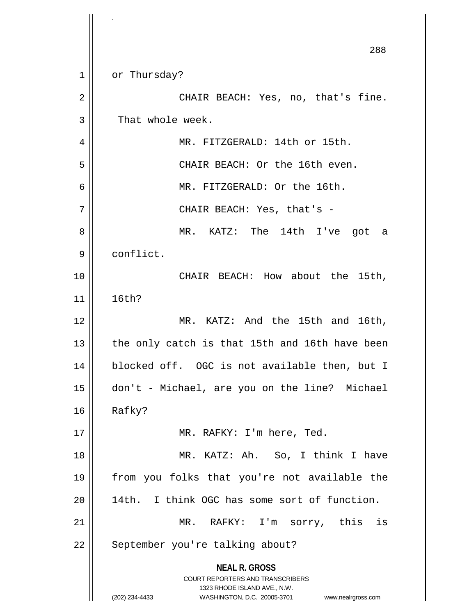**NEAL R. GROSS** COURT REPORTERS AND TRANSCRIBERS 1323 RHODE ISLAND AVE., N.W. (202) 234-4433 WASHINGTON, D.C. 20005-3701 www.nealrgross.com 288 1 | or Thursday? 2 || CHAIR BEACH: Yes, no, that's fine. 3 || That whole week. 4 || MR. FITZGERALD: 14th or 15th. 5 CHAIR BEACH: Or the 16th even. 6 MR. FITZGERALD: Or the 16th. 7 CHAIR BEACH: Yes, that's - 8 MR. KATZ: The 14th I've got a 9 | conflict. 10 CHAIR BEACH: How about the 15th, 11 16th? 12 || MR. KATZ: And the 15th and 16th,  $13$  || the only catch is that 15th and 16th have been 14 || blocked off. OGC is not available then, but I 15 don't - Michael, are you on the line? Michael  $16$  Rafky? 17 MR. RAFKY: I'm here, Ted. 18 MR. KATZ: Ah. So, I think I have 19 from you folks that you're not available the 20 14th. I think OGC has some sort of function. 21 MR. RAFKY: I'm sorry, this is 22 | September you're talking about?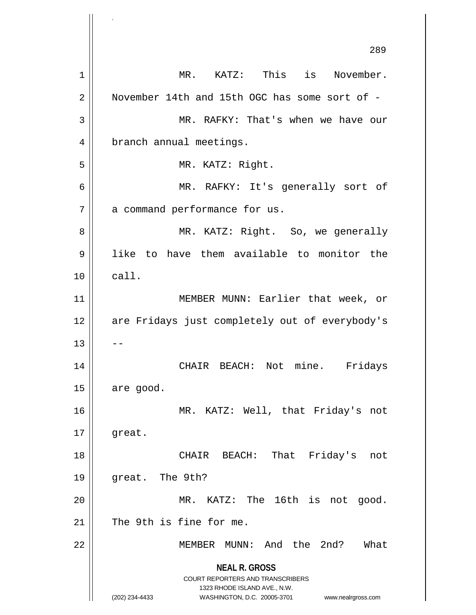**NEAL R. GROSS** COURT REPORTERS AND TRANSCRIBERS 1323 RHODE ISLAND AVE., N.W. (202) 234-4433 WASHINGTON, D.C. 20005-3701 www.nealrgross.com 289 1 MR. KATZ: This is November. 2 | November 14th and 15th OGC has some sort of -3 MR. RAFKY: That's when we have our 4 | branch annual meetings. 5 || MR. KATZ: Right. 6 MR. RAFKY: It's generally sort of 7 | a command performance for us. 8 MR. KATZ: Right. So, we generally 9 like to have them available to monitor the  $10 \parallel$  call. 11 || MEMBER MUNN: Earlier that week, or 12 || are Fridays just completely out of everybody's  $13$   $\parallel$   $-$ 14 CHAIR BEACH: Not mine. Fridays  $15$  are good. 16 MR. KATZ: Well, that Friday's not  $17 \parallel$  great. 18 CHAIR BEACH: That Friday's not 19 great. The 9th? 20 MR. KATZ: The 16th is not good.  $21$  | The 9th is fine for me. 22 MEMBER MUNN: And the 2nd? What

.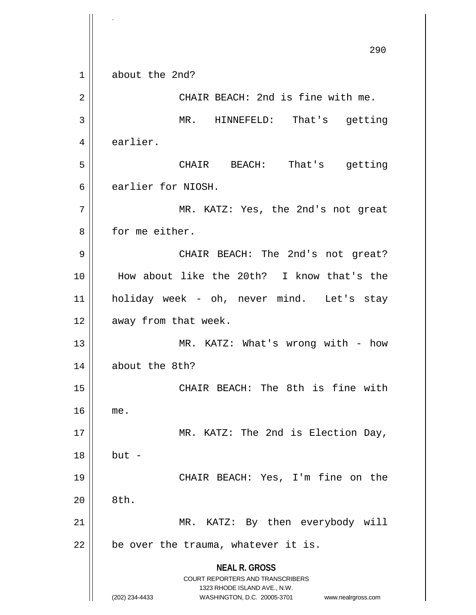**NEAL R. GROSS** COURT REPORTERS AND TRANSCRIBERS 1323 RHODE ISLAND AVE., N.W. (202) 234-4433 WASHINGTON, D.C. 20005-3701 www.nealrgross.com 290 1 about the 2nd? 2 | CHAIR BEACH: 2nd is fine with me. 3 MR. HINNEFELD: That's getting 4 | earlier. 5 CHAIR BEACH: That's getting 6 earlier for NIOSH. 7 MR. KATZ: Yes, the 2nd's not great 8 || for me either. 9 CHAIR BEACH: The 2nd's not great? 10 How about like the 20th? I know that's the 11 holiday week - oh, never mind. Let's stay 12 | away from that week. 13 || MR. KATZ: What's wrong with - how 14 about the 8th? 15 || CHAIR BEACH: The 8th is fine with 16 me. 17 || MR. KATZ: The 2nd is Election Day, 18 but - 19 CHAIR BEACH: Yes, I'm fine on the  $20 \parallel 8th.$ 21 || MR. KATZ: By then everybody will  $22$  | be over the trauma, whatever it is.

.